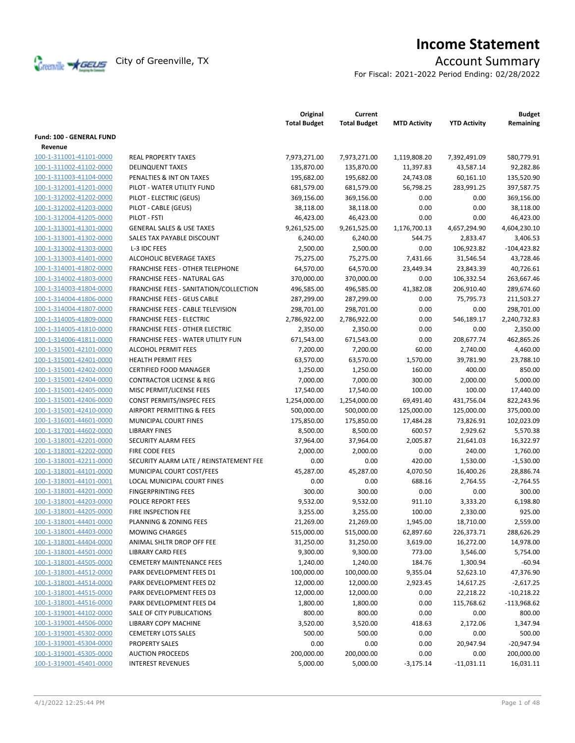

# **Income Statement**

For Fiscal: 2021-2022 Period Ending: 02/28/2022

|                                                    |                                         | Original<br><b>Total Budget</b> | Current<br><b>Total Budget</b> | <b>MTD Activity</b> | <b>YTD Activity</b> | <b>Budget</b><br>Remaining |
|----------------------------------------------------|-----------------------------------------|---------------------------------|--------------------------------|---------------------|---------------------|----------------------------|
| Fund: 100 - GENERAL FUND<br>Revenue                |                                         |                                 |                                |                     |                     |                            |
| 100-1-311001-41101-0000                            | <b>REAL PROPERTY TAXES</b>              | 7,973,271.00                    | 7,973,271.00                   | 1,119,808.20        | 7,392,491.09        | 580,779.91                 |
| 100-1-311002-41102-0000                            | <b>DELINQUENT TAXES</b>                 | 135,870.00                      | 135,870.00                     | 11,397.83           | 43,587.14           | 92,282.86                  |
| 100-1-311003-41104-0000                            | PENALTIES & INT ON TAXES                | 195,682.00                      | 195,682.00                     | 24,743.08           | 60,161.10           | 135,520.90                 |
|                                                    |                                         |                                 |                                |                     |                     |                            |
| 100-1-312001-41201-0000<br>100-1-312002-41202-0000 | PILOT - WATER UTILITY FUND              | 681,579.00                      | 681,579.00                     | 56,798.25<br>0.00   | 283,991.25<br>0.00  | 397,587.75                 |
| 100-1-312002-41203-0000                            | PILOT - ELECTRIC (GEUS)                 | 369,156.00                      | 369,156.00                     | 0.00                | 0.00                | 369,156.00                 |
|                                                    | PILOT - CABLE (GEUS)<br>PILOT - FSTI    | 38,118.00<br>46,423.00          | 38,118.00<br>46,423.00         | 0.00                | 0.00                | 38,118.00<br>46,423.00     |
| 100-1-312004-41205-0000<br>100-1-313001-41301-0000 | <b>GENERAL SALES &amp; USE TAXES</b>    | 9,261,525.00                    | 9,261,525.00                   | 1,176,700.13        | 4,657,294.90        | 4,604,230.10               |
|                                                    | SALES TAX PAYABLE DISCOUNT              |                                 |                                | 544.75              |                     |                            |
| 100-1-313001-41302-0000                            |                                         | 6,240.00                        | 6,240.00                       |                     | 2,833.47            | 3,406.53                   |
| 100-1-313002-41303-0000                            | L-3 IDC FEES                            | 2,500.00                        | 2,500.00                       | 0.00                | 106,923.82          | $-104,423.82$              |
| 100-1-313003-41401-0000                            | ALCOHOLIC BEVERAGE TAXES                | 75,275.00                       | 75,275.00                      | 7,431.66            | 31,546.54           | 43,728.46                  |
| 100-1-314001-41802-0000                            | <b>FRANCHISE FEES - OTHER TELEPHONE</b> | 64,570.00                       | 64,570.00                      | 23,449.34           | 23,843.39           | 40,726.61                  |
| 100-1-314002-41803-0000                            | FRANCHISE FEES - NATURAL GAS            | 370,000.00                      | 370,000.00                     | 0.00                | 106,332.54          | 263,667.46                 |
| 100-1-314003-41804-0000                            | FRANCHISE FEES - SANITATION/COLLECTION  | 496,585.00                      | 496,585.00                     | 41,382.08           | 206,910.40          | 289,674.60                 |
| 100-1-314004-41806-0000                            | <b>FRANCHISE FEES - GEUS CABLE</b>      | 287,299.00                      | 287,299.00                     | 0.00                | 75,795.73           | 211,503.27                 |
| 100-1-314004-41807-0000                            | FRANCHISE FEES - CABLE TELEVISION       | 298,701.00                      | 298,701.00                     | 0.00                | 0.00                | 298,701.00                 |
| 100-1-314005-41809-0000                            | <b>FRANCHISE FEES - ELECTRIC</b>        | 2,786,922.00                    | 2,786,922.00                   | 0.00                | 546,189.17          | 2,240,732.83               |
| 100-1-314005-41810-0000                            | <b>FRANCHISE FEES - OTHER ELECTRIC</b>  | 2,350.00                        | 2,350.00                       | 0.00                | 0.00                | 2,350.00                   |
| 100-1-314006-41811-0000                            | FRANCHISE FEES - WATER UTILITY FUN      | 671,543.00                      | 671,543.00                     | 0.00                | 208,677.74          | 462,865.26                 |
| 100-1-315001-42101-0000                            | ALCOHOL PERMIT FEES                     | 7,200.00                        | 7,200.00                       | 60.00               | 2,740.00            | 4,460.00                   |
| 100-1-315001-42401-0000                            | <b>HEALTH PERMIT FEES</b>               | 63,570.00                       | 63,570.00                      | 1,570.00            | 39,781.90           | 23,788.10                  |
| 100-1-315001-42402-0000                            | <b>CERTIFIED FOOD MANAGER</b>           | 1,250.00                        | 1,250.00                       | 160.00              | 400.00              | 850.00                     |
| 100-1-315001-42404-0000                            | <b>CONTRACTOR LICENSE &amp; REG</b>     | 7,000.00                        | 7,000.00                       | 300.00              | 2,000.00            | 5,000.00                   |
| 100-1-315001-42405-0000                            | MISC PERMIT/LICENSE FEES                | 17,540.00                       | 17,540.00                      | 100.00              | 100.00              | 17,440.00                  |
| 100-1-315001-42406-0000                            | CONST PERMITS/INSPEC FEES               | 1,254,000.00                    | 1,254,000.00                   | 69,491.40           | 431,756.04          | 822,243.96                 |
| 100-1-315001-42410-0000                            | AIRPORT PERMITTING & FEES               | 500,000.00                      | 500,000.00                     | 125,000.00          | 125,000.00          | 375,000.00                 |
| 100-1-316001-44601-0000                            | MUNICIPAL COURT FINES                   | 175,850.00                      | 175,850.00                     | 17,484.28           | 73,826.91           | 102,023.09                 |
| 100-1-317001-44602-0000                            | <b>LIBRARY FINES</b>                    | 8,500.00                        | 8,500.00                       | 600.57              | 2,929.62            | 5,570.38                   |
| 100-1-318001-42201-0000                            | SECURITY ALARM FEES                     | 37,964.00                       | 37,964.00                      | 2,005.87            | 21,641.03           | 16,322.97                  |
| 100-1-318001-42202-0000                            | FIRE CODE FEES                          | 2,000.00                        | 2,000.00                       | 0.00                | 240.00              | 1,760.00                   |
| 100-1-318001-42211-0000                            | SECURITY ALARM LATE / REINSTATEMENT FEE | 0.00                            | 0.00                           | 420.00              | 1,530.00            | $-1,530.00$                |
| 100-1-318001-44101-0000                            | MUNICIPAL COURT COST/FEES               | 45,287.00                       | 45,287.00                      | 4,070.50            | 16,400.26           | 28,886.74                  |
| 100-1-318001-44101-0001                            | LOCAL MUNICIPAL COURT FINES             | 0.00                            | 0.00                           | 688.16              | 2,764.55            | $-2,764.55$                |
| 100-1-318001-44201-0000                            | <b>FINGERPRINTING FEES</b>              | 300.00                          | 300.00                         | 0.00                | 0.00                | 300.00                     |
| 100-1-318001-44203-0000                            | POLICE REPORT FEES                      | 9,532.00                        | 9,532.00                       | 911.10              | 3,333.20            | 6,198.80                   |
| 100-1-318001-44205-0000                            | <b>FIRE INSPECTION FEE</b>              | 3,255.00                        | 3,255.00                       | 100.00              | 2,330.00            | 925.00                     |
| 100-1-318001-44401-0000                            | PLANNING & ZONING FEES                  | 21,269.00                       | 21,269.00                      | 1,945.00            | 18,710.00           | 2,559.00                   |
| 100-1-318001-44403-0000                            | <b>MOWING CHARGES</b>                   | 515,000.00                      | 515,000.00                     | 62,897.60           | 226,373.71          | 288,626.29                 |
| 100-1-318001-44404-0000                            | ANIMAL SHLTR DROP OFF FEE               | 31,250.00                       | 31,250.00                      | 3,619.00            | 16,272.00           | 14,978.00                  |
| 100-1-318001-44501-0000                            | <b>LIBRARY CARD FEES</b>                | 9,300.00                        | 9,300.00                       | 773.00              | 3,546.00            | 5,754.00                   |
| 100-1-318001-44505-0000                            | <b>CEMETERY MAINTENANCE FEES</b>        | 1,240.00                        | 1,240.00                       | 184.76              | 1,300.94            | $-60.94$                   |
| 100-1-318001-44512-0000                            | PARK DEVELOPMENT FEES D1                | 100,000.00                      | 100,000.00                     | 9,355.04            | 52,623.10           | 47,376.90                  |
| 100-1-318001-44514-0000                            | PARK DEVELOPMENT FEES D2                | 12,000.00                       | 12,000.00                      | 2,923.45            | 14,617.25           | $-2,617.25$                |
| 100-1-318001-44515-0000                            | PARK DEVELOPMENT FEES D3                | 12,000.00                       | 12,000.00                      | 0.00                | 22,218.22           | $-10,218.22$               |
| 100-1-318001-44516-0000                            | PARK DEVELOPMENT FEES D4                | 1,800.00                        | 1,800.00                       | 0.00                | 115,768.62          | $-113,968.62$              |
| 100-1-319001-44102-0000                            | SALE OF CITY PUBLICATIONS               | 800.00                          | 800.00                         | 0.00                | 0.00                | 800.00                     |
| 100-1-319001-44506-0000                            | LIBRARY COPY MACHINE                    | 3,520.00                        | 3,520.00                       | 418.63              | 2,172.06            | 1,347.94                   |
| 100-1-319001-45302-0000                            | <b>CEMETERY LOTS SALES</b>              | 500.00                          | 500.00                         | 0.00                | 0.00                | 500.00                     |
| 100-1-319001-45304-0000                            | <b>PROPERTY SALES</b>                   | 0.00                            | 0.00                           | 0.00                | 20,947.94           | $-20,947.94$               |
| 100-1-319001-45305-0000                            | <b>AUCTION PROCEEDS</b>                 | 200,000.00                      | 200,000.00                     | 0.00                | 0.00                | 200,000.00                 |
| 100-1-319001-45401-0000                            | <b>INTEREST REVENUES</b>                | 5,000.00                        | 5,000.00                       | $-3,175.14$         | $-11,031.11$        | 16,031.11                  |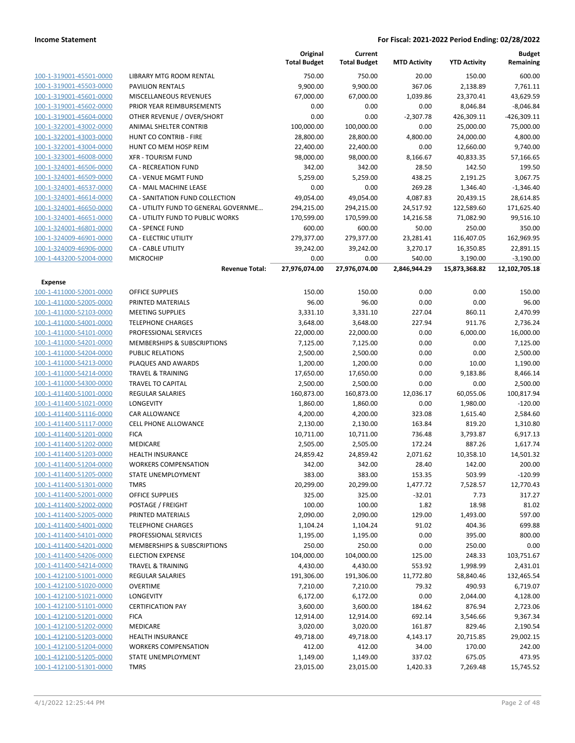| 100-1-319001-45501-0000 | LIBRARY MTG ROOM             |
|-------------------------|------------------------------|
| 100-1-319001-45503-0000 | <b>PAVILION RENTALS</b>      |
| 100-1-319001-45601-0000 | <b>MISCELLANEOUS REV</b>     |
| 100-1-319001-45602-0000 | PRIOR YEAR REIMBUI           |
| 100-1-319001-45604-0000 | OTHER REVENUE / O'           |
| 100-1-322001-43002-0000 | <b>ANIMAL SHELTER CO</b>     |
| 100-1-322001-43003-0000 | <b>HUNT CO CONTRIB-I</b>     |
| 100-1-322001-43004-0000 | <b>HUNT CO MEM HOSE</b>      |
| 100-1-323001-46008-0000 | <b>XFR - TOURISM FUND</b>    |
| 100-1-324001-46506-0000 | <b>CA - RECREATION FUI</b>   |
| 100-1-324001-46509-0000 | CA - VENUE MGMT FI           |
| 100-1-324001-46537-0000 | <b>CA - MAIL MACHINE I</b>   |
| 100-1-324001-46614-0000 | <b>CA - SANITATION FUN</b>   |
| 100-1-324001-46650-0000 | CA - UTILITY FUND TO         |
| 100-1-324001-46651-0000 | CA - UTILITY FUND TO         |
| 100-1-324001-46801-0000 | <b>CA - SPENCE FUND</b>      |
| 100-1-324009-46901-0000 | CA - ELECTRIC UTILITY        |
| 100-1-324009-46906-0000 | <b>CA - CABLE UTILITY</b>    |
| 100-1-443200-52004-0000 | <b>MICROCHIP</b>             |
|                         |                              |
| <b>Expense</b>          |                              |
| 100-1-411000-52001-0000 | <b>OFFICE SUPPLIES</b>       |
| 100-1-411000-52005-0000 | PRINTED MATERIALS            |
| 100-1-411000-52103-0000 | <b>MEETING SUPPLIES</b>      |
| 100-1-411000-54001-0000 | <b>TELEPHONE CHARGE:</b>     |
| 100-1-411000-54101-0000 | PROFESSIONAL SERVI           |
| 100-1-411000-54201-0000 | <b>MEMBERSHIPS &amp; SUE</b> |
| 100-1-411000-54204-0000 | PUBLIC RELATIONS             |
| 100-1-411000-54213-0000 | PLAQUES AND AWAR             |
|                         |                              |

|                                                    |                                            | Original<br><b>Total Budget</b> | Current<br><b>Total Budget</b> | <b>MTD Activity</b> | <b>YTD Activity</b> | <b>Budget</b><br>Remaining |
|----------------------------------------------------|--------------------------------------------|---------------------------------|--------------------------------|---------------------|---------------------|----------------------------|
| 100-1-319001-45501-0000                            | LIBRARY MTG ROOM RENTAL                    | 750.00                          | 750.00                         | 20.00               | 150.00              | 600.00                     |
| 100-1-319001-45503-0000                            | <b>PAVILION RENTALS</b>                    | 9,900.00                        | 9,900.00                       | 367.06              | 2,138.89            | 7,761.11                   |
| 100-1-319001-45601-0000                            | MISCELLANEOUS REVENUES                     | 67,000.00                       | 67,000.00                      | 1,039.86            | 23,370.41           | 43,629.59                  |
| 100-1-319001-45602-0000                            | PRIOR YEAR REIMBURSEMENTS                  | 0.00                            | 0.00                           | 0.00                | 8,046.84            | $-8,046.84$                |
| 100-1-319001-45604-0000                            | OTHER REVENUE / OVER/SHORT                 | 0.00                            | 0.00                           | $-2,307.78$         | 426,309.11          | $-426,309.11$              |
| 100-1-322001-43002-0000                            | ANIMAL SHELTER CONTRIB                     | 100,000.00                      | 100,000.00                     | 0.00                | 25,000.00           | 75,000.00                  |
| 100-1-322001-43003-0000                            | HUNT CO CONTRIB - FIRE                     | 28,800.00                       | 28,800.00                      | 4,800.00            | 24,000.00           | 4,800.00                   |
| 100-1-322001-43004-0000                            | HUNT CO MEM HOSP REIM                      | 22,400.00                       | 22,400.00                      | 0.00                | 12,660.00           | 9,740.00                   |
| 100-1-323001-46008-0000                            | <b>XFR - TOURISM FUND</b>                  | 98,000.00                       | 98,000.00                      | 8,166.67            | 40,833.35           | 57,166.65                  |
| 100-1-324001-46506-0000                            | <b>CA - RECREATION FUND</b>                | 342.00                          | 342.00                         | 28.50               | 142.50              | 199.50                     |
| 100-1-324001-46509-0000                            | CA - VENUE MGMT FUND                       | 5,259.00                        | 5,259.00                       | 438.25              | 2,191.25            | 3,067.75                   |
| 100-1-324001-46537-0000                            | CA - MAIL MACHINE LEASE                    | 0.00                            | 0.00                           | 269.28              | 1,346.40            | $-1,346.40$                |
| 100-1-324001-46614-0000                            | CA - SANITATION FUND COLLECTION            | 49,054.00                       | 49,054.00                      | 4,087.83            | 20,439.15           | 28,614.85                  |
| 100-1-324001-46650-0000                            | CA - UTILITY FUND TO GENERAL GOVERNME      | 294,215.00                      | 294,215.00                     | 24,517.92           | 122,589.60          | 171,625.40                 |
| 100-1-324001-46651-0000                            | CA - UTILITY FUND TO PUBLIC WORKS          | 170,599.00                      | 170,599.00                     | 14,216.58           | 71,082.90           | 99,516.10                  |
| 100-1-324001-46801-0000                            | CA - SPENCE FUND                           | 600.00                          | 600.00                         | 50.00               | 250.00              | 350.00                     |
| 100-1-324009-46901-0000                            | CA - ELECTRIC UTILITY                      | 279,377.00                      | 279,377.00                     | 23,281.41           | 116,407.05          | 162,969.95                 |
| 100-1-324009-46906-0000                            | CA - CABLE UTILITY                         | 39,242.00                       | 39,242.00                      | 3,270.17            | 16,350.85           | 22,891.15                  |
| 100-1-443200-52004-0000                            | <b>MICROCHIP</b>                           | 0.00                            | 0.00                           | 540.00              | 3,190.00            | $-3,190.00$                |
|                                                    | <b>Revenue Total:</b>                      | 27,976,074.00                   | 27,976,074.00                  | 2,846,944.29        | 15,873,368.82       | 12,102,705.18              |
| <b>Expense</b>                                     |                                            |                                 |                                |                     |                     |                            |
| 100-1-411000-52001-0000                            | <b>OFFICE SUPPLIES</b>                     | 150.00                          | 150.00                         | 0.00                | 0.00                | 150.00                     |
| 100-1-411000-52005-0000                            | PRINTED MATERIALS                          | 96.00                           | 96.00                          | 0.00                | 0.00                | 96.00                      |
| 100-1-411000-52103-0000                            | <b>MEETING SUPPLIES</b>                    | 3,331.10                        | 3,331.10                       | 227.04              | 860.11              | 2,470.99                   |
| 100-1-411000-54001-0000                            | <b>TELEPHONE CHARGES</b>                   | 3,648.00                        | 3,648.00                       | 227.94              | 911.76              | 2,736.24                   |
| 100-1-411000-54101-0000                            | PROFESSIONAL SERVICES                      | 22,000.00                       | 22,000.00                      | 0.00                | 6,000.00            | 16,000.00                  |
| 100-1-411000-54201-0000                            | MEMBERSHIPS & SUBSCRIPTIONS                | 7,125.00                        | 7,125.00                       | 0.00                | 0.00                | 7,125.00                   |
| 100-1-411000-54204-0000                            | PUBLIC RELATIONS                           | 2,500.00                        | 2,500.00                       | 0.00                | 0.00                | 2,500.00                   |
| 100-1-411000-54213-0000                            | PLAQUES AND AWARDS                         | 1,200.00                        | 1,200.00                       | 0.00                | 10.00               | 1,190.00                   |
| 100-1-411000-54214-0000                            | <b>TRAVEL &amp; TRAINING</b>               | 17,650.00                       | 17,650.00                      | 0.00                | 9,183.86            | 8,466.14                   |
| 100-1-411000-54300-0000                            | TRAVEL TO CAPITAL                          | 2,500.00                        | 2,500.00                       | 0.00                | 0.00                | 2,500.00                   |
| 100-1-411400-51001-0000                            | <b>REGULAR SALARIES</b>                    | 160,873.00                      | 160,873.00                     | 12,036.17           | 60,055.06           | 100,817.94                 |
| 100-1-411400-51021-0000                            | LONGEVITY                                  | 1,860.00                        | 1,860.00                       | 0.00                | 1,980.00            | $-120.00$                  |
| 100-1-411400-51116-0000                            | CAR ALLOWANCE                              | 4,200.00                        | 4,200.00<br>2,130.00           | 323.08              | 1,615.40            | 2,584.60                   |
| 100-1-411400-51117-0000<br>100-1-411400-51201-0000 | <b>CELL PHONE ALLOWANCE</b><br><b>FICA</b> | 2,130.00<br>10,711.00           | 10,711.00                      | 163.84<br>736.48    | 819.20              | 1,310.80<br>6,917.13       |
| 100-1-411400-51202-0000                            | MEDICARE                                   | 2,505.00                        | 2,505.00                       | 172.24              | 3,793.87<br>887.26  | 1,617.74                   |
| 100-1-411400-51203-0000                            | HEALTH INSURANCE                           | 24,859.42                       | 24,859.42                      | 2,071.62            | 10,358.10           | 14,501.32                  |
| 100-1-411400-51204-0000                            | <b>WORKERS COMPENSATION</b>                | 342.00                          | 342.00                         | 28.40               | 142.00              | 200.00                     |
| 100-1-411400-51205-0000                            | STATE UNEMPLOYMENT                         | 383.00                          | 383.00                         | 153.35              | 503.99              | $-120.99$                  |
| 100-1-411400-51301-0000                            | <b>TMRS</b>                                | 20,299.00                       | 20,299.00                      | 1,477.72            | 7,528.57            | 12,770.43                  |
| 100-1-411400-52001-0000                            | <b>OFFICE SUPPLIES</b>                     | 325.00                          | 325.00                         | $-32.01$            | 7.73                | 317.27                     |
| 100-1-411400-52002-0000                            | POSTAGE / FREIGHT                          | 100.00                          | 100.00                         | 1.82                | 18.98               | 81.02                      |
| 100-1-411400-52005-0000                            | PRINTED MATERIALS                          | 2,090.00                        | 2,090.00                       | 129.00              | 1,493.00            | 597.00                     |
| 100-1-411400-54001-0000                            | <b>TELEPHONE CHARGES</b>                   | 1,104.24                        | 1,104.24                       | 91.02               | 404.36              | 699.88                     |
| 100-1-411400-54101-0000                            | PROFESSIONAL SERVICES                      | 1,195.00                        | 1,195.00                       | 0.00                | 395.00              | 800.00                     |
| 100-1-411400-54201-0000                            | MEMBERSHIPS & SUBSCRIPTIONS                | 250.00                          | 250.00                         | 0.00                | 250.00              | 0.00                       |
| 100-1-411400-54206-0000                            | <b>ELECTION EXPENSE</b>                    | 104,000.00                      | 104,000.00                     | 125.00              | 248.33              | 103,751.67                 |
| 100-1-411400-54214-0000                            | TRAVEL & TRAINING                          | 4,430.00                        | 4,430.00                       | 553.92              | 1,998.99            | 2,431.01                   |
| 100-1-412100-51001-0000                            | <b>REGULAR SALARIES</b>                    | 191,306.00                      | 191,306.00                     | 11,772.80           | 58,840.46           | 132,465.54                 |
| 100-1-412100-51020-0000                            | <b>OVERTIME</b>                            | 7,210.00                        | 7,210.00                       | 79.32               | 490.93              | 6,719.07                   |
| 100-1-412100-51021-0000                            | LONGEVITY                                  | 6,172.00                        | 6,172.00                       | 0.00                | 2,044.00            | 4,128.00                   |
| 100-1-412100-51101-0000                            | <b>CERTIFICATION PAY</b>                   | 3,600.00                        | 3,600.00                       | 184.62              | 876.94              | 2,723.06                   |
| 100-1-412100-51201-0000                            | <b>FICA</b>                                | 12,914.00                       | 12,914.00                      | 692.14              | 3,546.66            | 9,367.34                   |
| 100-1-412100-51202-0000                            | MEDICARE                                   | 3,020.00                        | 3,020.00                       | 161.87              | 829.46              | 2,190.54                   |
| 100-1-412100-51203-0000                            | HEALTH INSURANCE                           | 49,718.00                       | 49,718.00                      | 4,143.17            | 20,715.85           | 29,002.15                  |
| 100-1-412100-51204-0000                            | <b>WORKERS COMPENSATION</b>                | 412.00                          | 412.00                         | 34.00               | 170.00              | 242.00                     |
| 100-1-412100-51205-0000                            | STATE UNEMPLOYMENT                         | 1,149.00                        | 1,149.00                       | 337.02              | 675.05              | 473.95                     |
| 100-1-412100-51301-0000                            | <b>TMRS</b>                                | 23,015.00                       | 23,015.00                      | 1,420.33            | 7,269.48            | 15,745.52                  |
|                                                    |                                            |                                 |                                |                     |                     |                            |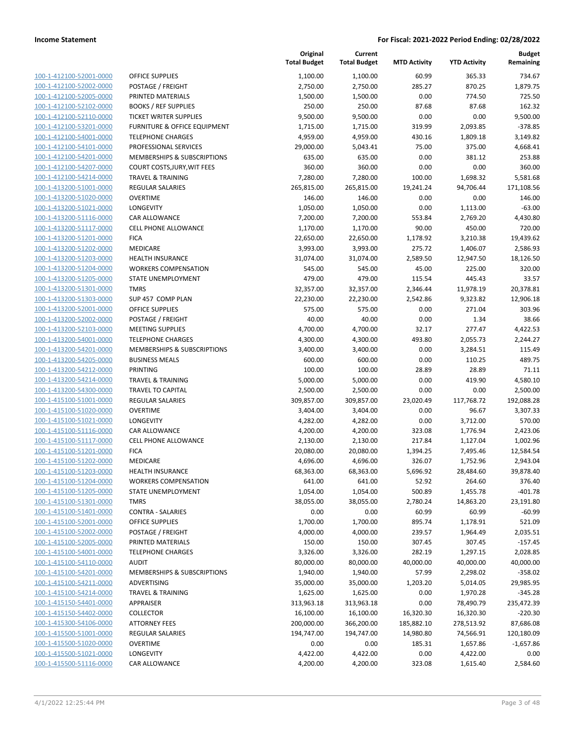| 100-1-412100-52001-0000        |
|--------------------------------|
| 100-1-412100-52002-0000        |
| 100-1-412100-52005-0000        |
| 100-1-412100-52102-0000        |
| 100-1-412100-52110-0000        |
| 100-1-412100-53201-0000        |
| 100-1-412100-54001-0000        |
| 100-1-412100-54101-0000        |
| 100-1-412100-54201-0000        |
| 100-1-412100-54207-0000        |
| 100-1-412100-54214-0000        |
| 100-1-413200-51001-0000        |
| 100-1-413200-51020-0000        |
| 100-1-413200-51021-0000        |
| <u>100-1-413200-51116-0000</u> |
| 100-1-413200-51117-0000        |
| 100-1-413200-51201-0000        |
| 100-1-413200-51202-0000        |
| 100-1-413200-51203-0000        |
| 100-1-413200-51204-0000        |
| 100-1-413200-51205-0000        |
| 100-1-413200-51301-0000        |
| 100-1-413200-51303-0000        |
| 100-1-413200-52001-0000        |
| <u>100-1-413200-52002-0000</u> |
| 100-1-413200-52103-0000        |
| 100-1-413200-54001-0000        |
| 100-1-413200-54201-0000        |
| 100-1-413200-54205-0000        |
| 100-1-413200-54212-0000        |
| 100-1-413200-54214-0000        |
| 100-1-413200-54300-0000        |
| 100-1-415100-51001-0000        |
| 100-1-415100-51020-0000        |
| <u>100-1-415100-51021-0000</u> |
| 100-1-415100-51116-0000        |
| 100-1-415100-51117-0000        |
| 100-1-415100-51201-0000        |
| 100-1-415100-51202-0000        |
| 100-1-415100-51203-0000        |
| 100-1-415100-51204-0000        |
| <u>100-1-415100-51205-0000</u> |
| <u>100-1-415100-51301-0000</u> |
| <u>100-1-415100-51401-0000</u> |
| <u>100-1-415100-52001-0000</u> |
| 100-1-415100-52002-0000        |
| 100-1-415100-52005-0000        |
| <u>100-1-415100-54001-0000</u> |
| 100-1-415100-54110-0000        |
| 100-1-415100-54201-0000        |
| <u>100-1-415100-54211-0000</u> |
| 100-1-415100-54214-0000        |
| <u>100-1-415150-54401-0000</u> |
| <u>100-1-415150-54402-0000</u> |
| <u>100-1-415300-54106-0000</u> |
| <u>100-1-415500-51001-0000</u> |
| <u>100-1-415500-51020-0000</u> |
| <u>100-1-415500-51021-0000</u> |
| <u>100-1-415500-51116-0000</u> |

|                                                           |                                                        | Original<br><b>Total Budget</b> | Current<br><b>Total Budget</b> | <b>MTD Activity</b> | <b>YTD Activity</b> | <b>Budget</b><br>Remaining |
|-----------------------------------------------------------|--------------------------------------------------------|---------------------------------|--------------------------------|---------------------|---------------------|----------------------------|
| 100-1-412100-52001-0000                                   | <b>OFFICE SUPPLIES</b>                                 | 1,100.00                        | 1,100.00                       | 60.99               | 365.33              | 734.67                     |
| 100-1-412100-52002-0000                                   | POSTAGE / FREIGHT                                      | 2,750.00                        | 2,750.00                       | 285.27              | 870.25              | 1,879.75                   |
| 100-1-412100-52005-0000                                   | PRINTED MATERIALS                                      | 1,500.00                        | 1,500.00                       | 0.00                | 774.50              | 725.50                     |
| 100-1-412100-52102-0000                                   | <b>BOOKS / REF SUPPLIES</b>                            | 250.00                          | 250.00                         | 87.68               | 87.68               | 162.32                     |
| 100-1-412100-52110-0000                                   | TICKET WRITER SUPPLIES                                 | 9,500.00                        | 9,500.00                       | 0.00                | 0.00                | 9,500.00                   |
| 100-1-412100-53201-0000                                   | FURNITURE & OFFICE EQUIPMENT                           | 1,715.00                        | 1,715.00                       | 319.99              | 2,093.85            | $-378.85$                  |
| 100-1-412100-54001-0000                                   | <b>TELEPHONE CHARGES</b>                               | 4,959.00                        | 4,959.00                       | 430.16              | 1,809.18            | 3,149.82                   |
| 100-1-412100-54101-0000                                   | PROFESSIONAL SERVICES                                  | 29,000.00                       | 5,043.41                       | 75.00               | 375.00              | 4,668.41                   |
| 100-1-412100-54201-0000                                   | <b>MEMBERSHIPS &amp; SUBSCRIPTIONS</b>                 | 635.00                          | 635.00                         | 0.00                | 381.12              | 253.88                     |
| 100-1-412100-54207-0000                                   | COURT COSTS, JURY, WIT FEES                            | 360.00                          | 360.00                         | 0.00                | 0.00                | 360.00                     |
| 100-1-412100-54214-0000                                   | <b>TRAVEL &amp; TRAINING</b>                           | 7,280.00                        | 7,280.00                       | 100.00              | 1,698.32            | 5,581.68                   |
| 100-1-413200-51001-0000                                   | <b>REGULAR SALARIES</b>                                | 265,815.00                      | 265,815.00                     | 19,241.24           | 94,706.44           | 171,108.56                 |
| 100-1-413200-51020-0000                                   | <b>OVERTIME</b>                                        | 146.00                          | 146.00                         | 0.00                | 0.00                | 146.00                     |
| 100-1-413200-51021-0000                                   | LONGEVITY                                              | 1,050.00                        | 1,050.00                       | 0.00                | 1,113.00            | $-63.00$                   |
| 100-1-413200-51116-0000                                   | CAR ALLOWANCE                                          | 7,200.00                        | 7,200.00                       | 553.84              | 2,769.20            | 4,430.80                   |
| 100-1-413200-51117-0000                                   | <b>CELL PHONE ALLOWANCE</b>                            | 1,170.00                        | 1,170.00                       | 90.00               | 450.00              | 720.00                     |
| 100-1-413200-51201-0000                                   | <b>FICA</b>                                            | 22,650.00                       | 22,650.00                      | 1,178.92            | 3,210.38            | 19,439.62                  |
| 100-1-413200-51202-0000                                   | <b>MEDICARE</b>                                        | 3,993.00                        | 3,993.00                       | 275.72              | 1,406.07            | 2,586.93                   |
| 100-1-413200-51203-0000                                   | <b>HEALTH INSURANCE</b>                                | 31,074.00                       | 31,074.00                      | 2,589.50            | 12,947.50           | 18,126.50                  |
| 100-1-413200-51204-0000                                   | <b>WORKERS COMPENSATION</b>                            | 545.00                          | 545.00                         | 45.00               | 225.00              | 320.00                     |
| 100-1-413200-51205-0000                                   | STATE UNEMPLOYMENT                                     | 479.00                          | 479.00                         | 115.54              | 445.43              | 33.57                      |
| 100-1-413200-51301-0000                                   | <b>TMRS</b>                                            | 32,357.00                       | 32,357.00                      | 2,346.44            | 11,978.19           | 20,378.81                  |
| 100-1-413200-51303-0000                                   | SUP 457 COMP PLAN                                      | 22,230.00                       | 22,230.00                      | 2,542.86            | 9,323.82            | 12,906.18                  |
| 100-1-413200-52001-0000                                   | <b>OFFICE SUPPLIES</b>                                 | 575.00                          | 575.00                         | 0.00                | 271.04              | 303.96                     |
| 100-1-413200-52002-0000                                   | POSTAGE / FREIGHT                                      | 40.00                           | 40.00                          | 0.00                | 1.34                | 38.66                      |
| 100-1-413200-52103-0000                                   | <b>MEETING SUPPLIES</b>                                | 4,700.00                        | 4,700.00                       | 32.17               | 277.47              | 4,422.53                   |
| 100-1-413200-54001-0000                                   | <b>TELEPHONE CHARGES</b>                               | 4,300.00                        | 4,300.00                       | 493.80              | 2,055.73            | 2,244.27                   |
| 100-1-413200-54201-0000                                   | MEMBERSHIPS & SUBSCRIPTIONS                            | 3,400.00                        | 3,400.00                       | 0.00                | 3,284.51            | 115.49                     |
| 100-1-413200-54205-0000                                   | <b>BUSINESS MEALS</b>                                  | 600.00                          | 600.00                         | 0.00                | 110.25              | 489.75                     |
| 100-1-413200-54212-0000                                   | PRINTING                                               | 100.00                          | 100.00                         | 28.89               | 28.89               | 71.11                      |
| 100-1-413200-54214-0000                                   | <b>TRAVEL &amp; TRAINING</b>                           | 5,000.00                        | 5,000.00                       | 0.00                | 419.90              | 4,580.10                   |
| 100-1-413200-54300-0000                                   | <b>TRAVEL TO CAPITAL</b>                               | 2,500.00                        | 2,500.00                       | 0.00                | 0.00                | 2,500.00                   |
| 100-1-415100-51001-0000                                   | <b>REGULAR SALARIES</b>                                | 309,857.00                      | 309,857.00                     | 23,020.49           | 117,768.72          | 192,088.28                 |
| 100-1-415100-51020-0000                                   | <b>OVERTIME</b>                                        | 3,404.00                        | 3,404.00                       | 0.00                | 96.67               | 3,307.33                   |
| 100-1-415100-51021-0000                                   | LONGEVITY                                              | 4,282.00                        | 4,282.00                       | 0.00                | 3,712.00            | 570.00                     |
| 100-1-415100-51116-0000                                   | <b>CAR ALLOWANCE</b>                                   | 4,200.00                        | 4,200.00                       | 323.08              | 1,776.94            | 2,423.06                   |
| 100-1-415100-51117-0000<br>100-1-415100-51201-0000        | CELL PHONE ALLOWANCE                                   | 2,130.00                        | 2,130.00                       | 217.84              | 1,127.04            | 1,002.96                   |
| 100-1-415100-51202-0000                                   | <b>FICA</b>                                            | 20,080.00                       | 20,080.00                      | 1,394.25            | 7,495.46            | 12,584.54                  |
|                                                           | <b>MEDICARE</b>                                        | 4,696.00                        | 4,696.00                       | 326.07              | 1,752.96            | 2,943.04                   |
| <u>100-1-415100-51203-0000</u><br>100-1-415100-51204-0000 | <b>HEALTH INSURANCE</b><br><b>WORKERS COMPENSATION</b> | 68,363.00<br>641.00             | 68,363.00<br>641.00            | 5,696.92<br>52.92   | 28,484.60<br>264.60 | 39,878.40<br>376.40        |
| 100-1-415100-51205-0000                                   | STATE UNEMPLOYMENT                                     | 1,054.00                        | 1,054.00                       | 500.89              | 1,455.78            | $-401.78$                  |
| 100-1-415100-51301-0000                                   | <b>TMRS</b>                                            | 38,055.00                       | 38,055.00                      | 2,780.24            | 14,863.20           | 23,191.80                  |
| 100-1-415100-51401-0000                                   | <b>CONTRA - SALARIES</b>                               | 0.00                            | 0.00                           | 60.99               | 60.99               | $-60.99$                   |
| 100-1-415100-52001-0000                                   | <b>OFFICE SUPPLIES</b>                                 | 1,700.00                        | 1,700.00                       | 895.74              | 1,178.91            | 521.09                     |
| 100-1-415100-52002-0000                                   | POSTAGE / FREIGHT                                      | 4,000.00                        | 4,000.00                       | 239.57              | 1,964.49            | 2,035.51                   |
| 100-1-415100-52005-0000                                   | PRINTED MATERIALS                                      | 150.00                          | 150.00                         | 307.45              | 307.45              | $-157.45$                  |
| 100-1-415100-54001-0000                                   | <b>TELEPHONE CHARGES</b>                               | 3,326.00                        | 3,326.00                       | 282.19              | 1,297.15            | 2,028.85                   |
| 100-1-415100-54110-0000                                   | <b>AUDIT</b>                                           | 80,000.00                       | 80,000.00                      | 40,000.00           | 40,000.00           | 40,000.00                  |
| 100-1-415100-54201-0000                                   | MEMBERSHIPS & SUBSCRIPTIONS                            | 1,940.00                        | 1,940.00                       | 57.99               | 2,298.02            | -358.02                    |
| 100-1-415100-54211-0000                                   | ADVERTISING                                            | 35,000.00                       | 35,000.00                      | 1,203.20            | 5,014.05            | 29,985.95                  |
| 100-1-415100-54214-0000                                   | <b>TRAVEL &amp; TRAINING</b>                           | 1,625.00                        | 1,625.00                       | 0.00                | 1,970.28            | -345.28                    |
| 100-1-415150-54401-0000                                   | APPRAISER                                              | 313,963.18                      | 313,963.18                     | 0.00                | 78,490.79           | 235,472.39                 |
| 100-1-415150-54402-0000                                   | <b>COLLECTOR</b>                                       | 16,100.00                       | 16,100.00                      | 16,320.30           | 16,320.30           | $-220.30$                  |
| 100-1-415300-54106-0000                                   | <b>ATTORNEY FEES</b>                                   | 200,000.00                      | 366,200.00                     | 185,882.10          | 278,513.92          | 87,686.08                  |
| 100-1-415500-51001-0000                                   | <b>REGULAR SALARIES</b>                                | 194,747.00                      | 194,747.00                     | 14,980.80           | 74,566.91           | 120,180.09                 |
| 100-1-415500-51020-0000                                   | <b>OVERTIME</b>                                        | 0.00                            | 0.00                           | 185.31              | 1,657.86            | $-1,657.86$                |
| 100-1-415500-51021-0000                                   | LONGEVITY                                              | 4,422.00                        | 4,422.00                       | 0.00                | 4,422.00            | 0.00                       |
| 100-1-415500-51116-0000                                   | CAR ALLOWANCE                                          | 4,200.00                        | 4,200.00                       | 323.08              | 1,615.40            | 2,584.60                   |
|                                                           |                                                        |                                 |                                |                     |                     |                            |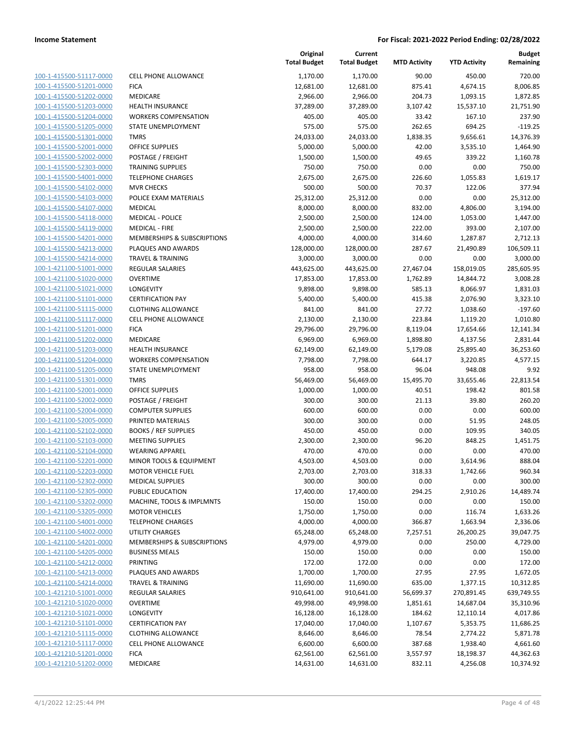| 100-1-415500-51117-0000        |
|--------------------------------|
| 100-1-415500-51201-0000        |
| 100-1-415500-51202-0000        |
| <u>100-1-415500-51203-0000</u> |
| 100-1-415500-51204-0000        |
| 100-1-415500-51205-0000        |
| 100-1-415500-51301-0000        |
| 100-1-415500-52001-0000        |
| <u>100-1-415500-52002-0000</u> |
| 100-1-415500-52303-0000        |
| 100-1-415500-54001-0000        |
| 100-1-415500-54102-0000        |
| 100-1-415500-54103-0000        |
|                                |
| <u>100-1-415500-54107-0000</u> |
| 100-1-415500-54118-0000        |
| 100-1-415500-54119-0000        |
| 100-1-415500-54201-0000        |
| 100-1-415500-54213-0000        |
| 100-1-415500-54214-0000        |
| 100-1-421100-51001-0000        |
| 100-1-421100-51020-0000        |
| 100-1-421100-51021-0000        |
| 100-1-421100-51101-0000        |
| <u>100-1-421100-51115-0000</u> |
| 100-1-421100-51117-0000        |
| 100-1-421100-51201-0000        |
| 100-1-421100-51202-0000        |
| 100-1-421100-51203-0000        |
| 100-1-421100-51204-0000        |
| 100-1-421100-51205-0000        |
| 100-1-421100-51301-0000        |
| 100-1-421100-52001-0000        |
| 100-1-421100-52002-0000        |
|                                |
| <u>100-1-421100-52004-0000</u> |
| 100-1-421100-52005-0000        |
| 100-1-421100-52102-0000        |
| 100-1-421100-52103-0000        |
| 100-1-421100-52104-0000        |
| 100-1-421100-52201-0000        |
| 100-1-421100-52203-0000        |
| 100-1-421100-52302-0000        |
| 100-1-421100-52305-0000        |
| 100-1-421100-53202-0000        |
| 100-1-421100-53205-0000        |
| 100-1-421100-54001-0000        |
| 100-1-421100-54002-0000        |
| 100-1-421100-54201-0000        |
| <u>100-1-421100-54205-0000</u> |
| <u>100-1-421100-54212-0000</u> |
| <u>100-1-421100-54213-0000</u> |
| 100-1-421100-54214-0000        |
| 100-1-421210-51001-0000        |
| <u>100-1-421210-51020-0000</u> |
| 100-1-421210-51021-0000        |
| <u>100-1-421210-51101-0000</u> |
| 100-1-421210-51115-0000        |
|                                |
| 100-1-421210-51117-0000        |
| <u>100-1-421210-51201-0000</u> |
| <u>100-1-421210-51202-0000</u> |

|                         |                              | Original<br><b>Total Budget</b> | Current<br><b>Total Budget</b> | <b>MTD Activity</b> | <b>YTD Activity</b> | Budget<br>Remaining |
|-------------------------|------------------------------|---------------------------------|--------------------------------|---------------------|---------------------|---------------------|
| 100-1-415500-51117-0000 | <b>CELL PHONE ALLOWANCE</b>  | 1,170.00                        | 1,170.00                       | 90.00               | 450.00              | 720.00              |
| 100-1-415500-51201-0000 | <b>FICA</b>                  | 12,681.00                       | 12,681.00                      | 875.41              | 4,674.15            | 8,006.85            |
| 100-1-415500-51202-0000 | MEDICARE                     | 2,966.00                        | 2,966.00                       | 204.73              | 1,093.15            | 1,872.85            |
| 100-1-415500-51203-0000 | <b>HEALTH INSURANCE</b>      | 37,289.00                       | 37,289.00                      | 3,107.42            | 15,537.10           | 21,751.90           |
| 100-1-415500-51204-0000 | <b>WORKERS COMPENSATION</b>  | 405.00                          | 405.00                         | 33.42               | 167.10              | 237.90              |
| 100-1-415500-51205-0000 | STATE UNEMPLOYMENT           | 575.00                          | 575.00                         | 262.65              | 694.25              | $-119.25$           |
| 100-1-415500-51301-0000 | <b>TMRS</b>                  | 24,033.00                       | 24,033.00                      | 1,838.35            | 9,656.61            | 14,376.39           |
| 100-1-415500-52001-0000 | <b>OFFICE SUPPLIES</b>       | 5,000.00                        | 5,000.00                       | 42.00               | 3,535.10            | 1,464.90            |
| 100-1-415500-52002-0000 | POSTAGE / FREIGHT            | 1,500.00                        | 1,500.00                       | 49.65               | 339.22              | 1,160.78            |
| 100-1-415500-52303-0000 | <b>TRAINING SUPPLIES</b>     | 750.00                          | 750.00                         | 0.00                | 0.00                | 750.00              |
| 100-1-415500-54001-0000 | <b>TELEPHONE CHARGES</b>     | 2,675.00                        | 2,675.00                       | 226.60              | 1,055.83            | 1,619.17            |
| 100-1-415500-54102-0000 | <b>MVR CHECKS</b>            | 500.00                          | 500.00                         | 70.37               | 122.06              | 377.94              |
| 100-1-415500-54103-0000 | POLICE EXAM MATERIALS        | 25,312.00                       | 25,312.00                      | 0.00                | 0.00                | 25,312.00           |
| 100-1-415500-54107-0000 | <b>MEDICAL</b>               | 8,000.00                        | 8,000.00                       | 832.00              | 4,806.00            | 3,194.00            |
| 100-1-415500-54118-0000 | <b>MEDICAL - POLICE</b>      | 2,500.00                        | 2,500.00                       | 124.00              | 1,053.00            | 1,447.00            |
| 100-1-415500-54119-0000 | <b>MEDICAL - FIRE</b>        | 2,500.00                        | 2,500.00                       | 222.00              | 393.00              | 2,107.00            |
| 100-1-415500-54201-0000 | MEMBERSHIPS & SUBSCRIPTIONS  | 4,000.00                        | 4,000.00                       | 314.60              | 1,287.87            | 2,712.13            |
| 100-1-415500-54213-0000 | PLAQUES AND AWARDS           | 128,000.00                      | 128,000.00                     | 287.67              | 21,490.89           | 106,509.11          |
| 100-1-415500-54214-0000 | <b>TRAVEL &amp; TRAINING</b> | 3,000.00                        | 3,000.00                       | 0.00                | 0.00                | 3,000.00            |
| 100-1-421100-51001-0000 | <b>REGULAR SALARIES</b>      | 443,625.00                      | 443,625.00                     | 27,467.04           | 158,019.05          | 285,605.95          |
| 100-1-421100-51020-0000 | <b>OVERTIME</b>              | 17,853.00                       | 17,853.00                      | 1,762.89            | 14,844.72           | 3,008.28            |
| 100-1-421100-51021-0000 | LONGEVITY                    | 9,898.00                        | 9,898.00                       | 585.13              | 8,066.97            | 1,831.03            |
| 100-1-421100-51101-0000 | <b>CERTIFICATION PAY</b>     | 5,400.00                        | 5,400.00                       | 415.38              | 2,076.90            | 3,323.10            |
| 100-1-421100-51115-0000 | <b>CLOTHING ALLOWANCE</b>    | 841.00                          | 841.00                         | 27.72               | 1,038.60            | $-197.60$           |
| 100-1-421100-51117-0000 | <b>CELL PHONE ALLOWANCE</b>  | 2,130.00                        | 2,130.00                       | 223.84              | 1,119.20            | 1,010.80            |
| 100-1-421100-51201-0000 | <b>FICA</b>                  | 29,796.00                       | 29,796.00                      | 8,119.04            | 17,654.66           | 12,141.34           |
| 100-1-421100-51202-0000 | MEDICARE                     | 6,969.00                        | 6,969.00                       | 1,898.80            | 4,137.56            | 2,831.44            |
| 100-1-421100-51203-0000 | <b>HEALTH INSURANCE</b>      | 62,149.00                       | 62,149.00                      | 5,179.08            | 25,895.40           | 36,253.60           |
| 100-1-421100-51204-0000 | <b>WORKERS COMPENSATION</b>  | 7,798.00                        | 7,798.00                       | 644.17              | 3,220.85            | 4,577.15            |
| 100-1-421100-51205-0000 | STATE UNEMPLOYMENT           | 958.00                          | 958.00                         | 96.04               | 948.08              | 9.92                |
| 100-1-421100-51301-0000 | <b>TMRS</b>                  | 56,469.00                       | 56,469.00                      | 15,495.70           | 33,655.46           | 22,813.54           |
| 100-1-421100-52001-0000 | <b>OFFICE SUPPLIES</b>       | 1,000.00                        | 1,000.00                       | 40.51               | 198.42              | 801.58              |
| 100-1-421100-52002-0000 | POSTAGE / FREIGHT            | 300.00                          | 300.00                         | 21.13               | 39.80               | 260.20              |
| 100-1-421100-52004-0000 | <b>COMPUTER SUPPLIES</b>     | 600.00                          | 600.00                         | 0.00                | 0.00                | 600.00              |
| 100-1-421100-52005-0000 | PRINTED MATERIALS            | 300.00                          | 300.00                         | 0.00                | 51.95               | 248.05              |
| 100-1-421100-52102-0000 | <b>BOOKS / REF SUPPLIES</b>  | 450.00                          | 450.00                         | 0.00                | 109.95              | 340.05              |
| 100-1-421100-52103-0000 | <b>MEETING SUPPLIES</b>      | 2,300.00                        | 2,300.00                       | 96.20               | 848.25              | 1,451.75            |
| 100-1-421100-52104-0000 | <b>WEARING APPAREL</b>       | 470.00                          | 470.00                         | 0.00                | 0.00                | 470.00              |
| 100-1-421100-52201-0000 | MINOR TOOLS & EQUIPMENT      | 4,503.00                        | 4,503.00                       | 0.00                | 3,614.96            | 888.04              |
| 100-1-421100-52203-0000 | <b>MOTOR VEHICLE FUEL</b>    | 2,703.00                        | 2,703.00                       | 318.33              | 1,742.66            | 960.34              |
| 100-1-421100-52302-0000 | <b>MEDICAL SUPPLIES</b>      | 300.00                          | 300.00                         | 0.00                | 0.00                | 300.00              |
| 100-1-421100-52305-0000 | PUBLIC EDUCATION             | 17,400.00                       | 17,400.00                      | 294.25              | 2,910.26            | 14,489.74           |
| 100-1-421100-53202-0000 | MACHINE, TOOLS & IMPLMNTS    | 150.00                          | 150.00                         | 0.00                | 0.00                | 150.00              |
| 100-1-421100-53205-0000 | <b>MOTOR VEHICLES</b>        | 1,750.00                        | 1,750.00                       | 0.00                | 116.74              | 1,633.26            |
| 100-1-421100-54001-0000 | <b>TELEPHONE CHARGES</b>     | 4,000.00                        | 4,000.00                       | 366.87              | 1,663.94            | 2,336.06            |
| 100-1-421100-54002-0000 | UTILITY CHARGES              | 65,248.00                       | 65,248.00                      | 7,257.51            | 26,200.25           | 39,047.75           |
| 100-1-421100-54201-0000 | MEMBERSHIPS & SUBSCRIPTIONS  | 4,979.00                        | 4,979.00                       | 0.00                | 250.00              | 4,729.00            |
| 100-1-421100-54205-0000 | <b>BUSINESS MEALS</b>        | 150.00                          | 150.00                         | 0.00                | 0.00                | 150.00              |
| 100-1-421100-54212-0000 | <b>PRINTING</b>              | 172.00                          | 172.00                         | 0.00                | 0.00                | 172.00              |
| 100-1-421100-54213-0000 | PLAQUES AND AWARDS           | 1,700.00                        | 1,700.00                       | 27.95               | 27.95               | 1,672.05            |
| 100-1-421100-54214-0000 | <b>TRAVEL &amp; TRAINING</b> | 11,690.00                       | 11,690.00                      | 635.00              | 1,377.15            | 10,312.85           |
| 100-1-421210-51001-0000 | REGULAR SALARIES             | 910,641.00                      | 910,641.00                     | 56,699.37           | 270,891.45          | 639,749.55          |
| 100-1-421210-51020-0000 | <b>OVERTIME</b>              | 49,998.00                       | 49,998.00                      | 1,851.61            | 14,687.04           | 35,310.96           |
| 100-1-421210-51021-0000 | LONGEVITY                    | 16,128.00                       | 16,128.00                      | 184.62              | 12,110.14           | 4,017.86            |
| 100-1-421210-51101-0000 | <b>CERTIFICATION PAY</b>     | 17,040.00                       | 17,040.00                      | 1,107.67            | 5,353.75            | 11,686.25           |
| 100-1-421210-51115-0000 | <b>CLOTHING ALLOWANCE</b>    | 8,646.00                        | 8,646.00                       | 78.54               | 2,774.22            | 5,871.78            |
| 100-1-421210-51117-0000 | <b>CELL PHONE ALLOWANCE</b>  | 6,600.00                        | 6,600.00                       | 387.68              | 1,938.40            | 4,661.60            |
| 100-1-421210-51201-0000 | <b>FICA</b>                  | 62,561.00                       | 62,561.00                      | 3,557.97            | 18,198.37           | 44,362.63           |
| 100-1-421210-51202-0000 | MEDICARE                     | 14,631.00                       | 14,631.00                      | 832.11              | 4,256.08            | 10,374.92           |
|                         |                              |                                 |                                |                     |                     |                     |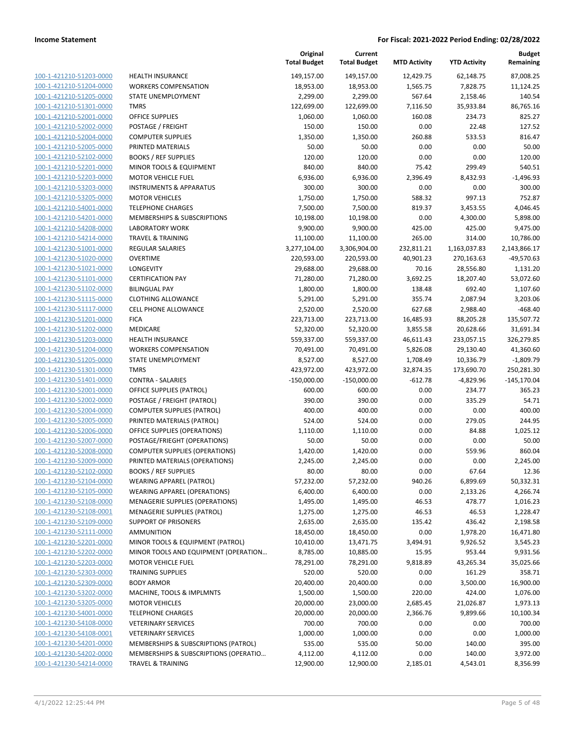| 100-1-421210-51203-0000        | HEAL             |
|--------------------------------|------------------|
| 100-1-421210-51204-0000        | <b>WOR</b>       |
| 100-1-421210-51205-0000        | <b>STAT</b>      |
| 100-1-421210-51301-0000        | TMR:             |
| 100-1-421210-52001-0000        | OFFI             |
|                                | <b>POST</b>      |
| 100-1-421210-52002-0000        |                  |
| 100-1-421210-52004-0000        | COM<br>PRIN      |
| 100-1-421210-52005-0000        |                  |
| 100-1-421210-52102-0000        | <b>BOO</b>       |
| 100-1-421210-52201-0000        | <b>MIN</b>       |
| 100-1-421210-52203-0000        | мот              |
| 100-1-421210-53203-0000        | <b>INSTI</b>     |
| 100-1-421210-53205-0000        | MOT              |
| 100-1-421210-54001-0000        | TELE             |
| 100-1-421210-54201-0000        | MEN              |
| 100-1-421210-54208-0000        | LABC             |
| 100-1-421210-54214-0000        | <b>TRAV</b>      |
| 100-1-421230-51001-0000        | REGL             |
| 100-1-421230-51020-0000        | <b>OVER</b>      |
| 100-1-421230-51021-0000        | LON              |
| 100-1-421230-51101-0000        | <b>CERT</b>      |
| 100-1-421230-51102-0000        | <b>BILIN</b>     |
| 100-1-421230-51115-0000        | <b>CLOT</b>      |
| 100-1-421230-51117-0000        | CELL             |
| 100-1-421230-51201-0000        | <b>FICA</b>      |
| 100-1-421230-51202-0000        | MED              |
| 100-1-421230-51203-0000        | <b>HEAL</b>      |
| 100-1-421230-51204-0000        | <b>WOR</b>       |
| 100-1-421230-51205-0000        | <b>STAT</b>      |
| 100-1-421230-51301-0000        | TMR:             |
| 100-1-421230-51401-0000        | CON <sup>-</sup> |
| 100-1-421230-52001-0000        | OFFI             |
| 100-1-421230-52002-0000        | <b>POST</b>      |
| 100-1-421230-52004-0000        | COM              |
| 100-1-421230-52005-0000        | PRIN             |
| 100-1-421230-52006-0000        | OFFI             |
| 100-1-421230-52007-0000        | <b>POST</b>      |
| 100-1-421230-52008-0000        | COM              |
| 100-1-421230-52009-0000        | PRIN             |
| 100-1-421230-52102-0000        | <b>BOO</b>       |
| 100-1-421230-52104-0000        | <b>WEA</b>       |
| 100-1-421230-52105-0000        | WEA              |
| 100-1-421230-52108-0000        | MEN              |
| <u>100-1-421230-52108-0001</u> | MEN              |
| 100-1-421230-52109-0000        | <b>SUPP</b>      |
| 100-1-421230-52111-0000        | AMN              |
| 100-1-421230-52201-0000        | MIN              |
| 100-1-421230-52202-0000        | MIN              |
| 100-1-421230-52203-0000        | мот              |
| 100-1-421230-52303-0000        | TRAI             |
|                                |                  |
| 100-1-421230-52309-0000        | BOD'             |
| 100-1-421230-53202-0000        | MAC              |
| 100-1-421230-53205-0000        | MOT              |
| <u>100-1-421230-54001-0000</u> | <b>TELE</b>      |
| <u>100-1-421230-54108-0000</u> | VETE             |
| 100-1-421230-54108-0001        | VETE             |
| 100-1-421230-54201-0000        | MEN              |
| 100-1-421230-54202-0000        | MEN              |
| 100-1-421230-54214-0000        | TRA∖             |

|                                                    |                                                                          | Original<br><b>Total Budget</b> | Current<br><b>Total Budget</b> | <b>MTD Activity</b> | <b>YTD Activity</b> | <b>Budget</b><br>Remaining |
|----------------------------------------------------|--------------------------------------------------------------------------|---------------------------------|--------------------------------|---------------------|---------------------|----------------------------|
| 100-1-421210-51203-0000                            | HEALTH INSURANCE                                                         | 149,157.00                      | 149,157.00                     | 12,429.75           | 62,148.75           | 87,008.25                  |
| 100-1-421210-51204-0000                            | <b>WORKERS COMPENSATION</b>                                              | 18,953.00                       | 18,953.00                      | 1,565.75            | 7,828.75            | 11,124.25                  |
| 100-1-421210-51205-0000                            | STATE UNEMPLOYMENT                                                       | 2,299.00                        | 2,299.00                       | 567.64              | 2,158.46            | 140.54                     |
| 100-1-421210-51301-0000                            | <b>TMRS</b>                                                              | 122,699.00                      | 122,699.00                     | 7,116.50            | 35,933.84           | 86,765.16                  |
| 100-1-421210-52001-0000                            | <b>OFFICE SUPPLIES</b>                                                   | 1,060.00                        | 1,060.00                       | 160.08              | 234.73              | 825.27                     |
| 100-1-421210-52002-0000                            | POSTAGE / FREIGHT                                                        | 150.00                          | 150.00                         | 0.00                | 22.48               | 127.52                     |
| 100-1-421210-52004-0000                            | <b>COMPUTER SUPPLIES</b>                                                 | 1,350.00                        | 1,350.00                       | 260.88              | 533.53              | 816.47                     |
| 100-1-421210-52005-0000                            | PRINTED MATERIALS                                                        | 50.00                           | 50.00                          | 0.00                | 0.00                | 50.00                      |
| 100-1-421210-52102-0000                            | <b>BOOKS / REF SUPPLIES</b>                                              | 120.00                          | 120.00                         | 0.00                | 0.00                | 120.00                     |
| 100-1-421210-52201-0000                            | MINOR TOOLS & EQUIPMENT                                                  | 840.00                          | 840.00                         | 75.42               | 299.49              | 540.51                     |
| 100-1-421210-52203-0000                            | MOTOR VEHICLE FUEL                                                       | 6,936.00                        | 6,936.00                       | 2,396.49            | 8,432.93            | $-1,496.93$                |
| 100-1-421210-53203-0000                            | <b>INSTRUMENTS &amp; APPARATUS</b>                                       | 300.00                          | 300.00                         | 0.00                | 0.00                | 300.00                     |
| 100-1-421210-53205-0000                            | <b>MOTOR VEHICLES</b>                                                    | 1,750.00                        | 1,750.00                       | 588.32              | 997.13              | 752.87                     |
| 100-1-421210-54001-0000                            | <b>TELEPHONE CHARGES</b>                                                 | 7,500.00                        | 7,500.00                       | 819.37              | 3,453.55            | 4,046.45                   |
| 100-1-421210-54201-0000                            | MEMBERSHIPS & SUBSCRIPTIONS                                              | 10,198.00                       | 10,198.00                      | 0.00                | 4,300.00            | 5,898.00                   |
| 100-1-421210-54208-0000                            | LABORATORY WORK                                                          | 9,900.00                        | 9,900.00                       | 425.00              | 425.00              | 9,475.00                   |
| 100-1-421210-54214-0000                            | <b>TRAVEL &amp; TRAINING</b>                                             | 11,100.00                       | 11,100.00                      | 265.00              | 314.00              | 10,786.00                  |
| 100-1-421230-51001-0000                            | <b>REGULAR SALARIES</b>                                                  | 3,277,104.00                    | 3,306,904.00                   | 232,811.21          | 1,163,037.83        | 2,143,866.17               |
| 100-1-421230-51020-0000                            | <b>OVERTIME</b>                                                          | 220,593.00                      | 220,593.00                     | 40,901.23           | 270,163.63          | $-49,570.63$               |
| 100-1-421230-51021-0000                            | LONGEVITY                                                                | 29,688.00                       | 29,688.00                      | 70.16               | 28,556.80           | 1,131.20                   |
| 100-1-421230-51101-0000                            | <b>CERTIFICATION PAY</b>                                                 | 71,280.00                       | 71,280.00                      | 3,692.25            | 18,207.40           | 53,072.60                  |
| 100-1-421230-51102-0000                            | <b>BILINGUAL PAY</b>                                                     | 1,800.00                        | 1,800.00                       | 138.48              | 692.40              | 1,107.60                   |
| 100-1-421230-51115-0000                            | <b>CLOTHING ALLOWANCE</b>                                                | 5,291.00                        | 5,291.00                       | 355.74              | 2,087.94            | 3,203.06                   |
| 100-1-421230-51117-0000                            | CELL PHONE ALLOWANCE                                                     | 2,520.00                        | 2,520.00                       | 627.68              | 2,988.40            | $-468.40$                  |
| 100-1-421230-51201-0000                            | <b>FICA</b>                                                              | 223,713.00                      | 223,713.00                     | 16,485.93           | 88,205.28           | 135,507.72                 |
| 100-1-421230-51202-0000                            | MEDICARE                                                                 | 52,320.00                       | 52,320.00                      | 3,855.58            | 20,628.66           | 31,691.34                  |
| 100-1-421230-51203-0000                            | HEALTH INSURANCE                                                         | 559,337.00                      | 559,337.00                     | 46,611.43           | 233,057.15          | 326,279.85                 |
| 100-1-421230-51204-0000                            | <b>WORKERS COMPENSATION</b>                                              | 70,491.00                       | 70,491.00                      | 5,826.08            | 29,130.40           | 41,360.60                  |
| 100-1-421230-51205-0000                            | STATE UNEMPLOYMENT                                                       | 8,527.00                        | 8,527.00                       | 1,708.49            | 10,336.79           | $-1,809.79$                |
| 100-1-421230-51301-0000                            | <b>TMRS</b>                                                              | 423,972.00                      | 423,972.00                     | 32,874.35           | 173,690.70          | 250,281.30                 |
| 100-1-421230-51401-0000                            | <b>CONTRA - SALARIES</b>                                                 | $-150,000.00$                   | $-150,000.00$                  | $-612.78$           | $-4,829.96$         | $-145, 170.04$             |
| 100-1-421230-52001-0000                            | OFFICE SUPPLIES (PATROL)                                                 | 600.00                          | 600.00                         | 0.00                | 234.77              | 365.23                     |
| 100-1-421230-52002-0000                            | POSTAGE / FREIGHT (PATROL)                                               | 390.00                          | 390.00                         | 0.00                | 335.29              | 54.71                      |
| 100-1-421230-52004-0000                            | <b>COMPUTER SUPPLIES (PATROL)</b>                                        | 400.00                          | 400.00                         | 0.00                | 0.00                | 400.00                     |
| 100-1-421230-52005-0000                            | PRINTED MATERIALS (PATROL)                                               | 524.00                          | 524.00                         | 0.00                | 279.05              | 244.95                     |
| 100-1-421230-52006-0000                            | OFFICE SUPPLIES (OPERATIONS)                                             | 1,110.00                        | 1,110.00                       | 0.00                | 84.88               | 1,025.12                   |
| 100-1-421230-52007-0000                            | POSTAGE/FRIEGHT (OPERATIONS)                                             | 50.00                           | 50.00                          | 0.00                | 0.00                | 50.00                      |
| 100-1-421230-52008-0000                            | <b>COMPUTER SUPPLIES (OPERATIONS)</b>                                    | 1,420.00                        | 1,420.00                       | 0.00                | 559.96              | 860.04                     |
| 100-1-421230-52009-0000                            | PRINTED MATERIALS (OPERATIONS)                                           | 2,245.00                        | 2,245.00                       | 0.00                | 0.00                | 2,245.00                   |
| 100-1-421230-52102-0000                            | <b>BOOKS / REF SUPPLIES</b>                                              | 80.00                           | 80.00                          | 0.00                | 67.64               | 12.36                      |
| 100-1-421230-52104-0000                            | <b>WEARING APPAREL (PATROL)</b>                                          | 57,232.00                       | 57,232.00                      | 940.26              | 6,899.69            | 50,332.31                  |
| 100-1-421230-52105-0000                            | <b>WEARING APPAREL (OPERATIONS)</b>                                      | 6,400.00                        | 6,400.00                       | 0.00                | 2,133.26            | 4,266.74                   |
| 100-1-421230-52108-0000<br>100-1-421230-52108-0001 | <b>MENAGERIE SUPPLIES (OPERATIONS)</b>                                   | 1,495.00                        | 1,495.00                       | 46.53               | 478.77              | 1,016.23                   |
| 100-1-421230-52109-0000                            | <b>MENAGERIE SUPPLIES (PATROL)</b><br>SUPPORT OF PRISONERS               | 1,275.00                        | 1,275.00                       | 46.53<br>135.42     | 46.53<br>436.42     | 1,228.47<br>2,198.58       |
| 100-1-421230-52111-0000                            |                                                                          | 2,635.00                        | 2,635.00<br>18,450.00          | 0.00                |                     |                            |
|                                                    | AMMUNITION                                                               | 18,450.00                       |                                |                     | 1,978.20            | 16,471.80                  |
| 100-1-421230-52201-0000<br>100-1-421230-52202-0000 | MINOR TOOLS & EQUIPMENT (PATROL)<br>MINOR TOOLS AND EQUIPMENT (OPERATION | 10,410.00<br>8,785.00           | 13,471.75<br>10,885.00         | 3,494.91<br>15.95   | 9,926.52<br>953.44  | 3,545.23<br>9,931.56       |
| 100-1-421230-52203-0000                            | <b>MOTOR VEHICLE FUEL</b>                                                | 78,291.00                       | 78,291.00                      | 9,818.89            | 43,265.34           | 35,025.66                  |
| 100-1-421230-52303-0000                            | <b>TRAINING SUPPLIES</b>                                                 | 520.00                          | 520.00                         | 0.00                | 161.29              | 358.71                     |
| 100-1-421230-52309-0000                            | <b>BODY ARMOR</b>                                                        | 20,400.00                       | 20,400.00                      | 0.00                | 3,500.00            | 16,900.00                  |
| 100-1-421230-53202-0000                            | MACHINE, TOOLS & IMPLMNTS                                                | 1,500.00                        | 1,500.00                       | 220.00              | 424.00              | 1,076.00                   |
| 100-1-421230-53205-0000                            | <b>MOTOR VEHICLES</b>                                                    | 20,000.00                       | 23,000.00                      | 2,685.45            | 21,026.87           | 1,973.13                   |
| 100-1-421230-54001-0000                            | <b>TELEPHONE CHARGES</b>                                                 | 20,000.00                       | 20,000.00                      | 2,366.76            | 9,899.66            | 10,100.34                  |
| 100-1-421230-54108-0000                            | <b>VETERINARY SERVICES</b>                                               | 700.00                          | 700.00                         | 0.00                | 0.00                | 700.00                     |
| 100-1-421230-54108-0001                            | <b>VETERINARY SERVICES</b>                                               | 1,000.00                        | 1,000.00                       | 0.00                | 0.00                | 1,000.00                   |
| 100-1-421230-54201-0000                            | MEMBERSHIPS & SUBSCRIPTIONS (PATROL)                                     | 535.00                          | 535.00                         | 50.00               | 140.00              | 395.00                     |
| 100-1-421230-54202-0000                            | MEMBERSHIPS & SUBSCRIPTIONS (OPERATIO                                    | 4,112.00                        | 4,112.00                       | 0.00                | 140.00              | 3,972.00                   |
| 100-1-421230-54214-0000                            | <b>TRAVEL &amp; TRAINING</b>                                             | 12,900.00                       | 12,900.00                      | 2,185.01            | 4,543.01            | 8,356.99                   |
|                                                    |                                                                          |                                 |                                |                     |                     |                            |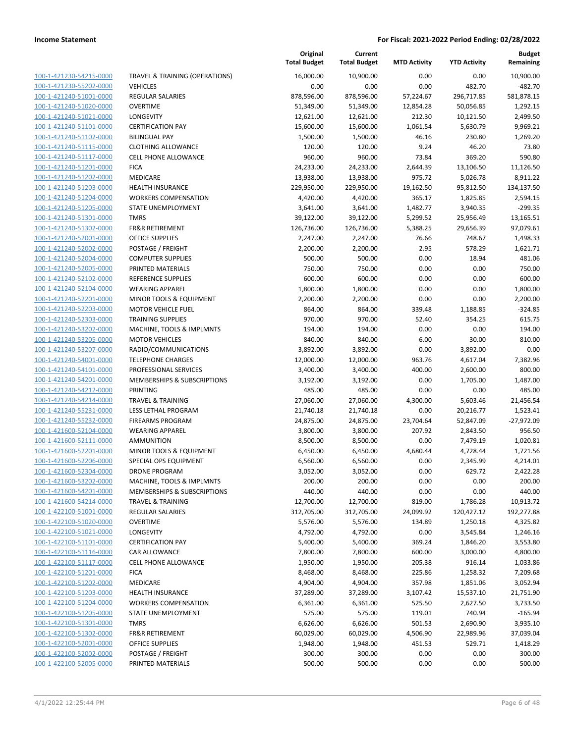| 100-1-421230-54215-0000                            | TRAVEL & TRAINING (OPERATIONS                                       |
|----------------------------------------------------|---------------------------------------------------------------------|
| 100-1-421230-55202-0000                            | <b>VEHICLES</b>                                                     |
| 100-1-421240-51001-0000                            | <b>REGULAR SALARIES</b>                                             |
| 100-1-421240-51020-0000                            | <b>OVERTIME</b>                                                     |
| 100-1-421240-51021-0000                            | LONGEVITY                                                           |
| 100-1-421240-51101-0000                            | <b>CERTIFICATION PAY</b>                                            |
| <u>100-1-421240-51102-0000</u>                     | <b>BILINGUAL PAY</b>                                                |
| 100-1-421240-51115-0000                            | <b>CLOTHING ALLOWANCE</b>                                           |
| 100-1-421240-51117-0000                            | <b>CELL PHONE ALLOWANCE</b><br><b>FICA</b>                          |
| 100-1-421240-51201-0000                            | <b>MEDICARE</b>                                                     |
| 100-1-421240-51202-0000                            | <b>HEALTH INSURANCE</b>                                             |
| 100-1-421240-51203-0000<br>100-1-421240-51204-0000 | <b>WORKERS COMPENSATION</b>                                         |
| 100-1-421240-51205-0000                            | STATE UNEMPLOYMENT                                                  |
| 100-1-421240-51301-0000                            | <b>TMRS</b>                                                         |
| 100-1-421240-51302-0000                            | <b>FR&amp;R RETIREMENT</b>                                          |
| <u>100-1-421240-52001-0000</u>                     | <b>OFFICE SUPPLIES</b>                                              |
| 100-1-421240-52002-0000                            | <b>POSTAGE / FREIGHT</b>                                            |
| 100-1-421240-52004-0000                            | <b>COMPUTER SUPPLIES</b>                                            |
| 100-1-421240-52005-0000                            | PRINTED MATERIALS                                                   |
| 100-1-421240-52102-0000                            | <b>REFERENCE SUPPLIES</b>                                           |
| 100-1-421240-52104-0000                            | <b>WEARING APPAREL</b>                                              |
| 100-1-421240-52201-0000                            | MINOR TOOLS & EQUIPMENT                                             |
| 100-1-421240-52203-0000                            | <b>MOTOR VEHICLE FUEL</b>                                           |
| 100-1-421240-52303-0000                            | <b>TRAINING SUPPLIES</b>                                            |
| 100-1-421240-53202-0000                            | MACHINE, TOOLS & IMPLMNTS                                           |
| <u>100-1-421240-53205-0000</u>                     | <b>MOTOR VEHICLES</b>                                               |
| 100-1-421240-53207-0000                            | RADIO/COMMUNICATIONS                                                |
| 100-1-421240-54001-0000                            | <b>TELEPHONE CHARGES</b>                                            |
| 100-1-421240-54101-0000                            | PROFESSIONAL SERVICES                                               |
| 100-1-421240-54201-0000                            | MEMBERSHIPS & SUBSCRIPTIONS                                         |
| <u>100-1-421240-54212-0000</u>                     | PRINTING                                                            |
| 100-1-421240-54214-0000                            | <b>TRAVEL &amp; TRAINING</b>                                        |
| 100-1-421240-55231-0000                            | <b>LESS LETHAL PROGRAM</b>                                          |
| 100-1-421240-55232-0000                            | <b>FIREARMS PROGRAM</b>                                             |
| 100-1-421600-52104-0000                            | <b>WEARING APPAREL</b>                                              |
| <u>100-1-421600-52111-0000</u>                     | <b>AMMUNITION</b>                                                   |
| 100-1-421600-52201-0000                            | MINOR TOOLS & EQUIPMENT                                             |
| 100-1-421600-52206-0000                            | SPECIAL OPS EQUIPMENT                                               |
| 100-1-421600-52304-0000                            | <b>DRONE PROGRAM</b>                                                |
| 100-1-421600-53202-0000                            | MACHINE, TOOLS & IMPLMNTS<br><b>MEMBERSHIPS &amp; SUBSCRIPTIONS</b> |
| 100-1-421600-54201-0000<br>100-1-421600-54214-0000 | <b>TRAVEL &amp; TRAINING</b>                                        |
| 100-1-422100-51001-0000                            | <b>REGULAR SALARIES</b>                                             |
| 100-1-422100-51020-0000                            | OVERTIME                                                            |
| 100-1-422100-51021-0000                            | <b>LONGEVITY</b>                                                    |
| 100-1-422100-51101-0000                            | <b>CERTIFICATION PAY</b>                                            |
| 100-1-422100-51116-0000                            | CAR ALLOWANCE                                                       |
| 100-1-422100-51117-0000                            | <b>CELL PHONE ALLOWANCE</b>                                         |
| 100-1-422100-51201-0000                            | <b>FICA</b>                                                         |
| 100-1-422100-51202-0000                            | MEDICARE                                                            |
| 100-1-422100-51203-0000                            | <b>HEALTH INSURANCE</b>                                             |
| 100-1-422100-51204-0000                            | <b>WORKERS COMPENSATION</b>                                         |
| 100-1-422100-51205-0000                            | <b>STATE UNEMPLOYMENT</b>                                           |
| 100-1-422100-51301-0000                            | <b>TMRS</b>                                                         |
| 100-1-422100-51302-0000                            | <b>FR&amp;R RETIREMENT</b>                                          |
| 100-1-422100-52001-0000                            | <b>OFFICE SUPPLIES</b>                                              |
| 100-1-422100-52002-0000                            | POSTAGE / FREIGHT                                                   |
| 100-1-422100-52005-0000                            | PRINTED MATERIALS                                                   |
|                                                    |                                                                     |

|                                                    |                                                             | Original<br><b>Total Budget</b> | Current<br><b>Total Budget</b> | <b>MTD Activity</b> | <b>YTD Activity</b>  | Budget<br>Remaining  |
|----------------------------------------------------|-------------------------------------------------------------|---------------------------------|--------------------------------|---------------------|----------------------|----------------------|
| 100-1-421230-54215-0000                            | <b>TRAVEL &amp; TRAINING (OPERATIONS)</b>                   | 16,000.00                       | 10,900.00                      | 0.00                | 0.00                 | 10,900.00            |
| 100-1-421230-55202-0000                            | <b>VEHICLES</b>                                             | 0.00                            | 0.00                           | 0.00                | 482.70               | $-482.70$            |
| 100-1-421240-51001-0000                            | REGULAR SALARIES                                            | 878,596.00                      | 878,596.00                     | 57,224.67           | 296,717.85           | 581,878.15           |
| 100-1-421240-51020-0000                            | <b>OVERTIME</b>                                             | 51,349.00                       | 51,349.00                      | 12,854.28           | 50,056.85            | 1,292.15             |
| 100-1-421240-51021-0000                            | LONGEVITY                                                   | 12,621.00                       | 12,621.00                      | 212.30              | 10,121.50            | 2,499.50             |
| 100-1-421240-51101-0000                            | <b>CERTIFICATION PAY</b>                                    | 15,600.00                       | 15,600.00                      | 1,061.54            | 5,630.79             | 9,969.21             |
| 100-1-421240-51102-0000                            | <b>BILINGUAL PAY</b>                                        | 1,500.00                        | 1,500.00                       | 46.16               | 230.80               | 1,269.20             |
| 100-1-421240-51115-0000                            | <b>CLOTHING ALLOWANCE</b>                                   | 120.00                          | 120.00                         | 9.24                | 46.20                | 73.80                |
| 100-1-421240-51117-0000                            | <b>CELL PHONE ALLOWANCE</b>                                 | 960.00                          | 960.00                         | 73.84               | 369.20               | 590.80               |
| 100-1-421240-51201-0000                            | <b>FICA</b>                                                 | 24,233.00                       | 24,233.00                      | 2,644.39            | 13,106.50            | 11,126.50            |
| 100-1-421240-51202-0000                            | MEDICARE                                                    | 13,938.00                       | 13,938.00                      | 975.72              | 5,026.78             | 8,911.22             |
| 100-1-421240-51203-0000                            | <b>HEALTH INSURANCE</b>                                     | 229,950.00                      | 229,950.00                     | 19,162.50           | 95,812.50            | 134,137.50           |
| 100-1-421240-51204-0000                            | <b>WORKERS COMPENSATION</b>                                 | 4,420.00                        | 4,420.00                       | 365.17              | 1,825.85             | 2,594.15             |
| 100-1-421240-51205-0000                            | STATE UNEMPLOYMENT                                          | 3,641.00                        | 3,641.00                       | 1,482.77            | 3,940.35             | $-299.35$            |
| 100-1-421240-51301-0000                            | <b>TMRS</b>                                                 | 39,122.00                       | 39,122.00                      | 5,299.52            | 25,956.49            | 13,165.51            |
| 100-1-421240-51302-0000                            | <b>FR&amp;R RETIREMENT</b>                                  | 126,736.00                      | 126,736.00                     | 5,388.25            | 29,656.39            | 97,079.61            |
| 100-1-421240-52001-0000                            | <b>OFFICE SUPPLIES</b>                                      | 2,247.00                        | 2,247.00                       | 76.66               | 748.67               | 1,498.33             |
| 100-1-421240-52002-0000                            | POSTAGE / FREIGHT                                           | 2,200.00                        | 2,200.00                       | 2.95                | 578.29               | 1,621.71             |
| 100-1-421240-52004-0000                            | <b>COMPUTER SUPPLIES</b>                                    | 500.00                          | 500.00                         | 0.00                | 18.94                | 481.06               |
| 100-1-421240-52005-0000                            | PRINTED MATERIALS                                           | 750.00                          | 750.00                         | 0.00                | 0.00                 | 750.00               |
| 100-1-421240-52102-0000                            | <b>REFERENCE SUPPLIES</b>                                   | 600.00                          | 600.00                         | 0.00                | 0.00                 | 600.00               |
| 100-1-421240-52104-0000                            | <b>WEARING APPAREL</b>                                      | 1,800.00                        | 1,800.00                       | 0.00                | 0.00                 | 1,800.00             |
| 100-1-421240-52201-0000                            | <b>MINOR TOOLS &amp; EQUIPMENT</b>                          | 2,200.00                        | 2,200.00                       | 0.00                | 0.00                 | 2,200.00             |
| 100-1-421240-52203-0000                            | <b>MOTOR VEHICLE FUEL</b>                                   | 864.00                          | 864.00                         | 339.48              | 1,188.85             | $-324.85$            |
| 100-1-421240-52303-0000                            | <b>TRAINING SUPPLIES</b>                                    | 970.00                          | 970.00                         | 52.40               | 354.25               | 615.75               |
| 100-1-421240-53202-0000                            | MACHINE, TOOLS & IMPLMNTS                                   | 194.00                          | 194.00                         | 0.00                | 0.00                 | 194.00               |
| 100-1-421240-53205-0000                            | <b>MOTOR VEHICLES</b>                                       | 840.00                          | 840.00                         | 6.00                | 30.00                | 810.00               |
| 100-1-421240-53207-0000                            | RADIO/COMMUNICATIONS                                        | 3,892.00                        | 3,892.00                       | 0.00                | 3,892.00             | 0.00                 |
| 100-1-421240-54001-0000                            | <b>TELEPHONE CHARGES</b>                                    | 12,000.00                       | 12,000.00                      | 963.76              | 4,617.04             | 7,382.96             |
| 100-1-421240-54101-0000                            | PROFESSIONAL SERVICES                                       | 3,400.00                        | 3,400.00                       | 400.00              | 2,600.00             | 800.00               |
| 100-1-421240-54201-0000                            | MEMBERSHIPS & SUBSCRIPTIONS                                 | 3,192.00                        | 3,192.00                       | 0.00                | 1,705.00             | 1,487.00             |
| 100-1-421240-54212-0000                            | <b>PRINTING</b>                                             | 485.00                          | 485.00                         | 0.00                | 0.00                 | 485.00               |
| 100-1-421240-54214-0000                            | <b>TRAVEL &amp; TRAINING</b>                                | 27,060.00                       | 27,060.00                      | 4,300.00            | 5,603.46             | 21,456.54            |
| 100-1-421240-55231-0000                            | LESS LETHAL PROGRAM                                         | 21,740.18                       | 21,740.18                      | 0.00                | 20,216.77            | 1,523.41             |
| 100-1-421240-55232-0000                            | <b>FIREARMS PROGRAM</b>                                     | 24,875.00                       | 24,875.00                      | 23,704.64           | 52,847.09            | $-27,972.09$         |
| 100-1-421600-52104-0000                            | <b>WEARING APPAREL</b>                                      | 3,800.00                        | 3,800.00                       | 207.92              | 2,843.50             | 956.50               |
| 100-1-421600-52111-0000                            | <b>AMMUNITION</b>                                           | 8,500.00                        | 8,500.00                       | 0.00                | 7,479.19             | 1,020.81             |
| 100-1-421600-52201-0000                            | <b>MINOR TOOLS &amp; EQUIPMENT</b>                          | 6,450.00                        | 6,450.00                       | 4,680.44            | 4,728.44             | 1,721.56             |
| 100-1-421600-52206-0000                            | SPECIAL OPS EQUIPMENT                                       | 6,560.00                        | 6,560.00                       | 0.00                | 2,345.99             | 4,214.01             |
| 100-1-421600-52304-0000                            | <b>DRONE PROGRAM</b>                                        | 3,052.00                        | 3,052.00                       | 0.00                | 629.72               | 2,422.28             |
| 100-1-421600-53202-0000                            | MACHINE, TOOLS & IMPLMNTS                                   | 200.00                          | 200.00                         | 0.00                | 0.00                 | 200.00               |
| 100-1-421600-54201-0000                            | MEMBERSHIPS & SUBSCRIPTIONS<br><b>TRAVEL &amp; TRAINING</b> | 440.00                          | 440.00                         | 0.00                | 0.00                 | 440.00               |
| 100-1-421600-54214-0000                            |                                                             | 12,700.00                       | 12,700.00                      | 819.00              | 1,786.28             | 10,913.72            |
| 100-1-422100-51001-0000<br>100-1-422100-51020-0000 | REGULAR SALARIES<br><b>OVERTIME</b>                         | 312,705.00<br>5,576.00          | 312,705.00<br>5,576.00         | 24,099.92           | 120,427.12           | 192,277.88           |
| 100-1-422100-51021-0000                            | LONGEVITY                                                   | 4,792.00                        |                                | 134.89<br>0.00      | 1,250.18             | 4,325.82             |
| 100-1-422100-51101-0000                            | <b>CERTIFICATION PAY</b>                                    | 5,400.00                        | 4,792.00                       | 369.24              | 3,545.84             | 1,246.16<br>3,553.80 |
| 100-1-422100-51116-0000                            | CAR ALLOWANCE                                               | 7,800.00                        | 5,400.00<br>7,800.00           | 600.00              | 1,846.20<br>3,000.00 | 4,800.00             |
| 100-1-422100-51117-0000                            | CELL PHONE ALLOWANCE                                        | 1,950.00                        | 1,950.00                       | 205.38              | 916.14               | 1,033.86             |
| 100-1-422100-51201-0000                            | <b>FICA</b>                                                 |                                 |                                | 225.86              |                      |                      |
| 100-1-422100-51202-0000                            | MEDICARE                                                    | 8,468.00<br>4,904.00            | 8,468.00<br>4,904.00           | 357.98              | 1,258.32<br>1,851.06 | 7,209.68<br>3,052.94 |
| 100-1-422100-51203-0000                            | HEALTH INSURANCE                                            | 37,289.00                       | 37,289.00                      | 3,107.42            | 15,537.10            | 21,751.90            |
| 100-1-422100-51204-0000                            | <b>WORKERS COMPENSATION</b>                                 | 6,361.00                        | 6,361.00                       | 525.50              | 2,627.50             | 3,733.50             |
| 100-1-422100-51205-0000                            | STATE UNEMPLOYMENT                                          | 575.00                          | 575.00                         | 119.01              | 740.94               | $-165.94$            |
| 100-1-422100-51301-0000                            | <b>TMRS</b>                                                 | 6,626.00                        | 6,626.00                       | 501.53              | 2,690.90             | 3,935.10             |
| 100-1-422100-51302-0000                            | <b>FR&amp;R RETIREMENT</b>                                  | 60,029.00                       | 60,029.00                      | 4,506.90            | 22,989.96            | 37,039.04            |
| 100-1-422100-52001-0000                            | OFFICE SUPPLIES                                             | 1,948.00                        | 1,948.00                       | 451.53              | 529.71               | 1,418.29             |
| 100-1-422100-52002-0000                            | POSTAGE / FREIGHT                                           | 300.00                          | 300.00                         | 0.00                | 0.00                 | 300.00               |
| 100-1-422100-52005-0000                            | PRINTED MATERIALS                                           | 500.00                          | 500.00                         | 0.00                | 0.00                 | 500.00               |
|                                                    |                                                             |                                 |                                |                     |                      |                      |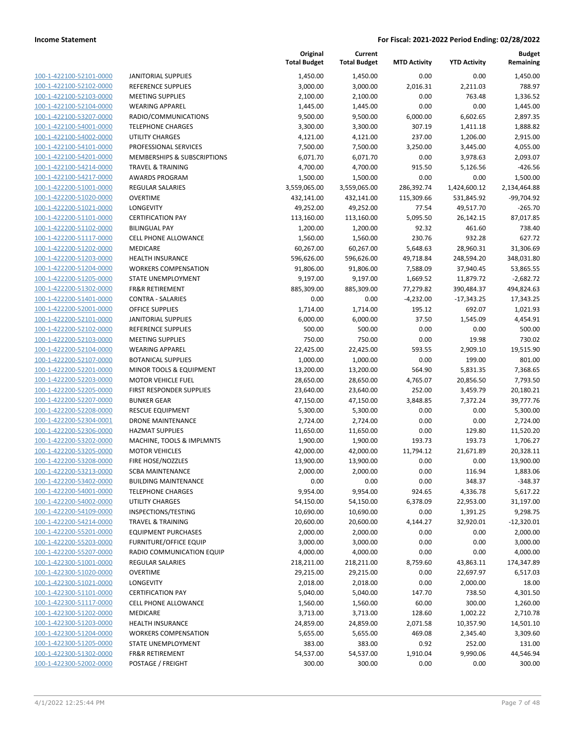| 100-1-422100-52101-0000        |
|--------------------------------|
| 100-1-422100-52102-0000        |
| 100-1-422100-52103-0000        |
| 100-1-422100-52104-0000        |
| 100-1-422100-53207-0000        |
|                                |
| 100-1-422100-54001-0000        |
| 100-1-422100-54002-0000        |
| 100-1-422100-54101-0000        |
| 100-1-422100-54201-0000        |
| 100-1-422100-54214-0000        |
| 100-1-422100-54217-0000        |
| 100-1-422200-51001-0000        |
| 100-1-422200-51020-0000        |
| 100-1-422200-51021-0000        |
|                                |
| 100-1-422200-51101-0000        |
| 100-1-422200-51102-0000        |
| 100-1-422200-51117-0000        |
| 100-1-422200-51202-0000        |
| 100-1-422200-51203-0000        |
| 100-1-422200-51204-0000        |
| 100-1-422200-51205-0000        |
| 100-1-422200-51302-0000        |
|                                |
| 100-1-422200-51401-0000        |
| 100-1-422200-52001-0000        |
| 100-1-422200-52101-0000        |
| 100-1-422200-52102-0000        |
| 100-1-422200-52103-0000        |
| 100-1-422200-52104-0000        |
| 100-1-422200-52107-0000        |
| 100-1-422200-52201-0000        |
| 100-1-422200-52203-0000        |
| 100-1-422200-52205-0000        |
| 100-1-422200-52207-0000        |
| 100-1-422200-52208-0000        |
|                                |
| 100-1-422200-52304-0001        |
| 100-1-422200-52306-0000        |
| 100-1-422200-53202-0000        |
| 100-1-422200-53205-0000        |
| 100-1-422200-53208-0000        |
| 100-1-422200-53213-0000        |
| 100-1-422200-53402-0000        |
| 100-1-422200-54001-0000        |
| <u>100-1-422200-54002-0000</u> |
|                                |
| <u>100-1-422200-54109-0000</u> |
| 100-1-422200-54214-0000        |
| 100-1-422200-55201-0000        |
| <u>100-1-422200-55203-0000</u> |
| <u>100-1-422200-55207-0000</u> |
| <u>100-1-422300-51001-0000</u> |
| 100-1-422300-51020-0000        |
| 100-1-422300-51021-0000        |
| <u>100-1-422300-51101-0000</u> |
|                                |
| <u>100-1-422300-51117-0000</u> |
| <u>100-1-422300-51202-0000</u> |
| 100-1-422300-51203-0000        |
| 100-1-422300-51204-0000        |
| <u>100-1-422300-51205-0000</u> |
| 100-1-422300-51302-0000        |
| <u>100-1-422300-52002-0000</u> |
|                                |

| JANITORIAL SUPPLIES         |
|-----------------------------|
| REFERENCE SUPPLIES          |
| MEETING SUPPLIES            |
| WEARING APPAREL             |
| RADIO/COMMUNICATIONS        |
| TELEPHONE CHARGES           |
| UTILITY CHARGES             |
| PROFESSIONAL SERVICES       |
| MEMBERSHIPS & SUBSCRIPTIONS |
| TRAVEL & TRAINING           |
| AWARDS PROGRAM              |
| REGULAR SALARIES            |
| OVERTIME                    |
| LONGEVITY                   |
| CERTIFICATION PAY           |
| BILINGUAL PAY               |
| CELL PHONE ALLOWANCE        |
| MEDICARE                    |
| HEALTH INSURANCE            |
| WORKERS COMPENSATION        |
| STATE UNEMPLOYMENT          |
| FR&R RETIREMENT             |
| CONTRA - SALARIES           |
| OFFICE SUPPLIES             |
| JANITORIAL SUPPLIES         |
| REFERENCE SUPPLIES          |
| MEETING SUPPLIES            |
| WEARING APPAREL             |
| BOTANICAL SUPPLIES          |
| MINOR TOOLS & EQUIPMENT     |
| MOTOR VEHICLE FUEL          |
| FIRST RESPONDER SUPPLIES    |
| BUNKER GEAR                 |
| RESCUE EQUIPMENT            |
| DRONE MAINTENANCE           |
| HAZMAT SUPPLIES             |
| MACHINE, TOOLS & IMPLMNTS   |
| MOTOR VEHICLES              |
| FIRE HOSE/NOZZLES           |
| SCBA MAINTENANCE            |
| <b>BUILDING MAINTENANCE</b> |
| <b>TELEPHONE CHARGES</b>    |
| UTILITY CHARGES             |
| INSPECTIONS/TESTING         |
| TRAVEL & TRAINING           |
| EQUIPMENT PURCHASES         |
| FURNITURE/OFFICE EQUIP      |
| RADIO COMMUNICATION EQUIP   |
| REGULAR SALARIES            |
| OVERTIME                    |
| LONGEVITY                   |
| <b>CERTIFICATION PAY</b>    |
| CELL PHONE ALLOWANCE        |
| MEDICARE                    |
| HEALTH INSURANCE            |
| WORKERS COMPENSATION        |
| STATE UNEMPLOYMENT          |
| FR&R RETIREMENT             |

|                         |                               | Original<br><b>Total Budget</b> | Current<br><b>Total Budget</b> | <b>MTD Activity</b> | <b>YTD Activity</b> | <b>Budget</b><br>Remaining |
|-------------------------|-------------------------------|---------------------------------|--------------------------------|---------------------|---------------------|----------------------------|
| 100-1-422100-52101-0000 | <b>JANITORIAL SUPPLIES</b>    | 1,450.00                        | 1,450.00                       | 0.00                | 0.00                | 1,450.00                   |
| 100-1-422100-52102-0000 | <b>REFERENCE SUPPLIES</b>     | 3,000.00                        | 3,000.00                       | 2,016.31            | 2,211.03            | 788.97                     |
| 100-1-422100-52103-0000 | <b>MEETING SUPPLIES</b>       | 2,100.00                        | 2,100.00                       | 0.00                | 763.48              | 1,336.52                   |
| 100-1-422100-52104-0000 | <b>WEARING APPAREL</b>        | 1,445.00                        | 1,445.00                       | 0.00                | 0.00                | 1,445.00                   |
| 100-1-422100-53207-0000 | RADIO/COMMUNICATIONS          | 9,500.00                        | 9,500.00                       | 6,000.00            | 6,602.65            | 2,897.35                   |
| 100-1-422100-54001-0000 | <b>TELEPHONE CHARGES</b>      | 3,300.00                        | 3,300.00                       | 307.19              | 1,411.18            | 1,888.82                   |
| 100-1-422100-54002-0000 | <b>UTILITY CHARGES</b>        | 4,121.00                        | 4,121.00                       | 237.00              | 1,206.00            | 2,915.00                   |
| 100-1-422100-54101-0000 | PROFESSIONAL SERVICES         | 7,500.00                        | 7,500.00                       | 3,250.00            | 3,445.00            | 4,055.00                   |
| 100-1-422100-54201-0000 | MEMBERSHIPS & SUBSCRIPTIONS   | 6,071.70                        | 6,071.70                       | 0.00                | 3,978.63            | 2,093.07                   |
| 100-1-422100-54214-0000 | <b>TRAVEL &amp; TRAINING</b>  | 4,700.00                        | 4,700.00                       | 915.50              | 5,126.56            | $-426.56$                  |
| 100-1-422100-54217-0000 | AWARDS PROGRAM                | 1,500.00                        | 1,500.00                       | 0.00                | 0.00                | 1,500.00                   |
| 100-1-422200-51001-0000 | <b>REGULAR SALARIES</b>       | 3,559,065.00                    | 3,559,065.00                   | 286,392.74          | 1,424,600.12        | 2,134,464.88               |
| 100-1-422200-51020-0000 | <b>OVERTIME</b>               | 432,141.00                      | 432,141.00                     | 115,309.66          | 531,845.92          | -99,704.92                 |
| 100-1-422200-51021-0000 | LONGEVITY                     | 49,252.00                       | 49,252.00                      | 77.54               | 49,517.70           | $-265.70$                  |
| 100-1-422200-51101-0000 | <b>CERTIFICATION PAY</b>      | 113,160.00                      | 113,160.00                     | 5,095.50            | 26,142.15           | 87,017.85                  |
| 100-1-422200-51102-0000 | <b>BILINGUAL PAY</b>          | 1,200.00                        | 1,200.00                       | 92.32               | 461.60              | 738.40                     |
| 100-1-422200-51117-0000 | CELL PHONE ALLOWANCE          | 1,560.00                        | 1,560.00                       | 230.76              | 932.28              | 627.72                     |
| 100-1-422200-51202-0000 | MEDICARE                      | 60,267.00                       | 60,267.00                      | 5,648.63            | 28,960.31           | 31,306.69                  |
| 100-1-422200-51203-0000 | HEALTH INSURANCE              | 596,626.00                      | 596,626.00                     | 49,718.84           | 248,594.20          | 348,031.80                 |
| 100-1-422200-51204-0000 | <b>WORKERS COMPENSATION</b>   | 91,806.00                       | 91,806.00                      | 7,588.09            | 37,940.45           | 53,865.55                  |
| 100-1-422200-51205-0000 | STATE UNEMPLOYMENT            | 9,197.00                        | 9,197.00                       | 1,669.52            | 11,879.72           | $-2,682.72$                |
| 100-1-422200-51302-0000 | <b>FR&amp;R RETIREMENT</b>    | 885,309.00                      | 885,309.00                     | 77,279.82           | 390,484.37          | 494,824.63                 |
| 100-1-422200-51401-0000 | <b>CONTRA - SALARIES</b>      | 0.00                            | 0.00                           | $-4,232.00$         | $-17,343.25$        | 17,343.25                  |
| 100-1-422200-52001-0000 | <b>OFFICE SUPPLIES</b>        | 1,714.00                        | 1,714.00                       | 195.12              | 692.07              | 1,021.93                   |
| 100-1-422200-52101-0000 | <b>JANITORIAL SUPPLIES</b>    | 6,000.00                        | 6,000.00                       | 37.50               | 1,545.09            | 4,454.91                   |
| 100-1-422200-52102-0000 | REFERENCE SUPPLIES            | 500.00                          | 500.00                         | 0.00                | 0.00                | 500.00                     |
| 100-1-422200-52103-0000 | <b>MEETING SUPPLIES</b>       | 750.00                          | 750.00                         | 0.00                | 19.98               | 730.02                     |
| 100-1-422200-52104-0000 | <b>WEARING APPAREL</b>        | 22,425.00                       | 22,425.00                      | 593.55              | 2,909.10            | 19,515.90                  |
| 100-1-422200-52107-0000 | <b>BOTANICAL SUPPLIES</b>     | 1,000.00                        | 1,000.00                       | 0.00                | 199.00              | 801.00                     |
| 100-1-422200-52201-0000 | MINOR TOOLS & EQUIPMENT       | 13,200.00                       | 13,200.00                      | 564.90              | 5,831.35            | 7,368.65                   |
| 100-1-422200-52203-0000 | <b>MOTOR VEHICLE FUEL</b>     | 28,650.00                       | 28,650.00                      | 4,765.07            | 20,856.50           | 7,793.50                   |
| 100-1-422200-52205-0000 | FIRST RESPONDER SUPPLIES      | 23,640.00                       | 23,640.00                      | 252.00              | 3,459.79            | 20,180.21                  |
| 100-1-422200-52207-0000 | <b>BUNKER GEAR</b>            | 47,150.00                       | 47,150.00                      | 3,848.85            | 7,372.24            | 39,777.76                  |
| 100-1-422200-52208-0000 | <b>RESCUE EQUIPMENT</b>       | 5,300.00                        | 5,300.00                       | 0.00                | 0.00                | 5,300.00                   |
| 100-1-422200-52304-0001 | DRONE MAINTENANCE             | 2,724.00                        | 2,724.00                       | 0.00                | 0.00                | 2,724.00                   |
| 100-1-422200-52306-0000 | <b>HAZMAT SUPPLIES</b>        | 11,650.00                       | 11,650.00                      | 0.00                | 129.80              | 11,520.20                  |
| 100-1-422200-53202-0000 | MACHINE, TOOLS & IMPLMNTS     | 1,900.00                        | 1,900.00                       | 193.73              | 193.73              | 1,706.27                   |
| 100-1-422200-53205-0000 | <b>MOTOR VEHICLES</b>         | 42,000.00                       | 42,000.00                      | 11,794.12           | 21,671.89           | 20,328.11                  |
| 100-1-422200-53208-0000 | FIRE HOSE/NOZZLES             | 13,900.00                       | 13,900.00                      | 0.00                | 0.00                | 13,900.00                  |
| 100-1-422200-53213-0000 | <b>SCBA MAINTENANCE</b>       | 2,000.00                        | 2,000.00                       | 0.00                | 116.94              | 1,883.06                   |
| 100-1-422200-53402-0000 | <b>BUILDING MAINTENANCE</b>   | 0.00                            | 0.00                           | 0.00                | 348.37              | $-348.37$                  |
| 100-1-422200-54001-0000 | <b>TELEPHONE CHARGES</b>      | 9,954.00                        | 9,954.00                       | 924.65              | 4,336.78            | 5,617.22                   |
| 100-1-422200-54002-0000 | <b>UTILITY CHARGES</b>        | 54,150.00                       | 54,150.00                      | 6,378.09            | 22,953.00           | 31,197.00                  |
| 100-1-422200-54109-0000 | INSPECTIONS/TESTING           | 10,690.00                       | 10,690.00                      | 0.00                | 1,391.25            | 9,298.75                   |
| 100-1-422200-54214-0000 | <b>TRAVEL &amp; TRAINING</b>  | 20,600.00                       | 20,600.00                      | 4,144.27            | 32,920.01           | $-12,320.01$               |
| 100-1-422200-55201-0000 | <b>EQUIPMENT PURCHASES</b>    | 2,000.00                        | 2,000.00                       | 0.00                | 0.00                | 2,000.00                   |
| 100-1-422200-55203-0000 | <b>FURNITURE/OFFICE EQUIP</b> | 3,000.00                        | 3,000.00                       | 0.00                | 0.00                | 3,000.00                   |
| 100-1-422200-55207-0000 | RADIO COMMUNICATION EQUIP     | 4,000.00                        | 4,000.00                       | 0.00                | 0.00                | 4,000.00                   |
| 100-1-422300-51001-0000 | <b>REGULAR SALARIES</b>       | 218,211.00                      | 218,211.00                     | 8,759.60            | 43,863.11           | 174,347.89                 |
| 100-1-422300-51020-0000 | <b>OVERTIME</b>               | 29,215.00                       | 29,215.00                      | 0.00                | 22,697.97           | 6,517.03                   |
| 100-1-422300-51021-0000 | LONGEVITY                     | 2,018.00                        | 2,018.00                       | 0.00                | 2,000.00            | 18.00                      |
| 100-1-422300-51101-0000 | <b>CERTIFICATION PAY</b>      | 5,040.00                        | 5,040.00                       | 147.70              | 738.50              | 4,301.50                   |
| 100-1-422300-51117-0000 | <b>CELL PHONE ALLOWANCE</b>   | 1,560.00                        | 1,560.00                       | 60.00               | 300.00              | 1,260.00                   |
| 100-1-422300-51202-0000 | MEDICARE                      | 3,713.00                        | 3,713.00                       | 128.60              | 1,002.22            | 2,710.78                   |
| 100-1-422300-51203-0000 | HEALTH INSURANCE              | 24,859.00                       | 24,859.00                      | 2,071.58            | 10,357.90           | 14,501.10                  |
| 100-1-422300-51204-0000 | <b>WORKERS COMPENSATION</b>   | 5,655.00                        | 5,655.00                       | 469.08              | 2,345.40            | 3,309.60                   |
| 100-1-422300-51205-0000 | STATE UNEMPLOYMENT            | 383.00                          | 383.00                         | 0.92                | 252.00              | 131.00                     |
| 100-1-422300-51302-0000 | <b>FR&amp;R RETIREMENT</b>    | 54,537.00                       | 54,537.00                      | 1,910.04            | 9,990.06            | 44,546.94                  |
| 100-1-422300-52002-0000 | POSTAGE / FREIGHT             | 300.00                          | 300.00                         | 0.00                | 0.00                | 300.00                     |
|                         |                               |                                 |                                |                     |                     |                            |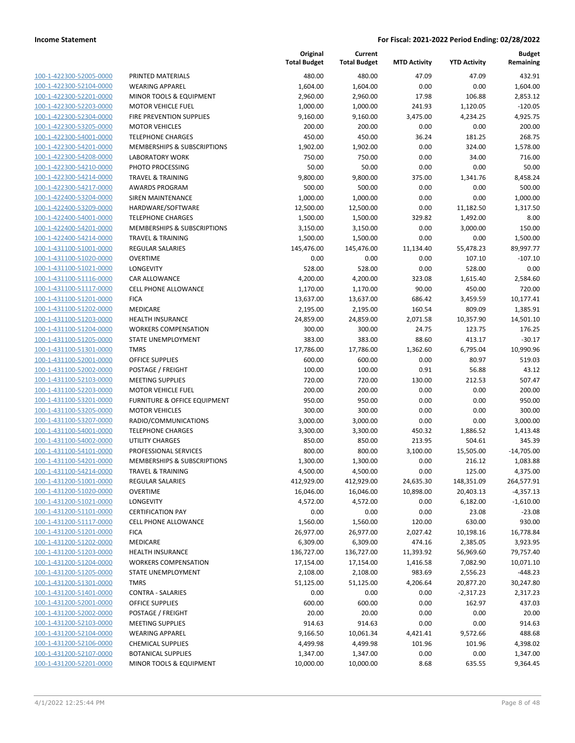| 100-1-422300-52005-0000                            |
|----------------------------------------------------|
| 100-1-422300-52104-0000                            |
| 100-1-422300-52201-0000                            |
| 100-1-422300-52203-0000                            |
| 100-1-422300-52304-0000                            |
| 100-1-422300-53205-0000                            |
| 100-1-422300-54001-0000                            |
| 100-1-422300-54201-0000                            |
| 100-1-422300-54208-0000                            |
| 100-1-422300-54210-0000                            |
| 100-1-422300-54214-0000                            |
| 100-1-422300-54217-0000                            |
|                                                    |
| <u>100-1-422400-53204-0000</u>                     |
| 100-1-422400-53209-0000                            |
| 100-1-422400-54001-0000                            |
| 100-1-422400-54201-0000                            |
| 100-1-422400-54214-0000                            |
| <u>100-1-431100-51001-0000</u>                     |
| 100-1-431100-51020-0000                            |
| 100-1-431100-51021-0000                            |
| 100-1-431100-51116-0000                            |
| 100-1-431100-51117-0000                            |
| <u>100-1-431100-51201-0000</u>                     |
| 100-1-431100-51202-0000                            |
| 100-1-431100-51203-0000                            |
| 100-1-431100-51204-0000                            |
| 100-1-431100-51205-0000                            |
| 100-1-431100-51301-0000                            |
| 100-1-431100-52001-0000                            |
| 100-1-431100-52002-0000                            |
| 100-1-431100-52103-0000                            |
| 100-1-431100-52203-0000                            |
| <u>100-1-431100-53201-0000</u>                     |
| 100-1-431100-53205-0000                            |
| 100-1-431100-53207-0000                            |
| 100-1-431100-54001-0000                            |
| 100-1-431100-54002-0000                            |
| 100-1-431100-54101-0000                            |
|                                                    |
| 100-1-431100-54201-0000                            |
| 100-1-431100-54214-0000                            |
| 100-1-431200-51001-0000                            |
| 100-1-431200-51020-0000                            |
| 100-1-431200-51021-0000                            |
| 100-1-431200-51101-0000                            |
| 100-1-431200-51117-0000                            |
| 100-1-431200-51201-0000                            |
| 100-1-431200-51202-0000                            |
| <u>100-1-431200-51203-0000</u>                     |
| <u>100-1-431200-51204-0000</u>                     |
| 100-1-431200-51205-0000                            |
| 100-1-431200-51301-0000                            |
| 100-1-431200-51401-0000                            |
| <u>100-1-431200-52001-0000</u>                     |
|                                                    |
| 100-1-431200-52002-0000                            |
| 100-1-431200-52103-0000                            |
| 100-1-431200-52104-0000                            |
|                                                    |
| <u>100-1-431200-52106-0000</u>                     |
| 100-1-431200-52107-0000<br>100-1-431200-52201-0000 |

|                         |                                        | Original<br><b>Total Budget</b> | Current<br><b>Total Budget</b> | <b>MTD Activity</b> | <b>YTD Activity</b> | <b>Budget</b><br>Remaining |
|-------------------------|----------------------------------------|---------------------------------|--------------------------------|---------------------|---------------------|----------------------------|
| 100-1-422300-52005-0000 | PRINTED MATERIALS                      | 480.00                          | 480.00                         | 47.09               | 47.09               | 432.91                     |
| 100-1-422300-52104-0000 | <b>WEARING APPAREL</b>                 | 1,604.00                        | 1,604.00                       | 0.00                | 0.00                | 1,604.00                   |
| 100-1-422300-52201-0000 | <b>MINOR TOOLS &amp; EQUIPMENT</b>     | 2,960.00                        | 2,960.00                       | 17.98               | 106.88              | 2,853.12                   |
| 100-1-422300-52203-0000 | <b>MOTOR VEHICLE FUEL</b>              | 1,000.00                        | 1,000.00                       | 241.93              | 1,120.05            | $-120.05$                  |
| 100-1-422300-52304-0000 | FIRE PREVENTION SUPPLIES               | 9,160.00                        | 9,160.00                       | 3,475.00            | 4,234.25            | 4,925.75                   |
| 100-1-422300-53205-0000 | <b>MOTOR VEHICLES</b>                  | 200.00                          | 200.00                         | 0.00                | 0.00                | 200.00                     |
| 100-1-422300-54001-0000 | <b>TELEPHONE CHARGES</b>               | 450.00                          | 450.00                         | 36.24               | 181.25              | 268.75                     |
| 100-1-422300-54201-0000 | <b>MEMBERSHIPS &amp; SUBSCRIPTIONS</b> | 1,902.00                        | 1,902.00                       | 0.00                | 324.00              | 1,578.00                   |
| 100-1-422300-54208-0000 | <b>LABORATORY WORK</b>                 | 750.00                          | 750.00                         | 0.00                | 34.00               | 716.00                     |
| 100-1-422300-54210-0000 | PHOTO PROCESSING                       | 50.00                           | 50.00                          | 0.00                | 0.00                | 50.00                      |
| 100-1-422300-54214-0000 | <b>TRAVEL &amp; TRAINING</b>           | 9,800.00                        | 9,800.00                       | 375.00              | 1,341.76            | 8,458.24                   |
| 100-1-422300-54217-0000 | <b>AWARDS PROGRAM</b>                  | 500.00                          | 500.00                         | 0.00                | 0.00                | 500.00                     |
| 100-1-422400-53204-0000 | <b>SIREN MAINTENANCE</b>               | 1,000.00                        | 1,000.00                       | 0.00                | 0.00                | 1,000.00                   |
| 100-1-422400-53209-0000 | HARDWARE/SOFTWARE                      | 12,500.00                       | 12,500.00                      | 0.00                | 11,182.50           | 1,317.50                   |
| 100-1-422400-54001-0000 | <b>TELEPHONE CHARGES</b>               | 1,500.00                        | 1,500.00                       | 329.82              | 1,492.00            | 8.00                       |
| 100-1-422400-54201-0000 | MEMBERSHIPS & SUBSCRIPTIONS            | 3,150.00                        | 3,150.00                       | 0.00                | 3,000.00            | 150.00                     |
| 100-1-422400-54214-0000 | <b>TRAVEL &amp; TRAINING</b>           | 1,500.00                        | 1,500.00                       | 0.00                | 0.00                | 1,500.00                   |
| 100-1-431100-51001-0000 | <b>REGULAR SALARIES</b>                | 145,476.00                      | 145,476.00                     | 11,134.40           | 55,478.23           | 89,997.77                  |
| 100-1-431100-51020-0000 | <b>OVERTIME</b>                        | 0.00                            | 0.00                           | 0.00                | 107.10              | $-107.10$                  |
| 100-1-431100-51021-0000 | LONGEVITY                              | 528.00                          | 528.00                         | 0.00                | 528.00              | 0.00                       |
| 100-1-431100-51116-0000 | CAR ALLOWANCE                          | 4,200.00                        | 4,200.00                       | 323.08              | 1,615.40            | 2,584.60                   |
| 100-1-431100-51117-0000 | CELL PHONE ALLOWANCE                   | 1,170.00                        | 1,170.00                       | 90.00               | 450.00              | 720.00                     |
| 100-1-431100-51201-0000 | <b>FICA</b>                            | 13,637.00                       | 13,637.00                      | 686.42              | 3,459.59            | 10,177.41                  |
| 100-1-431100-51202-0000 | MEDICARE                               | 2,195.00                        | 2,195.00                       | 160.54              | 809.09              | 1,385.91                   |
| 100-1-431100-51203-0000 | <b>HEALTH INSURANCE</b>                | 24,859.00                       | 24,859.00                      | 2,071.58            | 10,357.90           | 14,501.10                  |
| 100-1-431100-51204-0000 | <b>WORKERS COMPENSATION</b>            | 300.00                          | 300.00                         | 24.75               | 123.75              | 176.25                     |
| 100-1-431100-51205-0000 | STATE UNEMPLOYMENT                     | 383.00                          | 383.00                         | 88.60               | 413.17              | $-30.17$                   |
| 100-1-431100-51301-0000 | <b>TMRS</b>                            | 17,786.00                       | 17,786.00                      | 1,362.60            | 6,795.04            | 10,990.96                  |
| 100-1-431100-52001-0000 | <b>OFFICE SUPPLIES</b>                 | 600.00                          | 600.00                         | 0.00                | 80.97               | 519.03                     |
| 100-1-431100-52002-0000 | POSTAGE / FREIGHT                      | 100.00                          | 100.00                         | 0.91                | 56.88               | 43.12                      |
| 100-1-431100-52103-0000 | <b>MEETING SUPPLIES</b>                | 720.00                          | 720.00                         | 130.00              | 212.53              | 507.47                     |
| 100-1-431100-52203-0000 | <b>MOTOR VEHICLE FUEL</b>              | 200.00                          | 200.00                         | 0.00                | 0.00                | 200.00                     |
| 100-1-431100-53201-0000 | FURNITURE & OFFICE EQUIPMENT           | 950.00                          | 950.00                         | 0.00                | 0.00                | 950.00                     |
| 100-1-431100-53205-0000 | <b>MOTOR VEHICLES</b>                  | 300.00                          | 300.00                         | 0.00                | 0.00                | 300.00                     |
| 100-1-431100-53207-0000 | RADIO/COMMUNICATIONS                   | 3,000.00                        | 3,000.00                       | 0.00                | 0.00                | 3,000.00                   |
| 100-1-431100-54001-0000 | <b>TELEPHONE CHARGES</b>               | 3,300.00                        | 3,300.00                       | 450.32              | 1,886.52            | 1,413.48                   |
| 100-1-431100-54002-0000 | UTILITY CHARGES                        | 850.00                          | 850.00                         | 213.95              | 504.61              | 345.39                     |
| 100-1-431100-54101-0000 | PROFESSIONAL SERVICES                  | 800.00                          | 800.00                         | 3,100.00            | 15,505.00           | $-14,705.00$               |
| 100-1-431100-54201-0000 | <b>MEMBERSHIPS &amp; SUBSCRIPTIONS</b> | 1,300.00                        | 1,300.00                       | 0.00                | 216.12              | 1,083.88                   |
| 100-1-431100-54214-0000 | TRAVEL & TRAINING                      | 4,500.00                        | 4,500.00                       | 0.00                | 125.00              | 4,375.00                   |
| 100-1-431200-51001-0000 | REGULAR SALARIES                       | 412,929.00                      | 412,929.00                     | 24,635.30           | 148,351.09          | 264,577.91                 |
| 100-1-431200-51020-0000 | <b>OVERTIME</b>                        | 16,046.00                       | 16,046.00                      | 10,898.00           | 20,403.13           | $-4,357.13$                |
| 100-1-431200-51021-0000 | LONGEVITY                              | 4,572.00                        | 4,572.00                       | 0.00                | 6,182.00            | $-1,610.00$                |
| 100-1-431200-51101-0000 | <b>CERTIFICATION PAY</b>               | 0.00                            | 0.00                           | 0.00                | 23.08               | $-23.08$                   |
| 100-1-431200-51117-0000 | <b>CELL PHONE ALLOWANCE</b>            | 1,560.00                        | 1,560.00                       | 120.00              | 630.00              | 930.00                     |
| 100-1-431200-51201-0000 | <b>FICA</b>                            | 26,977.00                       | 26,977.00                      | 2,027.42            | 10,198.16           | 16,778.84                  |
| 100-1-431200-51202-0000 | MEDICARE                               | 6,309.00                        | 6,309.00                       | 474.16              | 2,385.05            | 3,923.95                   |
| 100-1-431200-51203-0000 | HEALTH INSURANCE                       | 136,727.00                      | 136,727.00                     | 11,393.92           | 56,969.60           | 79,757.40                  |
| 100-1-431200-51204-0000 | <b>WORKERS COMPENSATION</b>            | 17,154.00                       | 17,154.00                      | 1,416.58            | 7,082.90            | 10,071.10                  |
| 100-1-431200-51205-0000 | STATE UNEMPLOYMENT                     | 2,108.00                        | 2,108.00                       | 983.69              | 2,556.23            | $-448.23$                  |
| 100-1-431200-51301-0000 | <b>TMRS</b>                            | 51,125.00                       | 51,125.00                      | 4,206.64            | 20,877.20           | 30,247.80                  |
| 100-1-431200-51401-0000 | <b>CONTRA - SALARIES</b>               | 0.00                            | 0.00                           | 0.00                | $-2,317.23$         | 2,317.23                   |
| 100-1-431200-52001-0000 | OFFICE SUPPLIES                        | 600.00                          | 600.00                         | 0.00                | 162.97              | 437.03                     |
| 100-1-431200-52002-0000 | POSTAGE / FREIGHT                      | 20.00                           | 20.00                          | 0.00                | 0.00                | 20.00                      |
| 100-1-431200-52103-0000 | <b>MEETING SUPPLIES</b>                | 914.63                          | 914.63                         | 0.00                | 0.00                | 914.63                     |
| 100-1-431200-52104-0000 | <b>WEARING APPAREL</b>                 | 9,166.50                        | 10,061.34                      | 4,421.41            | 9,572.66            | 488.68                     |
| 100-1-431200-52106-0000 | <b>CHEMICAL SUPPLIES</b>               | 4,499.98                        | 4,499.98                       | 101.96              | 101.96              | 4,398.02                   |
| 100-1-431200-52107-0000 | <b>BOTANICAL SUPPLIES</b>              | 1,347.00                        | 1,347.00                       | 0.00                | 0.00                | 1,347.00                   |
| 100-1-431200-52201-0000 | MINOR TOOLS & EQUIPMENT                | 10,000.00                       | 10,000.00                      | 8.68                | 635.55              | 9,364.45                   |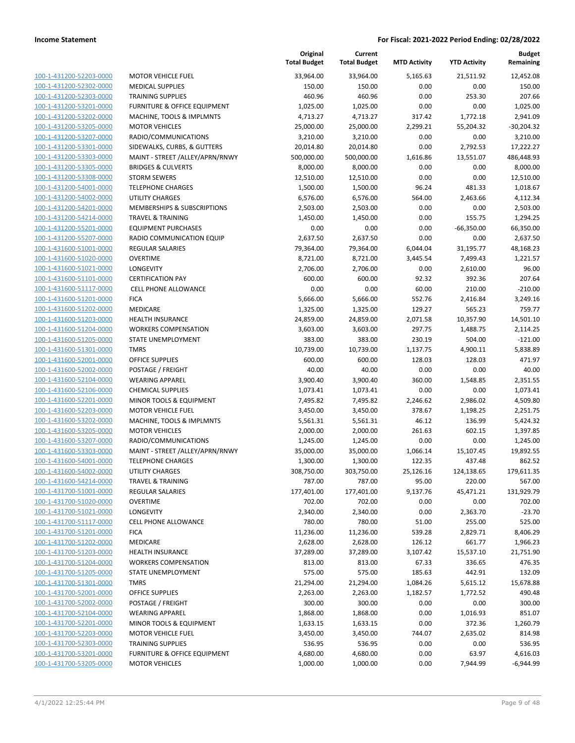|                                                    |                                                 | Original<br><b>Total Budget</b> | Current<br><b>Total Budget</b> | <b>MTD Activity</b> | <b>YTD Activity</b>  | <b>Budget</b><br>Remaining |
|----------------------------------------------------|-------------------------------------------------|---------------------------------|--------------------------------|---------------------|----------------------|----------------------------|
| 100-1-431200-52203-0000                            | <b>MOTOR VEHICLE FUEL</b>                       | 33,964.00                       | 33,964.00                      | 5,165.63            | 21,511.92            | 12,452.08                  |
| 100-1-431200-52302-0000                            | <b>MEDICAL SUPPLIES</b>                         | 150.00                          | 150.00                         | 0.00                | 0.00                 | 150.00                     |
| 100-1-431200-52303-0000                            | <b>TRAINING SUPPLIES</b>                        | 460.96                          | 460.96                         | 0.00                | 253.30               | 207.66                     |
| 100-1-431200-53201-0000                            | <b>FURNITURE &amp; OFFICE EQUIPMENT</b>         | 1,025.00                        | 1,025.00                       | 0.00                | 0.00                 | 1,025.00                   |
| 100-1-431200-53202-0000                            | MACHINE, TOOLS & IMPLMNTS                       | 4,713.27                        | 4,713.27                       | 317.42              | 1,772.18             | 2,941.09                   |
| 100-1-431200-53205-0000                            | <b>MOTOR VEHICLES</b>                           | 25,000.00                       | 25,000.00                      | 2,299.21            | 55,204.32            | $-30,204.32$               |
| 100-1-431200-53207-0000                            | RADIO/COMMUNICATIONS                            | 3,210.00                        | 3,210.00                       | 0.00                | 0.00                 | 3,210.00                   |
| 100-1-431200-53301-0000                            | SIDEWALKS, CURBS, & GUTTERS                     | 20,014.80                       | 20,014.80                      | 0.00                | 2,792.53             | 17,222.27                  |
| 100-1-431200-53303-0000                            | MAINT - STREET /ALLEY/APRN/RNWY                 | 500,000.00                      | 500,000.00                     | 1,616.86            | 13,551.07            | 486,448.93                 |
| 100-1-431200-53305-0000                            | <b>BRIDGES &amp; CULVERTS</b>                   | 8,000.00                        | 8,000.00                       | 0.00                | 0.00                 | 8,000.00                   |
| 100-1-431200-53308-0000                            | <b>STORM SEWERS</b>                             | 12,510.00                       | 12,510.00                      | 0.00                | 0.00                 | 12,510.00                  |
| 100-1-431200-54001-0000                            | <b>TELEPHONE CHARGES</b>                        | 1,500.00                        | 1,500.00                       | 96.24               | 481.33               | 1,018.67                   |
| 100-1-431200-54002-0000                            | <b>UTILITY CHARGES</b>                          | 6,576.00                        | 6,576.00                       | 564.00              | 2,463.66             | 4,112.34                   |
| 100-1-431200-54201-0000                            | MEMBERSHIPS & SUBSCRIPTIONS                     | 2,503.00                        | 2,503.00                       | 0.00                | 0.00                 | 2,503.00                   |
| 100-1-431200-54214-0000                            | <b>TRAVEL &amp; TRAINING</b>                    | 1,450.00                        | 1,450.00                       | 0.00                | 155.75               | 1,294.25                   |
| 100-1-431200-55201-0000                            | <b>EQUIPMENT PURCHASES</b>                      | 0.00                            | 0.00                           | 0.00                | $-66,350.00$         | 66,350.00                  |
| 100-1-431200-55207-0000                            | RADIO COMMUNICATION EQUIP                       | 2,637.50                        | 2,637.50                       | 0.00                | 0.00                 | 2,637.50                   |
| 100-1-431600-51001-0000                            | REGULAR SALARIES                                | 79,364.00                       | 79,364.00                      | 6,044.04            | 31,195.77            | 48,168.23                  |
| 100-1-431600-51020-0000                            | <b>OVERTIME</b>                                 | 8,721.00                        | 8,721.00                       | 3,445.54            | 7,499.43             | 1,221.57                   |
| 100-1-431600-51021-0000                            | LONGEVITY                                       | 2,706.00                        | 2,706.00                       | 0.00                | 2,610.00             | 96.00                      |
| 100-1-431600-51101-0000                            | <b>CERTIFICATION PAY</b>                        | 600.00                          | 600.00                         | 92.32               | 392.36               | 207.64                     |
| 100-1-431600-51117-0000                            | <b>CELL PHONE ALLOWANCE</b>                     | 0.00                            | 0.00                           | 60.00               | 210.00               | $-210.00$                  |
| 100-1-431600-51201-0000                            | <b>FICA</b>                                     | 5,666.00                        | 5,666.00                       | 552.76              | 2,416.84             | 3,249.16                   |
| 100-1-431600-51202-0000                            | <b>MEDICARE</b>                                 | 1,325.00                        | 1,325.00                       | 129.27              | 565.23               | 759.77                     |
| 100-1-431600-51203-0000                            | <b>HEALTH INSURANCE</b>                         | 24,859.00                       | 24,859.00                      | 2,071.58            | 10,357.90            | 14,501.10                  |
| 100-1-431600-51204-0000                            | <b>WORKERS COMPENSATION</b>                     | 3,603.00                        | 3,603.00                       | 297.75              | 1,488.75             | 2,114.25                   |
| 100-1-431600-51205-0000                            | STATE UNEMPLOYMENT                              | 383.00                          | 383.00                         | 230.19              | 504.00               | $-121.00$                  |
| 100-1-431600-51301-0000                            | <b>TMRS</b>                                     | 10,739.00                       | 10,739.00                      | 1,137.75            | 4,900.11             | 5,838.89                   |
| 100-1-431600-52001-0000                            | <b>OFFICE SUPPLIES</b>                          | 600.00                          | 600.00                         | 128.03              | 128.03               | 471.97                     |
| 100-1-431600-52002-0000                            | POSTAGE / FREIGHT                               | 40.00                           | 40.00                          | 0.00                | 0.00                 | 40.00                      |
| 100-1-431600-52104-0000                            | <b>WEARING APPAREL</b>                          | 3,900.40                        | 3,900.40                       | 360.00              | 1,548.85             | 2,351.55                   |
| 100-1-431600-52106-0000                            | <b>CHEMICAL SUPPLIES</b>                        | 1,073.41                        | 1,073.41                       | 0.00                | 0.00                 | 1,073.41                   |
| 100-1-431600-52201-0000                            | MINOR TOOLS & EQUIPMENT                         | 7,495.82                        | 7,495.82                       | 2,246.62            | 2,986.02             | 4,509.80                   |
| 100-1-431600-52203-0000                            | <b>MOTOR VEHICLE FUEL</b>                       | 3,450.00                        | 3,450.00                       | 378.67              | 1,198.25             | 2,251.75                   |
| 100-1-431600-53202-0000                            | MACHINE, TOOLS & IMPLMNTS                       | 5,561.31                        | 5,561.31                       | 46.12               | 136.99               | 5,424.32                   |
| 100-1-431600-53205-0000                            | <b>MOTOR VEHICLES</b>                           | 2,000.00                        | 2,000.00                       | 261.63              | 602.15               | 1,397.85                   |
| 100-1-431600-53207-0000                            | RADIO/COMMUNICATIONS                            | 1,245.00                        | 1,245.00                       | 0.00                | 0.00                 | 1,245.00                   |
| 100-1-431600-53303-0000                            | MAINT - STREET /ALLEY/APRN/RNWY                 | 35,000.00                       | 35,000.00                      | 1,066.14            | 15,107.45            | 19,892.55                  |
| 100-1-431600-54001-0000<br>100-1-431600-54002-0000 | <b>TELEPHONE CHARGES</b>                        | 1,300.00                        | 1,300.00                       | 122.35              | 437.48               | 862.52                     |
| 100-1-431600-54214-0000                            | UTILITY CHARGES<br><b>TRAVEL &amp; TRAINING</b> | 308,750.00<br>787.00            | 303,750.00<br>787.00           | 25,126.16<br>95.00  | 124,138.65<br>220.00 | 179,611.35<br>567.00       |
| 100-1-431700-51001-0000                            | <b>REGULAR SALARIES</b>                         | 177,401.00                      | 177,401.00                     | 9,137.76            | 45,471.21            | 131,929.79                 |
| 100-1-431700-51020-0000                            | <b>OVERTIME</b>                                 | 702.00                          | 702.00                         | 0.00                | 0.00                 | 702.00                     |
| 100-1-431700-51021-0000                            | LONGEVITY                                       | 2,340.00                        | 2,340.00                       | 0.00                | 2,363.70             | $-23.70$                   |
| 100-1-431700-51117-0000                            | <b>CELL PHONE ALLOWANCE</b>                     | 780.00                          | 780.00                         | 51.00               | 255.00               | 525.00                     |
| 100-1-431700-51201-0000                            | <b>FICA</b>                                     | 11,236.00                       | 11,236.00                      | 539.28              | 2,829.71             | 8,406.29                   |
| 100-1-431700-51202-0000                            | MEDICARE                                        | 2,628.00                        | 2,628.00                       | 126.12              | 661.77               | 1,966.23                   |
| 100-1-431700-51203-0000                            | <b>HEALTH INSURANCE</b>                         | 37,289.00                       | 37,289.00                      | 3,107.42            | 15,537.10            | 21,751.90                  |
| 100-1-431700-51204-0000                            | <b>WORKERS COMPENSATION</b>                     | 813.00                          | 813.00                         | 67.33               | 336.65               | 476.35                     |
| 100-1-431700-51205-0000                            | <b>STATE UNEMPLOYMENT</b>                       | 575.00                          | 575.00                         | 185.63              | 442.91               | 132.09                     |
| 100-1-431700-51301-0000                            | <b>TMRS</b>                                     | 21,294.00                       | 21,294.00                      | 1,084.26            | 5,615.12             | 15,678.88                  |
| 100-1-431700-52001-0000                            | <b>OFFICE SUPPLIES</b>                          | 2,263.00                        | 2,263.00                       | 1,182.57            | 1,772.52             | 490.48                     |
| 100-1-431700-52002-0000                            | POSTAGE / FREIGHT                               | 300.00                          | 300.00                         | 0.00                | 0.00                 | 300.00                     |
| 100-1-431700-52104-0000                            | <b>WEARING APPAREL</b>                          | 1,868.00                        | 1,868.00                       | 0.00                | 1,016.93             | 851.07                     |
| 100-1-431700-52201-0000                            | MINOR TOOLS & EQUIPMENT                         | 1,633.15                        | 1,633.15                       | 0.00                | 372.36               | 1,260.79                   |
| 100-1-431700-52203-0000                            | <b>MOTOR VEHICLE FUEL</b>                       | 3,450.00                        | 3,450.00                       | 744.07              | 2,635.02             | 814.98                     |
| 100-1-431700-52303-0000                            | <b>TRAINING SUPPLIES</b>                        | 536.95                          | 536.95                         | 0.00                | 0.00                 | 536.95                     |
| 100-1-431700-53201-0000                            | <b>FURNITURE &amp; OFFICE EQUIPMENT</b>         | 4,680.00                        | 4,680.00                       | 0.00                | 63.97                | 4,616.03                   |
| 100-1-431700-53205-0000                            | <b>MOTOR VEHICLES</b>                           | 1,000.00                        | 1,000.00                       | 0.00                | 7,944.99             | $-6,944.99$                |
|                                                    |                                                 |                                 |                                |                     |                      |                            |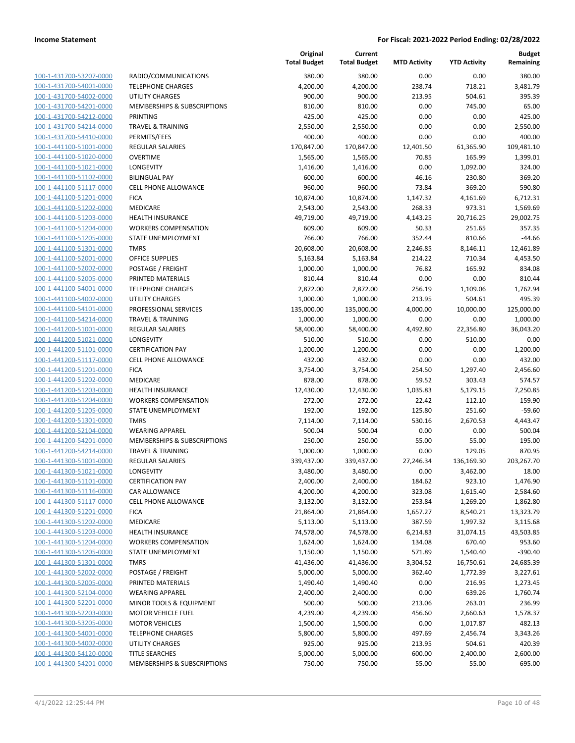| 100-1-431700-53207-0000         |
|---------------------------------|
| 100-1-431700-54001-0000         |
| 100-1-431700-54002-0000         |
| <u>100-1-431700-54201-0000</u>  |
| 100-1-431700-54212-0000         |
| 100-1-431700-54214-0000         |
| 100-1-431700-54410-0000         |
| 100-1-441100-51001-0000         |
| 100-1-441100-51020-0000         |
| 100-1-441100-51021-0000         |
| 100-1-441100-51102-0000         |
| 100-1-441100-51117-0000         |
| 100-1-441100-51201-0000         |
| <u>100-1-441100-51202-0000</u>  |
| 100-1-441100-51203-0000         |
| -441100-51204-0000<br>$100 - 1$ |
| 100-1-441100-51205-0000         |
| 100-1-441100-51301-0000         |
| 100-1-441100-52001-0000         |
| 100-1-441100-52002-0000         |
| 100-1-441100-52005-0000         |
| 100-1-441100-54001-0000         |
| 100-1-441100-54002-0000         |
| <u>100-1-441100-54101-0000</u>  |
| 100-1-441100-54214-0000         |
| -441200-51001-0000<br>$100 - 1$ |
| 100-1-441200-51021-0000         |
| 100-1-441200-51101-0000         |
| 100-1-441200-51117-0000         |
| 100-1-441200-51201-0000         |
| 100-1-441200-51202-0000         |
| 100-1-441200-51203-0000         |
|                                 |
| 100-1-441200-51204-0000         |
| <u>100-1-441200-51205-0000</u>  |
| 100-1-441200-51301-0000         |
| 100-1-441200-52104-0000         |
| 100-1-441200-54201-0000         |
| 100-1-441200-54214-0000         |
| 100-1-441300-51001-0000         |
| 100-1-441300-51021-0000         |
| 100-1-441300-51101-0000         |
| 100-1-441300-51116-0000         |
| 100-1-441300-51117-0000         |
| 100-1-441300-51201-0000         |
| <u>100-1-441300-51202-0000</u>  |
| 100-1-441300-51203-0000         |
| 100-1-441300-51204-0000         |
| 100-1-441300-51205-0000         |
| 100-1-441300-51301-0000         |
| <u>100-1-441300-52002-0000</u>  |
| 100-1-441300-52005-0000         |
| 100-1-441300-52104-0000         |
| <u>100-1-441300-52201-0000</u>  |
| 100-1-441300-52203-0000         |
| <u>100-1-441300-53205-0000</u>  |
| 100-1-441300-54001-0000         |
| <u>100-1-441300-54002-0000</u>  |
| <u>100-1-441300-54120-0000</u>  |
| <u>100-1-441300-54201-0000</u>  |

|                         |                              | Original<br><b>Total Budget</b> | Current<br><b>Total Budget</b> | <b>MTD Activity</b> | <b>YTD Activity</b> | <b>Budget</b><br>Remaining |
|-------------------------|------------------------------|---------------------------------|--------------------------------|---------------------|---------------------|----------------------------|
| 100-1-431700-53207-0000 | RADIO/COMMUNICATIONS         | 380.00                          | 380.00                         | 0.00                | 0.00                | 380.00                     |
| 100-1-431700-54001-0000 | <b>TELEPHONE CHARGES</b>     | 4,200.00                        | 4,200.00                       | 238.74              | 718.21              | 3,481.79                   |
| 100-1-431700-54002-0000 | <b>UTILITY CHARGES</b>       | 900.00                          | 900.00                         | 213.95              | 504.61              | 395.39                     |
| 100-1-431700-54201-0000 | MEMBERSHIPS & SUBSCRIPTIONS  | 810.00                          | 810.00                         | 0.00                | 745.00              | 65.00                      |
| 100-1-431700-54212-0000 | PRINTING                     | 425.00                          | 425.00                         | 0.00                | 0.00                | 425.00                     |
| 100-1-431700-54214-0000 | <b>TRAVEL &amp; TRAINING</b> | 2,550.00                        | 2,550.00                       | 0.00                | 0.00                | 2,550.00                   |
| 100-1-431700-54410-0000 | PERMITS/FEES                 | 400.00                          | 400.00                         | 0.00                | 0.00                | 400.00                     |
| 100-1-441100-51001-0000 | <b>REGULAR SALARIES</b>      | 170,847.00                      | 170,847.00                     | 12,401.50           | 61,365.90           | 109,481.10                 |
| 100-1-441100-51020-0000 | <b>OVERTIME</b>              | 1,565.00                        | 1,565.00                       | 70.85               | 165.99              | 1.399.01                   |
| 100-1-441100-51021-0000 | LONGEVITY                    | 1,416.00                        | 1,416.00                       | 0.00                | 1,092.00            | 324.00                     |
| 100-1-441100-51102-0000 | <b>BILINGUAL PAY</b>         | 600.00                          | 600.00                         | 46.16               | 230.80              | 369.20                     |
| 100-1-441100-51117-0000 | CELL PHONE ALLOWANCE         | 960.00                          | 960.00                         | 73.84               | 369.20              | 590.80                     |
| 100-1-441100-51201-0000 | <b>FICA</b>                  | 10,874.00                       | 10,874.00                      | 1,147.32            | 4,161.69            | 6,712.31                   |
| 100-1-441100-51202-0000 | MEDICARE                     | 2,543.00                        | 2,543.00                       | 268.33              | 973.31              | 1,569.69                   |
| 100-1-441100-51203-0000 | <b>HEALTH INSURANCE</b>      | 49,719.00                       | 49,719.00                      | 4,143.25            | 20,716.25           | 29,002.75                  |
| 100-1-441100-51204-0000 | <b>WORKERS COMPENSATION</b>  | 609.00                          | 609.00                         | 50.33               | 251.65              | 357.35                     |
| 100-1-441100-51205-0000 | STATE UNEMPLOYMENT           | 766.00                          | 766.00                         | 352.44              | 810.66              | $-44.66$                   |
| 100-1-441100-51301-0000 | <b>TMRS</b>                  | 20,608.00                       | 20,608.00                      | 2,246.85            | 8,146.11            | 12,461.89                  |
| 100-1-441100-52001-0000 | <b>OFFICE SUPPLIES</b>       | 5,163.84                        | 5,163.84                       | 214.22              | 710.34              | 4,453.50                   |
| 100-1-441100-52002-0000 | POSTAGE / FREIGHT            | 1,000.00                        | 1,000.00                       | 76.82               | 165.92              | 834.08                     |
| 100-1-441100-52005-0000 | PRINTED MATERIALS            | 810.44                          | 810.44                         | 0.00                | 0.00                | 810.44                     |
| 100-1-441100-54001-0000 | <b>TELEPHONE CHARGES</b>     | 2,872.00                        | 2,872.00                       | 256.19              | 1,109.06            | 1,762.94                   |
| 100-1-441100-54002-0000 | <b>UTILITY CHARGES</b>       | 1,000.00                        | 1,000.00                       | 213.95              | 504.61              | 495.39                     |
| 100-1-441100-54101-0000 | PROFESSIONAL SERVICES        | 135,000.00                      | 135,000.00                     | 4,000.00            | 10,000.00           | 125,000.00                 |
| 100-1-441100-54214-0000 | <b>TRAVEL &amp; TRAINING</b> | 1,000.00                        | 1,000.00                       | 0.00                | 0.00                | 1,000.00                   |
| 100-1-441200-51001-0000 | <b>REGULAR SALARIES</b>      | 58,400.00                       | 58,400.00                      | 4,492.80            | 22,356.80           | 36,043.20                  |
| 100-1-441200-51021-0000 | LONGEVITY                    | 510.00                          | 510.00                         | 0.00                | 510.00              | 0.00                       |
| 100-1-441200-51101-0000 | <b>CERTIFICATION PAY</b>     | 1,200.00                        | 1,200.00                       | 0.00                | 0.00                | 1,200.00                   |
| 100-1-441200-51117-0000 | <b>CELL PHONE ALLOWANCE</b>  | 432.00                          | 432.00                         | 0.00                | 0.00                | 432.00                     |
| 100-1-441200-51201-0000 | <b>FICA</b>                  | 3,754.00                        | 3,754.00                       | 254.50              | 1,297.40            | 2,456.60                   |
| 100-1-441200-51202-0000 | MEDICARE                     | 878.00                          | 878.00                         | 59.52               | 303.43              | 574.57                     |
| 100-1-441200-51203-0000 | <b>HEALTH INSURANCE</b>      | 12,430.00                       | 12,430.00                      | 1,035.83            | 5,179.15            | 7,250.85                   |
| 100-1-441200-51204-0000 | <b>WORKERS COMPENSATION</b>  | 272.00                          | 272.00                         | 22.42               | 112.10              | 159.90                     |
| 100-1-441200-51205-0000 | STATE UNEMPLOYMENT           | 192.00                          | 192.00                         | 125.80              | 251.60              | $-59.60$                   |
| 100-1-441200-51301-0000 | <b>TMRS</b>                  | 7,114.00                        | 7,114.00                       | 530.16              | 2,670.53            | 4,443.47                   |
| 100-1-441200-52104-0000 | <b>WEARING APPAREL</b>       | 500.04                          | 500.04                         | 0.00                | 0.00                | 500.04                     |
| 100-1-441200-54201-0000 | MEMBERSHIPS & SUBSCRIPTIONS  | 250.00                          | 250.00                         | 55.00               | 55.00               | 195.00                     |
| 100-1-441200-54214-0000 | <b>TRAVEL &amp; TRAINING</b> | 1,000.00                        | 1,000.00                       | 0.00                | 129.05              | 870.95                     |
| 100-1-441300-51001-0000 | <b>REGULAR SALARIES</b>      | 339,437.00                      | 339,437.00                     | 27,246.34           | 136,169.30          | 203,267.70                 |
| 100-1-441300-51021-0000 | LONGEVITY                    | 3,480.00                        | 3,480.00                       | 0.00                | 3,462.00            | 18.00                      |
| 100-1-441300-51101-0000 | <b>CERTIFICATION PAY</b>     | 2,400.00                        | 2,400.00                       | 184.62              | 923.10              | 1,476.90                   |
| 100-1-441300-51116-0000 | CAR ALLOWANCE                | 4,200.00                        | 4,200.00                       | 323.08              | 1,615.40            | 2,584.60                   |
| 100-1-441300-51117-0000 | CELL PHONE ALLOWANCE         | 3,132.00                        | 3,132.00                       | 253.84              | 1,269.20            | 1,862.80                   |
| 100-1-441300-51201-0000 | <b>FICA</b>                  | 21,864.00                       | 21,864.00                      | 1,657.27            | 8,540.21            | 13,323.79                  |
| 100-1-441300-51202-0000 | MEDICARE                     | 5,113.00                        | 5,113.00                       | 387.59              | 1,997.32            | 3,115.68                   |
| 100-1-441300-51203-0000 | HEALTH INSURANCE             | 74,578.00                       | 74,578.00                      | 6,214.83            | 31,074.15           | 43,503.85                  |
| 100-1-441300-51204-0000 | <b>WORKERS COMPENSATION</b>  | 1,624.00                        | 1,624.00                       | 134.08              | 670.40              | 953.60                     |
| 100-1-441300-51205-0000 | STATE UNEMPLOYMENT           | 1,150.00                        | 1,150.00                       | 571.89              | 1,540.40            | $-390.40$                  |
| 100-1-441300-51301-0000 | <b>TMRS</b>                  | 41,436.00                       | 41,436.00                      | 3,304.52            | 16,750.61           | 24,685.39                  |
| 100-1-441300-52002-0000 | POSTAGE / FREIGHT            | 5,000.00                        | 5,000.00                       | 362.40              | 1,772.39            | 3,227.61                   |
| 100-1-441300-52005-0000 | PRINTED MATERIALS            | 1,490.40                        | 1,490.40                       | 0.00                | 216.95              | 1,273.45                   |
| 100-1-441300-52104-0000 | <b>WEARING APPAREL</b>       | 2,400.00                        | 2,400.00                       | 0.00                | 639.26              | 1,760.74                   |
| 100-1-441300-52201-0000 | MINOR TOOLS & EQUIPMENT      | 500.00                          | 500.00                         | 213.06              | 263.01              | 236.99                     |
| 100-1-441300-52203-0000 | <b>MOTOR VEHICLE FUEL</b>    | 4,239.00                        | 4,239.00                       | 456.60              | 2,660.63            | 1,578.37                   |
| 100-1-441300-53205-0000 | <b>MOTOR VEHICLES</b>        | 1,500.00                        | 1,500.00                       | 0.00                | 1,017.87            | 482.13                     |
| 100-1-441300-54001-0000 | <b>TELEPHONE CHARGES</b>     | 5,800.00                        | 5,800.00                       | 497.69              | 2,456.74            | 3,343.26                   |
| 100-1-441300-54002-0000 | UTILITY CHARGES              | 925.00                          | 925.00                         | 213.95              | 504.61              | 420.39                     |
| 100-1-441300-54120-0000 | <b>TITLE SEARCHES</b>        | 5,000.00                        | 5,000.00                       | 600.00              | 2,400.00            | 2,600.00                   |
| 100-1-441300-54201-0000 | MEMBERSHIPS & SUBSCRIPTIONS  | 750.00                          | 750.00                         | 55.00               | 55.00               | 695.00                     |
|                         |                              |                                 |                                |                     |                     |                            |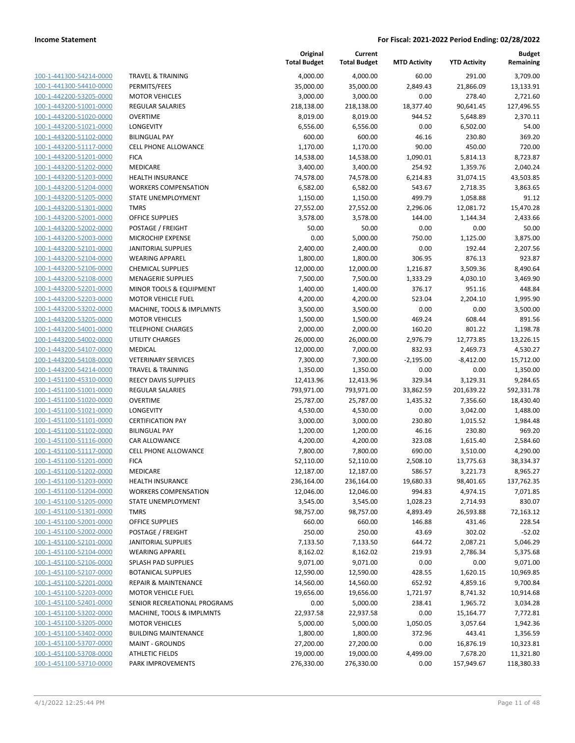| 100-1-441300-54214-0000        | Ī                        |
|--------------------------------|--------------------------|
| 100-1-441300-54410-0000        | f                        |
| 100-1-442200-53205-0000        | I                        |
| 100-1-443200-51001-0000        | f                        |
| 100-1-443200-51020-0000        | $\overline{\phantom{a}}$ |
| 100-1-443200-51021-0000        | l                        |
| 100-1-443200-51102-0000        | ŀ                        |
| 100-1-443200-51117-0000        | (                        |
| 100-1-443200-51201-0000        | f                        |
| 100-1-443200-51202-0000        | I                        |
| 100-1-443200-51203-0000        | ł                        |
| 100-1-443200-51204-0000        | ١                        |
| 100-1-443200-51205-0000        | í                        |
| 100-1-443200-51301-0000        |                          |
| 100-1-443200-52001-0000        | $\overline{\phantom{a}}$ |
| 100-1-443200-52002-0000        | f                        |
| 100-1-443200-52003-0000        | ľ                        |
| 100-1-443200-52101-0000        | J                        |
| 100-1-443200-52104-0000        | ١                        |
| 100-1-443200-52106-0000        | (                        |
| 100-1-443200-52108-0000        | ľ                        |
| 100-1-443200-52201-0000        | ı                        |
| 100-1-443200-52203-0000        | ı                        |
| 100-1-443200-53202-0000        | I                        |
| 100-1-443200-53205-0000        | I                        |
| 100-1-443200-54001-0000        | Ī                        |
| 100-1-443200-54002-0000        | l                        |
| 100-1-443200-54107-0000        | I                        |
| 100-1-443200-54108-0000        | ١                        |
| 100-1-443200-54214-0000        | Ī                        |
| 100-1-451100-45310-0000        | f                        |
| 100-1-451100-51001-0000        | f                        |
| 100-1-451100-51020-0000        | (                        |
| 100-1-451100-51021-0000        | l                        |
| 100-1-451100-51101-0000        | (                        |
| 100-1-451100-51102-0000        | ŀ                        |
| 100-1-451100-51116-0000        | (                        |
| 100-1-451100-51117-0000        | (                        |
| 100-1-451100-51201-0000        | f                        |
| 100-1-451100-51202-0000        | I                        |
| 100-1-451100-51203-0000        | ł                        |
| 100-1-451100-51204-0000        |                          |
| <u>100-1-451100-51205-0000</u> | í                        |
|                                |                          |
| <u>100-1-451100-51301-0000</u> | (                        |
| <u>100-1-451100-52001-0000</u> | I                        |
| 100-1-451100-52002-0000        |                          |
| 100-1-451100-52101-0000        | J                        |
| 100-1-451100-52104-0000        |                          |
| 100-1-451100-52106-0000        |                          |
| <u>100-1-451100-52107-0000</u> | l                        |
| 100-1-451100-52201-0000        | I                        |
| 100-1-451100-52203-0000        | I                        |
| 100-1-451100-52401-0000        | :                        |
| <u>100-1-451100-53202-0000</u> | ı                        |
| <u>100-1-451100-53205-0000</u> | I                        |
| 100-1-451100-53402-0000        | I                        |
| 100-1-451100-53707-0000        | I                        |
| <u>100-1-451100-53708-0000</u> |                          |
| 100-1-451100-53710-0000        | ŀ                        |
|                                |                          |

|                         |                                 | Original<br><b>Total Budget</b> | Current<br><b>Total Budget</b> | <b>MTD Activity</b> | <b>YTD Activity</b> | <b>Budget</b><br>Remaining |
|-------------------------|---------------------------------|---------------------------------|--------------------------------|---------------------|---------------------|----------------------------|
| 100-1-441300-54214-0000 | <b>TRAVEL &amp; TRAINING</b>    | 4,000.00                        | 4,000.00                       | 60.00               | 291.00              | 3,709.00                   |
| 100-1-441300-54410-0000 | PERMITS/FEES                    | 35,000.00                       | 35,000.00                      | 2,849.43            | 21,866.09           | 13,133.91                  |
| 100-1-442200-53205-0000 | <b>MOTOR VEHICLES</b>           | 3,000.00                        | 3,000.00                       | 0.00                | 278.40              | 2,721.60                   |
| 100-1-443200-51001-0000 | <b>REGULAR SALARIES</b>         | 218,138.00                      | 218,138.00                     | 18,377.40           | 90,641.45           | 127,496.55                 |
| 100-1-443200-51020-0000 | <b>OVERTIME</b>                 | 8,019.00                        | 8,019.00                       | 944.52              | 5,648.89            | 2,370.11                   |
| 100-1-443200-51021-0000 | LONGEVITY                       | 6,556.00                        | 6,556.00                       | 0.00                | 6,502.00            | 54.00                      |
| 100-1-443200-51102-0000 | <b>BILINGUAL PAY</b>            | 600.00                          | 600.00                         | 46.16               | 230.80              | 369.20                     |
| 100-1-443200-51117-0000 | CELL PHONE ALLOWANCE            | 1,170.00                        | 1,170.00                       | 90.00               | 450.00              | 720.00                     |
| 100-1-443200-51201-0000 | <b>FICA</b>                     | 14,538.00                       | 14,538.00                      | 1,090.01            | 5,814.13            | 8,723.87                   |
| 100-1-443200-51202-0000 | MEDICARE                        | 3,400.00                        | 3,400.00                       | 254.92              | 1,359.76            | 2,040.24                   |
| 100-1-443200-51203-0000 | HEALTH INSURANCE                | 74,578.00                       | 74,578.00                      | 6,214.83            | 31,074.15           | 43,503.85                  |
| 100-1-443200-51204-0000 | <b>WORKERS COMPENSATION</b>     | 6,582.00                        | 6,582.00                       | 543.67              | 2,718.35            | 3,863.65                   |
| 100-1-443200-51205-0000 | STATE UNEMPLOYMENT              | 1,150.00                        | 1,150.00                       | 499.79              | 1,058.88            | 91.12                      |
| 100-1-443200-51301-0000 | <b>TMRS</b>                     | 27,552.00                       | 27,552.00                      | 2,296.06            | 12,081.72           | 15,470.28                  |
| 100-1-443200-52001-0000 | <b>OFFICE SUPPLIES</b>          | 3,578.00                        | 3,578.00                       | 144.00              | 1,144.34            | 2,433.66                   |
| 100-1-443200-52002-0000 | POSTAGE / FREIGHT               | 50.00                           | 50.00                          | 0.00                | 0.00                | 50.00                      |
| 100-1-443200-52003-0000 | MICROCHIP EXPENSE               | 0.00                            | 5,000.00                       | 750.00              | 1,125.00            | 3,875.00                   |
| 100-1-443200-52101-0000 | <b>JANITORIAL SUPPLIES</b>      | 2,400.00                        | 2,400.00                       | 0.00                | 192.44              | 2,207.56                   |
| 100-1-443200-52104-0000 | <b>WEARING APPAREL</b>          | 1,800.00                        | 1,800.00                       | 306.95              | 876.13              | 923.87                     |
| 100-1-443200-52106-0000 | <b>CHEMICAL SUPPLIES</b>        | 12,000.00                       | 12,000.00                      | 1,216.87            | 3,509.36            | 8,490.64                   |
| 100-1-443200-52108-0000 | <b>MENAGERIE SUPPLIES</b>       | 7,500.00                        | 7,500.00                       | 1,333.29            | 4,030.10            | 3,469.90                   |
| 100-1-443200-52201-0000 | MINOR TOOLS & EQUIPMENT         | 1,400.00                        | 1,400.00                       | 376.17              | 951.16              | 448.84                     |
| 100-1-443200-52203-0000 | <b>MOTOR VEHICLE FUEL</b>       | 4,200.00                        | 4,200.00                       | 523.04              | 2,204.10            | 1,995.90                   |
| 100-1-443200-53202-0000 | MACHINE, TOOLS & IMPLMNTS       | 3,500.00                        | 3,500.00                       | 0.00                | 0.00                | 3,500.00                   |
| 100-1-443200-53205-0000 | <b>MOTOR VEHICLES</b>           | 1,500.00                        | 1,500.00                       | 469.24              | 608.44              | 891.56                     |
| 100-1-443200-54001-0000 | <b>TELEPHONE CHARGES</b>        | 2,000.00                        | 2,000.00                       | 160.20              | 801.22              | 1,198.78                   |
| 100-1-443200-54002-0000 | UTILITY CHARGES                 | 26,000.00                       | 26,000.00                      | 2,976.79            | 12,773.85           | 13,226.15                  |
| 100-1-443200-54107-0000 | <b>MEDICAL</b>                  | 12,000.00                       | 7,000.00                       | 832.93              | 2,469.73            | 4,530.27                   |
| 100-1-443200-54108-0000 | <b>VETERINARY SERVICES</b>      | 7,300.00                        | 7,300.00                       | $-2,195.00$         | $-8,412.00$         | 15,712.00                  |
| 100-1-443200-54214-0000 | <b>TRAVEL &amp; TRAINING</b>    | 1,350.00                        | 1,350.00                       | 0.00                | 0.00                | 1,350.00                   |
| 100-1-451100-45310-0000 | REECY DAVIS SUPPLIES            | 12,413.96                       | 12,413.96                      | 329.34              | 3,129.31            | 9,284.65                   |
| 100-1-451100-51001-0000 | REGULAR SALARIES                | 793,971.00                      | 793,971.00                     | 33,862.59           | 201,639.22          | 592,331.78                 |
| 100-1-451100-51020-0000 | <b>OVERTIME</b>                 | 25,787.00                       | 25,787.00                      | 1,435.32            | 7,356.60            | 18,430.40                  |
| 100-1-451100-51021-0000 | LONGEVITY                       | 4,530.00                        | 4,530.00                       | 0.00                | 3,042.00            | 1,488.00                   |
| 100-1-451100-51101-0000 | <b>CERTIFICATION PAY</b>        | 3,000.00                        | 3,000.00                       | 230.80              | 1,015.52            | 1,984.48                   |
| 100-1-451100-51102-0000 | <b>BILINGUAL PAY</b>            | 1,200.00                        | 1,200.00                       | 46.16               | 230.80              | 969.20                     |
| 100-1-451100-51116-0000 | CAR ALLOWANCE                   | 4,200.00                        | 4,200.00                       | 323.08              | 1,615.40            | 2,584.60                   |
| 100-1-451100-51117-0000 | <b>CELL PHONE ALLOWANCE</b>     | 7,800.00                        | 7,800.00                       | 690.00              | 3,510.00            | 4,290.00                   |
| 100-1-451100-51201-0000 | <b>FICA</b>                     | 52,110.00                       | 52,110.00                      | 2,508.10            | 13,775.63           | 38,334.37                  |
| 100-1-451100-51202-0000 | <b>MEDICARE</b>                 | 12,187.00                       | 12,187.00                      | 586.57              | 3,221.73            | 8,965.27                   |
| 100-1-451100-51203-0000 | <b>HEALTH INSURANCE</b>         | 236,164.00                      | 236,164.00                     | 19,680.33           | 98,401.65           | 137,762.35                 |
| 100-1-451100-51204-0000 | <b>WORKERS COMPENSATION</b>     | 12,046.00                       | 12,046.00                      | 994.83              | 4,974.15            | 7,071.85                   |
| 100-1-451100-51205-0000 | STATE UNEMPLOYMENT              | 3,545.00                        | 3,545.00                       | 1,028.23            | 2,714.93            | 830.07                     |
| 100-1-451100-51301-0000 | <b>TMRS</b>                     | 98,757.00                       | 98,757.00                      | 4,893.49            | 26,593.88           | 72,163.12                  |
| 100-1-451100-52001-0000 | OFFICE SUPPLIES                 | 660.00                          | 660.00                         | 146.88              | 431.46              | 228.54                     |
| 100-1-451100-52002-0000 | POSTAGE / FREIGHT               | 250.00                          | 250.00                         | 43.69               | 302.02              | $-52.02$                   |
| 100-1-451100-52101-0000 | <b>JANITORIAL SUPPLIES</b>      | 7,133.50                        | 7,133.50                       | 644.72              | 2,087.21            | 5,046.29                   |
| 100-1-451100-52104-0000 | <b>WEARING APPAREL</b>          | 8,162.02                        | 8,162.02                       | 219.93              | 2,786.34            | 5,375.68                   |
| 100-1-451100-52106-0000 | SPLASH PAD SUPPLIES             | 9,071.00                        | 9,071.00                       | 0.00                | 0.00                | 9,071.00                   |
| 100-1-451100-52107-0000 | <b>BOTANICAL SUPPLIES</b>       | 12,590.00                       | 12,590.00                      | 428.55              | 1,620.15            | 10,969.85                  |
| 100-1-451100-52201-0000 | <b>REPAIR &amp; MAINTENANCE</b> | 14,560.00                       | 14,560.00                      | 652.92              | 4,859.16            | 9,700.84                   |
| 100-1-451100-52203-0000 | <b>MOTOR VEHICLE FUEL</b>       | 19,656.00                       | 19,656.00                      | 1,721.97            | 8,741.32            | 10,914.68                  |
| 100-1-451100-52401-0000 | SENIOR RECREATIONAL PROGRAMS    | 0.00                            | 5,000.00                       | 238.41              | 1,965.72            | 3,034.28                   |
| 100-1-451100-53202-0000 | MACHINE, TOOLS & IMPLMNTS       | 22,937.58                       | 22,937.58                      | 0.00                | 15,164.77           | 7,772.81                   |
| 100-1-451100-53205-0000 | <b>MOTOR VEHICLES</b>           | 5,000.00                        | 5,000.00                       | 1,050.05            | 3,057.64            | 1,942.36                   |
| 100-1-451100-53402-0000 | <b>BUILDING MAINTENANCE</b>     | 1,800.00                        | 1,800.00                       | 372.96              | 443.41              | 1,356.59                   |
| 100-1-451100-53707-0000 | <b>MAINT - GROUNDS</b>          | 27,200.00                       | 27,200.00                      | 0.00                | 16,876.19           | 10,323.81                  |
| 100-1-451100-53708-0000 | <b>ATHLETIC FIELDS</b>          | 19,000.00                       | 19,000.00                      | 4,499.00            | 7,678.20            | 11,321.80                  |
| 100-1-451100-53710-0000 | PARK IMPROVEMENTS               | 276,330.00                      | 276,330.00                     | 0.00                | 157,949.67          | 118,380.33                 |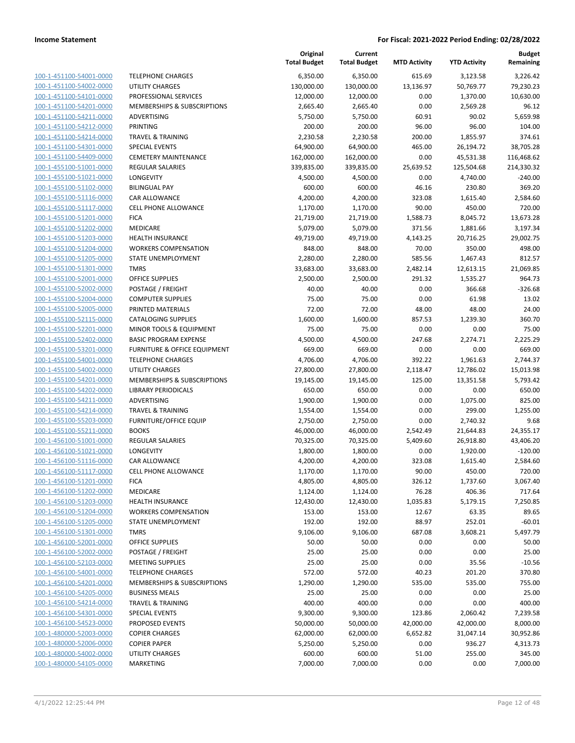|                                                    |                                                     | Original<br><b>Total Budget</b> | Current<br><b>Total Budget</b> | <b>MTD Activity</b> | <b>YTD Activity</b>   | <b>Budget</b><br>Remaining |
|----------------------------------------------------|-----------------------------------------------------|---------------------------------|--------------------------------|---------------------|-----------------------|----------------------------|
| 100-1-451100-54001-0000                            | <b>TELEPHONE CHARGES</b>                            | 6,350.00                        | 6,350.00                       | 615.69              | 3,123.58              | 3,226.42                   |
| 100-1-451100-54002-0000                            | <b>UTILITY CHARGES</b>                              | 130,000.00                      | 130,000.00                     | 13,136.97           | 50,769.77             | 79,230.23                  |
| 100-1-451100-54101-0000                            | PROFESSIONAL SERVICES                               | 12,000.00                       | 12,000.00                      | 0.00                | 1,370.00              | 10,630.00                  |
| 100-1-451100-54201-0000                            | <b>MEMBERSHIPS &amp; SUBSCRIPTIONS</b>              | 2,665.40                        | 2,665.40                       | 0.00                | 2,569.28              | 96.12                      |
| 100-1-451100-54211-0000                            | <b>ADVERTISING</b>                                  | 5,750.00                        | 5,750.00                       | 60.91               | 90.02                 | 5,659.98                   |
| 100-1-451100-54212-0000                            | <b>PRINTING</b>                                     | 200.00                          | 200.00                         | 96.00               | 96.00                 | 104.00                     |
| 100-1-451100-54214-0000                            | <b>TRAVEL &amp; TRAINING</b>                        | 2,230.58                        | 2,230.58                       | 200.00              | 1,855.97              | 374.61                     |
| 100-1-451100-54301-0000                            | <b>SPECIAL EVENTS</b>                               | 64,900.00                       | 64,900.00                      | 465.00              | 26,194.72             | 38,705.28                  |
| 100-1-451100-54409-0000                            | <b>CEMETERY MAINTENANCE</b>                         | 162,000.00                      | 162,000.00                     | 0.00                | 45,531.38             | 116,468.62                 |
| 100-1-455100-51001-0000                            | <b>REGULAR SALARIES</b>                             | 339,835.00                      | 339,835.00                     | 25,639.52           | 125,504.68            | 214,330.32                 |
| 100-1-455100-51021-0000                            | LONGEVITY                                           | 4,500.00                        | 4,500.00                       | 0.00                | 4,740.00              | $-240.00$                  |
| 100-1-455100-51102-0000                            | <b>BILINGUAL PAY</b>                                | 600.00                          | 600.00                         | 46.16               | 230.80                | 369.20                     |
| 100-1-455100-51116-0000                            | CAR ALLOWANCE                                       | 4,200.00                        | 4,200.00                       | 323.08              | 1,615.40              | 2,584.60                   |
| 100-1-455100-51117-0000                            | <b>CELL PHONE ALLOWANCE</b>                         | 1,170.00                        | 1,170.00                       | 90.00               | 450.00                | 720.00                     |
| 100-1-455100-51201-0000                            | <b>FICA</b>                                         | 21,719.00                       | 21,719.00                      | 1,588.73            | 8,045.72              | 13,673.28                  |
| 100-1-455100-51202-0000                            | MEDICARE                                            | 5,079.00                        | 5,079.00                       | 371.56              | 1,881.66              | 3,197.34                   |
| 100-1-455100-51203-0000                            | <b>HEALTH INSURANCE</b>                             | 49,719.00                       | 49,719.00                      | 4,143.25            | 20,716.25             | 29,002.75                  |
| 100-1-455100-51204-0000                            | <b>WORKERS COMPENSATION</b>                         | 848.00                          | 848.00                         | 70.00               | 350.00                | 498.00                     |
| 100-1-455100-51205-0000                            | STATE UNEMPLOYMENT                                  | 2,280.00                        | 2,280.00                       | 585.56              | 1,467.43              | 812.57                     |
| 100-1-455100-51301-0000                            | <b>TMRS</b>                                         | 33,683.00                       | 33,683.00                      | 2,482.14            | 12,613.15             | 21,069.85                  |
| 100-1-455100-52001-0000                            | <b>OFFICE SUPPLIES</b>                              | 2,500.00                        | 2,500.00                       | 291.32              | 1,535.27              | 964.73                     |
| 100-1-455100-52002-0000                            | POSTAGE / FREIGHT                                   | 40.00                           | 40.00                          | 0.00                | 366.68                | $-326.68$                  |
| 100-1-455100-52004-0000                            | <b>COMPUTER SUPPLIES</b>                            | 75.00                           | 75.00                          | 0.00                | 61.98                 | 13.02                      |
| 100-1-455100-52005-0000                            | PRINTED MATERIALS                                   | 72.00                           | 72.00                          | 48.00               | 48.00                 | 24.00                      |
| 100-1-455100-52115-0000                            | <b>CATALOGING SUPPLIES</b>                          | 1,600.00                        | 1,600.00                       | 857.53              | 1,239.30              | 360.70                     |
| 100-1-455100-52201-0000                            | MINOR TOOLS & EQUIPMENT                             | 75.00                           | 75.00                          | 0.00                | 0.00                  | 75.00                      |
| 100-1-455100-52402-0000                            | <b>BASIC PROGRAM EXPENSE</b>                        | 4,500.00                        | 4,500.00                       | 247.68              | 2,274.71              | 2,225.29                   |
| 100-1-455100-53201-0000                            | <b>FURNITURE &amp; OFFICE EQUIPMENT</b>             | 669.00                          | 669.00                         | 0.00                | 0.00                  | 669.00                     |
| 100-1-455100-54001-0000                            | <b>TELEPHONE CHARGES</b>                            | 4,706.00                        | 4,706.00                       | 392.22              | 1,961.63              | 2,744.37                   |
| 100-1-455100-54002-0000                            | <b>UTILITY CHARGES</b>                              | 27,800.00                       | 27,800.00                      | 2,118.47            | 12,786.02             | 15,013.98                  |
| 100-1-455100-54201-0000                            | MEMBERSHIPS & SUBSCRIPTIONS                         | 19,145.00                       | 19,145.00                      | 125.00              | 13,351.58             | 5,793.42                   |
| 100-1-455100-54202-0000                            | <b>LIBRARY PERIODICALS</b>                          | 650.00                          | 650.00                         | 0.00                | 0.00                  | 650.00                     |
| 100-1-455100-54211-0000                            | ADVERTISING                                         | 1,900.00                        | 1,900.00                       | 0.00                | 1,075.00              | 825.00                     |
| 100-1-455100-54214-0000                            | <b>TRAVEL &amp; TRAINING</b>                        | 1,554.00                        | 1,554.00                       | 0.00                | 299.00                | 1,255.00                   |
| 100-1-455100-55203-0000                            | <b>FURNITURE/OFFICE EQUIP</b>                       | 2,750.00                        | 2,750.00                       | 0.00                | 2,740.32              | 9.68                       |
| 100-1-455100-55211-0000                            | <b>BOOKS</b>                                        | 46,000.00                       | 46,000.00                      | 2,542.49            | 21,644.83             | 24,355.17                  |
| 100-1-456100-51001-0000                            | <b>REGULAR SALARIES</b>                             | 70,325.00                       | 70,325.00                      | 5,409.60            | 26,918.80             | 43,406.20                  |
| 100-1-456100-51021-0000                            | LONGEVITY                                           | 1,800.00                        | 1,800.00                       | 0.00                | 1,920.00              | $-120.00$                  |
| 100-1-456100-51116-0000                            | <b>CAR ALLOWANCE</b>                                | 4,200.00                        | 4,200.00                       | 323.08              | 1,615.40              | 2,584.60                   |
| 100-1-456100-51117-0000                            | CELL PHONE ALLOWANCE                                | 1,170.00                        | 1,170.00                       | 90.00               | 450.00                | 720.00                     |
| 100-1-456100-51201-0000                            | <b>FICA</b>                                         | 4,805.00                        | 4,805.00                       | 326.12              | 1,737.60              | 3,067.40                   |
| 100-1-456100-51202-0000                            | MEDICARE                                            | 1,124.00                        | 1,124.00                       | 76.28               | 406.36                | 717.64                     |
| 100-1-456100-51203-0000                            | <b>HEALTH INSURANCE</b>                             | 12,430.00                       | 12,430.00                      | 1,035.83            | 5,179.15              | 7,250.85                   |
| 100-1-456100-51204-0000                            | <b>WORKERS COMPENSATION</b>                         | 153.00                          | 153.00                         | 12.67               | 63.35                 | 89.65                      |
| 100-1-456100-51205-0000                            | STATE UNEMPLOYMENT                                  | 192.00                          | 192.00                         | 88.97               | 252.01                | $-60.01$                   |
| 100-1-456100-51301-0000                            | <b>TMRS</b>                                         | 9,106.00                        | 9,106.00                       | 687.08              | 3,608.21              | 5,497.79                   |
| 100-1-456100-52001-0000                            | OFFICE SUPPLIES                                     | 50.00                           | 50.00                          | 0.00                | 0.00                  | 50.00                      |
| 100-1-456100-52002-0000<br>100-1-456100-52103-0000 | POSTAGE / FREIGHT                                   | 25.00                           | 25.00                          | 0.00                | 0.00                  | 25.00                      |
| 100-1-456100-54001-0000                            | <b>MEETING SUPPLIES</b><br><b>TELEPHONE CHARGES</b> | 25.00                           | 25.00                          | 0.00                | 35.56                 | $-10.56$                   |
|                                                    |                                                     | 572.00                          | 572.00                         | 40.23               | 201.20                | 370.80                     |
| 100-1-456100-54201-0000                            | MEMBERSHIPS & SUBSCRIPTIONS                         | 1,290.00                        | 1,290.00                       | 535.00              | 535.00                | 755.00                     |
| 100-1-456100-54205-0000                            | <b>BUSINESS MEALS</b>                               | 25.00                           | 25.00                          | 0.00                | 0.00                  | 25.00                      |
| 100-1-456100-54214-0000<br>100-1-456100-54301-0000 | <b>TRAVEL &amp; TRAINING</b>                        | 400.00                          | 400.00                         | 0.00                | 0.00                  | 400.00                     |
| 100-1-456100-54523-0000                            | <b>SPECIAL EVENTS</b><br>PROPOSED EVENTS            | 9,300.00                        | 9,300.00                       | 123.86<br>42,000.00 | 2,060.42<br>42,000.00 | 7,239.58<br>8,000.00       |
| 100-1-480000-52003-0000                            |                                                     | 50,000.00                       | 50,000.00                      | 6,652.82            |                       |                            |
| 100-1-480000-52006-0000                            | <b>COPIER CHARGES</b><br><b>COPIER PAPER</b>        | 62,000.00<br>5,250.00           | 62,000.00<br>5,250.00          | 0.00                | 31,047.14<br>936.27   | 30,952.86<br>4,313.73      |
| 100-1-480000-54002-0000                            | UTILITY CHARGES                                     |                                 |                                |                     |                       |                            |
| 100-1-480000-54105-0000                            |                                                     | 600.00                          | 600.00                         | 51.00               | 255.00                | 345.00                     |
|                                                    | MARKETING                                           | 7,000.00                        | 7,000.00                       | 0.00                | 0.00                  | 7,000.00                   |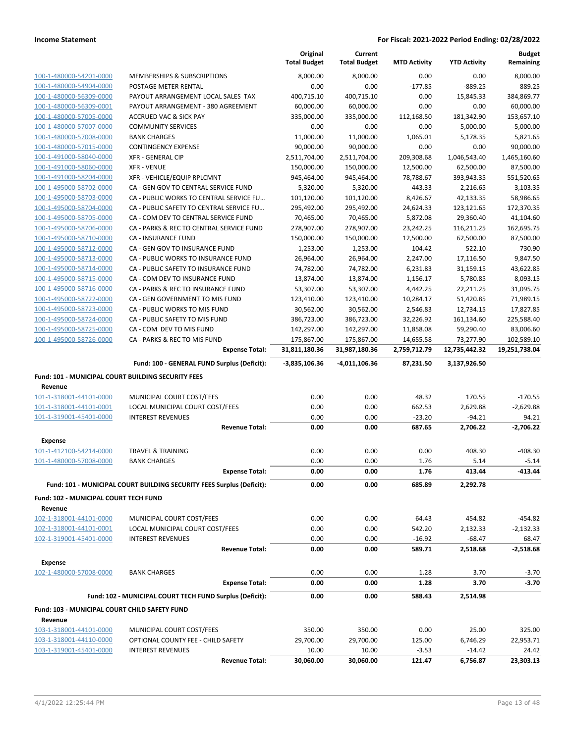|                                                    |                                                                        | Original<br><b>Total Budget</b> | Current<br><b>Total Budget</b> | <b>MTD Activity</b>  | <b>YTD Activity</b>   | <b>Budget</b><br>Remaining |
|----------------------------------------------------|------------------------------------------------------------------------|---------------------------------|--------------------------------|----------------------|-----------------------|----------------------------|
| 100-1-480000-54201-0000                            | MEMBERSHIPS & SUBSCRIPTIONS                                            | 8,000.00                        | 8,000.00                       | 0.00                 | 0.00                  | 8,000.00                   |
| 100-1-480000-54904-0000                            | POSTAGE METER RENTAL                                                   | 0.00                            | 0.00                           | $-177.85$            | $-889.25$             | 889.25                     |
| 100-1-480000-56309-0000                            | PAYOUT ARRANGEMENT LOCAL SALES TAX                                     | 400,715.10                      | 400,715.10                     | 0.00                 | 15,845.33             | 384,869.77                 |
| 100-1-480000-56309-0001                            | PAYOUT ARRANGEMENT - 380 AGREEMENT                                     | 60,000.00                       | 60,000.00                      | 0.00                 | 0.00                  | 60.000.00                  |
| 100-1-480000-57005-0000                            | <b>ACCRUED VAC &amp; SICK PAY</b>                                      | 335,000.00                      | 335,000.00                     | 112,168.50           | 181,342.90            | 153,657.10                 |
| 100-1-480000-57007-0000                            | <b>COMMUNITY SERVICES</b>                                              | 0.00                            | 0.00                           | 0.00                 | 5,000.00              | $-5,000.00$                |
| 100-1-480000-57008-0000                            | <b>BANK CHARGES</b>                                                    | 11,000.00                       | 11,000.00                      | 1,065.01             | 5,178.35              | 5,821.65                   |
| 100-1-480000-57015-0000                            | <b>CONTINGENCY EXPENSE</b>                                             | 90,000.00                       | 90,000.00                      | 0.00                 | 0.00                  | 90,000.00                  |
| 100-1-491000-58040-0000                            | <b>XFR - GENERAL CIP</b>                                               | 2,511,704.00                    | 2,511,704.00                   | 209,308.68           | 1,046,543.40          | 1,465,160.60               |
| 100-1-491000-58060-0000                            | <b>XFR - VENUE</b>                                                     | 150,000.00                      | 150,000.00                     | 12,500.00            | 62,500.00             | 87,500.00                  |
| 100-1-491000-58204-0000                            | XFR - VEHICLE/EQUIP RPLCMNT                                            | 945,464.00                      | 945,464.00                     | 78,788.67            | 393,943.35            | 551,520.65                 |
| 100-1-495000-58702-0000                            | CA - GEN GOV TO CENTRAL SERVICE FUND                                   | 5,320.00                        | 5,320.00                       | 443.33               | 2,216.65              | 3,103.35                   |
| 100-1-495000-58703-0000                            | CA - PUBLIC WORKS TO CENTRAL SERVICE FU                                | 101,120.00                      | 101,120.00                     | 8,426.67             | 42,133.35             | 58,986.65                  |
| 100-1-495000-58704-0000                            | CA - PUBLIC SAFETY TO CENTRAL SERVICE FU                               | 295,492.00                      | 295,492.00                     | 24,624.33            | 123,121.65            | 172,370.35                 |
| 100-1-495000-58705-0000                            | CA - COM DEV TO CENTRAL SERVICE FUND                                   | 70,465.00                       | 70,465.00                      | 5,872.08             | 29,360.40             | 41,104.60                  |
| 100-1-495000-58706-0000                            | CA - PARKS & REC TO CENTRAL SERVICE FUND                               | 278,907.00                      | 278,907.00                     | 23,242.25            | 116,211.25            | 162,695.75                 |
| 100-1-495000-58710-0000                            | CA - INSURANCE FUND                                                    | 150,000.00                      | 150,000.00                     | 12,500.00            | 62,500.00             | 87,500.00                  |
| 100-1-495000-58712-0000                            | CA - GEN GOV TO INSURANCE FUND                                         | 1,253.00                        | 1,253.00                       | 104.42               | 522.10                | 730.90                     |
| 100-1-495000-58713-0000                            | CA - PUBLIC WORKS TO INSURANCE FUND                                    | 26,964.00                       | 26,964.00                      | 2,247.00             | 17,116.50             | 9,847.50<br>43,622.85      |
| 100-1-495000-58714-0000<br>100-1-495000-58715-0000 | CA - PUBLIC SAFETY TO INSURANCE FUND<br>CA - COM DEV TO INSURANCE FUND | 74,782.00                       | 74,782.00                      | 6,231.83             | 31,159.15             | 8,093.15                   |
| 100-1-495000-58716-0000                            | CA - PARKS & REC TO INSURANCE FUND                                     | 13,874.00<br>53,307.00          | 13,874.00<br>53,307.00         | 1,156.17<br>4,442.25 | 5,780.85<br>22,211.25 | 31,095.75                  |
| 100-1-495000-58722-0000                            | CA - GEN GOVERNMENT TO MIS FUND                                        | 123,410.00                      | 123,410.00                     | 10,284.17            | 51,420.85             | 71,989.15                  |
| 100-1-495000-58723-0000                            | CA - PUBLIC WORKS TO MIS FUND                                          | 30,562.00                       | 30,562.00                      | 2,546.83             | 12,734.15             | 17,827.85                  |
| 100-1-495000-58724-0000                            | CA - PUBLIC SAFETY TO MIS FUND                                         | 386,723.00                      | 386,723.00                     | 32,226.92            | 161,134.60            | 225,588.40                 |
| 100-1-495000-58725-0000                            | CA - COM DEV TO MIS FUND                                               | 142,297.00                      | 142,297.00                     | 11,858.08            | 59,290.40             | 83,006.60                  |
| 100-1-495000-58726-0000                            | CA - PARKS & REC TO MIS FUND                                           | 175,867.00                      | 175,867.00                     | 14,655.58            | 73,277.90             | 102,589.10                 |
|                                                    | <b>Expense Total:</b>                                                  | 31,811,180.36                   | 31,987,180.36                  | 2,759,712.79         | 12,735,442.32         | 19,251,738.04              |
|                                                    |                                                                        |                                 |                                |                      |                       |                            |
|                                                    | Fund: 100 - GENERAL FUND Surplus (Deficit):                            | $-3,835,106.36$                 | -4,011,106.36                  | 87,231.50            | 3,137,926.50          |                            |
| Fund: 101 - MUNICIPAL COURT BUILDING SECURITY FEES |                                                                        |                                 |                                |                      |                       |                            |
| Revenue                                            |                                                                        |                                 |                                |                      |                       |                            |
| 101-1-318001-44101-0000                            | MUNICIPAL COURT COST/FEES                                              | 0.00                            | 0.00                           | 48.32                | 170.55                | $-170.55$                  |
| 101-1-318001-44101-0001                            | LOCAL MUNICIPAL COURT COST/FEES                                        | 0.00                            | 0.00                           | 662.53               | 2,629.88              | $-2,629.88$                |
| 101-1-319001-45401-0000                            | <b>INTEREST REVENUES</b>                                               | 0.00                            | 0.00                           | $-23.20$             | $-94.21$              | 94.21                      |
|                                                    | <b>Revenue Total:</b>                                                  | 0.00                            | 0.00                           | 687.65               | 2,706.22              | $-2.706.22$                |
| <b>Expense</b>                                     |                                                                        |                                 |                                |                      |                       |                            |
| 101-1-412100-54214-0000                            | <b>TRAVEL &amp; TRAINING</b>                                           | 0.00                            | 0.00                           | 0.00                 | 408.30                | $-408.30$                  |
| 101-1-480000-57008-0000                            | <b>BANK CHARGES</b>                                                    | 0.00                            | 0.00                           | 1.76                 | 5.14                  | $-5.14$                    |
|                                                    | <b>Expense Total:</b>                                                  | 0.00                            | 0.00                           | 1.76                 | 413.44                | $-413.44$                  |
|                                                    | Fund: 101 - MUNICIPAL COURT BUILDING SECURITY FEES Surplus (Deficit):  | 0.00                            | 0.00                           | 685.89               | 2,292.78              |                            |
| Fund: 102 - MUNICIPAL COURT TECH FUND              |                                                                        |                                 |                                |                      |                       |                            |
| Revenue                                            |                                                                        |                                 |                                |                      |                       |                            |
| 102-1-318001-44101-0000                            | MUNICIPAL COURT COST/FEES                                              | 0.00                            | 0.00                           | 64.43                | 454.82                | $-454.82$                  |
| 102-1-318001-44101-0001                            | LOCAL MUNICIPAL COURT COST/FEES                                        | 0.00                            | 0.00                           | 542.20               | 2,132.33              | $-2,132.33$                |
| 102-1-319001-45401-0000                            | <b>INTEREST REVENUES</b>                                               | 0.00                            | 0.00                           | $-16.92$             | $-68.47$              | 68.47                      |
|                                                    | <b>Revenue Total:</b>                                                  | 0.00                            | 0.00                           | 589.71               | 2,518.68              | $-2,518.68$                |
|                                                    |                                                                        |                                 |                                |                      |                       |                            |
| <b>Expense</b>                                     |                                                                        |                                 |                                |                      |                       |                            |
| 102-1-480000-57008-0000                            | <b>BANK CHARGES</b>                                                    | 0.00                            | 0.00                           | 1.28                 | 3.70                  | $-3.70$                    |
|                                                    | <b>Expense Total:</b>                                                  | 0.00                            | 0.00                           | 1.28                 | 3.70                  | $-3.70$                    |
|                                                    | Fund: 102 - MUNICIPAL COURT TECH FUND Surplus (Deficit):               | 0.00                            | 0.00                           | 588.43               | 2,514.98              |                            |
| Fund: 103 - MUNICIPAL COURT CHILD SAFETY FUND      |                                                                        |                                 |                                |                      |                       |                            |
| Revenue                                            |                                                                        |                                 |                                |                      |                       |                            |
| 103-1-318001-44101-0000                            |                                                                        |                                 |                                |                      |                       |                            |
|                                                    | MUNICIPAL COURT COST/FEES                                              | 350.00                          | 350.00                         | 0.00                 | 25.00                 | 325.00                     |
| 103-1-318001-44110-0000                            | OPTIONAL COUNTY FEE - CHILD SAFETY                                     | 29,700.00                       | 29,700.00                      | 125.00               | 6,746.29              | 22,953.71                  |
| 103-1-319001-45401-0000                            | <b>INTEREST REVENUES</b>                                               | 10.00                           | 10.00                          | $-3.53$              | $-14.42$              | 24.42                      |
|                                                    | <b>Revenue Total:</b>                                                  | 30,060.00                       | 30,060.00                      | 121.47               | 6,756.87              | 23,303.13                  |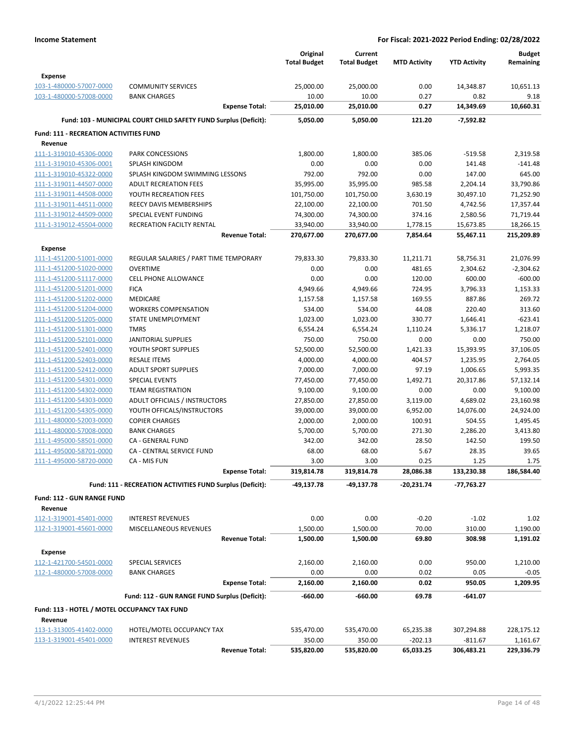|                                               |                                                                  | Original<br><b>Total Budget</b> | Current<br><b>Total Budget</b> | <b>MTD Activity</b> | <b>YTD Activity</b> | <b>Budget</b><br>Remaining |
|-----------------------------------------------|------------------------------------------------------------------|---------------------------------|--------------------------------|---------------------|---------------------|----------------------------|
| <b>Expense</b>                                |                                                                  |                                 |                                |                     |                     |                            |
| 103-1-480000-57007-0000                       | <b>COMMUNITY SERVICES</b>                                        | 25,000.00                       | 25,000.00                      | 0.00                | 14,348.87           | 10,651.13                  |
| 103-1-480000-57008-0000                       | <b>BANK CHARGES</b>                                              | 10.00                           | 10.00                          | 0.27                | 0.82                | 9.18                       |
|                                               | <b>Expense Total:</b>                                            | 25,010.00                       | 25,010.00                      | 0.27                | 14,349.69           | 10,660.31                  |
|                                               | Fund: 103 - MUNICIPAL COURT CHILD SAFETY FUND Surplus (Deficit): | 5,050.00                        | 5,050.00                       | 121.20              | -7,592.82           |                            |
| <b>Fund: 111 - RECREATION ACTIVITIES FUND</b> |                                                                  |                                 |                                |                     |                     |                            |
| Revenue                                       |                                                                  |                                 |                                |                     |                     |                            |
| 111-1-319010-45306-0000                       | PARK CONCESSIONS                                                 | 1,800.00                        | 1,800.00                       | 385.06              | $-519.58$           | 2,319.58                   |
| 111-1-319010-45306-0001                       | <b>SPLASH KINGDOM</b>                                            | 0.00                            | 0.00                           | 0.00                | 141.48              | $-141.48$                  |
| 111-1-319010-45322-0000                       | SPLASH KINGDOM SWIMMING LESSONS                                  | 792.00                          | 792.00                         | 0.00                | 147.00              | 645.00                     |
| 111-1-319011-44507-0000                       | <b>ADULT RECREATION FEES</b>                                     | 35,995.00                       | 35,995.00                      | 985.58              | 2,204.14            | 33,790.86                  |
| 111-1-319011-44508-0000                       | YOUTH RECREATION FEES                                            | 101,750.00                      | 101,750.00                     | 3,630.19            | 30,497.10           | 71,252.90                  |
| 111-1-319011-44511-0000                       | REECY DAVIS MEMBERSHIPS                                          | 22,100.00                       | 22,100.00                      | 701.50              | 4,742.56            | 17,357.44                  |
| 111-1-319012-44509-0000                       | SPECIAL EVENT FUNDING                                            | 74,300.00                       | 74,300.00                      | 374.16              | 2,580.56            | 71,719.44                  |
| 111-1-319012-45504-0000                       | RECREATION FACILTY RENTAL                                        | 33,940.00                       | 33,940.00                      | 1,778.15            | 15,673.85           | 18,266.15                  |
|                                               | <b>Revenue Total:</b>                                            | 270,677.00                      | 270,677.00                     | 7,854.64            | 55,467.11           | 215,209.89                 |
| <b>Expense</b>                                |                                                                  |                                 |                                |                     |                     |                            |
| 111-1-451200-51001-0000                       | REGULAR SALARIES / PART TIME TEMPORARY                           | 79,833.30                       | 79,833.30                      | 11,211.71           | 58,756.31           | 21,076.99                  |
| 111-1-451200-51020-0000                       | <b>OVERTIME</b>                                                  | 0.00                            | 0.00                           | 481.65              | 2,304.62            | $-2,304.62$                |
| 111-1-451200-51117-0000                       | <b>CELL PHONE ALLOWANCE</b>                                      | 0.00                            | 0.00                           | 120.00              | 600.00              | $-600.00$                  |
| 111-1-451200-51201-0000                       | <b>FICA</b>                                                      | 4,949.66                        | 4,949.66                       | 724.95              | 3,796.33            | 1,153.33                   |
| 111-1-451200-51202-0000                       | MEDICARE                                                         | 1,157.58                        | 1,157.58                       | 169.55              | 887.86              | 269.72                     |
| 111-1-451200-51204-0000                       | <b>WORKERS COMPENSATION</b>                                      | 534.00                          | 534.00                         | 44.08               | 220.40              | 313.60                     |
| 111-1-451200-51205-0000                       | <b>STATE UNEMPLOYMENT</b>                                        | 1,023.00                        | 1,023.00                       | 330.77              | 1,646.41            | $-623.41$                  |
| 111-1-451200-51301-0000                       | <b>TMRS</b>                                                      | 6,554.24                        | 6,554.24                       | 1,110.24            | 5,336.17            | 1,218.07                   |
| 111-1-451200-52101-0000                       | JANITORIAL SUPPLIES                                              | 750.00                          | 750.00                         | 0.00                | 0.00                | 750.00                     |
| 111-1-451200-52401-0000                       | YOUTH SPORT SUPPLIES                                             | 52,500.00                       | 52,500.00                      | 1,421.33            | 15,393.95           | 37,106.05                  |
| 111-1-451200-52403-0000                       | <b>RESALE ITEMS</b>                                              | 4,000.00                        | 4,000.00                       | 404.57              | 1,235.95            | 2,764.05                   |
| 111-1-451200-52412-0000                       | <b>ADULT SPORT SUPPLIES</b>                                      | 7,000.00                        | 7,000.00                       | 97.19               | 1,006.65            | 5,993.35                   |
| 111-1-451200-54301-0000                       | <b>SPECIAL EVENTS</b>                                            | 77,450.00                       | 77,450.00                      | 1,492.71            | 20,317.86           | 57,132.14                  |
| 111-1-451200-54302-0000                       | <b>TEAM REGISTRATION</b>                                         | 9,100.00                        | 9,100.00                       | 0.00                | 0.00                | 9,100.00                   |
| 111-1-451200-54303-0000                       | ADULT OFFICIALS / INSTRUCTORS                                    | 27,850.00                       | 27,850.00                      | 3,119.00            | 4,689.02            | 23,160.98                  |
| 111-1-451200-54305-0000                       | YOUTH OFFICALS/INSTRUCTORS                                       | 39,000.00                       | 39,000.00                      | 6,952.00            | 14,076.00           | 24,924.00                  |
| 111-1-480000-52003-0000                       | <b>COPIER CHARGES</b>                                            | 2,000.00                        | 2,000.00                       | 100.91              | 504.55              | 1,495.45                   |
| 111-1-480000-57008-0000                       | <b>BANK CHARGES</b>                                              | 5,700.00                        | 5,700.00                       | 271.30              | 2,286.20            | 3,413.80                   |
| 111-1-495000-58501-0000                       | <b>CA - GENERAL FUND</b>                                         | 342.00                          | 342.00                         | 28.50               | 142.50              | 199.50                     |
| 111-1-495000-58701-0000                       | <b>CA - CENTRAL SERVICE FUND</b>                                 | 68.00                           | 68.00                          | 5.67                | 28.35               | 39.65                      |
| 111-1-495000-58720-0000                       | CA - MIS FUN                                                     | 3.00                            | 3.00                           | 0.25                | 1.25                | 1.75                       |
|                                               | <b>Expense Total:</b>                                            | 319,814.78                      | 319,814.78                     | 28,086.38           | 133,230.38          | 186,584.40                 |
|                                               | Fund: 111 - RECREATION ACTIVITIES FUND Surplus (Deficit):        | $-49,137.78$                    | -49,137.78                     | -20,231.74          | -77,763.27          |                            |
| Fund: 112 - GUN RANGE FUND                    |                                                                  |                                 |                                |                     |                     |                            |
| Revenue                                       |                                                                  |                                 |                                |                     |                     |                            |
| 112-1-319001-45401-0000                       | <b>INTEREST REVENUES</b>                                         | 0.00                            | 0.00                           | $-0.20$             | $-1.02$             | 1.02                       |
| 112-1-319001-45601-0000                       | MISCELLANEOUS REVENUES                                           | 1,500.00                        | 1,500.00                       | 70.00               | 310.00              | 1,190.00                   |
|                                               | <b>Revenue Total:</b>                                            | 1,500.00                        | 1,500.00                       | 69.80               | 308.98              | 1,191.02                   |
| <b>Expense</b>                                |                                                                  |                                 |                                |                     |                     |                            |
| 112-1-421700-54501-0000                       | SPECIAL SERVICES                                                 | 2,160.00                        | 2,160.00                       | 0.00                | 950.00              | 1,210.00                   |
| 112-1-480000-57008-0000                       | <b>BANK CHARGES</b>                                              | 0.00                            | 0.00                           | 0.02                | 0.05                | $-0.05$                    |
|                                               | <b>Expense Total:</b>                                            | 2,160.00                        | 2,160.00                       | 0.02                | 950.05              | 1,209.95                   |
|                                               | Fund: 112 - GUN RANGE FUND Surplus (Deficit):                    | $-660.00$                       | -660.00                        | 69.78               | -641.07             |                            |
| Fund: 113 - HOTEL / MOTEL OCCUPANCY TAX FUND  |                                                                  |                                 |                                |                     |                     |                            |
| Revenue                                       |                                                                  |                                 |                                |                     |                     |                            |
| 113-1-313005-41402-0000                       | HOTEL/MOTEL OCCUPANCY TAX                                        | 535,470.00                      | 535,470.00                     | 65,235.38           | 307,294.88          | 228,175.12                 |
| 113-1-319001-45401-0000                       | <b>INTEREST REVENUES</b>                                         | 350.00                          | 350.00                         | $-202.13$           | $-811.67$           | 1,161.67                   |
|                                               | <b>Revenue Total:</b>                                            | 535,820.00                      | 535,820.00                     | 65,033.25           | 306,483.21          | 229,336.79                 |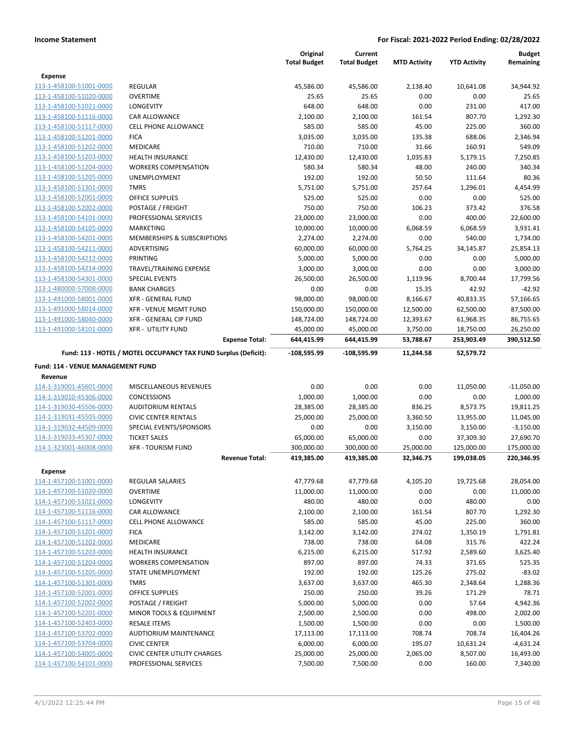|                                                    |                                                                 | Original<br><b>Total Budget</b> | Current<br><b>Total Budget</b> | <b>MTD Activity</b> | <b>YTD Activity</b> | <b>Budget</b><br>Remaining |
|----------------------------------------------------|-----------------------------------------------------------------|---------------------------------|--------------------------------|---------------------|---------------------|----------------------------|
| <b>Expense</b>                                     |                                                                 |                                 |                                |                     |                     |                            |
| 113-1-458100-51001-0000                            | <b>REGULAR</b>                                                  | 45,586.00                       | 45,586.00                      | 2,138.40            | 10,641.08           | 34,944.92                  |
| 113-1-458100-51020-0000                            | <b>OVERTIME</b>                                                 | 25.65                           | 25.65                          | 0.00                | 0.00                | 25.65                      |
| 113-1-458100-51021-0000                            | LONGEVITY                                                       | 648.00                          | 648.00                         | 0.00                | 231.00              | 417.00                     |
| 113-1-458100-51116-0000                            | <b>CAR ALLOWANCE</b>                                            | 2,100.00                        | 2,100.00                       | 161.54              | 807.70              | 1,292.30                   |
| 113-1-458100-51117-0000                            | <b>CELL PHONE ALLOWANCE</b>                                     | 585.00                          | 585.00                         | 45.00               | 225.00              | 360.00                     |
| 113-1-458100-51201-0000                            | <b>FICA</b>                                                     | 3,035.00                        | 3,035.00                       | 135.38              | 688.06              | 2,346.94                   |
| 113-1-458100-51202-0000                            | <b>MEDICARE</b>                                                 | 710.00                          | 710.00                         | 31.66               | 160.91              | 549.09                     |
| 113-1-458100-51203-0000                            | <b>HEALTH INSURANCE</b>                                         | 12,430.00                       | 12,430.00                      | 1,035.83            | 5,179.15            | 7,250.85                   |
| 113-1-458100-51204-0000                            | <b>WORKERS COMPENSATION</b>                                     | 580.34                          | 580.34                         | 48.00               | 240.00              | 340.34                     |
| 113-1-458100-51205-0000                            | <b>UNEMPLOYMENT</b>                                             | 192.00                          | 192.00                         | 50.50               | 111.64              | 80.36                      |
| 113-1-458100-51301-0000                            | <b>TMRS</b>                                                     | 5,751.00                        | 5,751.00                       | 257.64              | 1,296.01            | 4,454.99                   |
| 113-1-458100-52001-0000                            | <b>OFFICE SUPPLIES</b>                                          | 525.00                          | 525.00                         | 0.00                | 0.00                | 525.00                     |
| 113-1-458100-52002-0000                            | POSTAGE / FREIGHT                                               | 750.00                          | 750.00                         | 106.23              | 373.42              | 376.58                     |
| 113-1-458100-54101-0000                            | PROFESSIONAL SERVICES                                           | 23,000.00                       | 23,000.00                      | 0.00                | 400.00              | 22,600.00                  |
| 113-1-458100-54105-0000<br>113-1-458100-54201-0000 | MARKETING                                                       | 10,000.00                       | 10,000.00                      | 6,068.59            | 6,068.59<br>540.00  | 3,931.41                   |
|                                                    | MEMBERSHIPS & SUBSCRIPTIONS                                     | 2,274.00                        | 2,274.00                       | 0.00                |                     | 1,734.00                   |
| 113-1-458100-54211-0000<br>113-1-458100-54212-0000 | ADVERTISING                                                     | 60,000.00                       | 60,000.00                      | 5,764.25            | 34,145.87           | 25,854.13                  |
|                                                    | PRINTING                                                        | 5,000.00                        | 5,000.00                       | 0.00                | 0.00                | 5,000.00<br>3,000.00       |
| 113-1-458100-54214-0000                            | TRAVEL/TRAINING EXPENSE                                         | 3,000.00                        | 3,000.00                       | 0.00                | 0.00                |                            |
| 113-1-458100-54301-0000                            | SPECIAL EVENTS                                                  | 26,500.00                       | 26,500.00                      | 1,119.96            | 8,700.44            | 17,799.56                  |
| 113-1-480000-57008-0000                            | <b>BANK CHARGES</b>                                             | 0.00                            | 0.00                           | 15.35               | 42.92               | $-42.92$                   |
| 113-1-491000-58001-0000                            | <b>XFR - GENERAL FUND</b>                                       | 98,000.00                       | 98,000.00                      | 8,166.67            | 40,833.35           | 57.166.65                  |
| 113-1-491000-58014-0000                            | <b>XFR - VENUE MGMT FUND</b>                                    | 150,000.00                      | 150,000.00                     | 12,500.00           | 62,500.00           | 87,500.00                  |
| 113-1-491000-58040-0000                            | XFR - GENERAL CIP FUND                                          | 148,724.00                      | 148,724.00                     | 12,393.67           | 61,968.35           | 86,755.65                  |
| 113-1-491000-58101-0000                            | <b>XFR - UTILITY FUND</b>                                       | 45,000.00                       | 45,000.00                      | 3,750.00            | 18,750.00           | 26,250.00                  |
|                                                    | <b>Expense Total:</b>                                           | 644,415.99                      | 644,415.99                     | 53,788.67           | 253,903.49          | 390,512.50                 |
|                                                    | Fund: 113 - HOTEL / MOTEL OCCUPANCY TAX FUND Surplus (Deficit): | -108,595.99                     | -108,595.99                    | 11,244.58           | 52,579.72           |                            |
| Fund: 114 - VENUE MANAGEMENT FUND                  |                                                                 |                                 |                                |                     |                     |                            |
| Revenue                                            |                                                                 |                                 |                                |                     |                     |                            |
| 114-1-319001-45601-0000                            | MISCELLANEOUS REVENUES                                          | 0.00                            | 0.00                           | 0.00                | 11,050.00           | $-11,050.00$               |
| 114-1-319010-45306-0000                            | <b>CONCESSIONS</b>                                              | 1,000.00                        | 1,000.00                       | 0.00                | 0.00                | 1,000.00                   |
| 114-1-319030-45506-0000                            | <b>AUDITORIUM RENTALS</b>                                       | 28,385.00                       | 28,385.00                      | 836.25              | 8,573.75            | 19,811.25                  |
| 114-1-319031-45505-0000                            | <b>CIVIC CENTER RENTALS</b>                                     | 25,000.00                       | 25,000.00                      | 3,360.50            | 13,955.00           | 11,045.00                  |
| 114-1-319032-44509-0000                            | SPECIAL EVENTS/SPONSORS                                         | 0.00                            | 0.00                           | 3,150.00            | 3,150.00            | $-3,150.00$                |
| 114-1-319033-45307-0000                            | <b>TICKET SALES</b>                                             | 65,000.00                       | 65,000.00                      | 0.00                | 37,309.30           | 27,690.70                  |
| 114-1-323001-46008-0000                            | <b>XFR - TOURISM FUND</b>                                       | 300,000.00                      | 300,000.00                     | 25,000.00           | 125,000.00          | 175,000.00                 |
|                                                    | <b>Revenue Total:</b>                                           | 419,385.00                      | 419,385.00                     | 32,346.75           | 199,038.05          | 220,346.95                 |
| Expense                                            |                                                                 |                                 |                                |                     |                     |                            |
| 114-1-457100-51001-0000                            | <b>REGULAR SALARIES</b>                                         | 47,779.68                       | 47,779.68                      | 4,105.20            | 19,725.68           | 28,054.00                  |
| 114-1-457100-51020-0000                            | <b>OVERTIME</b>                                                 | 11,000.00                       | 11,000.00                      | 0.00                | 0.00                | 11,000.00                  |
| 114-1-457100-51021-0000                            | <b>LONGEVITY</b>                                                | 480.00                          | 480.00                         | 0.00                | 480.00              | 0.00                       |
| 114-1-457100-51116-0000                            | <b>CAR ALLOWANCE</b>                                            | 2,100.00                        | 2,100.00                       | 161.54              | 807.70              | 1,292.30                   |
| 114-1-457100-51117-0000                            | CELL PHONE ALLOWANCE                                            | 585.00                          | 585.00                         | 45.00               | 225.00              | 360.00                     |
| 114-1-457100-51201-0000                            | <b>FICA</b>                                                     | 3,142.00                        | 3,142.00                       | 274.02              | 1,350.19            | 1,791.81                   |
| 114-1-457100-51202-0000                            | <b>MEDICARE</b>                                                 | 738.00                          | 738.00                         | 64.08               | 315.76              | 422.24                     |
| 114-1-457100-51203-0000                            | HEALTH INSURANCE                                                | 6,215.00                        | 6,215.00                       | 517.92              | 2,589.60            | 3,625.40                   |
| 114-1-457100-51204-0000                            | <b>WORKERS COMPENSATION</b>                                     | 897.00                          | 897.00                         | 74.33               | 371.65              | 525.35                     |
| 114-1-457100-51205-0000                            | STATE UNEMPLOYMENT                                              | 192.00                          | 192.00                         | 125.26              | 275.02              | $-83.02$                   |
| 114-1-457100-51301-0000                            | <b>TMRS</b>                                                     | 3,637.00                        | 3,637.00                       | 465.30              | 2,348.64            | 1,288.36                   |
| 114-1-457100-52001-0000                            | OFFICE SUPPLIES                                                 | 250.00                          | 250.00                         | 39.26               | 171.29              | 78.71                      |
| 114-1-457100-52002-0000                            | POSTAGE / FREIGHT                                               | 5,000.00                        | 5,000.00                       | 0.00                | 57.64               | 4,942.36                   |
| 114-1-457100-52201-0000                            | MINOR TOOLS & EQUIPMENT                                         | 2,500.00                        | 2,500.00                       | 0.00                | 498.00              | 2,002.00                   |
| 114-1-457100-52403-0000                            | <b>RESALE ITEMS</b>                                             | 1,500.00                        | 1,500.00                       | 0.00                | 0.00                | 1,500.00                   |
| 114-1-457100-53702-0000                            | AUDTIORIUM MAINTENANCE                                          | 17,113.00                       | 17,113.00                      | 708.74              | 708.74              | 16,404.26                  |
| 114-1-457100-53704-0000                            | <b>CIVIC CENTER</b>                                             | 6,000.00                        | 6,000.00                       | 195.07              | 10,631.24           | $-4,631.24$                |
| 114-1-457100-54005-0000                            | <b>CIVIC CENTER UTILITY CHARGES</b>                             | 25,000.00                       | 25,000.00                      | 2,065.00            | 8,507.00            | 16,493.00                  |
| 114-1-457100-54101-0000                            | PROFESSIONAL SERVICES                                           | 7,500.00                        | 7,500.00                       | 0.00                | 160.00              | 7,340.00                   |
|                                                    |                                                                 |                                 |                                |                     |                     |                            |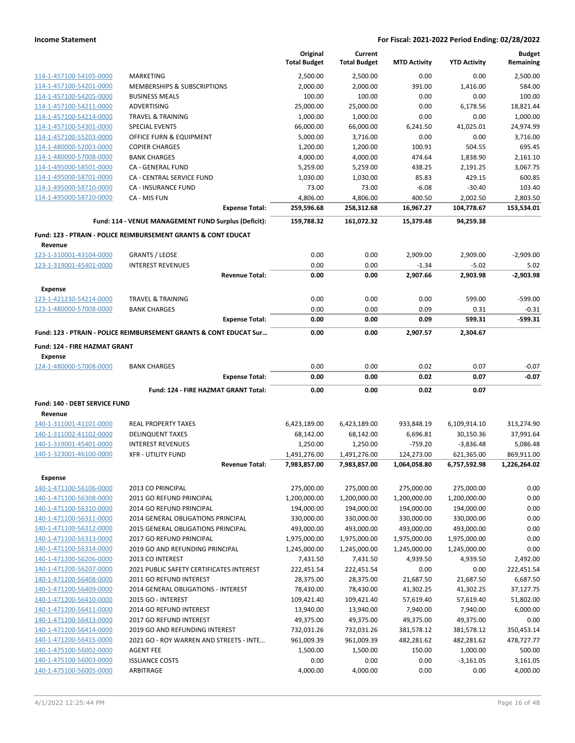|                                                    |                                                                           | Original<br><b>Total Budget</b> | Current<br><b>Total Budget</b> | <b>MTD Activity</b> | <b>YTD Activity</b> | <b>Budget</b><br>Remaining |
|----------------------------------------------------|---------------------------------------------------------------------------|---------------------------------|--------------------------------|---------------------|---------------------|----------------------------|
| 114-1-457100-54105-0000                            | <b>MARKETING</b>                                                          | 2,500.00                        | 2,500.00                       | 0.00                | 0.00                | 2,500.00                   |
| 114-1-457100-54201-0000                            | MEMBERSHIPS & SUBSCRIPTIONS                                               | 2,000.00                        | 2,000.00                       | 391.00              | 1,416.00            | 584.00                     |
| 114-1-457100-54205-0000                            | <b>BUSINESS MEALS</b>                                                     | 100.00                          | 100.00                         | 0.00                | 0.00                | 100.00                     |
| 114-1-457100-54211-0000                            | ADVERTISING                                                               | 25,000.00                       | 25,000.00                      | 0.00                | 6,178.56            | 18.821.44                  |
| 114-1-457100-54214-0000                            | TRAVEL & TRAINING                                                         | 1,000.00                        | 1,000.00                       | 0.00                | 0.00                | 1,000.00                   |
| 114-1-457100-54301-0000                            | <b>SPECIAL EVENTS</b>                                                     | 66,000.00                       | 66,000.00                      | 6,241.50            | 41,025.01           | 24,974.99                  |
| 114-1-457100-55203-0000                            | OFFICE FURN & EQUIPMENT                                                   | 5,000.00                        | 3,716.00                       | 0.00                | 0.00                | 3,716.00                   |
| 114-1-480000-52003-0000                            | <b>COPIER CHARGES</b>                                                     | 1,200.00                        | 1,200.00                       | 100.91              | 504.55              | 695.45                     |
| 114-1-480000-57008-0000                            | <b>BANK CHARGES</b>                                                       | 4,000.00                        | 4,000.00                       | 474.64              | 1,838.90            | 2,161.10                   |
| 114-1-495000-58501-0000                            | CA - GENERAL FUND                                                         | 5,259.00                        | 5,259.00                       | 438.25              | 2,191.25            | 3,067.75                   |
| 114-1-495000-58701-0000                            | CA - CENTRAL SERVICE FUND                                                 | 1,030.00                        | 1,030.00                       | 85.83               | 429.15              | 600.85                     |
| 114-1-495000-58710-0000                            | CA - INSURANCE FUND                                                       | 73.00                           | 73.00                          | $-6.08$             | $-30.40$            | 103.40                     |
| 114-1-495000-58720-0000                            | CA - MIS FUN                                                              | 4,806.00                        | 4,806.00                       | 400.50              | 2,002.50            | 2,803.50                   |
|                                                    | <b>Expense Total:</b>                                                     | 259,596.68                      | 258,312.68                     | 16,967.27           | 104,778.67          | 153,534.01                 |
|                                                    | Fund: 114 - VENUE MANAGEMENT FUND Surplus (Deficit):                      | 159,788.32                      | 161,072.32                     | 15,379.48           | 94,259.38           |                            |
|                                                    | <b>Fund: 123 - PTRAIN - POLICE REIMBURSEMENT GRANTS &amp; CONT EDUCAT</b> |                                 |                                |                     |                     |                            |
| Revenue<br>123-1-310001-43104-0000                 | <b>GRANTS / LEOSE</b>                                                     | 0.00                            | 0.00                           | 2,909.00            | 2,909.00            | $-2,909.00$                |
| 123-1-319001-45401-0000                            | <b>INTEREST REVENUES</b>                                                  | 0.00                            | 0.00                           | $-1.34$             | $-5.02$             | 5.02                       |
|                                                    | <b>Revenue Total:</b>                                                     | 0.00                            | 0.00                           | 2,907.66            | 2,903.98            | $-2.903.98$                |
|                                                    |                                                                           |                                 |                                |                     |                     |                            |
| Expense                                            |                                                                           |                                 |                                |                     |                     |                            |
| 123-1-421230-54214-0000                            | <b>TRAVEL &amp; TRAINING</b>                                              | 0.00                            | 0.00                           | 0.00                | 599.00              | $-599.00$                  |
| 123-1-480000-57008-0000                            | <b>BANK CHARGES</b><br><b>Expense Total:</b>                              | 0.00<br>0.00                    | 0.00<br>0.00                   | 0.09<br>0.09        | 0.31<br>599.31      | $-0.31$<br>$-599.31$       |
|                                                    | Fund: 123 - PTRAIN - POLICE REIMBURSEMENT GRANTS & CONT EDUCAT Sur        |                                 |                                |                     |                     |                            |
|                                                    |                                                                           | 0.00                            | 0.00                           | 2,907.57            | 2,304.67            |                            |
| <b>Fund: 124 - FIRE HAZMAT GRANT</b>               |                                                                           |                                 |                                |                     |                     |                            |
| Expense<br>124-1-480000-57008-0000                 | <b>BANK CHARGES</b>                                                       | 0.00                            | 0.00                           | 0.02                | 0.07                | $-0.07$                    |
|                                                    | <b>Expense Total:</b>                                                     | 0.00                            | 0.00                           | 0.02                | 0.07                | $-0.07$                    |
|                                                    | Fund: 124 - FIRE HAZMAT GRANT Total:                                      | 0.00                            | 0.00                           | 0.02                | 0.07                |                            |
|                                                    |                                                                           |                                 |                                |                     |                     |                            |
| Fund: 140 - DEBT SERVICE FUND                      |                                                                           |                                 |                                |                     |                     |                            |
|                                                    |                                                                           |                                 |                                |                     |                     |                            |
| Revenue                                            |                                                                           |                                 |                                |                     |                     |                            |
| 140-1-311001-41101-0000                            | <b>REAL PROPERTY TAXES</b>                                                | 6,423,189.00                    | 6,423,189.00                   | 933,848.19          | 6,109,914.10        | 313,274.90                 |
| 140-1-311002-41102-0000                            | <b>DELINQUENT TAXES</b>                                                   | 68,142.00                       | 68,142.00                      | 6,696.81            | 30,150.36           | 37,991.64                  |
| 140-1-319001-45401-0000                            | <b>INTEREST REVENUES</b>                                                  | 1,250.00                        | 1,250.00                       | $-759.20$           | $-3,836.48$         | 5,086.48                   |
| 140-1-323001-46100-0000                            | <b>XFR - UTILITY FUND</b>                                                 | 1,491,276.00                    | 1,491,276.00                   | 124,273.00          | 621,365.00          | 869,911.00                 |
|                                                    | <b>Revenue Total:</b>                                                     | 7,983,857.00                    | 7,983,857.00                   | 1,064,058.80        | 6,757,592.98        | 1,226,264.02               |
| <b>Expense</b>                                     |                                                                           |                                 |                                |                     |                     |                            |
| 140-1-471100-56106-0000                            | 2013 CO PRINCIPAL                                                         | 275,000.00                      | 275,000.00                     | 275,000.00          | 275,000.00          | 0.00                       |
| 140-1-471100-56308-0000                            | 2011 GO REFUND PRINCIPAL                                                  | 1,200,000.00                    | 1,200,000.00                   | 1,200,000.00        | 1,200,000.00        | 0.00                       |
| 140-1-471100-56310-0000                            | 2014 GO REFUND PRINCIPAL                                                  | 194,000.00                      | 194,000.00                     | 194,000.00          | 194,000.00          | 0.00                       |
| 140-1-471100-56311-0000                            | 2014 GENERAL OBLIGATIONS PRINCIPAL                                        | 330,000.00                      | 330,000.00                     | 330,000.00          | 330,000.00          | 0.00                       |
| 140-1-471100-56312-0000                            | 2015 GENERAL OBLIGATIONS PRINCIPAL                                        | 493,000.00                      | 493,000.00                     | 493,000.00          | 493,000.00          | 0.00                       |
| 140-1-471100-56313-0000                            | 2017 GO REFUND PRINCIPAL                                                  | 1,975,000.00                    | 1,975,000.00                   | 1,975,000.00        | 1,975,000.00        | 0.00                       |
| 140-1-471100-56314-0000                            | 2019 GO AND REFUNDING PRINCIPAL                                           | 1,245,000.00                    | 1,245,000.00                   | 1,245,000.00        | 1,245,000.00        | 0.00                       |
| 140-1-471200-56206-0000                            | 2013 CO INTEREST                                                          | 7,431.50                        | 7,431.50                       | 4,939.50            | 4,939.50            | 2,492.00                   |
| 140-1-471200-56207-0000                            | 2021 PUBLIC SAFETY CERTIFICATES INTEREST                                  | 222,451.54                      | 222,451.54                     | 0.00                | 0.00                | 222,451.54                 |
| 140-1-471200-56408-0000                            | 2011 GO REFUND INTEREST                                                   | 28,375.00                       | 28,375.00                      | 21,687.50           | 21,687.50           | 6,687.50                   |
| 140-1-471200-56409-0000                            | 2014 GENERAL OBLIGATIONS - INTEREST                                       | 78,430.00                       | 78,430.00                      | 41,302.25           | 41,302.25           | 37,127.75                  |
| 140-1-471200-56410-0000                            | 2015 GO - INTEREST                                                        | 109,421.40                      | 109,421.40                     | 57,619.40           | 57,619.40           | 51,802.00                  |
| 140-1-471200-56411-0000                            | 2014 GO REFUND INTEREST                                                   | 13,940.00                       | 13,940.00                      | 7,940.00            | 7,940.00            | 6,000.00                   |
| 140-1-471200-56413-0000                            | 2017 GO REFUND INTEREST                                                   | 49,375.00                       | 49,375.00                      | 49,375.00           | 49,375.00           | 0.00                       |
| 140-1-471200-56414-0000                            | 2019 GO AND REFUNDING INTEREST                                            | 732,031.26                      | 732,031.26                     | 381,578.12          | 381,578.12          | 350,453.14                 |
| 140-1-471200-56415-0000                            | 2021 GO - ROY WARREN AND STREETS - INTE                                   | 961,009.39                      | 961,009.39                     | 482,281.62          | 482,281.62          | 478,727.77                 |
| 140-1-475100-56002-0000                            | <b>AGENT FEE</b>                                                          | 1,500.00                        | 1,500.00                       | 150.00              | 1,000.00            | 500.00                     |
| 140-1-475100-56003-0000<br>140-1-475100-56005-0000 | <b>ISSUANCE COSTS</b><br>ARBITRAGE                                        | 0.00<br>4,000.00                | 0.00<br>4,000.00               | 0.00<br>0.00        | $-3,161.05$<br>0.00 | 3,161.05<br>4,000.00       |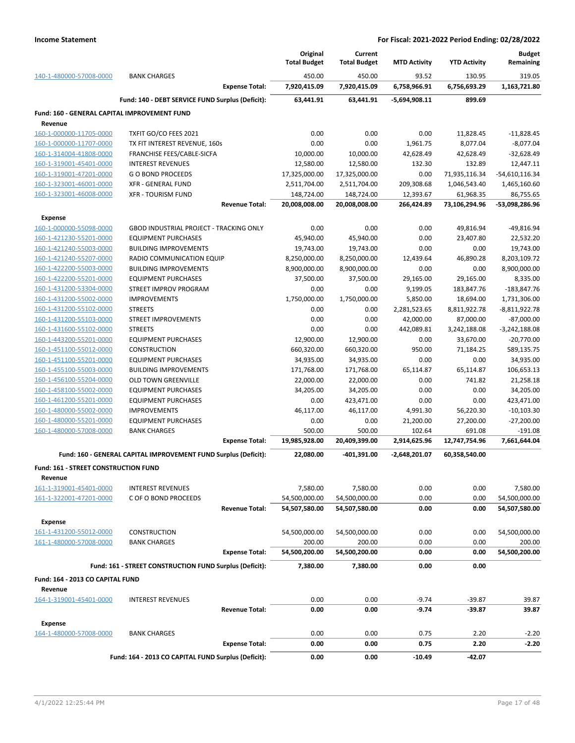|                                                         |                                                                 | Original            | Current             |                     |                     | <b>Budget</b>    |
|---------------------------------------------------------|-----------------------------------------------------------------|---------------------|---------------------|---------------------|---------------------|------------------|
|                                                         |                                                                 | <b>Total Budget</b> | <b>Total Budget</b> | <b>MTD Activity</b> | <b>YTD Activity</b> | Remaining        |
| 140-1-480000-57008-0000                                 | <b>BANK CHARGES</b>                                             | 450.00              | 450.00              | 93.52               | 130.95              | 319.05           |
|                                                         | <b>Expense Total:</b>                                           | 7,920,415.09        | 7,920,415.09        | 6,758,966.91        | 6,756,693.29        | 1,163,721.80     |
|                                                         | Fund: 140 - DEBT SERVICE FUND Surplus (Deficit):                | 63.441.91           | 63,441.91           | $-5,694,908.11$     | 899.69              |                  |
| Fund: 160 - GENERAL CAPITAL IMPROVEMENT FUND<br>Revenue |                                                                 |                     |                     |                     |                     |                  |
| 160-1-000000-11705-0000                                 | TXFIT GO/CO FEES 2021                                           | 0.00                | 0.00                | 0.00                | 11,828.45           | $-11,828.45$     |
| 160-1-000000-11707-0000                                 | TX FIT INTEREST REVENUE, 160s                                   | 0.00                | 0.00                | 1,961.75            | 8,077.04            | $-8,077.04$      |
| 160-1-314004-41808-0000                                 | FRANCHISE FEES/CABLE-SICFA                                      | 10,000.00           | 10,000.00           | 42,628.49           | 42,628.49           | $-32,628.49$     |
| 160-1-319001-45401-0000                                 | <b>INTEREST REVENUES</b>                                        | 12,580.00           | 12,580.00           | 132.30              | 132.89              | 12,447.11        |
| 160-1-319001-47201-0000                                 | <b>GO BOND PROCEEDS</b>                                         | 17,325,000.00       | 17,325,000.00       | 0.00                | 71,935,116.34       | $-54,610,116.34$ |
| 160-1-323001-46001-0000                                 | <b>XFR - GENERAL FUND</b>                                       | 2,511,704.00        | 2,511,704.00        | 209,308.68          | 1,046,543.40        | 1,465,160.60     |
| 160-1-323001-46008-0000                                 | <b>XFR - TOURISM FUND</b>                                       | 148,724.00          | 148,724.00          | 12,393.67           | 61,968.35           | 86,755.65        |
|                                                         | <b>Revenue Total:</b>                                           | 20,008,008.00       | 20,008,008.00       | 266,424.89          | 73,106,294.96       | -53,098,286.96   |
| <b>Expense</b>                                          |                                                                 |                     |                     |                     |                     |                  |
| 160-1-000000-55098-0000                                 | <b>GBOD INDUSTRIAL PROJECT - TRACKING ONLY</b>                  | 0.00                | 0.00                | 0.00                | 49,816.94           | $-49,816.94$     |
| 160-1-421230-55201-0000                                 | <b>EQUIPMENT PURCHASES</b>                                      | 45,940.00           | 45,940.00           | 0.00                | 23,407.80           | 22,532.20        |
| 160-1-421240-55003-0000                                 | <b>BUILDING IMPROVEMENTS</b>                                    | 19,743.00           | 19,743.00           | 0.00                | 0.00                | 19,743.00        |
| 160-1-421240-55207-0000                                 | RADIO COMMUNICATION EQUIP                                       | 8,250,000.00        | 8,250,000.00        | 12,439.64           | 46,890.28           | 8,203,109.72     |
| 160-1-422200-55003-0000                                 | <b>BUILDING IMPROVEMENTS</b>                                    | 8,900,000.00        | 8,900,000.00        | 0.00                | 0.00                | 8,900,000.00     |
| 160-1-422200-55201-0000                                 | <b>EQUIPMENT PURCHASES</b>                                      | 37,500.00           | 37,500.00           | 29,165.00           | 29,165.00           | 8,335.00         |
| 160-1-431200-53304-0000                                 | STREET IMPROV PROGRAM                                           | 0.00                | 0.00                | 9,199.05            | 183,847.76          | $-183,847.76$    |
| 160-1-431200-55002-0000                                 | <b>IMPROVEMENTS</b>                                             | 1,750,000.00        | 1,750,000.00        | 5,850.00            | 18,694.00           | 1,731,306.00     |
| 160-1-431200-55102-0000                                 | <b>STREETS</b>                                                  | 0.00                | 0.00                | 2,281,523.65        | 8,811,922.78        | $-8,811,922.78$  |
| 160-1-431200-55103-0000                                 | <b>STREET IMPROVEMENTS</b>                                      | 0.00                | 0.00                | 42,000.00           | 87,000.00           | $-87,000.00$     |
| 160-1-431600-55102-0000                                 | <b>STREETS</b>                                                  | 0.00                | 0.00                | 442,089.81          | 3,242,188.08        | $-3,242,188.08$  |
| 160-1-443200-55201-0000                                 | <b>EQUIPMENT PURCHASES</b>                                      | 12,900.00           | 12,900.00           | 0.00                | 33,670.00           | $-20,770.00$     |
| 160-1-451100-55012-0000                                 | <b>CONSTRUCTION</b>                                             | 660,320.00          | 660,320.00          | 950.00              | 71,184.25           | 589,135.75       |
| 160-1-451100-55201-0000                                 | <b>EQUIPMENT PURCHASES</b>                                      | 34,935.00           | 34,935.00           | 0.00                | 0.00                | 34,935.00        |
| 160-1-455100-55003-0000                                 | <b>BUILDING IMPROVEMENTS</b>                                    | 171,768.00          | 171,768.00          | 65,114.87           | 65,114.87           | 106,653.13       |
| 160-1-456100-55204-0000                                 | <b>OLD TOWN GREENVILLE</b>                                      | 22,000.00           | 22,000.00           | 0.00                | 741.82              | 21,258.18        |
| 160-1-458100-55002-0000                                 | <b>EQUIPMENT PURCHASES</b>                                      | 34,205.00           | 34,205.00           | 0.00                | 0.00                | 34,205.00        |
| 160-1-461200-55201-0000                                 | <b>EQUIPMENT PURCHASES</b>                                      | 0.00                | 423,471.00          | 0.00                | 0.00                | 423,471.00       |
| 160-1-480000-55002-0000                                 | <b>IMPROVEMENTS</b>                                             | 46,117.00           | 46,117.00           | 4,991.30            | 56,220.30           | $-10,103.30$     |
| 160-1-480000-55201-0000                                 | <b>EQUIPMENT PURCHASES</b>                                      | 0.00                | 0.00                | 21,200.00           | 27,200.00           | $-27,200.00$     |
| 160-1-480000-57008-0000                                 | <b>BANK CHARGES</b>                                             | 500.00              | 500.00              | 102.64              | 691.08              | $-191.08$        |
|                                                         | <b>Expense Total:</b>                                           | 19,985,928.00       | 20,409,399.00       | 2,914,625.96        | 12,747,754.96       | 7,661,644.04     |
|                                                         | Fund: 160 - GENERAL CAPITAL IMPROVEMENT FUND Surplus (Deficit): | 22,080.00           | -401,391.00         | $-2,648,201.07$     | 60,358,540.00       |                  |
| <b>Fund: 161 - STREET CONSTRUCTION FUND</b>             |                                                                 |                     |                     |                     |                     |                  |
| Revenue<br>161-1-319001-45401-0000                      | <b>INTEREST REVENUES</b>                                        | 7,580.00            | 7,580.00            | 0.00                | 0.00                | 7,580.00         |
| 161-1-322001-47201-0000                                 | C OF O BOND PROCEEDS                                            | 54,500,000.00       | 54,500,000.00       | 0.00                | 0.00                | 54,500,000.00    |
|                                                         | <b>Revenue Total:</b>                                           | 54,507,580.00       | 54,507,580.00       | 0.00                | 0.00                | 54,507,580.00    |
| <b>Expense</b>                                          |                                                                 |                     |                     |                     |                     |                  |
| 161-1-431200-55012-0000                                 | <b>CONSTRUCTION</b>                                             | 54,500,000.00       | 54,500,000.00       | 0.00                | 0.00                | 54,500,000.00    |
| 161-1-480000-57008-0000                                 | <b>BANK CHARGES</b>                                             | 200.00              | 200.00              | 0.00                | 0.00                | 200.00           |
|                                                         | <b>Expense Total:</b>                                           | 54,500,200.00       | 54,500,200.00       | 0.00                | 0.00                | 54,500,200.00    |
|                                                         | Fund: 161 - STREET CONSTRUCTION FUND Surplus (Deficit):         | 7,380.00            | 7,380.00            | 0.00                | 0.00                |                  |
|                                                         |                                                                 |                     |                     |                     |                     |                  |
| Fund: 164 - 2013 CO CAPITAL FUND<br>Revenue             |                                                                 |                     |                     |                     |                     |                  |
| 164-1-319001-45401-0000                                 | <b>INTEREST REVENUES</b>                                        | 0.00                | 0.00                | $-9.74$             | $-39.87$            | 39.87            |
|                                                         | <b>Revenue Total:</b>                                           | 0.00                | 0.00                | $-9.74$             | -39.87              | 39.87            |
| Expense                                                 |                                                                 |                     |                     |                     |                     |                  |
| 164-1-480000-57008-0000                                 | <b>BANK CHARGES</b>                                             | 0.00                | 0.00                | 0.75                | 2.20                | $-2.20$          |
|                                                         | <b>Expense Total:</b>                                           | 0.00                | 0.00                | 0.75                | 2.20                | $-2.20$          |
|                                                         | Fund: 164 - 2013 CO CAPITAL FUND Surplus (Deficit):             | 0.00                | 0.00                | $-10.49$            | -42.07              |                  |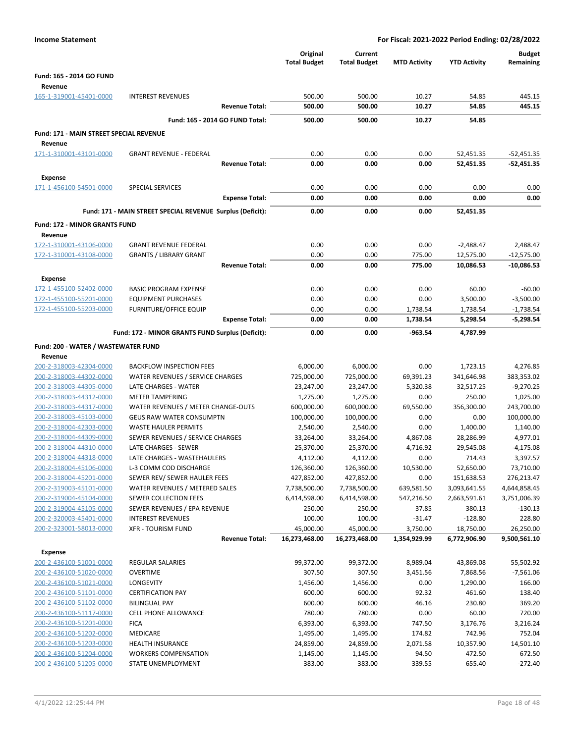| <b>Income Statement</b>                            |                                                            |                                 |                                | For Fiscal: 2021-2022 Period Ending: 02/28/2022 |                         |                            |
|----------------------------------------------------|------------------------------------------------------------|---------------------------------|--------------------------------|-------------------------------------------------|-------------------------|----------------------------|
|                                                    |                                                            | Original<br><b>Total Budget</b> | Current<br><b>Total Budget</b> | <b>MTD Activity</b>                             | <b>YTD Activity</b>     | <b>Budget</b><br>Remaining |
| Fund: 165 - 2014 GO FUND                           |                                                            |                                 |                                |                                                 |                         |                            |
| Revenue                                            |                                                            |                                 |                                |                                                 |                         |                            |
| 165-1-319001-45401-0000                            | <b>INTEREST REVENUES</b>                                   | 500.00                          | 500.00                         | 10.27                                           | 54.85                   | 445.15                     |
|                                                    | <b>Revenue Total:</b>                                      | 500.00                          | 500.00                         | 10.27                                           | 54.85                   | 445.15                     |
|                                                    | Fund: 165 - 2014 GO FUND Total:                            | 500.00                          | 500.00                         | 10.27                                           | 54.85                   |                            |
| Fund: 171 - MAIN STREET SPECIAL REVENUE            |                                                            |                                 |                                |                                                 |                         |                            |
| Revenue                                            |                                                            |                                 |                                |                                                 |                         |                            |
| 171-1-310001-43101-0000                            | <b>GRANT REVENUE - FEDERAL</b>                             | 0.00                            | 0.00                           | 0.00                                            | 52,451.35               | $-52,451.35$               |
|                                                    | <b>Revenue Total:</b>                                      | 0.00                            | 0.00                           | 0.00                                            | 52,451.35               | $-52,451.35$               |
| <b>Expense</b>                                     |                                                            |                                 |                                |                                                 |                         |                            |
| 171-1-456100-54501-0000                            | SPECIAL SERVICES                                           | 0.00                            | 0.00                           | 0.00                                            | 0.00                    | 0.00                       |
|                                                    | <b>Expense Total:</b>                                      | 0.00                            | 0.00                           | 0.00                                            | 0.00                    | 0.00                       |
|                                                    | Fund: 171 - MAIN STREET SPECIAL REVENUE Surplus (Deficit): | 0.00                            | 0.00                           | 0.00                                            | 52,451.35               |                            |
|                                                    |                                                            |                                 |                                |                                                 |                         |                            |
| <b>Fund: 172 - MINOR GRANTS FUND</b><br>Revenue    |                                                            |                                 |                                |                                                 |                         |                            |
| 172-1-310001-43106-0000                            | <b>GRANT REVENUE FEDERAL</b>                               | 0.00                            | 0.00                           | 0.00                                            | $-2,488.47$             | 2,488.47                   |
| 172-1-310001-43108-0000                            | <b>GRANTS / LIBRARY GRANT</b>                              | 0.00                            | 0.00                           | 775.00                                          | 12,575.00               | $-12,575.00$               |
|                                                    | <b>Revenue Total:</b>                                      | 0.00                            | 0.00                           | 775.00                                          | 10,086.53               | $-10,086.53$               |
| <b>Expense</b>                                     |                                                            |                                 |                                |                                                 |                         |                            |
| 172-1-455100-52402-0000                            | <b>BASIC PROGRAM EXPENSE</b>                               | 0.00                            | 0.00                           | 0.00                                            | 60.00                   | $-60.00$                   |
| 172-1-455100-55201-0000                            | <b>EQUIPMENT PURCHASES</b>                                 | 0.00                            | 0.00                           | 0.00                                            | 3,500.00                | $-3,500.00$                |
| 172-1-455100-55203-0000                            | <b>FURNITURE/OFFICE EQUIP</b>                              | 0.00                            | 0.00                           | 1,738.54                                        | 1,738.54                | $-1,738.54$                |
|                                                    | <b>Expense Total:</b>                                      | 0.00                            | 0.00                           | 1,738.54                                        | 5,298.54                | $-5,298.54$                |
|                                                    | Fund: 172 - MINOR GRANTS FUND Surplus (Deficit):           | 0.00                            | 0.00                           | $-963.54$                                       | 4,787.99                |                            |
|                                                    |                                                            |                                 |                                |                                                 |                         |                            |
| Fund: 200 - WATER / WASTEWATER FUND<br>Revenue     |                                                            |                                 |                                |                                                 |                         |                            |
| 200-2-318003-42304-0000                            | <b>BACKFLOW INSPECTION FEES</b>                            | 6,000.00                        | 6,000.00                       | 0.00                                            | 1,723.15                | 4,276.85                   |
| 200-2-318003-44302-0000                            | WATER REVENUES / SERVICE CHARGES                           | 725,000.00                      | 725,000.00                     | 69,391.23                                       | 341,646.98              | 383,353.02                 |
| 200-2-318003-44305-0000                            | LATE CHARGES - WATER                                       | 23,247.00                       | 23,247.00                      | 5,320.38                                        | 32,517.25               | $-9,270.25$                |
| 200-2-318003-44312-0000                            | <b>METER TAMPERING</b>                                     | 1,275.00                        | 1,275.00                       | 0.00                                            | 250.00                  | 1,025.00                   |
| 200-2-318003-44317-0000                            | WATER REVENUES / METER CHANGE-OUTS                         | 600,000.00                      | 600,000.00                     | 69,550.00                                       | 356,300.00              | 243,700.00                 |
| 200-2-318003-45103-0000                            | <b>GEUS RAW WATER CONSUMPTN</b>                            | 100,000.00                      | 100,000.00                     | 0.00                                            | 0.00                    | 100,000.00                 |
| 200-2-318004-42303-0000                            | <b>WASTE HAULER PERMITS</b>                                | 2,540.00                        | 2,540.00                       | 0.00                                            | 1,400.00                | 1,140.00                   |
| 200-2-318004-44309-0000                            | SEWER REVENUES / SERVICE CHARGES                           | 33,264.00                       | 33,264.00                      | 4,867.08                                        | 28,286.99               | 4,977.01                   |
| 200-2-318004-44310-0000                            | LATE CHARGES - SEWER                                       | 25,370.00                       | 25,370.00                      | 4,716.92                                        | 29,545.08               | $-4,175.08$                |
| 200-2-318004-44318-0000                            | LATE CHARGES - WASTEHAULERS                                | 4,112.00                        | 4,112.00                       | 0.00                                            | 714.43                  | 3,397.57                   |
| 200-2-318004-45106-0000<br>200-2-318004-45201-0000 | L-3 COMM COD DISCHARGE<br>SEWER REV/ SEWER HAULER FEES     | 126,360.00                      | 126,360.00                     | 10,530.00                                       | 52,650.00<br>151,638.53 | 73,710.00<br>276,213.47    |
| 200-2-319003-45101-0000                            | WATER REVENUES / METERED SALES                             | 427,852.00<br>7,738,500.00      | 427,852.00<br>7,738,500.00     | 0.00<br>639,581.50                              | 3,093,641.55            | 4,644,858.45               |
| 200-2-319004-45104-0000                            | SEWER COLLECTION FEES                                      | 6,414,598.00                    | 6,414,598.00                   | 547,216.50                                      | 2,663,591.61            | 3,751,006.39               |
| 200-2-319004-45105-0000                            | SEWER REVENUES / EPA REVENUE                               | 250.00                          | 250.00                         | 37.85                                           | 380.13                  | $-130.13$                  |
| 200-2-320003-45401-0000                            | <b>INTEREST REVENUES</b>                                   | 100.00                          | 100.00                         | $-31.47$                                        | $-128.80$               | 228.80                     |
| 200-2-323001-58013-0000                            | <b>XFR - TOURISM FUND</b>                                  | 45,000.00                       | 45,000.00                      | 3,750.00                                        | 18,750.00               | 26,250.00                  |
|                                                    | <b>Revenue Total:</b>                                      | 16,273,468.00                   | 16,273,468.00                  | 1,354,929.99                                    | 6,772,906.90            | 9,500,561.10               |
| <b>Expense</b>                                     |                                                            |                                 |                                |                                                 |                         |                            |
| 200-2-436100-51001-0000                            | <b>REGULAR SALARIES</b>                                    | 99,372.00                       | 99,372.00                      | 8,989.04                                        | 43,869.08               | 55,502.92                  |
| 200-2-436100-51020-0000                            | <b>OVERTIME</b>                                            | 307.50                          | 307.50                         | 3,451.56                                        | 7,868.56                | $-7,561.06$                |
| 200-2-436100-51021-0000                            | LONGEVITY                                                  | 1,456.00                        | 1,456.00                       | 0.00                                            | 1,290.00                | 166.00                     |
| 200-2-436100-51101-0000                            | <b>CERTIFICATION PAY</b>                                   | 600.00                          | 600.00                         | 92.32                                           | 461.60                  | 138.40                     |
| 200-2-436100-51102-0000                            | <b>BILINGUAL PAY</b>                                       | 600.00                          | 600.00                         | 46.16                                           | 230.80                  | 369.20                     |
| 200-2-436100-51117-0000                            | CELL PHONE ALLOWANCE                                       | 780.00                          | 780.00                         | 0.00                                            | 60.00                   | 720.00                     |
| 200-2-436100-51201-0000                            | <b>FICA</b>                                                | 6,393.00                        | 6,393.00                       | 747.50                                          | 3,176.76                | 3,216.24                   |
| 200-2-436100-51202-0000<br>200-2-436100-51203-0000 | MEDICARE<br><b>HEALTH INSURANCE</b>                        | 1,495.00                        | 1,495.00                       | 174.82                                          | 742.96                  | 752.04                     |
| 200-2-436100-51204-0000                            | <b>WORKERS COMPENSATION</b>                                | 24,859.00<br>1,145.00           | 24,859.00<br>1,145.00          | 2,071.58<br>94.50                               | 10,357.90<br>472.50     | 14,501.10<br>672.50        |
| 200-2-436100-51205-0000                            | STATE UNEMPLOYMENT                                         | 383.00                          | 383.00                         | 339.55                                          | 655.40                  | $-272.40$                  |
|                                                    |                                                            |                                 |                                |                                                 |                         |                            |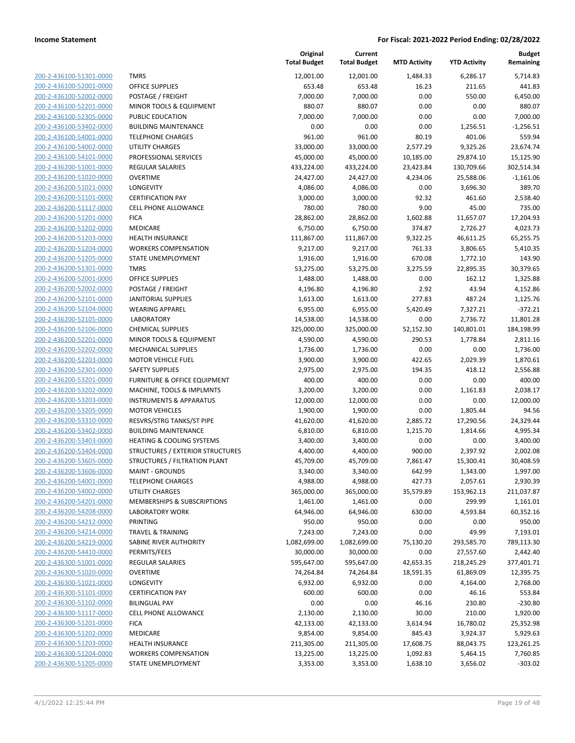| 200-2-436100-51301-0000        |
|--------------------------------|
| 200-2-436100-52001-0000        |
| 200-2-436100-52002-0000        |
| 200-2-436100-52201-0000        |
| 200-2-436100-52305-0000        |
| 200-2-436100-53402-0000        |
| 200-2-436100-54001-0000        |
| 200-2-436100-54002-0000        |
|                                |
| 200-2-436100-54101-0000        |
| 200-2-436200-51001-0000        |
| 200-2-436200-51020-0000        |
| 200-2-436200-51021-0000        |
| 200-2-436200-51101-0000        |
| 200-2-436200-51117-0000        |
| 200-2-436200-51201-0000        |
| 200-2-436200-51202-0000        |
| 200-2-436200-51203-0000        |
| 200-2-436200-51204-0000        |
| 200-2-436200-51205-0000        |
| 200-2-436200-51301-0000        |
| 200-2-436200-52001-0000        |
|                                |
| 200-2-436200-52002-0000        |
| 200-2-436200-52101-0000        |
| 200-2-436200-52104-0000        |
| 200-2-436200-52105-0000        |
| 200-2-436200-52106-0000        |
| 200-2-436200-52201-0000        |
| 200-2-436200-52202-0000        |
| 200-2-436200-52203-0000        |
| 200-2-436200-52301-0000        |
| 200-2-436200-53201-0000        |
| 200-2-436200-53202-0000        |
| 200-2-436200-53203-0000        |
| 200-2-436200-53205-0000        |
| 200-2-436200-53310-0000        |
| 200-2-436200-53402-0000        |
| 200-2-436200-53403-0000        |
|                                |
| 200-2-436200-53404-0000        |
| 200-2-436200-53605-0000        |
| 200-2-436200-53606-0000        |
| 200-2-436200-54001-0000        |
| <u>200-2-436200-54002-0000</u> |
| 200-2-436200-54201-0000        |
| 200-2-436200-54208-0000        |
| <u>200-2-436200-54212-0000</u> |
| <u>200-2-436200-54214-0000</u> |
| 200-2-436200-54219-0000        |
| 200-2-436200-54410-0000        |
| 200-2-436300-51001-0000        |
| <u>200-2-436300-51020-0000</u> |
| <u>200-2-436300-51021-0000</u> |
| 200-2-436300-51101-0000        |
|                                |
| 200-2-436300-51102-0000        |
| 200-2-436300-51117-0000        |
| <u>200-2-436300-51201-0000</u> |
| <u>200-2-436300-51202-0000</u> |
| 200-2-436300-51203-0000        |
| 200-2-436300-51204-0000        |
| 200-2-436300-51205-0000        |
|                                |

|                                                    |                                               | Original<br><b>Total Budget</b> | Current<br><b>Total Budget</b> | <b>MTD Activity</b> | <b>YTD Activity</b>    | <b>Budget</b><br>Remaining |
|----------------------------------------------------|-----------------------------------------------|---------------------------------|--------------------------------|---------------------|------------------------|----------------------------|
| 200-2-436100-51301-0000                            | <b>TMRS</b>                                   | 12,001.00                       | 12,001.00                      | 1,484.33            | 6,286.17               | 5,714.83                   |
| 200-2-436100-52001-0000                            | <b>OFFICE SUPPLIES</b>                        | 653.48                          | 653.48                         | 16.23               | 211.65                 | 441.83                     |
| 200-2-436100-52002-0000                            | POSTAGE / FREIGHT                             | 7,000.00                        | 7,000.00                       | 0.00                | 550.00                 | 6,450.00                   |
| 200-2-436100-52201-0000                            | MINOR TOOLS & EQUIPMENT                       | 880.07                          | 880.07                         | 0.00                | 0.00                   | 880.07                     |
| 200-2-436100-52305-0000                            | PUBLIC EDUCATION                              | 7,000.00                        | 7,000.00                       | 0.00                | 0.00                   | 7,000.00                   |
| 200-2-436100-53402-0000                            | <b>BUILDING MAINTENANCE</b>                   | 0.00                            | 0.00                           | 0.00                | 1,256.51               | $-1,256.51$                |
| 200-2-436100-54001-0000                            | <b>TELEPHONE CHARGES</b>                      | 961.00                          | 961.00                         | 80.19               | 401.06                 | 559.94                     |
| 200-2-436100-54002-0000                            | <b>UTILITY CHARGES</b>                        | 33,000.00                       | 33,000.00                      | 2,577.29            | 9,325.26               | 23,674.74                  |
| 200-2-436100-54101-0000                            | PROFESSIONAL SERVICES                         | 45,000.00                       | 45,000.00                      | 10,185.00           | 29,874.10              | 15,125.90                  |
| 200-2-436200-51001-0000                            | <b>REGULAR SALARIES</b>                       | 433,224.00                      | 433,224.00                     | 23,423.84           | 130,709.66             | 302,514.34                 |
| 200-2-436200-51020-0000                            | <b>OVERTIME</b>                               | 24,427.00                       | 24,427.00                      | 4,234.06            | 25,588.06              | $-1,161.06$                |
| 200-2-436200-51021-0000                            | LONGEVITY                                     | 4,086.00                        | 4,086.00                       | 0.00                | 3,696.30               | 389.70                     |
| 200-2-436200-51101-0000                            | <b>CERTIFICATION PAY</b>                      | 3,000.00                        | 3,000.00                       | 92.32               | 461.60                 | 2,538.40                   |
| 200-2-436200-51117-0000                            | <b>CELL PHONE ALLOWANCE</b>                   | 780.00                          | 780.00                         | 9.00                | 45.00                  | 735.00                     |
| 200-2-436200-51201-0000                            | <b>FICA</b>                                   | 28,862.00                       | 28,862.00                      | 1,602.88            | 11,657.07              | 17,204.93                  |
| 200-2-436200-51202-0000                            | <b>MEDICARE</b>                               | 6,750.00                        | 6,750.00                       | 374.87              | 2,726.27               | 4,023.73                   |
| 200-2-436200-51203-0000                            | <b>HEALTH INSURANCE</b>                       | 111,867.00                      | 111,867.00                     | 9,322.25            | 46,611.25              | 65,255.75                  |
| 200-2-436200-51204-0000                            | <b>WORKERS COMPENSATION</b>                   | 9,217.00                        | 9,217.00                       | 761.33              | 3,806.65               | 5,410.35                   |
| 200-2-436200-51205-0000                            | STATE UNEMPLOYMENT                            | 1,916.00                        | 1,916.00                       | 670.08              | 1,772.10               | 143.90                     |
| 200-2-436200-51301-0000                            | <b>TMRS</b>                                   | 53,275.00                       | 53,275.00                      | 3,275.59            | 22,895.35              | 30,379.65                  |
| 200-2-436200-52001-0000                            | <b>OFFICE SUPPLIES</b>                        | 1,488.00                        | 1,488.00                       | 0.00                | 162.12                 | 1,325.88                   |
| 200-2-436200-52002-0000                            | POSTAGE / FREIGHT                             | 4,196.80                        | 4,196.80                       | 2.92                | 43.94                  | 4,152.86                   |
| 200-2-436200-52101-0000                            | <b>JANITORIAL SUPPLIES</b>                    | 1,613.00                        | 1,613.00                       | 277.83              | 487.24                 | 1,125.76                   |
| 200-2-436200-52104-0000                            | <b>WEARING APPAREL</b>                        | 6,955.00                        | 6,955.00                       | 5,420.49            | 7,327.21               | $-372.21$                  |
| 200-2-436200-52105-0000                            | <b>LABORATORY</b><br><b>CHEMICAL SUPPLIES</b> | 14,538.00                       | 14,538.00                      | 0.00                | 2,736.72               | 11,801.28                  |
| 200-2-436200-52106-0000<br>200-2-436200-52201-0000 | MINOR TOOLS & EQUIPMENT                       | 325,000.00                      | 325,000.00<br>4,590.00         | 52,152.30<br>290.53 | 140,801.01<br>1,778.84 | 184,198.99<br>2,811.16     |
| 200-2-436200-52202-0000                            | <b>MECHANICAL SUPPLIES</b>                    | 4,590.00<br>1,736.00            | 1,736.00                       | 0.00                | 0.00                   | 1,736.00                   |
| 200-2-436200-52203-0000                            | <b>MOTOR VEHICLE FUEL</b>                     | 3,900.00                        | 3,900.00                       | 422.65              | 2,029.39               | 1,870.61                   |
| 200-2-436200-52301-0000                            | <b>SAFETY SUPPLIES</b>                        | 2,975.00                        | 2,975.00                       | 194.35              | 418.12                 | 2,556.88                   |
| 200-2-436200-53201-0000                            | <b>FURNITURE &amp; OFFICE EQUIPMENT</b>       | 400.00                          | 400.00                         | 0.00                | 0.00                   | 400.00                     |
| 200-2-436200-53202-0000                            | MACHINE, TOOLS & IMPLMNTS                     | 3,200.00                        | 3,200.00                       | 0.00                | 1,161.83               | 2,038.17                   |
| 200-2-436200-53203-0000                            | <b>INSTRUMENTS &amp; APPARATUS</b>            | 12,000.00                       | 12,000.00                      | 0.00                | 0.00                   | 12,000.00                  |
| 200-2-436200-53205-0000                            | <b>MOTOR VEHICLES</b>                         | 1,900.00                        | 1,900.00                       | 0.00                | 1,805.44               | 94.56                      |
| 200-2-436200-53310-0000                            | RESVRS/STRG TANKS/ST PIPE                     | 41,620.00                       | 41,620.00                      | 2,885.72            | 17,290.56              | 24,329.44                  |
| 200-2-436200-53402-0000                            | <b>BUILDING MAINTENANCE</b>                   | 6,810.00                        | 6,810.00                       | 1,215.70            | 1,814.66               | 4,995.34                   |
| 200-2-436200-53403-0000                            | <b>HEATING &amp; COOLING SYSTEMS</b>          | 3,400.00                        | 3,400.00                       | 0.00                | 0.00                   | 3,400.00                   |
| 200-2-436200-53404-0000                            | STRUCTURES / EXTERIOR STRUCTURES              | 4,400.00                        | 4,400.00                       | 900.00              | 2,397.92               | 2,002.08                   |
| 200-2-436200-53605-0000                            | STRUCTURES / FILTRATION PLANT                 | 45,709.00                       | 45,709.00                      | 7,861.47            | 15,300.41              | 30,408.59                  |
| 200-2-436200-53606-0000                            | <b>MAINT - GROUNDS</b>                        | 3,340.00                        | 3,340.00                       | 642.99              | 1,343.00               | 1,997.00                   |
| 200-2-436200-54001-0000                            | <b>TELEPHONE CHARGES</b>                      | 4,988.00                        | 4,988.00                       | 427.73              | 2,057.61               | 2,930.39                   |
| 200-2-436200-54002-0000                            | <b>UTILITY CHARGES</b>                        | 365,000.00                      | 365,000.00                     | 35,579.89           | 153,962.13             | 211,037.87                 |
| 200-2-436200-54201-0000                            | MEMBERSHIPS & SUBSCRIPTIONS                   | 1,461.00                        | 1,461.00                       | 0.00                | 299.99                 | 1,161.01                   |
| 200-2-436200-54208-0000                            | <b>LABORATORY WORK</b>                        | 64,946.00                       | 64,946.00                      | 630.00              | 4,593.84               | 60,352.16                  |
| 200-2-436200-54212-0000                            | PRINTING                                      | 950.00                          | 950.00                         | 0.00                | 0.00                   | 950.00                     |
| 200-2-436200-54214-0000                            | <b>TRAVEL &amp; TRAINING</b>                  | 7,243.00                        | 7,243.00                       | 0.00                | 49.99                  | 7,193.01                   |
| 200-2-436200-54219-0000                            | SABINE RIVER AUTHORITY                        | 1,082,699.00                    | 1,082,699.00                   | 75,130.20           | 293,585.70             | 789,113.30                 |
| 200-2-436200-54410-0000                            | PERMITS/FEES                                  | 30,000.00                       | 30,000.00                      | 0.00                | 27,557.60              | 2,442.40                   |
| 200-2-436300-51001-0000                            | REGULAR SALARIES                              | 595,647.00                      | 595,647.00                     | 42,653.35           | 218,245.29             | 377,401.71                 |
| 200-2-436300-51020-0000                            | <b>OVERTIME</b>                               | 74,264.84                       | 74,264.84                      | 18,591.35           | 61,869.09              | 12,395.75                  |
| 200-2-436300-51021-0000                            | <b>LONGEVITY</b>                              | 6,932.00                        | 6,932.00                       | 0.00                | 4,164.00               | 2,768.00                   |
| 200-2-436300-51101-0000                            | <b>CERTIFICATION PAY</b>                      | 600.00                          | 600.00                         | 0.00                | 46.16                  | 553.84                     |
| 200-2-436300-51102-0000                            | <b>BILINGUAL PAY</b>                          | 0.00                            | 0.00                           | 46.16               | 230.80                 | $-230.80$                  |
| 200-2-436300-51117-0000                            | CELL PHONE ALLOWANCE                          | 2,130.00                        | 2,130.00                       | 30.00               | 210.00                 | 1,920.00                   |
| 200-2-436300-51201-0000                            | <b>FICA</b>                                   | 42,133.00                       | 42,133.00                      | 3,614.94            | 16,780.02              | 25,352.98                  |
| 200-2-436300-51202-0000                            | MEDICARE                                      | 9,854.00                        | 9,854.00                       | 845.43              | 3,924.37               | 5,929.63                   |
| 200-2-436300-51203-0000                            | <b>HEALTH INSURANCE</b>                       | 211,305.00                      | 211,305.00                     | 17,608.75           | 88,043.75              | 123,261.25                 |
| 200-2-436300-51204-0000                            | <b>WORKERS COMPENSATION</b>                   | 13,225.00                       | 13,225.00                      | 1,092.83            | 5,464.15               | 7,760.85                   |
| 200-2-436300-51205-0000                            | STATE UNEMPLOYMENT                            | 3,353.00                        | 3,353.00                       | 1,638.10            | 3,656.02               | $-303.02$                  |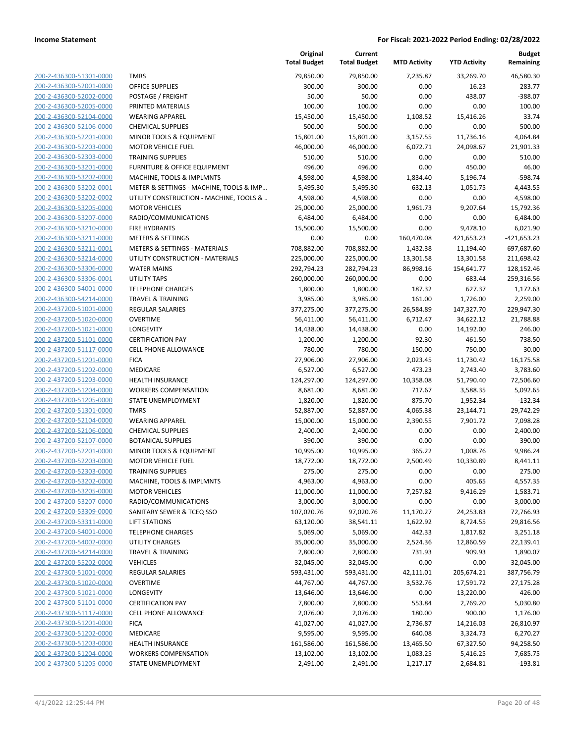|                         |                                          | Original<br><b>Total Budget</b> | Current<br><b>Total Budget</b> | <b>MTD Activity</b> | <b>YTD Activity</b> | Budget<br>Remaining |
|-------------------------|------------------------------------------|---------------------------------|--------------------------------|---------------------|---------------------|---------------------|
| 200-2-436300-51301-0000 | <b>TMRS</b>                              | 79.850.00                       | 79,850.00                      | 7,235.87            | 33,269.70           | 46,580.30           |
| 200-2-436300-52001-0000 | <b>OFFICE SUPPLIES</b>                   | 300.00                          | 300.00                         | 0.00                | 16.23               | 283.77              |
| 200-2-436300-52002-0000 | POSTAGE / FREIGHT                        | 50.00                           | 50.00                          | 0.00                | 438.07              | -388.07             |
| 200-2-436300-52005-0000 | PRINTED MATERIALS                        | 100.00                          | 100.00                         | 0.00                | 0.00                | 100.00              |
| 200-2-436300-52104-0000 | <b>WEARING APPAREL</b>                   | 15,450.00                       | 15,450.00                      | 1,108.52            | 15,416.26           | 33.74               |
| 200-2-436300-52106-0000 | <b>CHEMICAL SUPPLIES</b>                 | 500.00                          | 500.00                         | 0.00                | 0.00                | 500.00              |
| 200-2-436300-52201-0000 | MINOR TOOLS & EQUIPMENT                  | 15,801.00                       | 15,801.00                      | 3,157.55            | 11,736.16           | 4,064.84            |
| 200-2-436300-52203-0000 | <b>MOTOR VEHICLE FUEL</b>                | 46,000.00                       | 46,000.00                      | 6,072.71            | 24,098.67           | 21,901.33           |
| 200-2-436300-52303-0000 | <b>TRAINING SUPPLIES</b>                 | 510.00                          | 510.00                         | 0.00                | 0.00                | 510.00              |
| 200-2-436300-53201-0000 | FURNITURE & OFFICE EQUIPMENT             | 496.00                          | 496.00                         | 0.00                | 450.00              | 46.00               |
| 200-2-436300-53202-0000 | MACHINE, TOOLS & IMPLMNTS                | 4,598.00                        | 4,598.00                       | 1,834.40            | 5,196.74            | $-598.74$           |
| 200-2-436300-53202-0001 | METER & SETTINGS - MACHINE, TOOLS & IMP  | 5,495.30                        | 5,495.30                       | 632.13              | 1,051.75            | 4,443.55            |
| 200-2-436300-53202-0002 | UTILITY CONSTRUCTION - MACHINE, TOOLS &  | 4,598.00                        | 4,598.00                       | 0.00                | 0.00                | 4,598.00            |
| 200-2-436300-53205-0000 | <b>MOTOR VEHICLES</b>                    | 25,000.00                       | 25,000.00                      | 1,961.73            | 9,207.64            | 15,792.36           |
| 200-2-436300-53207-0000 | RADIO/COMMUNICATIONS                     | 6,484.00                        | 6,484.00                       | 0.00                | 0.00                | 6,484.00            |
| 200-2-436300-53210-0000 | <b>FIRE HYDRANTS</b>                     | 15,500.00                       | 15,500.00                      | 0.00                | 9,478.10            | 6,021.90            |
| 200-2-436300-53211-0000 | <b>METERS &amp; SETTINGS</b>             | 0.00                            | 0.00                           | 160,470.08          | 421,653.23          | $-421,653.23$       |
| 200-2-436300-53211-0001 | <b>METERS &amp; SETTINGS - MATERIALS</b> | 708,882.00                      | 708,882.00                     | 1,432.38            | 11,194.40           | 697,687.60          |
| 200-2-436300-53214-0000 | UTILITY CONSTRUCTION - MATERIALS         | 225,000.00                      | 225,000.00                     | 13,301.58           | 13,301.58           | 211,698.42          |
| 200-2-436300-53306-0000 | <b>WATER MAINS</b>                       | 292,794.23                      | 282,794.23                     | 86,998.16           | 154,641.77          | 128,152.46          |
| 200-2-436300-53306-0001 | UTILITY TAPS                             | 260,000.00                      | 260,000.00                     | 0.00                | 683.44              | 259,316.56          |
| 200-2-436300-54001-0000 | <b>TELEPHONE CHARGES</b>                 | 1,800.00                        | 1,800.00                       | 187.32              | 627.37              | 1,172.63            |
| 200-2-436300-54214-0000 | <b>TRAVEL &amp; TRAINING</b>             | 3,985.00                        | 3,985.00                       | 161.00              | 1,726.00            | 2,259.00            |
| 200-2-437200-51001-0000 | <b>REGULAR SALARIES</b>                  | 377,275.00                      | 377,275.00                     | 26,584.89           | 147,327.70          | 229,947.30          |
| 200-2-437200-51020-0000 | <b>OVERTIME</b>                          | 56,411.00                       | 56,411.00                      | 6,712.47            | 34,622.12           | 21,788.88           |
| 200-2-437200-51021-0000 | LONGEVITY                                | 14,438.00                       | 14,438.00                      | 0.00                | 14,192.00           | 246.00              |
| 200-2-437200-51101-0000 | <b>CERTIFICATION PAY</b>                 | 1,200.00                        | 1,200.00                       | 92.30               | 461.50              | 738.50              |
| 200-2-437200-51117-0000 | <b>CELL PHONE ALLOWANCE</b>              | 780.00                          | 780.00                         | 150.00              | 750.00              | 30.00               |
| 200-2-437200-51201-0000 | <b>FICA</b>                              | 27,906.00                       | 27,906.00                      | 2,023.45            | 11,730.42           | 16,175.58           |
| 200-2-437200-51202-0000 | MEDICARE                                 | 6,527.00                        | 6,527.00                       | 473.23              | 2,743.40            | 3,783.60            |
| 200-2-437200-51203-0000 | <b>HEALTH INSURANCE</b>                  | 124,297.00                      | 124,297.00                     | 10,358.08           | 51,790.40           | 72,506.60           |
| 200-2-437200-51204-0000 | <b>WORKERS COMPENSATION</b>              | 8,681.00                        | 8,681.00                       | 717.67              | 3,588.35            | 5,092.65            |
| 200-2-437200-51205-0000 | STATE UNEMPLOYMENT                       | 1,820.00                        | 1,820.00                       | 875.70              | 1,952.34            | $-132.34$           |
| 200-2-437200-51301-0000 | <b>TMRS</b>                              | 52,887.00                       | 52,887.00                      | 4,065.38            | 23,144.71           | 29,742.29           |
| 200-2-437200-52104-0000 | <b>WEARING APPAREL</b>                   | 15,000.00                       | 15,000.00                      | 2,390.55            | 7,901.72            | 7,098.28            |
| 200-2-437200-52106-0000 | <b>CHEMICAL SUPPLIES</b>                 | 2,400.00                        | 2,400.00                       | 0.00                | 0.00                | 2,400.00            |
| 200-2-437200-52107-0000 | <b>BOTANICAL SUPPLIES</b>                | 390.00                          | 390.00                         | 0.00                | 0.00                | 390.00              |
| 200-2-437200-52201-0000 | <b>MINOR TOOLS &amp; EQUIPMENT</b>       | 10,995.00                       | 10,995.00                      | 365.22              | 1,008.76            | 9,986.24            |
| 200-2-437200-52203-0000 | <b>MOTOR VEHICLE FUEL</b>                | 18,772.00                       | 18,772.00                      | 2,500.49            | 10,330.89           | 8,441.11            |
| 200-2-437200-52303-0000 | <b>TRAINING SUPPLIES</b>                 | 275.00                          | 275.00                         | 0.00                | 0.00                | 275.00              |
| 200-2-437200-53202-0000 | MACHINE, TOOLS & IMPLMNTS                | 4,963.00                        | 4,963.00                       | 0.00                | 405.65              | 4,557.35            |
| 200-2-437200-53205-0000 | <b>MOTOR VEHICLES</b>                    | 11,000.00                       | 11,000.00                      | 7,257.82            | 9,416.29            | 1,583.71            |
| 200-2-437200-53207-0000 | RADIO/COMMUNICATIONS                     | 3,000.00                        | 3,000.00                       | 0.00                | 0.00                | 3,000.00            |
| 200-2-437200-53309-0000 | SANITARY SEWER & TCEQ SSO                | 107,020.76                      | 97,020.76                      | 11,170.27           | 24,253.83           | 72,766.93           |
| 200-2-437200-53311-0000 | <b>LIFT STATIONS</b>                     | 63,120.00                       | 38,541.11                      | 1,622.92            | 8,724.55            | 29,816.56           |
| 200-2-437200-54001-0000 | <b>TELEPHONE CHARGES</b>                 | 5,069.00                        | 5,069.00                       | 442.33              | 1,817.82            | 3,251.18            |
| 200-2-437200-54002-0000 | <b>UTILITY CHARGES</b>                   | 35,000.00                       | 35,000.00                      | 2,524.36            | 12,860.59           | 22,139.41           |
| 200-2-437200-54214-0000 | <b>TRAVEL &amp; TRAINING</b>             | 2,800.00                        | 2,800.00                       | 731.93              | 909.93              | 1,890.07            |
| 200-2-437200-55202-0000 | <b>VEHICLES</b>                          | 32,045.00                       | 32,045.00                      | 0.00                | 0.00                | 32,045.00           |
| 200-2-437300-51001-0000 | REGULAR SALARIES                         | 593,431.00                      | 593,431.00                     | 42,111.01           | 205,674.21          | 387,756.79          |
| 200-2-437300-51020-0000 | <b>OVERTIME</b>                          | 44,767.00                       | 44,767.00                      | 3,532.76            | 17,591.72           | 27,175.28           |
| 200-2-437300-51021-0000 | LONGEVITY                                | 13,646.00                       | 13,646.00                      | 0.00                | 13,220.00           | 426.00              |
| 200-2-437300-51101-0000 | <b>CERTIFICATION PAY</b>                 | 7,800.00                        | 7,800.00                       | 553.84              | 2,769.20            | 5,030.80            |
| 200-2-437300-51117-0000 | <b>CELL PHONE ALLOWANCE</b>              | 2,076.00                        | 2,076.00                       | 180.00              | 900.00              | 1,176.00            |
| 200-2-437300-51201-0000 | <b>FICA</b>                              | 41,027.00                       | 41,027.00                      | 2,736.87            | 14,216.03           | 26,810.97           |
| 200-2-437300-51202-0000 | MEDICARE                                 | 9,595.00                        | 9,595.00                       | 640.08              | 3,324.73            | 6,270.27            |
| 200-2-437300-51203-0000 | <b>HEALTH INSURANCE</b>                  | 161,586.00                      | 161,586.00                     | 13,465.50           | 67,327.50           | 94,258.50           |
| 200-2-437300-51204-0000 | <b>WORKERS COMPENSATION</b>              | 13,102.00                       | 13,102.00                      | 1,083.25            | 5,416.25            | 7,685.75            |
| 200-2-437300-51205-0000 | STATE UNEMPLOYMENT                       | 2,491.00                        | 2,491.00                       | 1,217.17            | 2,684.81            | $-193.81$           |
|                         |                                          |                                 |                                |                     |                     |                     |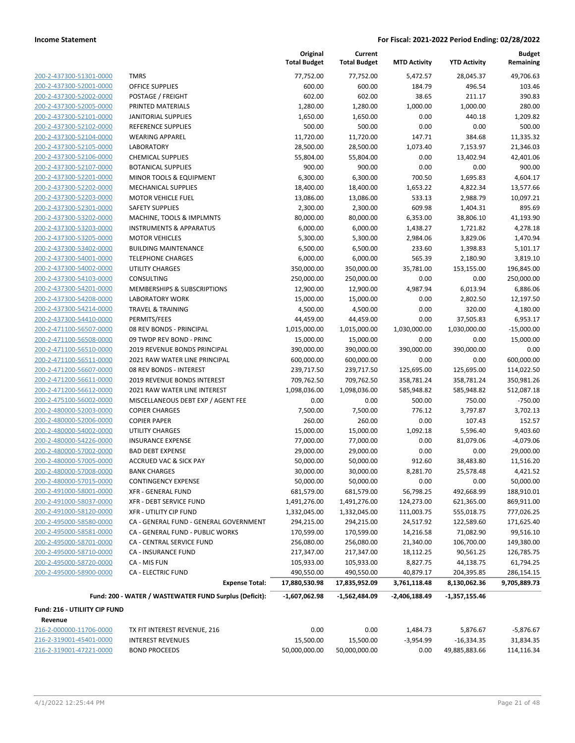| 200-2-437300-51301-0000                            |
|----------------------------------------------------|
| 200-2-437300-52001-0000                            |
| 200-2-437300-52002-0000                            |
| 200-2-437300-52005-0000                            |
| 200-2-437300-52101-0000                            |
| 200-2-437300-52102-0000                            |
| 200-2-437300-52104-0000                            |
| 200-2-437300-52105-0000                            |
| 200-2-437300-52106-0000                            |
| 200-2-437300-52107-0000                            |
| 200-2-437300-52201-0000                            |
| 200-2-437300-52202-0000                            |
| 200-2-437300-52203-0000                            |
| 200-2-437300-52301-0000                            |
| 200-2-437300-53202-0000                            |
| 200-2-437300-53203-0000                            |
| 200-2-437300-53205-0000                            |
| 200-2-437300-53402-0000                            |
| 200-2-437300-54001-0000                            |
| 200-2-437300-54002-0000                            |
| 200-2-437300-54103-0000                            |
| 200-2-437300-54201-0000                            |
| 200-2-437300-54208-0000                            |
| 200-2-437300-54214-0000                            |
| 200-2-437300-54410-0000                            |
| 200-2-471100-56507-0000                            |
| 200-2-471100-56508-0000                            |
| 200-2-471100-56510-0000                            |
| 200-2-471100-56511-0000                            |
| 200-2-471200-56607-0000                            |
| 200-2-471200-56611-0000                            |
| 200-2-471200-56612-0000                            |
| 200-2-475100-56002-0000                            |
| 200-2-480000-52003-0000                            |
| 200-2-480000-52006-0000                            |
| 200-2-480000-54002-0000                            |
| 200-2-480000-54226-0000                            |
| 200-2-480000-57002-0000                            |
| 200-2-480000-57005-0000                            |
| 200-2-480000-57008-0000                            |
| 200-2-480000-57015-0000                            |
| 200-2-491000-58001-0000                            |
| 200-2-491000-58037-0000                            |
|                                                    |
| 200-2-491000-58120-0000<br>200-2-495000-58580-0000 |
| 200-2-495000-58581-0000                            |
| 200-2-495000-58701-0000                            |
|                                                    |
| 200-2-495000-58710-0000                            |
| 200-2-495000-58720-0000                            |
| 200-2-495000-58900-0000                            |
|                                                    |

|                                          |                                                        | Original<br><b>Total Budget</b> | Current<br><b>Total Budget</b> | <b>MTD Activity</b> | <b>YTD Activity</b> | <b>Budget</b><br>Remaining |
|------------------------------------------|--------------------------------------------------------|---------------------------------|--------------------------------|---------------------|---------------------|----------------------------|
| 200-2-437300-51301-0000                  | <b>TMRS</b>                                            | 77,752.00                       | 77,752.00                      | 5,472.57            | 28,045.37           | 49,706.63                  |
| 200-2-437300-52001-0000                  | <b>OFFICE SUPPLIES</b>                                 | 600.00                          | 600.00                         | 184.79              | 496.54              | 103.46                     |
| 200-2-437300-52002-0000                  | POSTAGE / FREIGHT                                      | 602.00                          | 602.00                         | 38.65               | 211.17              | 390.83                     |
| 200-2-437300-52005-0000                  | PRINTED MATERIALS                                      | 1,280.00                        | 1,280.00                       | 1,000.00            | 1,000.00            | 280.00                     |
| 200-2-437300-52101-0000                  | <b>JANITORIAL SUPPLIES</b>                             | 1,650.00                        | 1,650.00                       | 0.00                | 440.18              | 1,209.82                   |
| 200-2-437300-52102-0000                  | <b>REFERENCE SUPPLIES</b>                              | 500.00                          | 500.00                         | 0.00                | 0.00                | 500.00                     |
| 200-2-437300-52104-0000                  | <b>WEARING APPAREL</b>                                 | 11,720.00                       | 11,720.00                      | 147.71              | 384.68              | 11,335.32                  |
| 200-2-437300-52105-0000                  | <b>LABORATORY</b>                                      | 28,500.00                       | 28,500.00                      | 1,073.40            | 7,153.97            | 21,346.03                  |
| 200-2-437300-52106-0000                  | <b>CHEMICAL SUPPLIES</b>                               | 55,804.00                       | 55,804.00                      | 0.00                | 13,402.94           | 42,401.06                  |
| 200-2-437300-52107-0000                  | <b>BOTANICAL SUPPLIES</b>                              | 900.00                          | 900.00                         | 0.00                | 0.00                | 900.00                     |
| 200-2-437300-52201-0000                  | MINOR TOOLS & EQUIPMENT                                | 6,300.00                        | 6,300.00                       | 700.50              | 1,695.83            | 4,604.17                   |
| 200-2-437300-52202-0000                  | <b>MECHANICAL SUPPLIES</b>                             | 18,400.00                       | 18,400.00                      | 1,653.22            | 4,822.34            | 13,577.66                  |
| 200-2-437300-52203-0000                  | <b>MOTOR VEHICLE FUEL</b>                              | 13,086.00                       | 13,086.00                      | 533.13              | 2,988.79            | 10,097.21                  |
| 200-2-437300-52301-0000                  | <b>SAFETY SUPPLIES</b>                                 | 2,300.00                        | 2,300.00                       | 609.98              | 1,404.31            | 895.69                     |
| 200-2-437300-53202-0000                  | MACHINE, TOOLS & IMPLMNTS                              | 80,000.00                       | 80,000.00                      | 6,353.00            | 38,806.10           | 41,193.90                  |
| 200-2-437300-53203-0000                  | <b>INSTRUMENTS &amp; APPARATUS</b>                     | 6,000.00                        | 6,000.00                       | 1,438.27            | 1,721.82            | 4,278.18                   |
| 200-2-437300-53205-0000                  | <b>MOTOR VEHICLES</b>                                  | 5,300.00                        | 5,300.00                       | 2,984.06            | 3,829.06            | 1,470.94                   |
| 200-2-437300-53402-0000                  | <b>BUILDING MAINTENANCE</b>                            | 6,500.00                        | 6,500.00                       | 233.60              | 1,398.83            | 5,101.17                   |
| 200-2-437300-54001-0000                  | <b>TELEPHONE CHARGES</b>                               | 6,000.00                        | 6,000.00                       | 565.39              | 2,180.90            | 3,819.10                   |
| 200-2-437300-54002-0000                  | UTILITY CHARGES                                        | 350,000.00                      | 350,000.00                     | 35,781.00           | 153,155.00          | 196,845.00                 |
| 200-2-437300-54103-0000                  | CONSULTING                                             | 250,000.00                      | 250,000.00                     | 0.00                | 0.00                | 250,000.00                 |
| 200-2-437300-54201-0000                  | MEMBERSHIPS & SUBSCRIPTIONS                            | 12,900.00                       | 12,900.00                      | 4,987.94            | 6,013.94            | 6,886.06                   |
| 200-2-437300-54208-0000                  | <b>LABORATORY WORK</b>                                 | 15,000.00                       | 15,000.00                      | 0.00                | 2,802.50            | 12,197.50                  |
| 200-2-437300-54214-0000                  | <b>TRAVEL &amp; TRAINING</b>                           | 4,500.00                        | 4,500.00                       | 0.00                | 320.00              | 4,180.00                   |
| 200-2-437300-54410-0000                  | PERMITS/FEES                                           | 44,459.00                       | 44,459.00                      | 0.00                | 37,505.83           | 6,953.17                   |
| 200-2-471100-56507-0000                  | 08 REV BONDS - PRINCIPAL                               | 1,015,000.00                    | 1,015,000.00                   | 1,030,000.00        | 1,030,000.00        | $-15,000.00$               |
| 200-2-471100-56508-0000                  | 09 TWDP REV BOND - PRINC                               | 15,000.00                       | 15,000.00                      | 0.00                | 0.00                | 15,000.00                  |
| 200-2-471100-56510-0000                  | 2019 REVENUE BONDS PRINCIPAL                           | 390,000.00                      | 390,000.00                     | 390,000.00          | 390,000.00          | 0.00                       |
| 200-2-471100-56511-0000                  | 2021 RAW WATER LINE PRINCIPAL                          | 600,000.00                      | 600,000.00                     | 0.00                | 0.00                | 600,000.00                 |
| 200-2-471200-56607-0000                  | 08 REV BONDS - INTEREST                                | 239,717.50                      | 239,717.50                     | 125,695.00          | 125,695.00          | 114,022.50                 |
| 200-2-471200-56611-0000                  | 2019 REVENUE BONDS INTEREST                            | 709,762.50                      | 709,762.50                     | 358,781.24          | 358,781.24          | 350,981.26                 |
| 200-2-471200-56612-0000                  | 2021 RAW WATER LINE INTEREST                           | 1,098,036.00                    | 1,098,036.00                   | 585,948.82          | 585,948.82          | 512,087.18                 |
| 200-2-475100-56002-0000                  | MISCELLANEOUS DEBT EXP / AGENT FEE                     | 0.00                            | 0.00                           | 500.00              | 750.00              | $-750.00$                  |
| 200-2-480000-52003-0000                  | <b>COPIER CHARGES</b>                                  | 7,500.00                        | 7,500.00                       | 776.12              | 3,797.87            | 3,702.13                   |
| 200-2-480000-52006-0000                  | <b>COPIER PAPER</b>                                    | 260.00                          | 260.00                         | 0.00                | 107.43              | 152.57                     |
| 200-2-480000-54002-0000                  | <b>UTILITY CHARGES</b>                                 | 15,000.00                       | 15,000.00                      | 1,092.18            | 5,596.40            | 9,403.60                   |
| 200-2-480000-54226-0000                  | <b>INSURANCE EXPENSE</b>                               | 77,000.00                       | 77,000.00                      | 0.00                | 81,079.06           | $-4,079.06$                |
| 200-2-480000-57002-0000                  | <b>BAD DEBT EXPENSE</b>                                | 29,000.00                       | 29,000.00                      | 0.00                | 0.00                | 29,000.00                  |
| 200-2-480000-57005-0000                  | <b>ACCRUED VAC &amp; SICK PAY</b>                      | 50,000.00                       | 50,000.00                      | 912.60              | 38,483.80           | 11,516.20                  |
| 200-2-480000-57008-0000                  | <b>BANK CHARGES</b>                                    | 30,000.00                       | 30,000.00                      | 8,281.70            | 25,578.48           | 4,421.52                   |
| 200-2-480000-57015-0000                  | <b>CONTINGENCY EXPENSE</b>                             | 50,000.00                       | 50,000.00                      | 0.00                | 0.00                | 50,000.00                  |
| 200-2-491000-58001-0000                  | XFR - GENERAL FUND                                     | 681,579.00                      | 681,579.00                     | 56,798.25           | 492,668.99          | 188,910.01                 |
| 200-2-491000-58037-0000                  | <b>XFR - DEBT SERVICE FUND</b>                         | 1,491,276.00                    | 1,491,276.00                   | 124,273.00          | 621,365.00          | 869,911.00                 |
| 200-2-491000-58120-0000                  | XFR - UTILITY CIP FUND                                 | 1,332,045.00                    | 1,332,045.00                   | 111,003.75          | 555,018.75          | 777,026.25                 |
| 200-2-495000-58580-0000                  | CA - GENERAL FUND - GENERAL GOVERNMENT                 | 294,215.00                      | 294,215.00                     | 24,517.92           | 122,589.60          | 171,625.40                 |
| 200-2-495000-58581-0000                  | CA - GENERAL FUND - PUBLIC WORKS                       | 170,599.00                      | 170,599.00                     | 14,216.58           | 71,082.90           | 99,516.10                  |
| 200-2-495000-58701-0000                  | CA - CENTRAL SERVICE FUND                              | 256,080.00                      | 256,080.00                     | 21,340.00           | 106,700.00          | 149,380.00                 |
| 200-2-495000-58710-0000                  | CA - INSURANCE FUND                                    | 217,347.00                      | 217,347.00                     | 18,112.25           | 90,561.25           | 126,785.75                 |
| 200-2-495000-58720-0000                  | CA - MIS FUN                                           | 105,933.00                      | 105,933.00                     | 8,827.75            | 44,138.75           | 61,794.25                  |
| 200-2-495000-58900-0000                  | <b>CA - ELECTRIC FUND</b>                              | 490,550.00                      | 490,550.00                     | 40,879.17           | 204,395.85          | 286,154.15                 |
|                                          | <b>Expense Total:</b>                                  | 17,880,530.98                   | 17,835,952.09                  | 3,761,118.48        | 8,130,062.36        | 9,705,889.73               |
|                                          | Fund: 200 - WATER / WASTEWATER FUND Surplus (Deficit): | $-1,607,062.98$                 | -1,562,484.09                  | -2,406,188.49       | -1,357,155.46       |                            |
|                                          |                                                        |                                 |                                |                     |                     |                            |
| Fund: 216 - UTILIITY CIP FUND<br>Revenue |                                                        |                                 |                                |                     |                     |                            |
|                                          | TV FIT INTERFET BEVENUE 240                            |                                 |                                |                     |                     |                            |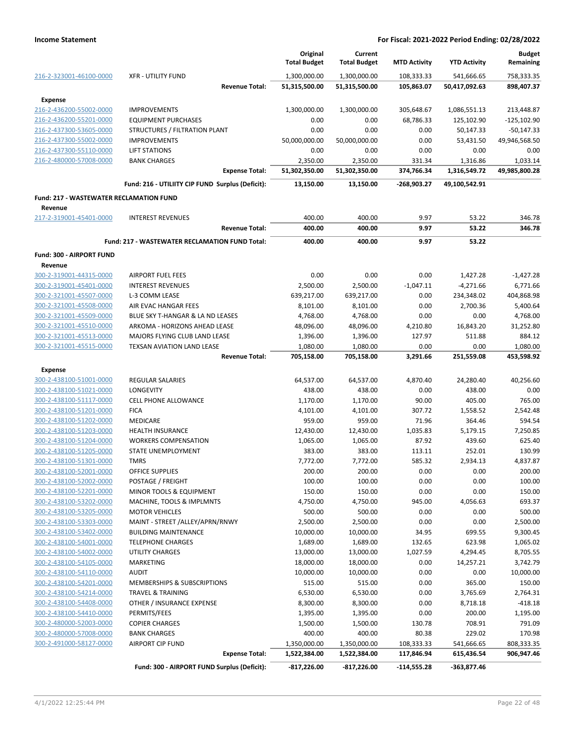|                                                    |                                                       | Original<br><b>Total Budget</b> | Current<br><b>Total Budget</b> | <b>MTD Activity</b> | <b>YTD Activity</b> | <b>Budget</b><br>Remaining |
|----------------------------------------------------|-------------------------------------------------------|---------------------------------|--------------------------------|---------------------|---------------------|----------------------------|
| 216-2-323001-46100-0000                            | <b>XFR - UTILITY FUND</b>                             | 1,300,000.00                    | 1,300,000.00                   | 108,333.33          | 541,666.65          | 758,333.35                 |
|                                                    | <b>Revenue Total:</b>                                 | 51,315,500.00                   | 51,315,500.00                  | 105,863.07          | 50,417,092.63       | 898,407.37                 |
| <b>Expense</b>                                     |                                                       |                                 |                                |                     |                     |                            |
| 216-2-436200-55002-0000                            | <b>IMPROVEMENTS</b>                                   | 1,300,000.00                    | 1,300,000.00                   | 305,648.67          | 1,086,551.13        | 213,448.87                 |
| 216-2-436200-55201-0000                            | <b>EQUIPMENT PURCHASES</b>                            | 0.00                            | 0.00                           | 68,786.33           | 125,102.90          | $-125,102.90$              |
| 216-2-437300-53605-0000                            | STRUCTURES / FILTRATION PLANT                         | 0.00                            | 0.00                           | 0.00                | 50,147.33           | $-50,147.33$               |
| 216-2-437300-55002-0000                            | <b>IMPROVEMENTS</b>                                   | 50,000,000.00                   | 50,000,000.00                  | 0.00                | 53,431.50           | 49,946,568.50              |
| 216-2-437300-55110-0000                            | <b>LIFT STATIONS</b>                                  | 0.00                            | 0.00                           | 0.00                | 0.00                | 0.00                       |
| 216-2-480000-57008-0000                            | <b>BANK CHARGES</b>                                   | 2,350.00                        | 2,350.00                       | 331.34              | 1,316.86            | 1,033.14                   |
|                                                    | <b>Expense Total:</b>                                 | 51,302,350.00                   | 51,302,350.00                  | 374,766.34          | 1,316,549.72        | 49,985,800.28              |
|                                                    | Fund: 216 - UTILIITY CIP FUND Surplus (Deficit):      | 13,150.00                       | 13,150.00                      | -268,903.27         | 49,100,542.91       |                            |
| <b>Fund: 217 - WASTEWATER RECLAMATION FUND</b>     |                                                       |                                 |                                |                     |                     |                            |
| Revenue                                            |                                                       |                                 |                                |                     |                     |                            |
| 217-2-319001-45401-0000                            | <b>INTEREST REVENUES</b>                              | 400.00                          | 400.00                         | 9.97                | 53.22               | 346.78                     |
|                                                    | <b>Revenue Total:</b>                                 | 400.00                          | 400.00                         | 9.97                | 53.22               | 346.78                     |
|                                                    | <b>Fund: 217 - WASTEWATER RECLAMATION FUND Total:</b> | 400.00                          | 400.00                         | 9.97                | 53.22               |                            |
| Fund: 300 - AIRPORT FUND                           |                                                       |                                 |                                |                     |                     |                            |
| Revenue                                            |                                                       |                                 |                                |                     |                     |                            |
| 300-2-319001-44315-0000                            | <b>AIRPORT FUEL FEES</b>                              | 0.00                            | 0.00                           | 0.00                | 1,427.28            | $-1,427.28$                |
| 300-2-319001-45401-0000                            | <b>INTEREST REVENUES</b>                              | 2,500.00                        | 2,500.00                       | $-1,047.11$         | $-4,271.66$         | 6,771.66                   |
| 300-2-321001-45507-0000                            | L-3 COMM LEASE                                        | 639,217.00                      | 639,217.00                     | 0.00                | 234,348.02          | 404,868.98                 |
| 300-2-321001-45508-0000                            | AIR EVAC HANGAR FEES                                  | 8,101.00                        | 8,101.00                       | 0.00                | 2,700.36            | 5,400.64                   |
| 300-2-321001-45509-0000                            | BLUE SKY T-HANGAR & LA ND LEASES                      | 4,768.00                        | 4,768.00                       | 0.00                | 0.00                | 4,768.00                   |
| 300-2-321001-45510-0000                            | ARKOMA - HORIZONS AHEAD LEASE                         | 48,096.00                       | 48,096.00                      | 4,210.80            | 16,843.20           | 31,252.80                  |
| 300-2-321001-45513-0000                            | MAJORS FLYING CLUB LAND LEASE                         | 1,396.00                        | 1,396.00                       | 127.97              | 511.88              | 884.12                     |
| 300-2-321001-45515-0000                            | TEXSAN AVIATION LAND LEASE                            | 1,080.00                        | 1,080.00                       | 0.00                | 0.00                | 1,080.00                   |
|                                                    | <b>Revenue Total:</b>                                 | 705,158.00                      | 705,158.00                     | 3,291.66            | 251,559.08          | 453,598.92                 |
| <b>Expense</b>                                     |                                                       |                                 |                                |                     |                     |                            |
| 300-2-438100-51001-0000                            | <b>REGULAR SALARIES</b>                               | 64,537.00                       | 64,537.00                      | 4,870.40            | 24,280.40           | 40,256.60                  |
| 300-2-438100-51021-0000                            | <b>LONGEVITY</b>                                      | 438.00                          | 438.00                         | 0.00                | 438.00              | 0.00                       |
| 300-2-438100-51117-0000                            | <b>CELL PHONE ALLOWANCE</b>                           | 1,170.00                        | 1,170.00                       | 90.00               | 405.00              | 765.00                     |
| 300-2-438100-51201-0000                            | <b>FICA</b>                                           | 4,101.00                        | 4,101.00                       | 307.72              | 1,558.52            | 2,542.48                   |
| 300-2-438100-51202-0000                            | <b>MEDICARE</b>                                       | 959.00                          | 959.00                         | 71.96               | 364.46              | 594.54                     |
| 300-2-438100-51203-0000                            | <b>HEALTH INSURANCE</b>                               | 12,430.00                       | 12,430.00                      | 1,035.83            | 5,179.15            | 7,250.85                   |
| 300-2-438100-51204-0000                            | <b>WORKERS COMPENSATION</b>                           | 1,065.00                        | 1,065.00                       | 87.92               | 439.60              | 625.40                     |
| 300-2-438100-51205-0000                            | STATE UNEMPLOYMENT                                    | 383.00                          | 383.00                         | 113.11              | 252.01              | 130.99                     |
| 300-2-438100-51301-0000                            | <b>TMRS</b>                                           | 7,772.00                        | 7,772.00                       | 585.32              | 2,934.13            | 4,837.87                   |
| 300-2-438100-52001-0000                            | <b>OFFICE SUPPLIES</b>                                | 200.00                          | 200.00                         | 0.00                | 0.00                | 200.00                     |
| 300-2-438100-52002-0000                            | POSTAGE / FREIGHT                                     | 100.00                          | 100.00                         | 0.00                | 0.00                | 100.00                     |
| 300-2-438100-52201-0000                            | MINOR TOOLS & EQUIPMENT                               | 150.00                          | 150.00                         | 0.00                | 0.00                | 150.00                     |
| 300-2-438100-53202-0000                            | MACHINE, TOOLS & IMPLMNTS                             | 4,750.00                        | 4,750.00                       | 945.00              | 4,056.63            | 693.37                     |
| 300-2-438100-53205-0000                            | <b>MOTOR VEHICLES</b>                                 | 500.00                          | 500.00                         | 0.00                | 0.00                | 500.00                     |
| 300-2-438100-53303-0000                            | MAINT - STREET /ALLEY/APRN/RNWY                       | 2,500.00                        | 2,500.00                       | 0.00                | 0.00                | 2,500.00                   |
| 300-2-438100-53402-0000                            | <b>BUILDING MAINTENANCE</b>                           | 10,000.00                       | 10,000.00                      | 34.95               | 699.55              | 9,300.45                   |
| 300-2-438100-54001-0000                            | <b>TELEPHONE CHARGES</b><br><b>UTILITY CHARGES</b>    | 1,689.00                        | 1,689.00                       | 132.65              | 623.98              | 1,065.02                   |
| 300-2-438100-54002-0000<br>300-2-438100-54105-0000 |                                                       | 13,000.00<br>18,000.00          | 13,000.00                      | 1,027.59            | 4,294.45            | 8,705.55                   |
| 300-2-438100-54110-0000                            | MARKETING<br><b>AUDIT</b>                             | 10,000.00                       | 18,000.00                      | 0.00<br>0.00        | 14,257.21<br>0.00   | 3,742.79                   |
| 300-2-438100-54201-0000                            | MEMBERSHIPS & SUBSCRIPTIONS                           | 515.00                          | 10,000.00<br>515.00            | 0.00                | 365.00              | 10,000.00<br>150.00        |
| 300-2-438100-54214-0000                            | TRAVEL & TRAINING                                     | 6,530.00                        | 6,530.00                       | 0.00                | 3,765.69            | 2,764.31                   |
| 300-2-438100-54408-0000                            | OTHER / INSURANCE EXPENSE                             | 8,300.00                        | 8,300.00                       | 0.00                | 8,718.18            | $-418.18$                  |
| 300-2-438100-54410-0000                            | PERMITS/FEES                                          | 1,395.00                        | 1,395.00                       | 0.00                | 200.00              | 1,195.00                   |
| 300-2-480000-52003-0000                            | <b>COPIER CHARGES</b>                                 | 1,500.00                        | 1,500.00                       | 130.78              | 708.91              | 791.09                     |
| 300-2-480000-57008-0000                            | <b>BANK CHARGES</b>                                   | 400.00                          | 400.00                         | 80.38               | 229.02              | 170.98                     |
| 300-2-491000-58127-0000                            | <b>AIRPORT CIP FUND</b>                               | 1,350,000.00                    | 1,350,000.00                   | 108,333.33          | 541,666.65          | 808,333.35                 |
|                                                    | <b>Expense Total:</b>                                 | 1,522,384.00                    | 1,522,384.00                   | 117,846.94          | 615,436.54          | 906,947.46                 |
|                                                    | Fund: 300 - AIRPORT FUND Surplus (Deficit):           | -817,226.00                     | $-817,226.00$                  | $-114,555.28$       | -363,877.46         |                            |
|                                                    |                                                       |                                 |                                |                     |                     |                            |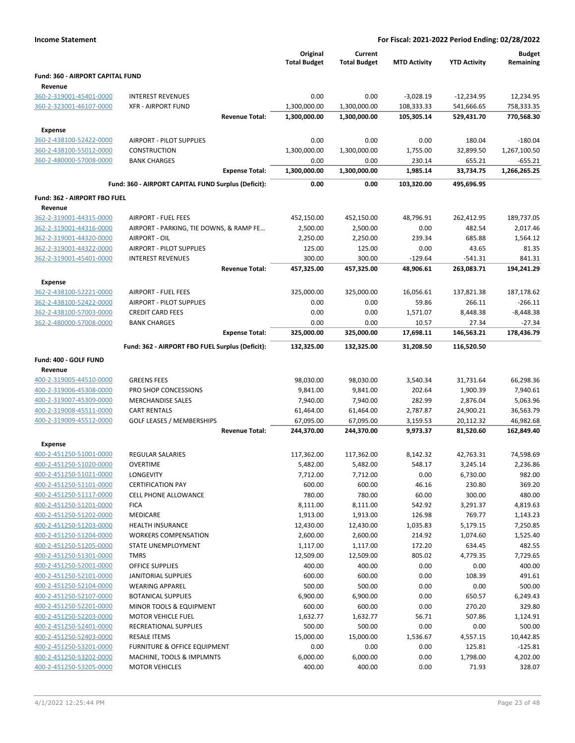| <b>Income Statement</b>                            |                                                     |                                 |                                | For Fiscal: 2021-2022 Period Ending: 02/28/2022 |                     |                            |
|----------------------------------------------------|-----------------------------------------------------|---------------------------------|--------------------------------|-------------------------------------------------|---------------------|----------------------------|
|                                                    |                                                     | Original<br><b>Total Budget</b> | Current<br><b>Total Budget</b> | <b>MTD Activity</b>                             | <b>YTD Activity</b> | <b>Budget</b><br>Remaining |
| Fund: 360 - AIRPORT CAPITAL FUND                   |                                                     |                                 |                                |                                                 |                     |                            |
| Revenue                                            |                                                     |                                 |                                |                                                 |                     |                            |
| 360-2-319001-45401-0000                            | <b>INTEREST REVENUES</b>                            | 0.00                            | 0.00                           | $-3,028.19$                                     | $-12,234.95$        | 12,234.95                  |
| 360-2-323001-46107-0000                            | <b>XFR - AIRPORT FUND</b>                           | 1,300,000.00                    | 1,300,000.00                   | 108,333.33                                      | 541,666.65          | 758,333.35                 |
|                                                    | <b>Revenue Total:</b>                               | 1,300,000.00                    | 1,300,000.00                   | 105,305.14                                      | 529,431.70          | 770,568.30                 |
| <b>Expense</b>                                     |                                                     |                                 |                                |                                                 |                     |                            |
| 360-2-438100-52422-0000                            | <b>AIRPORT - PILOT SUPPLIES</b>                     | 0.00                            | 0.00                           | 0.00                                            | 180.04              | $-180.04$                  |
| 360-2-438100-55012-0000                            | <b>CONSTRUCTION</b>                                 | 1,300,000.00                    | 1,300,000.00                   | 1,755.00                                        | 32,899.50           | 1,267,100.50               |
| 360-2-480000-57008-0000                            | <b>BANK CHARGES</b>                                 | 0.00                            | 0.00                           | 230.14                                          | 655.21              | $-655.21$                  |
|                                                    | <b>Expense Total:</b>                               | 1,300,000.00                    | 1,300,000.00                   | 1,985.14                                        | 33,734.75           | 1,266,265.25               |
|                                                    | Fund: 360 - AIRPORT CAPITAL FUND Surplus (Deficit): | 0.00                            | 0.00                           | 103,320.00                                      | 495,696.95          |                            |
| Fund: 362 - AIRPORT FBO FUEL                       |                                                     |                                 |                                |                                                 |                     |                            |
| Revenue                                            |                                                     |                                 |                                |                                                 |                     |                            |
| 362-2-319001-44315-0000                            | <b>AIRPORT - FUEL FEES</b>                          | 452,150.00                      | 452,150.00                     | 48,796.91                                       | 262,412.95          | 189,737.05                 |
| 362-2-319001-44316-0000                            | AIRPORT - PARKING, TIE DOWNS, & RAMP FE             | 2,500.00                        | 2,500.00                       | 0.00                                            | 482.54              | 2,017.46                   |
| 362-2-319001-44320-0000                            | AIRPORT - OIL                                       | 2,250.00                        | 2,250.00                       | 239.34                                          | 685.88              | 1,564.12                   |
| 362-2-319001-44322-0000                            | AIRPORT - PILOT SUPPLIES                            | 125.00                          | 125.00                         | 0.00                                            | 43.65               | 81.35                      |
| 362-2-319001-45401-0000                            | <b>INTEREST REVENUES</b>                            | 300.00                          | 300.00                         | $-129.64$                                       | $-541.31$           | 841.31                     |
|                                                    | <b>Revenue Total:</b>                               | 457,325.00                      | 457,325.00                     | 48,906.61                                       | 263,083.71          | 194,241.29                 |
| <b>Expense</b>                                     |                                                     |                                 |                                |                                                 |                     |                            |
| 362-2-438100-52221-0000                            | <b>AIRPORT - FUEL FEES</b>                          | 325,000.00                      | 325,000.00                     | 16,056.61                                       | 137,821.38          | 187,178.62                 |
| 362-2-438100-52422-0000                            | <b>AIRPORT - PILOT SUPPLIES</b>                     | 0.00                            | 0.00                           | 59.86                                           | 266.11              | $-266.11$                  |
| 362-2-438100-57003-0000                            | <b>CREDIT CARD FEES</b>                             | 0.00                            | 0.00                           | 1,571.07                                        | 8,448.38            | $-8,448.38$                |
| 362-2-480000-57008-0000                            | <b>BANK CHARGES</b>                                 | 0.00                            | 0.00                           | 10.57                                           | 27.34               | -27.34                     |
|                                                    | <b>Expense Total:</b>                               | 325,000.00                      | 325,000.00                     | 17,698.11                                       | 146,563.21          | 178,436.79                 |
|                                                    | Fund: 362 - AIRPORT FBO FUEL Surplus (Deficit):     | 132,325.00                      | 132,325.00                     | 31,208.50                                       | 116,520.50          |                            |
| Fund: 400 - GOLF FUND                              |                                                     |                                 |                                |                                                 |                     |                            |
| Revenue                                            |                                                     |                                 |                                |                                                 |                     |                            |
| 400-2-319005-44510-0000                            | <b>GREENS FEES</b>                                  | 98,030.00                       | 98,030.00                      | 3,540.34                                        | 31,731.64           | 66,298.36                  |
| 400-2-319006-45308-0000                            | PRO SHOP CONCESSIONS                                | 9,841.00                        | 9,841.00                       | 202.64                                          | 1,900.39            | 7,940.61                   |
| 400-2-319007-45309-0000                            | <b>MERCHANDISE SALES</b>                            | 7,940.00                        | 7,940.00                       | 282.99                                          | 2,876.04            | 5,063.96                   |
| 400-2-319008-45511-0000                            | <b>CART RENTALS</b>                                 | 61,464.00                       | 61,464.00                      | 2,787.87                                        | 24,900.21           | 36,563.79                  |
| 400-2-319009-45512-0000                            | <b>GOLF LEASES / MEMBERSHIPS</b>                    | 67,095.00                       | 67,095.00                      | 3,159.53                                        | 20,112.32           | 46,982.68                  |
|                                                    | <b>Revenue Total:</b>                               | 244,370.00                      | 244,370.00                     | 9,973.37                                        | 81,520.60           | 162,849.40                 |
| Expense                                            |                                                     |                                 |                                |                                                 |                     |                            |
| 400-2-451250-51001-0000                            | REGULAR SALARIES                                    | 117,362.00                      | 117,362.00                     | 8,142.32                                        | 42,763.31           | 74,598.69                  |
| 400-2-451250-51020-0000                            | <b>OVERTIME</b>                                     | 5,482.00                        | 5,482.00                       | 548.17                                          | 3,245.14            | 2,236.86                   |
| 400-2-451250-51021-0000                            | LONGEVITY                                           | 7,712.00                        | 7,712.00                       | 0.00                                            | 6,730.00            | 982.00                     |
| 400-2-451250-51101-0000                            | <b>CERTIFICATION PAY</b>                            | 600.00                          | 600.00                         | 46.16                                           | 230.80              | 369.20                     |
| 400-2-451250-51117-0000                            | <b>CELL PHONE ALLOWANCE</b>                         | 780.00                          | 780.00                         | 60.00                                           | 300.00              | 480.00                     |
| 400-2-451250-51201-0000                            | <b>FICA</b>                                         | 8,111.00                        | 8,111.00                       | 542.92                                          | 3,291.37            | 4,819.63                   |
| 400-2-451250-51202-0000                            | MEDICARE                                            | 1,913.00                        | 1,913.00                       | 126.98                                          | 769.77              | 1,143.23                   |
| 400-2-451250-51203-0000                            | <b>HEALTH INSURANCE</b>                             | 12,430.00                       | 12,430.00                      | 1,035.83                                        | 5,179.15            | 7,250.85                   |
| 400-2-451250-51204-0000                            | <b>WORKERS COMPENSATION</b>                         | 2,600.00                        | 2,600.00                       | 214.92                                          | 1,074.60            | 1,525.40                   |
| 400-2-451250-51205-0000                            | STATE UNEMPLOYMENT                                  | 1,117.00                        | 1,117.00                       | 172.20                                          | 634.45              | 482.55                     |
| 400-2-451250-51301-0000                            | <b>TMRS</b>                                         | 12,509.00                       | 12,509.00                      | 805.02                                          | 4,779.35            | 7,729.65                   |
| 400-2-451250-52001-0000                            | OFFICE SUPPLIES                                     | 400.00                          | 400.00                         | 0.00                                            | 0.00                | 400.00                     |
| 400-2-451250-52101-0000                            | JANITORIAL SUPPLIES                                 | 600.00                          | 600.00                         | 0.00                                            | 108.39              | 491.61                     |
| 400-2-451250-52104-0000                            | <b>WEARING APPAREL</b>                              | 500.00                          | 500.00                         | 0.00                                            | 0.00                | 500.00                     |
| 400-2-451250-52107-0000                            | <b>BOTANICAL SUPPLIES</b>                           | 6,900.00                        | 6,900.00                       | 0.00                                            | 650.57              | 6,249.43                   |
| 400-2-451250-52201-0000                            | MINOR TOOLS & EQUIPMENT                             | 600.00                          | 600.00                         | 0.00                                            | 270.20              | 329.80                     |
| 400-2-451250-52203-0000                            | <b>MOTOR VEHICLE FUEL</b>                           | 1,632.77                        | 1,632.77                       | 56.71                                           | 507.86              | 1,124.91                   |
| 400-2-451250-52401-0000<br>400-2-451250-52403-0000 | RECREATIONAL SUPPLIES<br><b>RESALE ITEMS</b>        | 500.00                          | 500.00                         | 0.00                                            | 0.00                | 500.00<br>10,442.85        |
| 400-2-451250-53201-0000                            | <b>FURNITURE &amp; OFFICE EQUIPMENT</b>             | 15,000.00<br>0.00               | 15,000.00<br>0.00              | 1,536.67<br>0.00                                | 4,557.15<br>125.81  | $-125.81$                  |
| 400-2-451250-53202-0000                            | MACHINE, TOOLS & IMPLMNTS                           | 6,000.00                        | 6,000.00                       | 0.00                                            | 1,798.00            | 4,202.00                   |
| 400-2-451250-53205-0000                            | <b>MOTOR VEHICLES</b>                               | 400.00                          | 400.00                         | 0.00                                            | 71.93               | 328.07                     |
|                                                    |                                                     |                                 |                                |                                                 |                     |                            |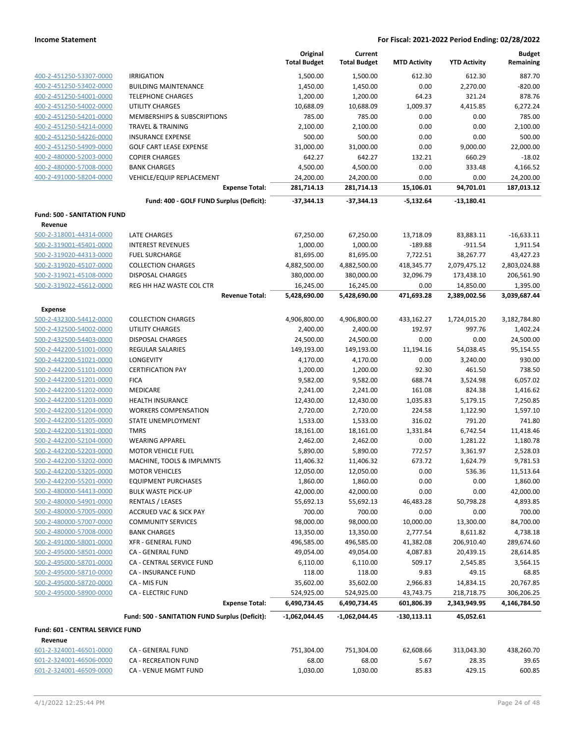|                                    |                                                | Original            | Current             |                     |                            | <b>Budget</b>              |
|------------------------------------|------------------------------------------------|---------------------|---------------------|---------------------|----------------------------|----------------------------|
|                                    |                                                | <b>Total Budget</b> | <b>Total Budget</b> | <b>MTD Activity</b> | <b>YTD Activity</b>        | Remaining                  |
| 400-2-451250-53307-0000            | <b>IRRIGATION</b>                              | 1,500.00            | 1,500.00            | 612.30              | 612.30                     | 887.70                     |
| 400-2-451250-53402-0000            | <b>BUILDING MAINTENANCE</b>                    | 1,450.00            | 1,450.00            | 0.00                | 2,270.00                   | $-820.00$                  |
| 400-2-451250-54001-0000            | <b>TELEPHONE CHARGES</b>                       | 1,200.00            | 1,200.00            | 64.23               | 321.24                     | 878.76                     |
| 400-2-451250-54002-0000            | <b>UTILITY CHARGES</b>                         | 10,688.09           | 10,688.09           | 1,009.37            | 4,415.85                   | 6,272.24                   |
| 400-2-451250-54201-0000            | MEMBERSHIPS & SUBSCRIPTIONS                    | 785.00              | 785.00              | 0.00                | 0.00                       | 785.00                     |
| 400-2-451250-54214-0000            | TRAVEL & TRAINING                              | 2,100.00            | 2,100.00            | 0.00                | 0.00                       | 2,100.00                   |
| 400-2-451250-54226-0000            | <b>INSURANCE EXPENSE</b>                       | 500.00              | 500.00              | 0.00                | 0.00                       | 500.00                     |
| 400-2-451250-54909-0000            | <b>GOLF CART LEASE EXPENSE</b>                 | 31,000.00           | 31,000.00           | 0.00                | 9,000.00                   | 22,000.00                  |
| 400-2-480000-52003-0000            | <b>COPIER CHARGES</b>                          | 642.27              | 642.27              | 132.21              | 660.29                     | $-18.02$                   |
| 400-2-480000-57008-0000            | <b>BANK CHARGES</b>                            | 4,500.00            | 4,500.00            | 0.00                | 333.48                     | 4,166.52                   |
| 400-2-491000-58204-0000            | VEHICLE/EQUIP REPLACEMENT                      | 24,200.00           | 24,200.00           | 0.00                | 0.00                       | 24,200.00                  |
|                                    | <b>Expense Total:</b>                          | 281,714.13          | 281,714.13          | 15,106.01           | 94,701.01                  | 187,013.12                 |
|                                    | Fund: 400 - GOLF FUND Surplus (Deficit):       | -37,344.13          | -37,344.13          | $-5,132.64$         | $-13,180.41$               |                            |
| <b>Fund: 500 - SANITATION FUND</b> |                                                |                     |                     |                     |                            |                            |
| Revenue                            |                                                |                     |                     |                     |                            |                            |
| 500-2-318001-44314-0000            | LATE CHARGES                                   | 67,250.00           | 67,250.00           | 13,718.09           | 83,883.11                  | $-16,633.11$               |
| 500-2-319001-45401-0000            | <b>INTEREST REVENUES</b>                       | 1,000.00            | 1,000.00            | $-189.88$           | $-911.54$                  | 1,911.54                   |
| 500-2-319020-44313-0000            | <b>FUEL SURCHARGE</b>                          | 81,695.00           | 81,695.00           | 7,722.51            | 38,267.77                  | 43,427.23                  |
| 500-2-319020-45107-0000            | <b>COLLECTION CHARGES</b>                      | 4,882,500.00        | 4,882,500.00        | 418,345.77          | 2,079,475.12               | 2,803,024.88               |
| 500-2-319021-45108-0000            | <b>DISPOSAL CHARGES</b>                        | 380,000.00          | 380,000.00          | 32,096.79           | 173,438.10                 | 206,561.90                 |
| 500-2-319022-45612-0000            | REG HH HAZ WASTE COL CTR                       | 16,245.00           | 16,245.00           | 0.00                | 14,850.00                  | 1,395.00                   |
|                                    | <b>Revenue Total:</b>                          | 5,428,690.00        | 5,428,690.00        | 471,693.28          | 2,389,002.56               | 3,039,687.44               |
| Expense                            |                                                |                     |                     |                     |                            |                            |
| 500-2-432300-54412-0000            | <b>COLLECTION CHARGES</b>                      | 4,906,800.00        | 4,906,800.00        | 433,162.27          | 1,724,015.20               | 3,182,784.80               |
| 500-2-432500-54002-0000            | UTILITY CHARGES                                | 2,400.00            | 2,400.00            | 192.97              | 997.76                     | 1,402.24                   |
| 500-2-432500-54403-0000            | <b>DISPOSAL CHARGES</b>                        | 24,500.00           | 24,500.00           | 0.00                | 0.00                       | 24,500.00                  |
| 500-2-442200-51001-0000            | REGULAR SALARIES                               | 149,193.00          | 149,193.00          | 11,194.16           | 54,038.45                  | 95,154.55                  |
| 500-2-442200-51021-0000            | LONGEVITY                                      | 4,170.00            | 4,170.00            | 0.00                | 3,240.00                   | 930.00                     |
| 500-2-442200-51101-0000            | <b>CERTIFICATION PAY</b>                       | 1,200.00            | 1,200.00            | 92.30               | 461.50                     | 738.50                     |
| 500-2-442200-51201-0000            | <b>FICA</b>                                    | 9,582.00            | 9,582.00            | 688.74              | 3,524.98                   | 6,057.02                   |
| 500-2-442200-51202-0000            | MEDICARE                                       | 2,241.00            | 2,241.00            | 161.08              | 824.38                     | 1,416.62                   |
| 500-2-442200-51203-0000            | HEALTH INSURANCE                               | 12,430.00           | 12,430.00           | 1,035.83            | 5,179.15                   | 7,250.85                   |
| 500-2-442200-51204-0000            | <b>WORKERS COMPENSATION</b>                    | 2,720.00            | 2,720.00            | 224.58              | 1,122.90                   | 1,597.10                   |
| 500-2-442200-51205-0000            | STATE UNEMPLOYMENT                             | 1,533.00            | 1,533.00            | 316.02              | 791.20                     | 741.80                     |
| 500-2-442200-51301-0000            | <b>TMRS</b>                                    | 18,161.00           | 18,161.00           | 1,331.84            | 6,742.54                   | 11,418.46                  |
| 500-2-442200-52104-0000            | <b>WEARING APPAREL</b>                         | 2,462.00            | 2,462.00            | 0.00                | 1,281.22                   | 1,180.78                   |
| 500-2-442200-52203-0000            | <b>MOTOR VEHICLE FUEL</b>                      | 5,890.00            | 5,890.00            | 772.57              | 3,361.97                   | 2,528.03                   |
| 500-2-442200-53202-0000            | MACHINE, TOOLS & IMPLMNTS                      | 11,406.32           | 11,406.32           | 673.72              | 1,624.79                   | 9,781.53                   |
| 500-2-442200-53205-0000            | <b>MOTOR VEHICLES</b>                          | 12,050.00           | 12,050.00           | 0.00                | 536.36                     | 11,513.64                  |
| 500-2-442200-55201-0000            | <b>EQUIPMENT PURCHASES</b>                     | 1,860.00            | 1,860.00            | 0.00                | 0.00                       | 1,860.00                   |
| 500-2-480000-54413-0000            | <b>BULK WASTE PICK-UP</b>                      | 42,000.00           | 42,000.00           | 0.00                | 0.00                       | 42,000.00                  |
| 500-2-480000-54901-0000            | <b>RENTALS / LEASES</b>                        |                     |                     |                     |                            | 4,893.85                   |
|                                    |                                                | 55,692.13           | 55,692.13           | 46,483.28           | 50,798.28                  |                            |
| 500-2-480000-57005-0000            | <b>ACCRUED VAC &amp; SICK PAY</b>              | 700.00              | 700.00              | 0.00                | 0.00                       | 700.00                     |
| 500-2-480000-57007-0000            | <b>COMMUNITY SERVICES</b>                      | 98,000.00           | 98,000.00           | 10,000.00           | 13,300.00                  | 84,700.00                  |
| 500-2-480000-57008-0000            | <b>BANK CHARGES</b>                            | 13,350.00           | 13,350.00           | 2,777.54            | 8,611.82                   | 4,738.18                   |
| 500-2-491000-58001-0000            | <b>XFR - GENERAL FUND</b>                      | 496,585.00          | 496,585.00          | 41,382.08           | 206,910.40                 | 289,674.60                 |
| 500-2-495000-58501-0000            | CA - GENERAL FUND                              | 49,054.00           | 49,054.00           | 4,087.83            | 20,439.15                  | 28,614.85                  |
| 500-2-495000-58701-0000            | CA - CENTRAL SERVICE FUND                      | 6,110.00            | 6,110.00            | 509.17              | 2,545.85                   | 3,564.15                   |
| 500-2-495000-58710-0000            | CA - INSURANCE FUND                            | 118.00              | 118.00              | 9.83                | 49.15                      | 68.85                      |
| 500-2-495000-58720-0000            | CA - MIS FUN                                   | 35,602.00           | 35,602.00           | 2,966.83            | 14,834.15                  | 20,767.85                  |
| 500-2-495000-58900-0000            | CA - ELECTRIC FUND<br><b>Expense Total:</b>    | 524,925.00          | 524,925.00          | 43,743.75           | 218,718.75<br>2,343,949.95 | 306,206.25<br>4,146,784.50 |
|                                    |                                                | 6,490,734.45        | 6,490,734.45        | 601,806.39          |                            |                            |
|                                    | Fund: 500 - SANITATION FUND Surplus (Deficit): | $-1,062,044.45$     | -1,062,044.45       | $-130,113.11$       | 45,052.61                  |                            |
| Fund: 601 - CENTRAL SERVICE FUND   |                                                |                     |                     |                     |                            |                            |
| Revenue<br>601-2-324001-46501-0000 | CA - GENERAL FUND                              | 751,304.00          | 751,304.00          | 62,608.66           | 313,043.30                 | 438,260.70                 |
| 601-2-324001-46506-0000            | CA - RECREATION FUND                           | 68.00               | 68.00               | 5.67                | 28.35                      | 39.65                      |
| 601-2-324001-46509-0000            | CA - VENUE MGMT FUND                           | 1,030.00            | 1,030.00            | 85.83               | 429.15                     | 600.85                     |
|                                    |                                                |                     |                     |                     |                            |                            |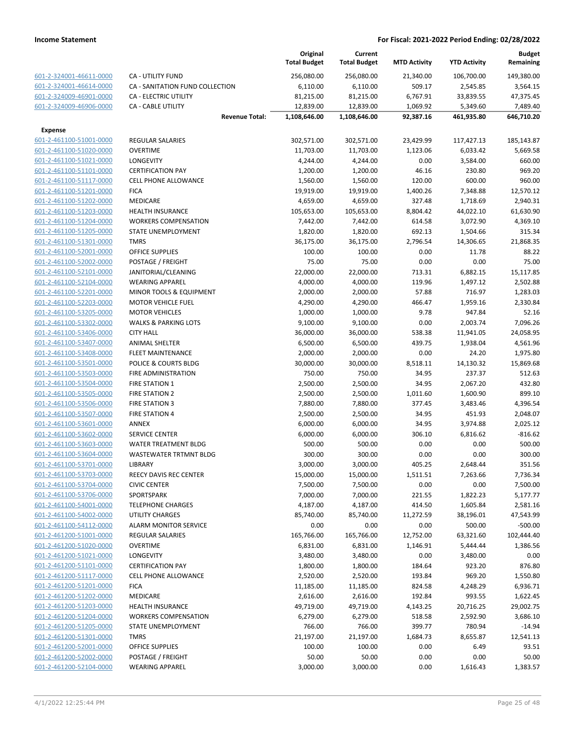|                         |                                 |                       | Original<br><b>Total Budget</b> | Current<br><b>Total Budget</b> | <b>MTD Activity</b> | <b>YTD Activity</b> | <b>Budget</b><br>Remaining |
|-------------------------|---------------------------------|-----------------------|---------------------------------|--------------------------------|---------------------|---------------------|----------------------------|
| 601-2-324001-46611-0000 | <b>CA - UTILITY FUND</b>        |                       | 256,080.00                      | 256,080.00                     | 21,340.00           | 106,700.00          | 149,380.00                 |
| 601-2-324001-46614-0000 | CA - SANITATION FUND COLLECTION |                       | 6,110.00                        | 6,110.00                       | 509.17              | 2,545.85            | 3,564.15                   |
| 601-2-324009-46901-0000 | <b>CA - ELECTRIC UTILITY</b>    |                       | 81,215.00                       | 81,215.00                      | 6,767.91            | 33,839.55           | 47,375.45                  |
| 601-2-324009-46906-0000 | <b>CA - CABLE UTILITY</b>       |                       | 12,839.00                       | 12,839.00                      | 1,069.92            | 5,349.60            | 7,489.40                   |
|                         |                                 | <b>Revenue Total:</b> | 1,108,646.00                    | 1,108,646.00                   | 92,387.16           | 461,935.80          | 646,710.20                 |
| <b>Expense</b>          |                                 |                       |                                 |                                |                     |                     |                            |
| 601-2-461100-51001-0000 | <b>REGULAR SALARIES</b>         |                       | 302,571.00                      | 302,571.00                     | 23,429.99           | 117,427.13          | 185,143.87                 |
| 601-2-461100-51020-0000 | <b>OVERTIME</b>                 |                       | 11,703.00                       | 11,703.00                      | 1,123.06            | 6,033.42            | 5,669.58                   |
| 601-2-461100-51021-0000 | LONGEVITY                       |                       | 4,244.00                        | 4,244.00                       | 0.00                | 3,584.00            | 660.00                     |
| 601-2-461100-51101-0000 | <b>CERTIFICATION PAY</b>        |                       | 1,200.00                        | 1,200.00                       | 46.16               | 230.80              | 969.20                     |
| 601-2-461100-51117-0000 | <b>CELL PHONE ALLOWANCE</b>     |                       | 1,560.00                        | 1,560.00                       | 120.00              | 600.00              | 960.00                     |
| 601-2-461100-51201-0000 | <b>FICA</b>                     |                       | 19,919.00                       | 19,919.00                      | 1,400.26            | 7,348.88            | 12,570.12                  |
| 601-2-461100-51202-0000 | <b>MEDICARE</b>                 |                       | 4,659.00                        | 4,659.00                       | 327.48              | 1,718.69            | 2,940.31                   |
| 601-2-461100-51203-0000 | <b>HEALTH INSURANCE</b>         |                       | 105,653.00                      | 105,653.00                     | 8,804.42            | 44,022.10           | 61,630.90                  |
| 601-2-461100-51204-0000 | <b>WORKERS COMPENSATION</b>     |                       | 7,442.00                        | 7,442.00                       | 614.58              | 3,072.90            | 4,369.10                   |
| 601-2-461100-51205-0000 | STATE UNEMPLOYMENT              |                       | 1,820.00                        | 1,820.00                       | 692.13              | 1,504.66            | 315.34                     |
| 601-2-461100-51301-0000 | <b>TMRS</b>                     |                       | 36,175.00                       | 36,175.00                      | 2,796.54            | 14,306.65           | 21,868.35                  |
| 601-2-461100-52001-0000 | <b>OFFICE SUPPLIES</b>          |                       | 100.00                          | 100.00                         | 0.00                | 11.78               | 88.22                      |
| 601-2-461100-52002-0000 | POSTAGE / FREIGHT               |                       | 75.00                           | 75.00                          | 0.00                | 0.00                | 75.00                      |
| 601-2-461100-52101-0000 | JANITORIAL/CLEANING             |                       | 22,000.00                       | 22,000.00                      | 713.31              | 6,882.15            | 15,117.85                  |
| 601-2-461100-52104-0000 | <b>WEARING APPAREL</b>          |                       | 4,000.00                        | 4,000.00                       | 119.96              | 1,497.12            | 2,502.88                   |
| 601-2-461100-52201-0000 | MINOR TOOLS & EQUIPMENT         |                       | 2,000.00                        | 2,000.00                       | 57.88               | 716.97              | 1,283.03                   |
| 601-2-461100-52203-0000 | <b>MOTOR VEHICLE FUEL</b>       |                       | 4,290.00                        | 4,290.00                       | 466.47              | 1,959.16            | 2,330.84                   |
| 601-2-461100-53205-0000 | <b>MOTOR VEHICLES</b>           |                       | 1,000.00                        | 1,000.00                       | 9.78                | 947.84              | 52.16                      |
| 601-2-461100-53302-0000 | <b>WALKS &amp; PARKING LOTS</b> |                       | 9,100.00                        | 9,100.00                       | 0.00                | 2,003.74            | 7,096.26                   |
| 601-2-461100-53406-0000 | <b>CITY HALL</b>                |                       | 36,000.00                       | 36,000.00                      | 538.38              | 11,941.05           | 24,058.95                  |
| 601-2-461100-53407-0000 | <b>ANIMAL SHELTER</b>           |                       | 6,500.00                        | 6,500.00                       | 439.75              | 1,938.04            | 4,561.96                   |
| 601-2-461100-53408-0000 | <b>FLEET MAINTENANCE</b>        |                       | 2,000.00                        | 2,000.00                       | 0.00                | 24.20               | 1,975.80                   |
| 601-2-461100-53501-0000 | POLICE & COURTS BLDG            |                       | 30,000.00                       | 30,000.00                      | 8,518.11            | 14,130.32           | 15,869.68                  |
| 601-2-461100-53503-0000 | FIRE ADMINISTRATION             |                       | 750.00                          | 750.00                         | 34.95               | 237.37              | 512.63                     |
| 601-2-461100-53504-0000 | <b>FIRE STATION 1</b>           |                       | 2,500.00                        | 2,500.00                       | 34.95               | 2,067.20            | 432.80                     |
| 601-2-461100-53505-0000 | <b>FIRE STATION 2</b>           |                       | 2,500.00                        | 2,500.00                       | 1,011.60            | 1,600.90            | 899.10                     |
| 601-2-461100-53506-0000 | <b>FIRE STATION 3</b>           |                       | 7,880.00                        | 7,880.00                       | 377.45              | 3,483.46            | 4,396.54                   |
| 601-2-461100-53507-0000 | <b>FIRE STATION 4</b>           |                       | 2,500.00                        | 2,500.00                       | 34.95               | 451.93              | 2,048.07                   |
| 601-2-461100-53601-0000 | ANNEX                           |                       | 6,000.00                        | 6,000.00                       | 34.95               | 3,974.88            | 2,025.12                   |
| 601-2-461100-53602-0000 | <b>SERVICE CENTER</b>           |                       | 6,000.00                        | 6,000.00                       | 306.10              | 6,816.62            | $-816.62$                  |
| 601-2-461100-53603-0000 | <b>WATER TREATMENT BLDG</b>     |                       | 500.00                          | 500.00                         | 0.00                | 0.00                | 500.00                     |
| 601-2-461100-53604-0000 | WASTEWATER TRTMNT BLDG          |                       | 300.00                          | 300.00                         | 0.00                | 0.00                | 300.00                     |
| 601-2-461100-53701-0000 | LIBRARY                         |                       | 3,000.00                        | 3,000.00                       | 405.25              | 2,648.44            | 351.56                     |
| 601-2-461100-53703-0000 | REECY DAVIS REC CENTER          |                       | 15,000.00                       | 15,000.00                      | 1,511.51            | 7,263.66            | 7,736.34                   |
| 601-2-461100-53704-0000 | <b>CIVIC CENTER</b>             |                       | 7,500.00                        | 7,500.00                       | 0.00                | 0.00                | 7,500.00                   |
| 601-2-461100-53706-0000 | SPORTSPARK                      |                       | 7,000.00                        | 7,000.00                       | 221.55              | 1,822.23            | 5,177.77                   |
| 601-2-461100-54001-0000 | <b>TELEPHONE CHARGES</b>        |                       | 4,187.00                        | 4,187.00                       | 414.50              | 1,605.84            | 2,581.16                   |
| 601-2-461100-54002-0000 | UTILITY CHARGES                 |                       | 85,740.00                       | 85,740.00                      | 11,272.59           | 38,196.01           | 47,543.99                  |
| 601-2-461100-54112-0000 | <b>ALARM MONITOR SERVICE</b>    |                       | 0.00                            | 0.00                           | 0.00                | 500.00              | $-500.00$                  |
| 601-2-461200-51001-0000 | <b>REGULAR SALARIES</b>         |                       | 165,766.00                      | 165,766.00                     | 12,752.00           | 63,321.60           | 102,444.40                 |
| 601-2-461200-51020-0000 | <b>OVERTIME</b>                 |                       | 6,831.00                        | 6,831.00                       | 1,146.91            | 5,444.44            | 1,386.56                   |
| 601-2-461200-51021-0000 | LONGEVITY                       |                       | 3,480.00                        | 3,480.00                       | 0.00                | 3,480.00            | 0.00                       |
| 601-2-461200-51101-0000 | <b>CERTIFICATION PAY</b>        |                       | 1,800.00                        | 1,800.00                       | 184.64              | 923.20              | 876.80                     |
| 601-2-461200-51117-0000 | <b>CELL PHONE ALLOWANCE</b>     |                       | 2,520.00                        | 2,520.00                       | 193.84              | 969.20              | 1,550.80                   |
| 601-2-461200-51201-0000 | <b>FICA</b>                     |                       | 11,185.00                       | 11,185.00                      | 824.58              | 4,248.29            | 6,936.71                   |
| 601-2-461200-51202-0000 | <b>MEDICARE</b>                 |                       | 2,616.00                        | 2,616.00                       | 192.84              | 993.55              | 1,622.45                   |
| 601-2-461200-51203-0000 | <b>HEALTH INSURANCE</b>         |                       | 49,719.00                       | 49,719.00                      | 4,143.25            | 20,716.25           | 29,002.75                  |
| 601-2-461200-51204-0000 | <b>WORKERS COMPENSATION</b>     |                       | 6,279.00                        | 6,279.00                       | 518.58              | 2,592.90            | 3,686.10                   |
| 601-2-461200-51205-0000 | STATE UNEMPLOYMENT              |                       | 766.00                          | 766.00                         | 399.77              | 780.94              | $-14.94$                   |
| 601-2-461200-51301-0000 | <b>TMRS</b>                     |                       | 21,197.00                       | 21,197.00                      | 1,684.73            | 8,655.87            | 12,541.13                  |
| 601-2-461200-52001-0000 | OFFICE SUPPLIES                 |                       | 100.00                          | 100.00                         | 0.00                | 6.49                | 93.51                      |
| 601-2-461200-52002-0000 | POSTAGE / FREIGHT               |                       | 50.00                           | 50.00                          | 0.00                | 0.00                | 50.00                      |
| 601-2-461200-52104-0000 | <b>WEARING APPAREL</b>          |                       | 3,000.00                        | 3,000.00                       | 0.00                | 1,616.43            | 1,383.57                   |
|                         |                                 |                       |                                 |                                |                     |                     |                            |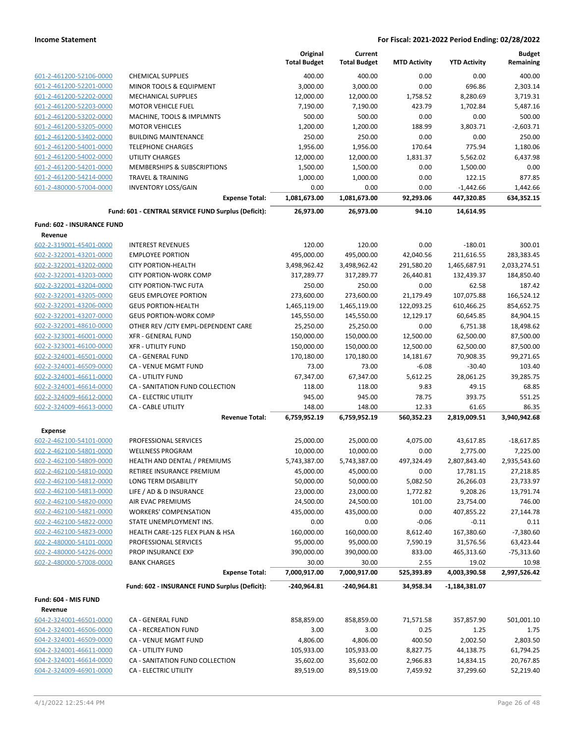|                            |                                                     | Original<br><b>Total Budget</b> | Current<br><b>Total Budget</b> | <b>MTD Activity</b> | <b>YTD Activity</b>   | <b>Budget</b><br>Remaining |
|----------------------------|-----------------------------------------------------|---------------------------------|--------------------------------|---------------------|-----------------------|----------------------------|
| 601-2-461200-52106-0000    | <b>CHEMICAL SUPPLIES</b>                            | 400.00                          | 400.00                         | 0.00                | 0.00                  | 400.00                     |
| 601-2-461200-52201-0000    | MINOR TOOLS & EQUIPMENT                             | 3,000.00                        | 3,000.00                       | 0.00                | 696.86                | 2,303.14                   |
| 601-2-461200-52202-0000    | <b>MECHANICAL SUPPLIES</b>                          | 12,000.00                       | 12,000.00                      | 1,758.52            | 8,280.69              | 3,719.31                   |
| 601-2-461200-52203-0000    | <b>MOTOR VEHICLE FUEL</b>                           | 7,190.00                        | 7,190.00                       | 423.79              | 1,702.84              | 5,487.16                   |
| 601-2-461200-53202-0000    | MACHINE, TOOLS & IMPLMNTS                           | 500.00                          | 500.00                         | 0.00                | 0.00                  | 500.00                     |
| 601-2-461200-53205-0000    | <b>MOTOR VEHICLES</b>                               | 1,200.00                        | 1,200.00                       | 188.99              | 3,803.71              | $-2,603.71$                |
| 601-2-461200-53402-0000    | <b>BUILDING MAINTENANCE</b>                         | 250.00                          | 250.00                         | 0.00                | 0.00                  | 250.00                     |
| 601-2-461200-54001-0000    | <b>TELEPHONE CHARGES</b>                            | 1,956.00                        | 1,956.00                       | 170.64              | 775.94                | 1,180.06                   |
| 601-2-461200-54002-0000    | <b>UTILITY CHARGES</b>                              | 12,000.00                       | 12,000.00                      | 1,831.37            | 5,562.02              | 6,437.98                   |
| 601-2-461200-54201-0000    | MEMBERSHIPS & SUBSCRIPTIONS                         | 1,500.00                        | 1,500.00                       | 0.00                | 1,500.00              | 0.00                       |
| 601-2-461200-54214-0000    | <b>TRAVEL &amp; TRAINING</b>                        | 1,000.00                        | 1,000.00                       | 0.00                | 122.15                | 877.85                     |
| 601-2-480000-57004-0000    | <b>INVENTORY LOSS/GAIN</b>                          | 0.00                            | 0.00                           | 0.00                | $-1,442.66$           | 1,442.66                   |
|                            | <b>Expense Total:</b>                               | 1,081,673.00                    | 1,081,673.00                   | 92,293.06           | 447,320.85            | 634,352.15                 |
|                            | Fund: 601 - CENTRAL SERVICE FUND Surplus (Deficit): | 26,973.00                       | 26,973.00                      | 94.10               | 14,614.95             |                            |
| Fund: 602 - INSURANCE FUND |                                                     |                                 |                                |                     |                       |                            |
| Revenue                    |                                                     |                                 |                                |                     |                       |                            |
| 602-2-319001-45401-0000    | <b>INTEREST REVENUES</b>                            | 120.00                          | 120.00                         | 0.00                | $-180.01$             | 300.01                     |
| 602-2-322001-43201-0000    | <b>EMPLOYEE PORTION</b>                             | 495,000.00                      | 495,000.00                     | 42,040.56           | 211,616.55            | 283,383.45                 |
| 602-2-322001-43202-0000    | <b>CITY PORTION-HEALTH</b>                          | 3,498,962.42                    | 3,498,962.42                   | 291,580.20          | 1,465,687.91          | 2,033,274.51               |
| 602-2-322001-43203-0000    | <b>CITY PORTION-WORK COMP</b>                       | 317,289.77                      | 317,289.77                     | 26,440.81           | 132,439.37            | 184,850.40                 |
| 602-2-322001-43204-0000    | <b>CITY PORTION-TWC FUTA</b>                        | 250.00                          | 250.00                         | 0.00                | 62.58                 | 187.42                     |
| 602-2-322001-43205-0000    | <b>GEUS EMPLOYEE PORTION</b>                        | 273,600.00                      | 273,600.00                     | 21,179.49           | 107,075.88            | 166,524.12                 |
| 602-2-322001-43206-0000    | <b>GEUS PORTION-HEALTH</b>                          | 1,465,119.00                    | 1,465,119.00                   | 122,093.25          | 610,466.25            | 854,652.75                 |
| 602-2-322001-43207-0000    | <b>GEUS PORTION-WORK COMP</b>                       | 145,550.00                      | 145,550.00                     | 12,129.17           | 60,645.85             | 84,904.15                  |
| 602-2-322001-48610-0000    | OTHER REV / CITY EMPL-DEPENDENT CARE                | 25,250.00                       | 25,250.00                      | 0.00                | 6,751.38              | 18,498.62                  |
| 602-2-323001-46001-0000    | <b>XFR - GENERAL FUND</b>                           | 150,000.00                      | 150,000.00                     | 12,500.00           | 62,500.00             | 87,500.00                  |
| 602-2-323001-46100-0000    | <b>XFR - UTILITY FUND</b>                           | 150,000.00                      | 150,000.00                     | 12,500.00           | 62,500.00             | 87,500.00                  |
| 602-2-324001-46501-0000    | CA - GENERAL FUND                                   | 170,180.00                      | 170,180.00                     | 14,181.67           | 70,908.35             | 99,271.65                  |
| 602-2-324001-46509-0000    | CA - VENUE MGMT FUND                                | 73.00                           | 73.00                          | $-6.08$             | $-30.40$              | 103.40                     |
| 602-2-324001-46611-0000    | CA - UTILITY FUND                                   | 67,347.00                       | 67,347.00                      | 5,612.25            | 28,061.25             | 39,285.75                  |
| 602-2-324001-46614-0000    | CA - SANITATION FUND COLLECTION                     | 118.00                          | 118.00                         | 9.83                | 49.15                 | 68.85                      |
| 602-2-324009-46612-0000    | CA - ELECTRIC UTILITY                               | 945.00                          | 945.00                         | 78.75               | 393.75                | 551.25                     |
| 602-2-324009-46613-0000    | CA - CABLE UTILITY<br><b>Revenue Total:</b>         | 148.00<br>6,759,952.19          | 148.00<br>6,759,952.19         | 12.33<br>560,352.23 | 61.65<br>2,819,009.51 | 86.35<br>3,940,942.68      |
| <b>Expense</b>             |                                                     |                                 |                                |                     |                       |                            |
| 602-2-462100-54101-0000    | PROFESSIONAL SERVICES                               | 25,000.00                       | 25,000.00                      | 4,075.00            | 43,617.85             | $-18,617.85$               |
| 602-2-462100-54801-0000    | <b>WELLNESS PROGRAM</b>                             | 10,000.00                       | 10,000.00                      | 0.00                | 2,775.00              | 7,225.00                   |
| 602-2-462100-54809-0000    | HEALTH AND DENTAL / PREMIUMS                        | 5,743,387.00                    | 5,743,387.00                   | 497,324.49          | 2,807,843.40          | 2,935,543.60               |
| 602-2-462100-54810-0000    | RETIREE INSURANCE PREMIUM                           | 45,000.00                       | 45,000.00                      | 0.00                | 17,781.15             | 27,218.85                  |
| 602-2-462100-54812-0000    | LONG TERM DISABILITY                                | 50,000.00                       | 50,000.00                      | 5,082.50            | 26,266.03             | 23,733.97                  |
| 602-2-462100-54813-0000    | LIFE / AD & D INSURANCE                             | 23,000.00                       | 23,000.00                      | 1,772.82            | 9,208.26              | 13,791.74                  |
| 602-2-462100-54820-0000    | AIR EVAC PREMIUMS                                   | 24,500.00                       | 24,500.00                      | 101.00              | 23,754.00             | 746.00                     |
| 602-2-462100-54821-0000    | <b>WORKERS' COMPENSATION</b>                        | 435,000.00                      | 435,000.00                     | 0.00                | 407,855.22            | 27,144.78                  |
| 602-2-462100-54822-0000    | STATE UNEMPLOYMENT INS.                             | 0.00                            | 0.00                           | $-0.06$             | $-0.11$               | 0.11                       |
| 602-2-462100-54823-0000    | HEALTH CARE-125 FLEX PLAN & HSA                     | 160,000.00                      | 160,000.00                     | 8,612.40            | 167,380.60            | $-7,380.60$                |
| 602-2-480000-54101-0000    | PROFESSIONAL SERVICES                               | 95,000.00                       | 95,000.00                      | 7,590.19            | 31,576.56             | 63,423.44                  |
| 602-2-480000-54226-0000    | PROP INSURANCE EXP                                  | 390,000.00                      | 390,000.00                     | 833.00              | 465,313.60            | $-75,313.60$               |
| 602-2-480000-57008-0000    | <b>BANK CHARGES</b>                                 | 30.00                           | 30.00                          | 2.55                | 19.02                 | 10.98                      |
|                            | <b>Expense Total:</b>                               | 7,000,917.00                    | 7,000,917.00                   | 525,393.89          | 4,003,390.58          | 2,997,526.42               |
|                            | Fund: 602 - INSURANCE FUND Surplus (Deficit):       | -240,964.81                     | -240,964.81                    | 34,958.34           | -1,184,381.07         |                            |
| Fund: 604 - MIS FUND       |                                                     |                                 |                                |                     |                       |                            |
| Revenue                    |                                                     |                                 |                                |                     |                       |                            |
| 604-2-324001-46501-0000    | CA - GENERAL FUND                                   | 858,859.00                      | 858,859.00                     | 71,571.58           | 357,857.90            | 501,001.10                 |
| 604-2-324001-46506-0000    | CA - RECREATION FUND                                | 3.00                            | 3.00                           | 0.25                | 1.25                  | 1.75                       |
| 604-2-324001-46509-0000    | CA - VENUE MGMT FUND                                | 4,806.00                        | 4,806.00                       | 400.50              | 2,002.50              | 2,803.50                   |
| 604-2-324001-46611-0000    | CA - UTILITY FUND                                   | 105,933.00                      | 105,933.00                     | 8,827.75            | 44,138.75             | 61,794.25                  |
| 604-2-324001-46614-0000    | CA - SANITATION FUND COLLECTION                     | 35,602.00                       | 35,602.00                      | 2,966.83            | 14,834.15             | 20,767.85                  |
| 604-2-324009-46901-0000    | CA - ELECTRIC UTILITY                               | 89,519.00                       | 89,519.00                      | 7,459.92            | 37,299.60             | 52,219.40                  |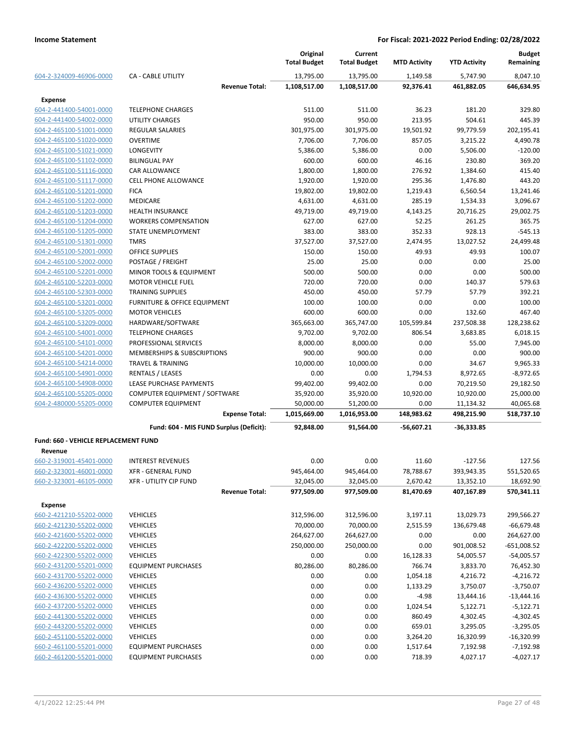|                                      |                                         | Original<br><b>Total Budget</b> | Current<br><b>Total Budget</b> | <b>MTD Activity</b>  | <b>YTD Activity</b> | <b>Budget</b><br>Remaining |
|--------------------------------------|-----------------------------------------|---------------------------------|--------------------------------|----------------------|---------------------|----------------------------|
| 604-2-324009-46906-0000              | <b>CA - CABLE UTILITY</b>               | 13,795.00                       | 13,795.00                      | 1,149.58             | 5,747.90            | 8,047.10                   |
|                                      | <b>Revenue Total:</b>                   | 1,108,517.00                    | 1,108,517.00                   | 92,376.41            | 461,882.05          | 646,634.95                 |
| <b>Expense</b>                       |                                         |                                 |                                |                      |                     |                            |
| 604-2-441400-54001-0000              | <b>TELEPHONE CHARGES</b>                | 511.00                          | 511.00                         | 36.23                | 181.20              | 329.80                     |
| 604-2-441400-54002-0000              | UTILITY CHARGES                         | 950.00                          | 950.00                         | 213.95               | 504.61              | 445.39                     |
| 604-2-465100-51001-0000              | <b>REGULAR SALARIES</b>                 | 301,975.00                      | 301,975.00                     | 19,501.92            | 99,779.59           | 202,195.41                 |
| 604-2-465100-51020-0000              | <b>OVERTIME</b>                         | 7,706.00                        | 7,706.00                       | 857.05               | 3,215.22            | 4,490.78                   |
| 604-2-465100-51021-0000              | LONGEVITY                               | 5,386.00                        | 5,386.00                       | 0.00                 | 5,506.00            | $-120.00$                  |
| 604-2-465100-51102-0000              | <b>BILINGUAL PAY</b>                    | 600.00                          | 600.00                         | 46.16                | 230.80              | 369.20                     |
| 604-2-465100-51116-0000              | CAR ALLOWANCE                           | 1,800.00                        | 1,800.00                       | 276.92               | 1,384.60            | 415.40                     |
| 604-2-465100-51117-0000              | <b>CELL PHONE ALLOWANCE</b>             | 1,920.00                        | 1,920.00                       | 295.36               | 1,476.80            | 443.20                     |
| 604-2-465100-51201-0000              | <b>FICA</b>                             | 19,802.00                       | 19,802.00                      | 1,219.43             | 6,560.54            | 13,241.46                  |
| 604-2-465100-51202-0000              | <b>MEDICARE</b>                         | 4,631.00                        | 4,631.00                       | 285.19               | 1,534.33            | 3,096.67                   |
| 604-2-465100-51203-0000              | <b>HEALTH INSURANCE</b>                 | 49,719.00                       | 49,719.00                      | 4,143.25             | 20,716.25           | 29,002.75                  |
| 604-2-465100-51204-0000              | <b>WORKERS COMPENSATION</b>             | 627.00                          | 627.00                         | 52.25                | 261.25              | 365.75                     |
| 604-2-465100-51205-0000              | STATE UNEMPLOYMENT                      | 383.00                          | 383.00                         | 352.33               | 928.13              | $-545.13$                  |
| 604-2-465100-51301-0000              | <b>TMRS</b>                             | 37,527.00                       | 37,527.00                      | 2,474.95             | 13,027.52           | 24,499.48                  |
| 604-2-465100-52001-0000              | <b>OFFICE SUPPLIES</b>                  | 150.00                          | 150.00                         | 49.93                | 49.93               | 100.07                     |
| 604-2-465100-52002-0000              | POSTAGE / FREIGHT                       | 25.00                           | 25.00                          | 0.00                 | 0.00                | 25.00                      |
| 604-2-465100-52201-0000              | MINOR TOOLS & EQUIPMENT                 | 500.00                          | 500.00                         | 0.00                 | 0.00                | 500.00                     |
| 604-2-465100-52203-0000              | <b>MOTOR VEHICLE FUEL</b>               | 720.00                          | 720.00                         | 0.00                 | 140.37              | 579.63                     |
| 604-2-465100-52303-0000              | <b>TRAINING SUPPLIES</b>                | 450.00                          | 450.00                         | 57.79                | 57.79               | 392.21                     |
| 604-2-465100-53201-0000              | FURNITURE & OFFICE EQUIPMENT            | 100.00                          | 100.00                         | 0.00                 | 0.00                | 100.00                     |
| 604-2-465100-53205-0000              | <b>MOTOR VEHICLES</b>                   | 600.00                          | 600.00                         | 0.00                 | 132.60              | 467.40                     |
| 604-2-465100-53209-0000              | HARDWARE/SOFTWARE                       | 365,663.00                      | 365,747.00                     | 105,599.84           | 237,508.38          | 128,238.62                 |
| 604-2-465100-54001-0000              | <b>TELEPHONE CHARGES</b>                | 9,702.00                        | 9,702.00                       | 806.54               | 3,683.85            | 6,018.15                   |
| 604-2-465100-54101-0000              | PROFESSIONAL SERVICES                   | 8,000.00                        | 8,000.00                       | 0.00                 | 55.00               | 7,945.00                   |
| 604-2-465100-54201-0000              | MEMBERSHIPS & SUBSCRIPTIONS             | 900.00                          | 900.00                         | 0.00                 | 0.00                | 900.00                     |
| 604-2-465100-54214-0000              | <b>TRAVEL &amp; TRAINING</b>            | 10,000.00                       | 10,000.00                      | 0.00                 | 34.67               | 9,965.33                   |
| 604-2-465100-54901-0000              | <b>RENTALS / LEASES</b>                 | 0.00                            | 0.00                           | 1,794.53             | 8,972.65            | $-8,972.65$                |
| 604-2-465100-54908-0000              | LEASE PURCHASE PAYMENTS                 | 99,402.00                       | 99,402.00                      | 0.00                 | 70,219.50           | 29,182.50                  |
| 604-2-465100-55205-0000              | COMPUTER EQUIPMENT / SOFTWARE           | 35,920.00                       | 35,920.00                      | 10,920.00            | 10,920.00           | 25,000.00                  |
| 604-2-480000-55205-0000              | <b>COMPUTER EQUIPMENT</b>               | 50,000.00                       | 51,200.00                      | 0.00                 | 11,134.32           | 40,065.68                  |
|                                      | <b>Expense Total:</b>                   | 1,015,669.00                    | 1,016,953.00                   | 148,983.62           | 498,215.90          | 518,737.10                 |
|                                      | Fund: 604 - MIS FUND Surplus (Deficit): | 92,848.00                       | 91,564.00                      | $-56,607.21$         | -36,333.85          |                            |
| Fund: 660 - VEHICLE REPLACEMENT FUND |                                         |                                 |                                |                      |                     |                            |
| Revenue                              |                                         |                                 |                                |                      |                     |                            |
| 660-2-319001-45401-0000              | <b>INTEREST REVENUES</b>                | 0.00                            | 0.00                           | 11.60                | $-127.56$           | 127.56                     |
| 660-2-323001-46001-0000              | XFR - GENERAL FUND                      | 945,464.00                      | 945,464.00                     | 78,788.67            | 393,943.35          | 551,520.65                 |
| 660-2-323001-46105-0000              | XFR - UTILITY CIP FUND                  | 32,045.00                       | 32,045.00                      | 2,670.42             | 13,352.10           | 18,692.90                  |
|                                      | <b>Revenue Total:</b>                   | 977,509.00                      | 977,509.00                     | 81,470.69            | 407,167.89          | 570,341.11                 |
| <b>Expense</b>                       |                                         |                                 |                                |                      |                     |                            |
| 660-2-421210-55202-0000              | <b>VEHICLES</b>                         | 312,596.00                      |                                |                      |                     | 299,566.27                 |
| 660-2-421230-55202-0000              |                                         |                                 | 312,596.00                     | 3,197.11<br>2,515.59 | 13,029.73           |                            |
|                                      | <b>VEHICLES</b>                         | 70,000.00                       | 70,000.00                      |                      | 136,679.48          | $-66,679.48$               |
| 660-2-421600-55202-0000              | <b>VEHICLES</b>                         | 264,627.00                      | 264,627.00                     | 0.00                 | 0.00                | 264,627.00                 |
| 660-2-422200-55202-0000              | <b>VEHICLES</b>                         | 250,000.00                      | 250,000.00                     | 0.00                 | 901,008.52          | $-651,008.52$              |
| 660-2-422300-55202-0000              | <b>VEHICLES</b>                         | 0.00                            | 0.00                           | 16,128.33            | 54,005.57           | $-54,005.57$               |
| 660-2-431200-55201-0000              | <b>EQUIPMENT PURCHASES</b>              | 80,286.00                       | 80,286.00                      | 766.74               | 3,833.70            | 76,452.30                  |
| 660-2-431700-55202-0000              | <b>VEHICLES</b>                         | 0.00                            | 0.00                           | 1,054.18             | 4,216.72            | $-4,216.72$                |
| 660-2-436200-55202-0000              | <b>VEHICLES</b>                         | 0.00                            | 0.00                           | 1,133.29             | 3,750.07            | $-3,750.07$                |
| 660-2-436300-55202-0000              | <b>VEHICLES</b>                         | 0.00                            | 0.00                           | $-4.98$              | 13,444.16           | $-13,444.16$               |
| 660-2-437200-55202-0000              | <b>VEHICLES</b>                         | 0.00                            | 0.00                           | 1,024.54             | 5,122.71            | $-5,122.71$                |
| 660-2-441300-55202-0000              | <b>VEHICLES</b>                         | 0.00                            | 0.00                           | 860.49               | 4,302.45            | $-4,302.45$                |
| 660-2-443200-55202-0000              | <b>VEHICLES</b>                         | 0.00                            | 0.00                           | 659.01               | 3,295.05            | $-3,295.05$                |
| 660-2-451100-55202-0000              | <b>VEHICLES</b>                         | 0.00                            | 0.00                           | 3,264.20             | 16,320.99           | $-16,320.99$               |
| 660-2-461100-55201-0000              | <b>EQUIPMENT PURCHASES</b>              | 0.00                            | 0.00                           | 1,517.64             | 7,192.98            | $-7,192.98$                |
| 660-2-461200-55201-0000              | <b>EQUIPMENT PURCHASES</b>              | 0.00                            | 0.00                           | 718.39               | 4,027.17            | $-4,027.17$                |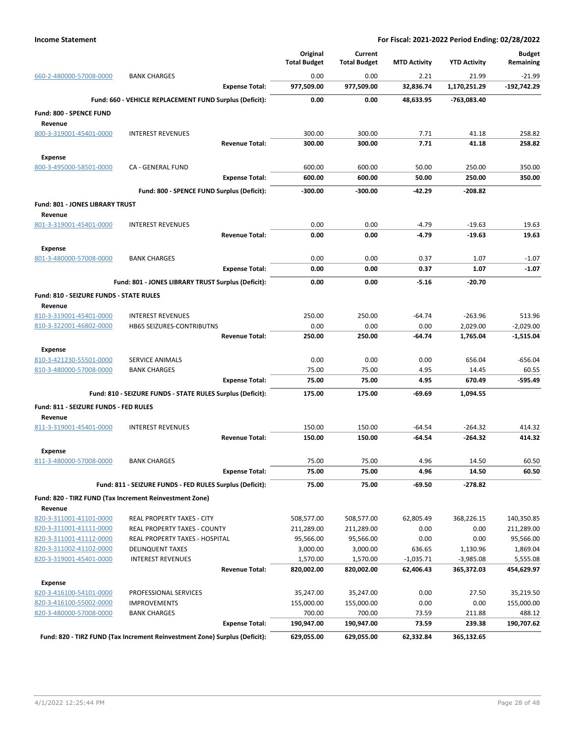|                                         |                                                                            | Original            | Current             |                     |                     | <b>Budget</b> |
|-----------------------------------------|----------------------------------------------------------------------------|---------------------|---------------------|---------------------|---------------------|---------------|
|                                         |                                                                            | <b>Total Budget</b> | <b>Total Budget</b> | <b>MTD Activity</b> | <b>YTD Activity</b> | Remaining     |
| 660-2-480000-57008-0000                 | <b>BANK CHARGES</b>                                                        | 0.00                | 0.00                | 2.21                | 21.99               | $-21.99$      |
|                                         | <b>Expense Total:</b>                                                      | 977,509.00          | 977,509.00          | 32,836.74           | 1,170,251.29        | $-192,742.29$ |
|                                         | Fund: 660 - VEHICLE REPLACEMENT FUND Surplus (Deficit):                    | 0.00                | 0.00                | 48,633.95           | -763,083.40         |               |
| <b>Fund: 800 - SPENCE FUND</b>          |                                                                            |                     |                     |                     |                     |               |
| Revenue                                 |                                                                            |                     |                     |                     |                     |               |
| 800-3-319001-45401-0000                 | <b>INTEREST REVENUES</b>                                                   | 300.00              | 300.00              | 7.71                | 41.18               | 258.82        |
|                                         | <b>Revenue Total:</b>                                                      | 300.00              | 300.00              | 7.71                | 41.18               | 258.82        |
| <b>Expense</b>                          |                                                                            |                     |                     |                     |                     |               |
| 800-3-495000-58501-0000                 | CA - GENERAL FUND                                                          | 600.00              | 600.00              | 50.00               | 250.00              | 350.00        |
|                                         | <b>Expense Total:</b>                                                      | 600.00              | 600.00              | 50.00               | 250.00              | 350.00        |
|                                         | Fund: 800 - SPENCE FUND Surplus (Deficit):                                 | $-300.00$           | -300.00             | -42.29              | $-208.82$           |               |
| Fund: 801 - JONES LIBRARY TRUST         |                                                                            |                     |                     |                     |                     |               |
| Revenue                                 |                                                                            |                     |                     |                     |                     |               |
| 801-3-319001-45401-0000                 | <b>INTEREST REVENUES</b>                                                   | 0.00                | 0.00                | $-4.79$             | $-19.63$            | 19.63         |
|                                         | <b>Revenue Total:</b>                                                      | 0.00                | 0.00                | $-4.79$             | $-19.63$            | 19.63         |
| <b>Expense</b>                          |                                                                            |                     |                     |                     |                     |               |
| 801-3-480000-57008-0000                 | <b>BANK CHARGES</b>                                                        | 0.00                | 0.00                | 0.37                | 1.07                | $-1.07$       |
|                                         | <b>Expense Total:</b>                                                      | 0.00                | 0.00                | 0.37                | 1.07                | $-1.07$       |
|                                         | Fund: 801 - JONES LIBRARY TRUST Surplus (Deficit):                         | 0.00                | 0.00                | $-5.16$             | $-20.70$            |               |
| Fund: 810 - SEIZURE FUNDS - STATE RULES |                                                                            |                     |                     |                     |                     |               |
| Revenue                                 |                                                                            |                     |                     |                     |                     |               |
| 810-3-319001-45401-0000                 | <b>INTEREST REVENUES</b>                                                   | 250.00              | 250.00              | $-64.74$            | $-263.96$           | 513.96        |
| 810-3-322001-46802-0000                 | HB65 SEIZURES-CONTRIBUTNS                                                  | 0.00                | 0.00                | 0.00                | 2,029.00            | $-2,029.00$   |
|                                         | <b>Revenue Total:</b>                                                      | 250.00              | 250.00              | -64.74              | 1,765.04            | $-1,515.04$   |
| <b>Expense</b>                          |                                                                            |                     |                     |                     |                     |               |
| 810-3-421230-55501-0000                 | <b>SERVICE ANIMALS</b>                                                     | 0.00                | 0.00                | 0.00                | 656.04              | $-656.04$     |
| 810-3-480000-57008-0000                 | <b>BANK CHARGES</b>                                                        | 75.00               | 75.00               | 4.95                | 14.45               | 60.55         |
|                                         | <b>Expense Total:</b>                                                      | 75.00               | 75.00               | 4.95                | 670.49              | $-595.49$     |
|                                         | Fund: 810 - SEIZURE FUNDS - STATE RULES Surplus (Deficit):                 | 175.00              | 175.00              | -69.69              | 1,094.55            |               |
| Fund: 811 - SEIZURE FUNDS - FED RULES   |                                                                            |                     |                     |                     |                     |               |
| Revenue                                 |                                                                            |                     |                     |                     |                     |               |
| 811-3-319001-45401-0000                 | <b>INTEREST REVENUES</b>                                                   | 150.00              | 150.00              | $-64.54$            | $-264.32$           | 414.32        |
|                                         | <b>Revenue Total:</b>                                                      | 150.00              | 150.00              | -64.54              | $-264.32$           | 414.32        |
| <b>Expense</b>                          |                                                                            |                     |                     |                     |                     |               |
| 811-3-480000-57008-0000                 | <b>BANK CHARGES</b>                                                        | 75.00               | 75.00               | 4.96                | 14.50               | 60.50         |
|                                         | <b>Expense Total:</b>                                                      | 75.00               | 75.00               | 4.96                | 14.50               | 60.50         |
|                                         | Fund: 811 - SEIZURE FUNDS - FED RULES Surplus (Deficit):                   | 75.00               | 75.00               | -69.50              | $-278.82$           |               |
|                                         | Fund: 820 - TIRZ FUND (Tax Increment Reinvestment Zone)                    |                     |                     |                     |                     |               |
| Revenue                                 |                                                                            |                     |                     |                     |                     |               |
| 820-3-311001-41101-0000                 | <b>REAL PROPERTY TAXES - CITY</b>                                          | 508,577.00          | 508,577.00          | 62,805.49           | 368,226.15          | 140,350.85    |
| 820-3-311001-41111-0000                 | <b>REAL PROPERTY TAXES - COUNTY</b>                                        | 211,289.00          | 211,289.00          | 0.00                | 0.00                | 211,289.00    |
| 820-3-311001-41112-0000                 | REAL PROPERTY TAXES - HOSPITAL                                             | 95,566.00           | 95,566.00           | 0.00                | 0.00                | 95,566.00     |
| 820-3-311002-41102-0000                 | <b>DELINQUENT TAXES</b>                                                    | 3,000.00            | 3,000.00            | 636.65              | 1,130.96            | 1,869.04      |
| 820-3-319001-45401-0000                 | <b>INTEREST REVENUES</b>                                                   | 1,570.00            | 1,570.00            | $-1,035.71$         | $-3,985.08$         | 5,555.08      |
|                                         | <b>Revenue Total:</b>                                                      | 820,002.00          | 820,002.00          | 62,406.43           | 365,372.03          | 454,629.97    |
| <b>Expense</b>                          |                                                                            |                     |                     |                     |                     |               |
| 820-3-416100-54101-0000                 | PROFESSIONAL SERVICES                                                      | 35,247.00           | 35,247.00           | 0.00                | 27.50               | 35,219.50     |
| 820-3-416100-55002-0000                 | <b>IMPROVEMENTS</b>                                                        | 155,000.00          | 155,000.00          | 0.00                | 0.00                | 155,000.00    |
| 820-3-480000-57008-0000                 | <b>BANK CHARGES</b>                                                        | 700.00              | 700.00              | 73.59               | 211.88              | 488.12        |
|                                         | <b>Expense Total:</b>                                                      | 190,947.00          | 190,947.00          | 73.59               | 239.38              | 190,707.62    |
|                                         | Fund: 820 - TIRZ FUND (Tax Increment Reinvestment Zone) Surplus (Deficit): | 629,055.00          | 629,055.00          | 62,332.84           | 365,132.65          |               |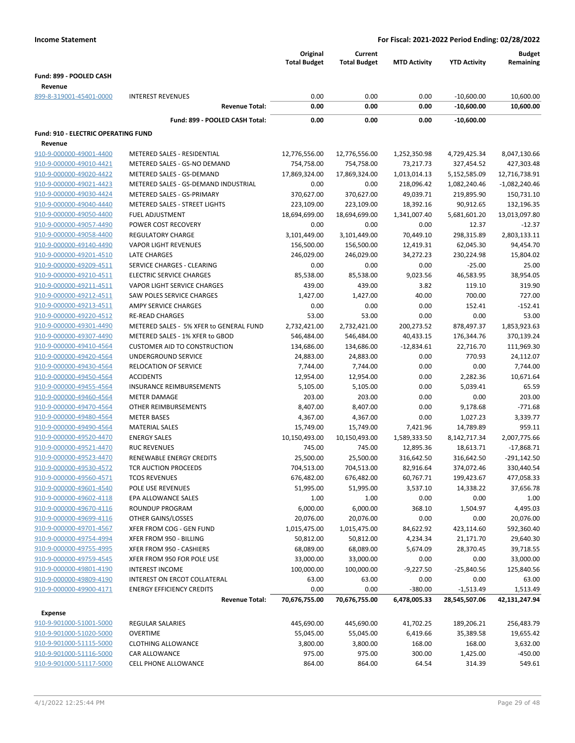|                                     |                                                             | Original<br><b>Total Budget</b> | Current<br><b>Total Budget</b> | <b>MTD Activity</b> | <b>YTD Activity</b>        | <b>Budget</b><br>Remaining |
|-------------------------------------|-------------------------------------------------------------|---------------------------------|--------------------------------|---------------------|----------------------------|----------------------------|
| Fund: 899 - POOLED CASH             |                                                             |                                 |                                |                     |                            |                            |
| Revenue                             |                                                             |                                 |                                |                     |                            |                            |
| 899-8-319001-45401-0000             | <b>INTEREST REVENUES</b>                                    | 0.00                            | 0.00                           | 0.00                | $-10,600.00$               | 10,600.00                  |
|                                     | <b>Revenue Total:</b>                                       | 0.00                            | 0.00                           | 0.00                | $-10,600.00$               | 10,600.00                  |
|                                     | Fund: 899 - POOLED CASH Total:                              | 0.00                            | 0.00                           | 0.00                | $-10,600.00$               |                            |
|                                     |                                                             |                                 |                                |                     |                            |                            |
| Fund: 910 - ELECTRIC OPERATING FUND |                                                             |                                 |                                |                     |                            |                            |
| Revenue<br>910-9-000000-49001-4400  |                                                             |                                 |                                | 1,252,350.98        |                            |                            |
| 910-9-000000-49010-4421             | METERED SALES - RESIDENTIAL<br>METERED SALES - GS-NO DEMAND | 12,776,556.00<br>754,758.00     | 12,776,556.00<br>754,758.00    | 73,217.73           | 4,729,425.34<br>327,454.52 | 8,047,130.66<br>427,303.48 |
| 910-9-000000-49020-4422             | METERED SALES - GS-DEMAND                                   | 17,869,324.00                   | 17,869,324.00                  | 1,013,014.13        | 5,152,585.09               | 12,716,738.91              |
| 910-9-000000-49021-4423             | METERED SALES - GS-DEMAND INDUSTRIAL                        | 0.00                            | 0.00                           | 218,096.42          | 1,082,240.46               | $-1,082,240.46$            |
| 910-9-000000-49030-4424             | METERED SALES - GS-PRIMARY                                  | 370,627.00                      | 370,627.00                     | 49,039.71           | 219,895.90                 | 150,731.10                 |
| 910-9-000000-49040-4440             | METERED SALES - STREET LIGHTS                               | 223,109.00                      | 223,109.00                     | 18,392.16           | 90,912.65                  | 132,196.35                 |
| 910-9-000000-49050-4400             | <b>FUEL ADJUSTMENT</b>                                      | 18,694,699.00                   | 18,694,699.00                  | 1,341,007.40        | 5,681,601.20               | 13,013,097.80              |
| 910-9-000000-49057-4490             | POWER COST RECOVERY                                         | 0.00                            | 0.00                           | 0.00                | 12.37                      | $-12.37$                   |
| 910-9-000000-49058-4400             | <b>REGULATORY CHARGE</b>                                    | 3,101,449.00                    | 3,101,449.00                   | 70,449.10           | 298,315.89                 | 2,803,133.11               |
| 910-9-000000-49140-4490             | <b>VAPOR LIGHT REVENUES</b>                                 | 156,500.00                      | 156,500.00                     | 12,419.31           | 62,045.30                  | 94,454.70                  |
| 910-9-000000-49201-4510             | <b>LATE CHARGES</b>                                         | 246,029.00                      | 246,029.00                     | 34,272.23           | 230,224.98                 | 15,804.02                  |
| 910-9-000000-49209-4511             | SERVICE CHARGES - CLEARING                                  | 0.00                            | 0.00                           | 0.00                | $-25.00$                   | 25.00                      |
| 910-9-000000-49210-4511             | <b>ELECTRIC SERVICE CHARGES</b>                             | 85,538.00                       | 85,538.00                      | 9,023.56            | 46,583.95                  | 38,954.05                  |
| 910-9-000000-49211-4511             | <b>VAPOR LIGHT SERVICE CHARGES</b>                          | 439.00                          | 439.00                         | 3.82                | 119.10                     | 319.90                     |
| 910-9-000000-49212-4511             | SAW POLES SERVICE CHARGES                                   | 1,427.00                        | 1,427.00                       | 40.00               | 700.00                     | 727.00                     |
| 910-9-000000-49213-4511             | AMPY SERVICE CHARGES                                        | 0.00                            | 0.00                           | 0.00                | 152.41                     | $-152.41$                  |
| 910-9-000000-49220-4512             | <b>RE-READ CHARGES</b>                                      | 53.00                           | 53.00                          | 0.00                | 0.00                       | 53.00                      |
| 910-9-000000-49301-4490             | METERED SALES - 5% XFER to GENERAL FUND                     | 2,732,421.00                    | 2,732,421.00                   | 200,273.52          | 878,497.37                 | 1,853,923.63               |
| 910-9-000000-49307-4490             | METERED SALES - 1% XFER to GBOD                             | 546,484.00                      | 546,484.00                     | 40,433.15           | 176,344.76                 | 370,139.24                 |
| 910-9-000000-49410-4564             | <b>CUSTOMER AID TO CONSTRUCTION</b>                         | 134,686.00                      | 134,686.00                     | $-12,834.61$        | 22,716.70                  | 111,969.30                 |
| 910-9-000000-49420-4564             | UNDERGROUND SERVICE                                         | 24,883.00                       | 24,883.00                      | 0.00                | 770.93                     | 24,112.07                  |
| 910-9-000000-49430-4564             | <b>RELOCATION OF SERVICE</b>                                | 7,744.00                        | 7,744.00                       | 0.00                | 0.00                       | 7,744.00                   |
| 910-9-000000-49450-4564             | <b>ACCIDENTS</b>                                            | 12,954.00                       | 12,954.00                      | 0.00                | 2,282.36                   | 10,671.64                  |
| 910-9-000000-49455-4564             | <b>INSURANCE REIMBURSEMENTS</b>                             | 5,105.00                        | 5,105.00                       | 0.00                | 5,039.41                   | 65.59                      |
| 910-9-000000-49460-4564             | <b>METER DAMAGE</b>                                         | 203.00                          | 203.00                         | 0.00                | 0.00                       | 203.00                     |
| 910-9-000000-49470-4564             | OTHER REIMBURSEMENTS                                        | 8,407.00                        | 8,407.00                       | 0.00                | 9,178.68                   | $-771.68$                  |
| 910-9-000000-49480-4564             | <b>METER BASES</b>                                          | 4,367.00                        | 4,367.00                       | 0.00                | 1,027.23                   | 3,339.77                   |
| 910-9-000000-49490-4564             | <b>MATERIAL SALES</b>                                       | 15,749.00                       | 15,749.00                      | 7,421.96            | 14,789.89                  | 959.11                     |
| 910-9-000000-49520-4470             | <b>ENERGY SALES</b>                                         | 10,150,493.00                   | 10,150,493.00                  | 1,589,333.50        | 8, 142, 717. 34            | 2,007,775.66               |
| 910-9-000000-49521-4470             | <b>RUC REVENUES</b>                                         | 745.00                          | 745.00                         | 12,895.36           | 18,613.71                  | $-17,868.71$               |
| 910-9-000000-49523-4470             | RENEWABLE ENERGY CREDITS                                    | 25,500.00                       | 25,500.00                      | 316,642.50          | 316,642.50                 | $-291,142.50$              |
| 910-9-000000-49530-4572             | <b>TCR AUCTION PROCEEDS</b>                                 | 704,513.00                      | 704,513.00                     | 82,916.64           | 374,072.46                 | 330,440.54                 |
| 910-9-000000-49560-4571             | <b>TCOS REVENUES</b>                                        | 676,482.00                      | 676,482.00                     | 60,767.71           | 199,423.67                 | 477,058.33                 |
| 910-9-000000-49601-4540             | POLE USE REVENUES                                           | 51,995.00                       | 51,995.00                      | 3,537.10            | 14,338.22                  | 37,656.78                  |
| 910-9-000000-49602-4118             | EPA ALLOWANCE SALES                                         | 1.00                            | 1.00                           | 0.00                | 0.00                       | 1.00                       |
| 910-9-000000-49670-4116             | ROUNDUP PROGRAM                                             | 6,000.00                        | 6,000.00                       | 368.10              | 1,504.97                   | 4,495.03                   |
| 910-9-000000-49699-4116             | OTHER GAINS/LOSSES                                          | 20,076.00                       | 20,076.00                      | 0.00                | 0.00                       | 20,076.00                  |
| 910-9-000000-49701-4567             | XFER FROM COG - GEN FUND                                    | 1,015,475.00                    | 1,015,475.00                   | 84,622.92           | 423,114.60                 | 592,360.40                 |
| 910-9-000000-49754-4994             | XFER FROM 950 - BILLING                                     | 50,812.00                       | 50,812.00                      | 4,234.34            | 21,171.70                  | 29,640.30                  |
| 910-9-000000-49755-4995             | XFER FROM 950 - CASHIERS                                    | 68,089.00                       | 68,089.00                      | 5,674.09            | 28,370.45                  | 39,718.55                  |
| 910-9-000000-49759-4545             | XFER FROM 950 FOR POLE USE                                  | 33,000.00                       | 33,000.00                      | 0.00                | 0.00                       | 33,000.00                  |
| 910-9-000000-49801-4190             | <b>INTEREST INCOME</b>                                      | 100,000.00                      | 100,000.00                     | $-9,227.50$         | $-25,840.56$               | 125,840.56                 |
| 910-9-000000-49809-4190             | INTEREST ON ERCOT COLLATERAL                                | 63.00                           | 63.00                          | 0.00                | 0.00                       | 63.00                      |
| 910-9-000000-49900-4171             | <b>ENERGY EFFICIENCY CREDITS</b>                            | 0.00                            | 0.00                           | $-380.00$           | -1,513.49                  | 1,513.49                   |
|                                     | <b>Revenue Total:</b>                                       | 70,676,755.00                   | 70,676,755.00                  | 6,478,005.33        | 28,545,507.06              | 42,131,247.94              |
| <b>Expense</b>                      |                                                             |                                 |                                |                     |                            |                            |
| 910-9-901000-51001-5000             | <b>REGULAR SALARIES</b>                                     | 445,690.00                      | 445,690.00                     | 41,702.25           | 189,206.21                 | 256,483.79                 |
| 910-9-901000-51020-5000             | <b>OVERTIME</b>                                             | 55,045.00                       | 55,045.00                      | 6,419.66            | 35,389.58                  | 19,655.42                  |
| 910-9-901000-51115-5000             | <b>CLOTHING ALLOWANCE</b>                                   | 3,800.00                        | 3,800.00                       | 168.00              | 168.00                     | 3,632.00                   |
| 910-9-901000-51116-5000             | CAR ALLOWANCE                                               | 975.00                          | 975.00                         | 300.00              | 1,425.00                   | $-450.00$                  |
| 910-9-901000-51117-5000             | CELL PHONE ALLOWANCE                                        | 864.00                          | 864.00                         | 64.54               | 314.39                     | 549.61                     |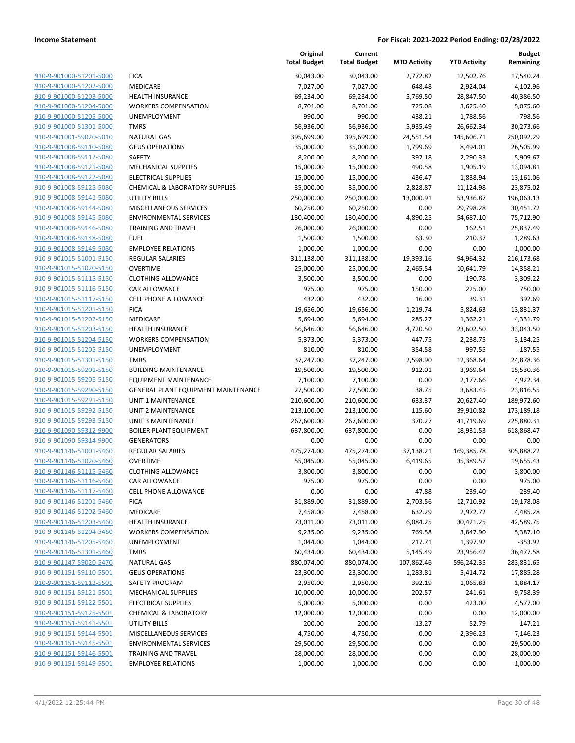|                         |                                     | Original<br><b>Total Budget</b> | Current<br><b>Total Budget</b> | <b>MTD Activity</b> | <b>YTD Activity</b> | <b>Budget</b><br>Remaining |
|-------------------------|-------------------------------------|---------------------------------|--------------------------------|---------------------|---------------------|----------------------------|
| 910-9-901000-51201-5000 | <b>FICA</b>                         | 30,043.00                       | 30,043.00                      | 2,772.82            | 12,502.76           | 17,540.24                  |
| 910-9-901000-51202-5000 | MEDICARE                            | 7,027.00                        | 7,027.00                       | 648.48              | 2,924.04            | 4,102.96                   |
| 910-9-901000-51203-5000 | <b>HEALTH INSURANCE</b>             | 69,234.00                       | 69,234.00                      | 5,769.50            | 28,847.50           | 40,386.50                  |
| 910-9-901000-51204-5000 | <b>WORKERS COMPENSATION</b>         | 8,701.00                        | 8,701.00                       | 725.08              | 3,625.40            | 5,075.60                   |
| 910-9-901000-51205-5000 | UNEMPLOYMENT                        | 990.00                          | 990.00                         | 438.21              | 1,788.56            | $-798.56$                  |
| 910-9-901000-51301-5000 | <b>TMRS</b>                         | 56,936.00                       | 56,936.00                      | 5,935.49            | 26,662.34           | 30,273.66                  |
| 910-9-901001-59020-5010 | <b>NATURAL GAS</b>                  | 395,699.00                      | 395,699.00                     | 24,551.54           | 145,606.71          | 250,092.29                 |
| 910-9-901008-59110-5080 | <b>GEUS OPERATIONS</b>              | 35,000.00                       | 35,000.00                      | 1,799.69            | 8,494.01            | 26,505.99                  |
| 910-9-901008-59112-5080 | <b>SAFETY</b>                       | 8,200.00                        | 8,200.00                       | 392.18              | 2,290.33            | 5,909.67                   |
| 910-9-901008-59121-5080 | MECHANICAL SUPPLIES                 | 15,000.00                       | 15,000.00                      | 490.58              | 1,905.19            | 13,094.81                  |
| 910-9-901008-59122-5080 | <b>ELECTRICAL SUPPLIES</b>          | 15,000.00                       | 15,000.00                      | 436.47              | 1,838.94            | 13,161.06                  |
| 910-9-901008-59125-5080 | CHEMICAL & LABORATORY SUPPLIES      | 35,000.00                       | 35,000.00                      | 2,828.87            | 11,124.98           | 23,875.02                  |
| 910-9-901008-59141-5080 | <b>UTILITY BILLS</b>                | 250,000.00                      | 250,000.00                     | 13,000.91           | 53,936.87           | 196,063.13                 |
| 910-9-901008-59144-5080 | MISCELLANEOUS SERVICES              | 60,250.00                       | 60,250.00                      | 0.00                | 29,798.28           | 30,451.72                  |
| 910-9-901008-59145-5080 | <b>ENVIRONMENTAL SERVICES</b>       | 130,400.00                      | 130,400.00                     | 4,890.25            | 54,687.10           | 75,712.90                  |
| 910-9-901008-59146-5080 | <b>TRAINING AND TRAVEL</b>          | 26,000.00                       | 26,000.00                      | 0.00                | 162.51              | 25,837.49                  |
| 910-9-901008-59148-5080 | <b>FUEL</b>                         | 1,500.00                        | 1,500.00                       | 63.30               | 210.37              | 1,289.63                   |
| 910-9-901008-59149-5080 | <b>EMPLOYEE RELATIONS</b>           | 1,000.00                        | 1,000.00                       | 0.00                | 0.00                | 1,000.00                   |
| 910-9-901015-51001-5150 | <b>REGULAR SALARIES</b>             | 311,138.00                      | 311,138.00                     | 19,393.16           | 94,964.32           | 216,173.68                 |
| 910-9-901015-51020-5150 | <b>OVERTIME</b>                     | 25,000.00                       | 25,000.00                      | 2,465.54            | 10,641.79           | 14,358.21                  |
| 910-9-901015-51115-5150 | <b>CLOTHING ALLOWANCE</b>           | 3,500.00                        | 3,500.00                       | 0.00                | 190.78              | 3,309.22                   |
| 910-9-901015-51116-5150 | CAR ALLOWANCE                       | 975.00                          | 975.00                         | 150.00              | 225.00              | 750.00                     |
| 910-9-901015-51117-5150 | <b>CELL PHONE ALLOWANCE</b>         | 432.00                          | 432.00                         | 16.00               | 39.31               | 392.69                     |
| 910-9-901015-51201-5150 | <b>FICA</b>                         | 19,656.00                       | 19,656.00                      | 1,219.74            | 5,824.63            | 13,831.37                  |
| 910-9-901015-51202-5150 | MEDICARE                            | 5,694.00                        | 5,694.00                       | 285.27              | 1,362.21            | 4,331.79                   |
| 910-9-901015-51203-5150 | <b>HEALTH INSURANCE</b>             | 56,646.00                       | 56,646.00                      | 4,720.50            | 23,602.50           | 33,043.50                  |
| 910-9-901015-51204-5150 | <b>WORKERS COMPENSATION</b>         | 5,373.00                        | 5,373.00                       | 447.75              | 2,238.75            | 3,134.25                   |
| 910-9-901015-51205-5150 | UNEMPLOYMENT                        | 810.00                          | 810.00                         | 354.58              | 997.55              | $-187.55$                  |
| 910-9-901015-51301-5150 | <b>TMRS</b>                         | 37,247.00                       | 37,247.00                      | 2,598.90            | 12,368.64           | 24,878.36                  |
| 910-9-901015-59201-5150 | <b>BUILDING MAINTENANCE</b>         | 19,500.00                       | 19,500.00                      | 912.01              | 3,969.64            | 15,530.36                  |
| 910-9-901015-59205-5150 | <b>EQUIPMENT MAINTENANCE</b>        | 7,100.00                        | 7,100.00                       | 0.00                | 2,177.66            | 4,922.34                   |
| 910-9-901015-59290-5150 | GENERAL PLANT EQUIPMENT MAINTENANCE | 27,500.00                       | 27,500.00                      | 38.75               | 3,683.45            | 23,816.55                  |
| 910-9-901015-59291-5150 | UNIT 1 MAINTENANCE                  | 210,600.00                      | 210,600.00                     | 633.37              | 20,627.40           | 189,972.60                 |
| 910-9-901015-59292-5150 | <b>UNIT 2 MAINTENANCE</b>           | 213,100.00                      | 213,100.00                     | 115.60              | 39,910.82           | 173,189.18                 |
| 910-9-901015-59293-5150 | <b>UNIT 3 MAINTENANCE</b>           | 267,600.00                      | 267,600.00                     | 370.27              | 41,719.69           | 225,880.31                 |
| 910-9-901090-59312-9900 | <b>BOILER PLANT EQUIPMENT</b>       | 637,800.00                      | 637,800.00                     | 0.00                | 18,931.53           | 618,868.47                 |
| 910-9-901090-59314-9900 | <b>GENERATORS</b>                   | 0.00                            | 0.00                           | 0.00                | 0.00                | 0.00                       |
| 910-9-901146-51001-5460 | <b>REGULAR SALARIES</b>             | 475,274.00                      | 475,274.00                     | 37,138.21           | 169,385.78          | 305,888.22                 |
| 910-9-901146-51020-5460 | <b>OVERTIME</b>                     | 55,045.00                       | 55,045.00                      | 6,419.65            | 35,389.57           | 19,655.43                  |
| 910-9-901146-51115-5460 | <b>CLOTHING ALLOWANCE</b>           | 3,800.00                        | 3,800.00                       | 0.00                | 0.00                | 3,800.00                   |
| 910-9-901146-51116-5460 | CAR ALLOWANCE                       | 975.00                          | 975.00                         | 0.00                | 0.00                | 975.00                     |
| 910-9-901146-51117-5460 | <b>CELL PHONE ALLOWANCE</b>         | 0.00                            | 0.00                           | 47.88               | 239.40              | $-239.40$                  |
| 910-9-901146-51201-5460 | <b>FICA</b>                         | 31,889.00                       | 31,889.00                      | 2,703.56            | 12,710.92           | 19,178.08                  |
| 910-9-901146-51202-5460 | MEDICARE                            | 7,458.00                        | 7,458.00                       | 632.29              | 2,972.72            | 4,485.28                   |
| 910-9-901146-51203-5460 | <b>HEALTH INSURANCE</b>             | 73,011.00                       | 73,011.00                      | 6,084.25            | 30,421.25           | 42,589.75                  |
| 910-9-901146-51204-5460 | <b>WORKERS COMPENSATION</b>         | 9,235.00                        | 9,235.00                       | 769.58              | 3,847.90            | 5,387.10                   |
| 910-9-901146-51205-5460 | UNEMPLOYMENT                        | 1,044.00                        | 1,044.00                       | 217.71              | 1,397.92            | $-353.92$                  |
| 910-9-901146-51301-5460 | <b>TMRS</b>                         | 60,434.00                       | 60,434.00                      | 5,145.49            | 23,956.42           | 36,477.58                  |
| 910-9-901147-59020-5470 | <b>NATURAL GAS</b>                  | 880,074.00                      | 880,074.00                     | 107,862.46          | 596,242.35          | 283,831.65                 |
| 910-9-901151-59110-5501 | <b>GEUS OPERATIONS</b>              | 23,300.00                       | 23,300.00                      | 1,283.81            | 5,414.72            | 17,885.28                  |
| 910-9-901151-59112-5501 | SAFETY PROGRAM                      | 2,950.00                        | 2,950.00                       | 392.19              | 1,065.83            | 1,884.17                   |
| 910-9-901151-59121-5501 | <b>MECHANICAL SUPPLIES</b>          | 10,000.00                       | 10,000.00                      | 202.57              | 241.61              | 9,758.39                   |
| 910-9-901151-59122-5501 | <b>ELECTRICAL SUPPLIES</b>          | 5,000.00                        | 5,000.00                       | 0.00                | 423.00              | 4,577.00                   |
| 910-9-901151-59125-5501 | <b>CHEMICAL &amp; LABORATORY</b>    | 12,000.00                       | 12,000.00                      | 0.00                | 0.00                | 12,000.00                  |
| 910-9-901151-59141-5501 | <b>UTILITY BILLS</b>                | 200.00                          | 200.00                         | 13.27               | 52.79               | 147.21                     |
| 910-9-901151-59144-5501 | MISCELLANEOUS SERVICES              | 4,750.00                        | 4,750.00                       | 0.00                | $-2,396.23$         | 7,146.23                   |
| 910-9-901151-59145-5501 | <b>ENVIRONMENTAL SERVICES</b>       | 29,500.00                       | 29,500.00                      | 0.00                | 0.00                | 29,500.00                  |
| 910-9-901151-59146-5501 | <b>TRAINING AND TRAVEL</b>          | 28,000.00                       | 28,000.00                      | 0.00                | 0.00                | 28,000.00                  |
| 910-9-901151-59149-5501 | <b>EMPLOYEE RELATIONS</b>           | 1,000.00                        | 1,000.00                       | 0.00                | 0.00                | 1,000.00                   |
|                         |                                     |                                 |                                |                     |                     |                            |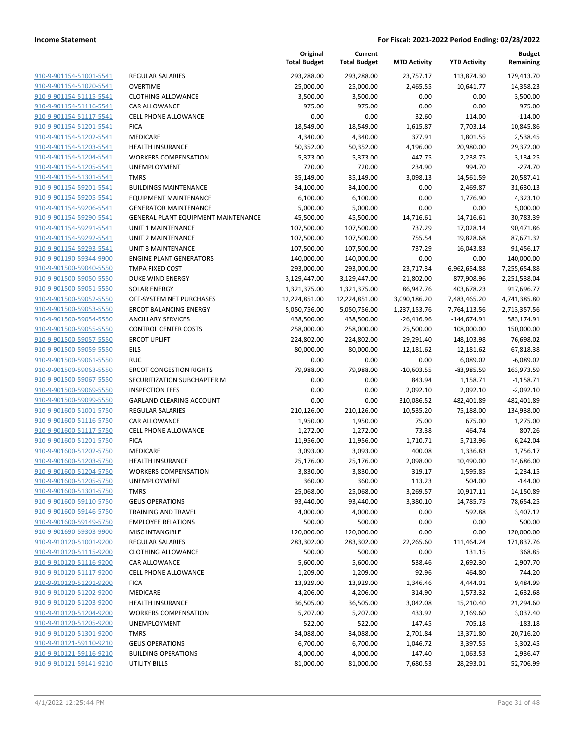|                                                    |                                       | Original<br><b>Total Budget</b> | Current<br><b>Total Budget</b> | <b>MTD Activity</b> | <b>YTD Activity</b>   | <b>Budget</b><br>Remaining |
|----------------------------------------------------|---------------------------------------|---------------------------------|--------------------------------|---------------------|-----------------------|----------------------------|
| 910-9-901154-51001-5541                            | REGULAR SALARIES                      | 293,288.00                      | 293,288.00                     | 23,757.17           | 113,874.30            | 179,413.70                 |
| 910-9-901154-51020-5541                            | <b>OVERTIME</b>                       | 25,000.00                       | 25,000.00                      | 2,465.55            | 10,641.77             | 14,358.23                  |
| 910-9-901154-51115-5541                            | <b>CLOTHING ALLOWANCE</b>             | 3,500.00                        | 3,500.00                       | 0.00                | 0.00                  | 3,500.00                   |
| 910-9-901154-51116-5541                            | <b>CAR ALLOWANCE</b>                  | 975.00                          | 975.00                         | 0.00                | 0.00                  | 975.00                     |
| 910-9-901154-51117-5541                            | <b>CELL PHONE ALLOWANCE</b>           | 0.00                            | 0.00                           | 32.60               | 114.00                | $-114.00$                  |
| 910-9-901154-51201-5541                            | <b>FICA</b>                           | 18,549.00                       | 18,549.00                      | 1,615.87            | 7,703.14              | 10,845.86                  |
| 910-9-901154-51202-5541                            | MEDICARE                              | 4,340.00                        | 4,340.00                       | 377.91              | 1,801.55              | 2,538.45                   |
| 910-9-901154-51203-5541                            | <b>HEALTH INSURANCE</b>               | 50,352.00                       | 50,352.00                      | 4,196.00            | 20,980.00             | 29,372.00                  |
| 910-9-901154-51204-5541                            | <b>WORKERS COMPENSATION</b>           | 5,373.00                        | 5,373.00                       | 447.75              | 2,238.75              | 3,134.25                   |
| 910-9-901154-51205-5541                            | UNEMPLOYMENT                          | 720.00                          | 720.00                         | 234.90              | 994.70                | $-274.70$                  |
| 910-9-901154-51301-5541                            | <b>TMRS</b>                           | 35,149.00                       | 35,149.00                      | 3,098.13            | 14,561.59             | 20,587.41                  |
| 910-9-901154-59201-5541                            | <b>BUILDINGS MAINTENANCE</b>          | 34,100.00                       | 34,100.00                      | 0.00                | 2,469.87              | 31,630.13                  |
| 910-9-901154-59205-5541                            | <b>EQUIPMENT MAINTENANCE</b>          | 6,100.00                        | 6,100.00                       | 0.00                | 1,776.90              | 4,323.10                   |
| 910-9-901154-59206-5541                            | <b>GENERATOR MAINTENANCE</b>          | 5,000.00                        | 5,000.00                       | 0.00                | 0.00                  | 5,000.00                   |
| 910-9-901154-59290-5541                            | GENERAL PLANT EQUIPMENT MAINTENANCE   | 45,500.00                       | 45,500.00                      | 14,716.61           | 14,716.61             | 30,783.39                  |
| 910-9-901154-59291-5541                            | UNIT 1 MAINTENANCE                    | 107,500.00                      | 107,500.00                     | 737.29              | 17,028.14             | 90,471.86                  |
| 910-9-901154-59292-5541                            | UNIT 2 MAINTENANCE                    | 107,500.00                      | 107,500.00                     | 755.54              | 19,828.68             | 87,671.32                  |
| 910-9-901154-59293-5541                            | <b>UNIT 3 MAINTENANCE</b>             | 107,500.00                      | 107,500.00                     | 737.29              | 16,043.83             | 91,456.17                  |
| 910-9-901190-59344-9900                            | <b>ENGINE PLANT GENERATORS</b>        | 140,000.00                      | 140,000.00                     | 0.00                | 0.00                  | 140,000.00                 |
| 910-9-901500-59040-5550                            | <b>TMPA FIXED COST</b>                | 293,000.00                      | 293,000.00                     | 23,717.34           | $-6,962,654.88$       | 7,255,654.88               |
| 910-9-901500-59050-5550                            | <b>DUKE WIND ENERGY</b>               | 3,129,447.00                    | 3,129,447.00                   | $-21,802.00$        | 877,908.96            | 2,251,538.04               |
| 910-9-901500-59051-5550                            | <b>SOLAR ENERGY</b>                   | 1,321,375.00                    | 1,321,375.00                   | 86,947.76           | 403,678.23            | 917,696.77                 |
| 910-9-901500-59052-5550                            | OFF-SYSTEM NET PURCHASES              | 12,224,851.00                   | 12,224,851.00                  | 3,090,186.20        | 7,483,465.20          | 4,741,385.80               |
| 910-9-901500-59053-5550                            | <b>ERCOT BALANCING ENERGY</b>         | 5,050,756.00                    | 5,050,756.00                   | 1,237,153.76        | 7,764,113.56          | $-2,713,357.56$            |
| 910-9-901500-59054-5550                            | <b>ANCILLARY SERVICES</b>             | 438,500.00                      | 438,500.00                     | -26,416.96          | $-144,674.91$         | 583,174.91                 |
| 910-9-901500-59055-5550                            | <b>CONTROL CENTER COSTS</b>           | 258,000.00                      | 258,000.00                     | 25,500.00           | 108,000.00            | 150,000.00                 |
| 910-9-901500-59057-5550                            | <b>ERCOT UPLIFT</b>                   | 224,802.00                      | 224,802.00                     | 29,291.40           | 148,103.98            | 76,698.02                  |
| 910-9-901500-59059-5550                            | EILS                                  | 80,000.00                       | 80,000.00                      | 12,181.62           | 12,181.62             | 67,818.38                  |
| 910-9-901500-59061-5550                            | <b>RUC</b>                            | 0.00                            | 0.00                           | 0.00                | 6,089.02              | $-6,089.02$                |
| 910-9-901500-59063-5550                            | <b>ERCOT CONGESTION RIGHTS</b>        | 79,988.00                       | 79,988.00                      | $-10,603.55$        | $-83,985.59$          | 163,973.59                 |
| 910-9-901500-59067-5550                            | SECURITIZATION SUBCHAPTER M           | 0.00                            | 0.00                           | 843.94              | 1,158.71              | $-1,158.71$                |
| 910-9-901500-59069-5550                            | <b>INSPECTION FEES</b>                | 0.00                            | 0.00                           | 2,092.10            | 2,092.10              | $-2,092.10$                |
| 910-9-901500-59099-5550                            | GARLAND CLEARING ACCOUNT              | 0.00                            | 0.00                           | 310,086.52          | 482,401.89            | -482,401.89                |
| 910-9-901600-51001-5750                            | <b>REGULAR SALARIES</b>               | 210,126.00                      | 210,126.00                     | 10,535.20           | 75,188.00             | 134,938.00                 |
| 910-9-901600-51116-5750<br>910-9-901600-51117-5750 | CAR ALLOWANCE<br>CELL PHONE ALLOWANCE | 1,950.00                        | 1,950.00                       | 75.00               | 675.00                | 1,275.00                   |
|                                                    |                                       | 1,272.00                        | 1,272.00                       | 73.38               | 464.74                | 807.26                     |
| 910-9-901600-51201-5750<br>910-9-901600-51202-5750 | <b>FICA</b><br>MEDICARE               | 11,956.00<br>3,093.00           | 11,956.00<br>3,093.00          | 1,710.71<br>400.08  | 5,713.96              | 6,242.04<br>1,756.17       |
| 910-9-901600-51203-5750                            | <b>HEALTH INSURANCE</b>               | 25,176.00                       | 25,176.00                      | 2,098.00            | 1,336.83<br>10,490.00 | 14,686.00                  |
| 910-9-901600-51204-5750                            | <b>WORKERS COMPENSATION</b>           | 3,830.00                        | 3,830.00                       | 319.17              | 1,595.85              | 2,234.15                   |
| 910-9-901600-51205-5750                            | UNEMPLOYMENT                          | 360.00                          | 360.00                         | 113.23              | 504.00                | $-144.00$                  |
| 910-9-901600-51301-5750                            | <b>TMRS</b>                           | 25,068.00                       | 25,068.00                      | 3,269.57            | 10,917.11             | 14,150.89                  |
| 910-9-901600-59110-5750                            | <b>GEUS OPERATIONS</b>                | 93,440.00                       | 93,440.00                      | 3,380.10            | 14,785.75             | 78,654.25                  |
| 910-9-901600-59146-5750                            | <b>TRAINING AND TRAVEL</b>            | 4,000.00                        | 4,000.00                       | 0.00                | 592.88                | 3,407.12                   |
| 910-9-901600-59149-5750                            | <b>EMPLOYEE RELATIONS</b>             | 500.00                          | 500.00                         | 0.00                | 0.00                  | 500.00                     |
| 910-9-901690-59303-9900                            | <b>MISC INTANGIBLE</b>                | 120,000.00                      | 120,000.00                     | 0.00                | 0.00                  | 120,000.00                 |
| 910-9-910120-51001-9200                            | REGULAR SALARIES                      | 283,302.00                      | 283,302.00                     | 22,265.60           | 111,464.24            | 171,837.76                 |
| 910-9-910120-51115-9200                            | <b>CLOTHING ALLOWANCE</b>             | 500.00                          | 500.00                         | 0.00                | 131.15                | 368.85                     |
| 910-9-910120-51116-9200                            | CAR ALLOWANCE                         | 5,600.00                        | 5,600.00                       | 538.46              | 2,692.30              | 2,907.70                   |
| 910-9-910120-51117-9200                            | CELL PHONE ALLOWANCE                  | 1,209.00                        | 1,209.00                       | 92.96               | 464.80                | 744.20                     |
| 910-9-910120-51201-9200                            | <b>FICA</b>                           | 13,929.00                       | 13,929.00                      | 1,346.46            | 4,444.01              | 9,484.99                   |
| 910-9-910120-51202-9200                            | MEDICARE                              | 4,206.00                        | 4,206.00                       | 314.90              | 1,573.32              | 2,632.68                   |
| 910-9-910120-51203-9200                            | <b>HEALTH INSURANCE</b>               | 36,505.00                       | 36,505.00                      | 3,042.08            | 15,210.40             | 21,294.60                  |
| 910-9-910120-51204-9200                            | <b>WORKERS COMPENSATION</b>           | 5,207.00                        | 5,207.00                       | 433.92              | 2,169.60              | 3,037.40                   |
| 910-9-910120-51205-9200                            | UNEMPLOYMENT                          | 522.00                          | 522.00                         | 147.45              | 705.18                | $-183.18$                  |
| 910-9-910120-51301-9200                            | <b>TMRS</b>                           | 34,088.00                       | 34,088.00                      | 2,701.84            | 13,371.80             | 20,716.20                  |
| 910-9-910121-59110-9210                            | <b>GEUS OPERATIONS</b>                | 6,700.00                        | 6,700.00                       | 1,046.72            | 3,397.55              | 3,302.45                   |
| 910-9-910121-59116-9210                            | <b>BUILDING OPERATIONS</b>            | 4,000.00                        | 4,000.00                       | 147.40              | 1,063.53              | 2,936.47                   |
| 910-9-910121-59141-9210                            | <b>UTILITY BILLS</b>                  | 81,000.00                       | 81,000.00                      | 7,680.53            | 28,293.01             | 52,706.99                  |
|                                                    |                                       |                                 |                                |                     |                       |                            |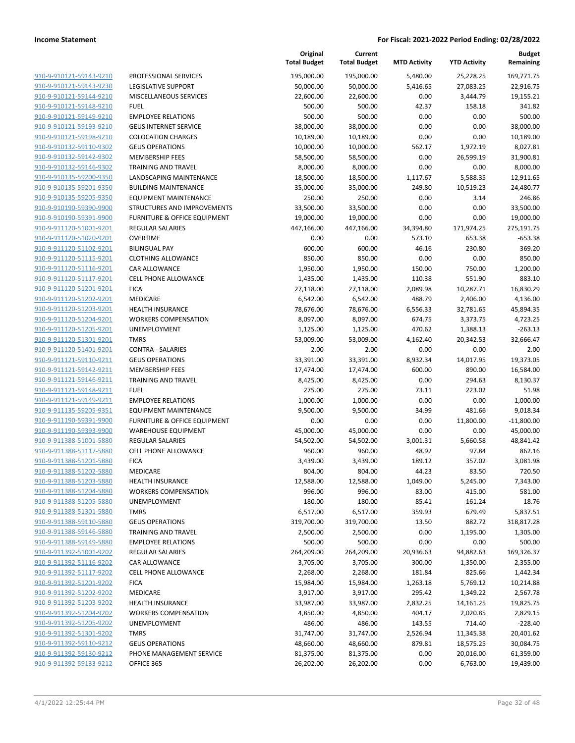| 910-9-910121-59143-9210 | F            |
|-------------------------|--------------|
| 910-9-910121-59143-9230 | L            |
| 910-9-910121-59144-9210 | ľ            |
| 910-9-910121-59148-9210 | F            |
| 910-9-910121-59149-9210 | Ε            |
| 910-9-910121-59193-9210 | $\mathsf{C}$ |
| 910-9-910121-59198-9210 | $\mathsf{C}$ |
| 910-9-910132-59110-9302 | C            |
| 910-9-910132-59142-9302 | ľ            |
| 910-9-910132-59146-9302 | ı            |
| 910-9-910135-59200-9350 | L            |
| 910-9-910135-59201-9350 | Ε            |
| 910-9-910135-59205-9350 | E            |
| 910-9-910190-59390-9900 | S            |
| 910-9-910190-59391-9900 | F            |
| 910-9-911120-51001-9201 | F            |
| 910-9-911120-51020-9201 | C            |
| 910-9-911120-51102-9201 | E            |
| 910-9-911120-51115-9201 | O            |
| 910-9-911120-51116-9201 | C            |
| 910-9-911120-51117-9201 | $\mathsf{C}$ |
| 910-9-911120-51201-9201 | F            |
| 910-9-911120-51202-9201 | ľ            |
| 910-9-911120-51203-9201 | ŀ            |
| 910-9-911120-51204-9201 | ١            |
| 910-9-911120-51205-9201 | l            |
| 910-9-911120-51301-9201 | I            |
| 910-9-911120-51401-9201 | C            |
| 910-9-911121-59110-9211 | $\mathsf{C}$ |
| 910-9-911121-59142-9211 | ľ            |
| 910-9-911121-59146-9211 | I            |
| 910-9-911121-59148-9211 | F            |
| 910-9-911121-59149-9211 | Ε            |
| 910-9-911135-59205-9351 | E            |
| 910-9-911190-59391-9900 | F            |
| 910-9-911190-59393-9900 | ١            |
| 910-9-911388-51001-5880 | F            |
| 910-9-911388-51117-5880 | C            |
| 910-9-911388-51201-5880 | F            |
| 910-9-911388-51202-5880 | ľ            |
| 910-9-911388-51203-5880 | ŀ            |
| 910-9-911388-51204-5880 | ١            |
| 910-9-911388-51205-5880 | ι            |
| 910-9-911388-51301-5880 | ٦            |
| 910-9-911388-59110-5880 | C            |
| 910-9-911388-59146-5880 | ٦            |
| 910-9-911388-59149-5880 | E            |
| 910-9-911392-51001-9202 | F            |
| 910-9-911392-51116-9202 | O            |
| 910-9-911392-51117-9202 | O            |
| 910-9-911392-51201-9202 | F            |
| 910-9-911392-51202-9202 | ľ            |
| 910-9-911392-51203-9202 | ŀ            |
| 910-9-911392-51204-9202 |              |
| 910-9-911392-51205-9202 | ι            |
| 910-9-911392-51301-9202 | ٦            |
| 910-9-911392-59110-9212 | O            |
| 910-9-911392-59130-9212 | F            |
| 910-9-911392-59133-9212 | C            |
|                         |              |

|                                                    |                                                              | Original<br><b>Total Budget</b> | Current<br><b>Total Budget</b> | <b>MTD Activity</b> | <b>YTD Activity</b> | <b>Budget</b><br>Remaining |
|----------------------------------------------------|--------------------------------------------------------------|---------------------------------|--------------------------------|---------------------|---------------------|----------------------------|
| 910-9-910121-59143-9210                            | PROFESSIONAL SERVICES                                        | 195,000.00                      | 195,000.00                     | 5,480.00            | 25,228.25           | 169,771.75                 |
| 910-9-910121-59143-9230                            | LEGISLATIVE SUPPORT                                          | 50,000.00                       | 50,000.00                      | 5,416.65            | 27,083.25           | 22,916.75                  |
| 910-9-910121-59144-9210                            | MISCELLANEOUS SERVICES                                       | 22,600.00                       | 22,600.00                      | 0.00                | 3,444.79            | 19,155.21                  |
| 910-9-910121-59148-9210                            | <b>FUEL</b>                                                  | 500.00                          | 500.00                         | 42.37               | 158.18              | 341.82                     |
| 910-9-910121-59149-9210                            | <b>EMPLOYEE RELATIONS</b>                                    | 500.00                          | 500.00                         | 0.00                | 0.00                | 500.00                     |
| 910-9-910121-59193-9210                            | <b>GEUS INTERNET SERVICE</b>                                 | 38,000.00                       | 38,000.00                      | 0.00                | 0.00                | 38,000.00                  |
| 910-9-910121-59198-9210                            | <b>COLOCATION CHARGES</b>                                    | 10,189.00                       | 10,189.00                      | 0.00                | 0.00                | 10,189.00                  |
| 910-9-910132-59110-9302                            | <b>GEUS OPERATIONS</b>                                       | 10,000.00                       | 10,000.00                      | 562.17              | 1,972.19            | 8,027.81                   |
| 910-9-910132-59142-9302                            | <b>MEMBERSHIP FEES</b>                                       | 58,500.00                       | 58,500.00                      | 0.00                | 26,599.19           | 31,900.81                  |
| 910-9-910132-59146-9302                            | <b>TRAINING AND TRAVEL</b>                                   | 8,000.00                        | 8,000.00                       | 0.00                | 0.00                | 8,000.00                   |
| 910-9-910135-59200-9350                            | LANDSCAPING MAINTENANCE                                      | 18,500.00                       | 18,500.00                      | 1,117.67            | 5,588.35            | 12,911.65                  |
| 910-9-910135-59201-9350                            | <b>BUILDING MAINTENANCE</b>                                  | 35,000.00                       | 35,000.00                      | 249.80              | 10,519.23           | 24,480.77                  |
| 910-9-910135-59205-9350                            | <b>EQUIPMENT MAINTENANCE</b>                                 | 250.00                          | 250.00                         | 0.00                | 3.14                | 246.86                     |
| 910-9-910190-59390-9900                            | STRUCTURES AND IMPROVEMENTS                                  | 33,500.00                       | 33,500.00                      | 0.00                | 0.00                | 33,500.00                  |
| 910-9-910190-59391-9900                            | FURNITURE & OFFICE EQUIPMENT                                 | 19,000.00                       | 19,000.00                      | 0.00                | 0.00                | 19,000.00                  |
| 910-9-911120-51001-9201                            | REGULAR SALARIES                                             | 447,166.00                      | 447,166.00                     | 34,394.80           | 171,974.25          | 275,191.75                 |
| 910-9-911120-51020-9201                            | <b>OVERTIME</b>                                              | 0.00                            | 0.00                           | 573.10              | 653.38              | $-653.38$                  |
| 910-9-911120-51102-9201                            | <b>BILINGUAL PAY</b>                                         | 600.00                          | 600.00                         | 46.16               | 230.80              | 369.20                     |
| 910-9-911120-51115-9201                            | <b>CLOTHING ALLOWANCE</b>                                    | 850.00                          | 850.00                         | 0.00                | 0.00                | 850.00                     |
| 910-9-911120-51116-9201                            | <b>CAR ALLOWANCE</b>                                         | 1,950.00                        | 1,950.00                       | 150.00              | 750.00              | 1,200.00                   |
| 910-9-911120-51117-9201                            | CELL PHONE ALLOWANCE                                         | 1,435.00                        | 1,435.00                       | 110.38              | 551.90              | 883.10                     |
| 910-9-911120-51201-9201                            | <b>FICA</b>                                                  | 27,118.00                       | 27,118.00                      | 2,089.98            | 10,287.71           | 16,830.29                  |
| 910-9-911120-51202-9201                            | <b>MEDICARE</b>                                              | 6,542.00                        | 6,542.00                       | 488.79              | 2,406.00            | 4,136.00                   |
| 910-9-911120-51203-9201                            | <b>HEALTH INSURANCE</b>                                      | 78,676.00                       | 78,676.00                      | 6,556.33            | 32,781.65           | 45,894.35                  |
| 910-9-911120-51204-9201                            | <b>WORKERS COMPENSATION</b>                                  | 8,097.00                        | 8,097.00                       | 674.75              | 3,373.75            | 4,723.25                   |
| 910-9-911120-51205-9201                            | UNEMPLOYMENT                                                 | 1,125.00                        | 1,125.00                       | 470.62              | 1,388.13            | $-263.13$                  |
| 910-9-911120-51301-9201                            | <b>TMRS</b>                                                  | 53,009.00                       | 53,009.00                      | 4,162.40            | 20,342.53           | 32,666.47                  |
| 910-9-911120-51401-9201                            | <b>CONTRA - SALARIES</b>                                     | 2.00                            | 2.00                           | 0.00                | 0.00                | 2.00                       |
| 910-9-911121-59110-9211                            | <b>GEUS OPERATIONS</b>                                       | 33,391.00                       | 33,391.00                      | 8,932.34            | 14,017.95           | 19,373.05                  |
| 910-9-911121-59142-9211                            | <b>MEMBERSHIP FEES</b>                                       | 17,474.00                       | 17,474.00                      | 600.00              | 890.00              | 16,584.00                  |
| 910-9-911121-59146-9211                            | TRAINING AND TRAVEL                                          | 8,425.00                        | 8,425.00                       | 0.00                | 294.63              | 8,130.37                   |
| 910-9-911121-59148-9211                            | <b>FUEL</b><br><b>EMPLOYEE RELATIONS</b>                     | 275.00                          | 275.00                         | 73.11<br>0.00       | 223.02<br>0.00      | 51.98                      |
| 910-9-911121-59149-9211<br>910-9-911135-59205-9351 |                                                              | 1,000.00                        | 1,000.00                       |                     |                     | 1,000.00                   |
| 910-9-911190-59391-9900                            | <b>EQUIPMENT MAINTENANCE</b><br>FURNITURE & OFFICE EQUIPMENT | 9,500.00<br>0.00                | 9,500.00<br>0.00               | 34.99<br>0.00       | 481.66<br>11,800.00 | 9,018.34<br>$-11,800.00$   |
| 910-9-911190-59393-9900                            | <b>WAREHOUSE EQUIPMENT</b>                                   | 45,000.00                       | 45,000.00                      | 0.00                | 0.00                | 45,000.00                  |
| 910-9-911388-51001-5880                            | <b>REGULAR SALARIES</b>                                      | 54,502.00                       | 54,502.00                      | 3,001.31            | 5,660.58            | 48,841.42                  |
| 910-9-911388-51117-5880                            | CELL PHONE ALLOWANCE                                         | 960.00                          | 960.00                         | 48.92               | 97.84               | 862.16                     |
| 910-9-911388-51201-5880                            | <b>FICA</b>                                                  | 3,439.00                        | 3,439.00                       | 189.12              | 357.02              | 3,081.98                   |
| 910-9-911388-51202-5880                            | MEDICARE                                                     | 804.00                          | 804.00                         | 44.23               | 83.50               | 720.50                     |
| 910-9-911388-51203-5880                            | <b>HEALTH INSURANCE</b>                                      | 12,588.00                       | 12,588.00                      | 1,049.00            | 5,245.00            | 7,343.00                   |
| 910-9-911388-51204-5880                            | <b>WORKERS COMPENSATION</b>                                  | 996.00                          | 996.00                         | 83.00               | 415.00              | 581.00                     |
| 910-9-911388-51205-5880                            | <b>UNEMPLOYMENT</b>                                          | 180.00                          | 180.00                         | 85.41               | 161.24              | 18.76                      |
| 910-9-911388-51301-5880                            | <b>TMRS</b>                                                  | 6,517.00                        | 6,517.00                       | 359.93              | 679.49              | 5,837.51                   |
| 910-9-911388-59110-5880                            | <b>GEUS OPERATIONS</b>                                       | 319,700.00                      | 319,700.00                     | 13.50               | 882.72              | 318,817.28                 |
| 910-9-911388-59146-5880                            | <b>TRAINING AND TRAVEL</b>                                   | 2,500.00                        | 2,500.00                       | 0.00                | 1,195.00            | 1,305.00                   |
| 910-9-911388-59149-5880                            | <b>EMPLOYEE RELATIONS</b>                                    | 500.00                          | 500.00                         | 0.00                | 0.00                | 500.00                     |
| 910-9-911392-51001-9202                            | <b>REGULAR SALARIES</b>                                      | 264,209.00                      | 264,209.00                     | 20,936.63           | 94,882.63           | 169,326.37                 |
| 910-9-911392-51116-9202                            | CAR ALLOWANCE                                                | 3,705.00                        | 3,705.00                       | 300.00              | 1,350.00            | 2,355.00                   |
| 910-9-911392-51117-9202                            | <b>CELL PHONE ALLOWANCE</b>                                  | 2,268.00                        | 2,268.00                       | 181.84              | 825.66              | 1,442.34                   |
| 910-9-911392-51201-9202                            | <b>FICA</b>                                                  | 15,984.00                       | 15,984.00                      | 1,263.18            | 5,769.12            | 10,214.88                  |
| 910-9-911392-51202-9202                            | <b>MEDICARE</b>                                              | 3,917.00                        | 3,917.00                       | 295.42              | 1,349.22            | 2,567.78                   |
| 910-9-911392-51203-9202                            | <b>HEALTH INSURANCE</b>                                      | 33,987.00                       | 33,987.00                      | 2,832.25            | 14,161.25           | 19,825.75                  |
| 910-9-911392-51204-9202                            | <b>WORKERS COMPENSATION</b>                                  | 4,850.00                        | 4,850.00                       | 404.17              | 2,020.85            | 2,829.15                   |
| 910-9-911392-51205-9202                            | UNEMPLOYMENT                                                 | 486.00                          | 486.00                         | 143.55              | 714.40              | $-228.40$                  |
| 910-9-911392-51301-9202                            | <b>TMRS</b>                                                  | 31,747.00                       | 31,747.00                      | 2,526.94            | 11,345.38           | 20,401.62                  |
| 910-9-911392-59110-9212                            | <b>GEUS OPERATIONS</b>                                       | 48,660.00                       | 48,660.00                      | 879.81              | 18,575.25           | 30,084.75                  |
| 910-9-911392-59130-9212                            | PHONE MANAGEMENT SERVICE                                     | 81,375.00                       | 81,375.00                      | 0.00                | 20,016.00           | 61,359.00                  |
| 910-9-911392-59133-9212                            | OFFICE 365                                                   | 26,202.00                       | 26,202.00                      | 0.00                | 6,763.00            | 19,439.00                  |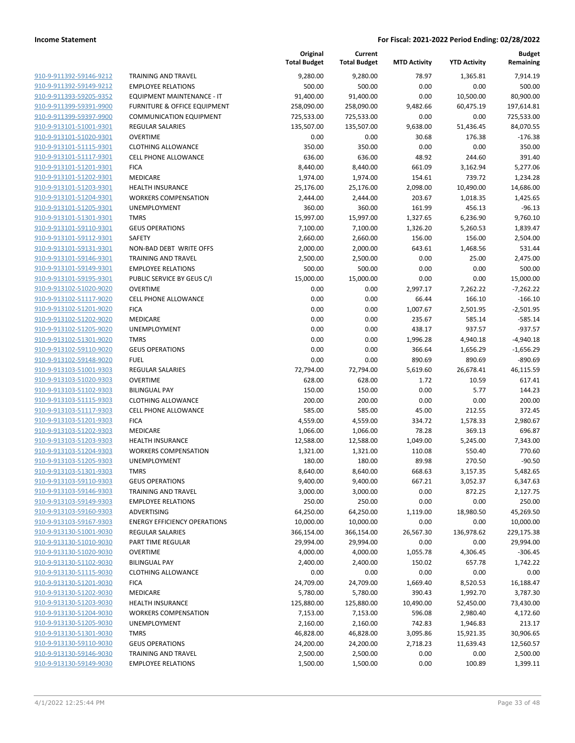|                                                    |                                         | Original<br><b>Total Budget</b> | Current<br><b>Total Budget</b> | <b>MTD Activity</b> | <b>YTD Activity</b> | <b>Budget</b><br>Remaining |
|----------------------------------------------------|-----------------------------------------|---------------------------------|--------------------------------|---------------------|---------------------|----------------------------|
| 910-9-911392-59146-9212                            | <b>TRAINING AND TRAVEL</b>              | 9,280.00                        | 9,280.00                       | 78.97               | 1,365.81            | 7,914.19                   |
| 910-9-911392-59149-9212                            | <b>EMPLOYEE RELATIONS</b>               | 500.00                          | 500.00                         | 0.00                | 0.00                | 500.00                     |
| 910-9-911393-59205-9352                            | EQUIPMENT MAINTENANCE - IT              | 91,400.00                       | 91,400.00                      | 0.00                | 10,500.00           | 80,900.00                  |
| 910-9-911399-59391-9900                            | <b>FURNITURE &amp; OFFICE EQUIPMENT</b> | 258,090.00                      | 258,090.00                     | 9,482.66            | 60,475.19           | 197,614.81                 |
| 910-9-911399-59397-9900                            | <b>COMMUNICATION EQUIPMENT</b>          | 725,533.00                      | 725,533.00                     | 0.00                | 0.00                | 725,533.00                 |
| 910-9-913101-51001-9301                            | REGULAR SALARIES                        | 135,507.00                      | 135,507.00                     | 9,638.00            | 51,436.45           | 84,070.55                  |
| 910-9-913101-51020-9301                            | <b>OVERTIME</b>                         | 0.00                            | 0.00                           | 30.68               | 176.38              | $-176.38$                  |
| 910-9-913101-51115-9301                            | <b>CLOTHING ALLOWANCE</b>               | 350.00                          | 350.00                         | 0.00                | 0.00                | 350.00                     |
| 910-9-913101-51117-9301                            | <b>CELL PHONE ALLOWANCE</b>             | 636.00                          | 636.00                         | 48.92               | 244.60              | 391.40                     |
| 910-9-913101-51201-9301                            | <b>FICA</b>                             | 8,440.00                        | 8,440.00                       | 661.09              | 3,162.94            | 5,277.06                   |
| 910-9-913101-51202-9301                            | <b>MEDICARE</b>                         | 1,974.00                        | 1,974.00                       | 154.61              | 739.72              | 1,234.28                   |
| 910-9-913101-51203-9301                            | <b>HEALTH INSURANCE</b>                 | 25,176.00                       | 25,176.00                      | 2,098.00            | 10,490.00           | 14,686.00                  |
| 910-9-913101-51204-9301                            | <b>WORKERS COMPENSATION</b>             | 2,444.00                        | 2,444.00                       | 203.67              | 1,018.35            | 1,425.65                   |
| 910-9-913101-51205-9301                            | UNEMPLOYMENT                            | 360.00                          | 360.00                         | 161.99              | 456.13              | $-96.13$                   |
| 910-9-913101-51301-9301                            | <b>TMRS</b>                             | 15,997.00                       | 15,997.00                      | 1,327.65            | 6,236.90            | 9,760.10                   |
| 910-9-913101-59110-9301                            | <b>GEUS OPERATIONS</b>                  | 7,100.00                        | 7,100.00                       | 1,326.20            | 5,260.53            | 1,839.47                   |
| 910-9-913101-59112-9301                            | SAFETY                                  | 2,660.00                        | 2,660.00                       | 156.00              | 156.00              | 2,504.00                   |
| 910-9-913101-59131-9301                            | NON-BAD DEBT WRITE OFFS                 | 2,000.00                        | 2,000.00                       | 643.61              | 1,468.56            | 531.44                     |
| 910-9-913101-59146-9301                            | <b>TRAINING AND TRAVEL</b>              | 2,500.00                        | 2,500.00                       | 0.00                | 25.00               | 2,475.00                   |
| 910-9-913101-59149-9301                            | <b>EMPLOYEE RELATIONS</b>               | 500.00                          | 500.00                         | 0.00                | 0.00                | 500.00                     |
| 910-9-913101-59195-9301                            | PUBLIC SERVICE BY GEUS C/I              | 15,000.00                       | 15,000.00                      | 0.00                | 0.00                | 15,000.00                  |
| 910-9-913102-51020-9020                            | <b>OVERTIME</b>                         | 0.00                            | 0.00                           | 2,997.17            | 7,262.22            | $-7,262.22$                |
| 910-9-913102-51117-9020                            | <b>CELL PHONE ALLOWANCE</b>             | 0.00                            | 0.00                           | 66.44               | 166.10              | $-166.10$                  |
| 910-9-913102-51201-9020                            | <b>FICA</b>                             | 0.00                            | 0.00                           | 1,007.67            | 2,501.95            | $-2,501.95$                |
| 910-9-913102-51202-9020                            | MEDICARE                                | 0.00                            | 0.00                           | 235.67              | 585.14              | $-585.14$                  |
| 910-9-913102-51205-9020                            | UNEMPLOYMENT                            | 0.00                            | 0.00                           | 438.17              | 937.57              | $-937.57$                  |
| 910-9-913102-51301-9020                            | <b>TMRS</b>                             | 0.00                            | 0.00                           | 1,996.28            | 4,940.18            | $-4,940.18$                |
| 910-9-913102-59110-9020                            | <b>GEUS OPERATIONS</b>                  | 0.00                            | 0.00                           | 366.64              | 1,656.29            | $-1,656.29$                |
| 910-9-913102-59148-9020                            | <b>FUEL</b><br><b>REGULAR SALARIES</b>  | 0.00<br>72,794.00               | 0.00                           | 890.69              | 890.69              | $-890.69$                  |
| 910-9-913103-51001-9303<br>910-9-913103-51020-9303 | <b>OVERTIME</b>                         |                                 | 72,794.00                      | 5,619.60            | 26,678.41           | 46,115.59<br>617.41        |
| 910-9-913103-51102-9303                            | <b>BILINGUAL PAY</b>                    | 628.00<br>150.00                | 628.00<br>150.00               | 1.72<br>0.00        | 10.59<br>5.77       | 144.23                     |
| 910-9-913103-51115-9303                            | <b>CLOTHING ALLOWANCE</b>               | 200.00                          | 200.00                         | 0.00                | 0.00                | 200.00                     |
| 910-9-913103-51117-9303                            | <b>CELL PHONE ALLOWANCE</b>             | 585.00                          | 585.00                         | 45.00               | 212.55              | 372.45                     |
| 910-9-913103-51201-9303                            | <b>FICA</b>                             | 4,559.00                        | 4,559.00                       | 334.72              | 1,578.33            | 2,980.67                   |
| 910-9-913103-51202-9303                            | MEDICARE                                | 1,066.00                        | 1,066.00                       | 78.28               | 369.13              | 696.87                     |
| 910-9-913103-51203-9303                            | <b>HEALTH INSURANCE</b>                 | 12,588.00                       | 12,588.00                      | 1,049.00            | 5,245.00            | 7,343.00                   |
| 910-9-913103-51204-9303                            | <b>WORKERS COMPENSATION</b>             | 1,321.00                        | 1,321.00                       | 110.08              | 550.40              | 770.60                     |
| 910-9-913103-51205-9303                            | <b>UNEMPLOYMENT</b>                     | 180.00                          | 180.00                         | 89.98               | 270.50              | $-90.50$                   |
| 910-9-913103-51301-9303                            | <b>TMRS</b>                             | 8,640.00                        | 8,640.00                       | 668.63              | 3,157.35            | 5,482.65                   |
| 910-9-913103-59110-9303                            | <b>GEUS OPERATIONS</b>                  | 9,400.00                        | 9,400.00                       | 667.21              | 3,052.37            | 6,347.63                   |
| 910-9-913103-59146-9303                            | <b>TRAINING AND TRAVEL</b>              | 3,000.00                        | 3,000.00                       | 0.00                | 872.25              | 2,127.75                   |
| 910-9-913103-59149-9303                            | <b>EMPLOYEE RELATIONS</b>               | 250.00                          | 250.00                         | 0.00                | 0.00                | 250.00                     |
| 910-9-913103-59160-9303                            | ADVERTISING                             | 64,250.00                       | 64,250.00                      | 1,119.00            | 18,980.50           | 45,269.50                  |
| 910-9-913103-59167-9303                            | <b>ENERGY EFFICIENCY OPERATIONS</b>     | 10,000.00                       | 10,000.00                      | 0.00                | 0.00                | 10,000.00                  |
| 910-9-913130-51001-9030                            | <b>REGULAR SALARIES</b>                 | 366,154.00                      | 366,154.00                     | 26,567.30           | 136,978.62          | 229,175.38                 |
| 910-9-913130-51010-9030                            | PART TIME REGULAR                       | 29,994.00                       | 29,994.00                      | 0.00                | 0.00                | 29,994.00                  |
| 910-9-913130-51020-9030                            | <b>OVERTIME</b>                         | 4,000.00                        | 4,000.00                       | 1,055.78            | 4,306.45            | $-306.45$                  |
| 910-9-913130-51102-9030                            | <b>BILINGUAL PAY</b>                    | 2,400.00                        | 2,400.00                       | 150.02              | 657.78              | 1,742.22                   |
| 910-9-913130-51115-9030                            | <b>CLOTHING ALLOWANCE</b>               | 0.00                            | 0.00                           | 0.00                | 0.00                | 0.00                       |
| 910-9-913130-51201-9030                            | <b>FICA</b>                             | 24,709.00                       | 24,709.00                      | 1,669.40            | 8,520.53            | 16,188.47                  |
| 910-9-913130-51202-9030                            | MEDICARE                                | 5,780.00                        | 5,780.00                       | 390.43              | 1,992.70            | 3,787.30                   |
| 910-9-913130-51203-9030                            | <b>HEALTH INSURANCE</b>                 | 125,880.00                      | 125,880.00                     | 10,490.00           | 52,450.00           | 73,430.00                  |
| 910-9-913130-51204-9030                            | <b>WORKERS COMPENSATION</b>             | 7,153.00                        | 7,153.00                       | 596.08              | 2,980.40            | 4,172.60                   |
| 910-9-913130-51205-9030                            | UNEMPLOYMENT                            | 2,160.00                        | 2,160.00                       | 742.83              | 1,946.83            | 213.17                     |
| 910-9-913130-51301-9030                            | <b>TMRS</b>                             | 46,828.00                       | 46,828.00                      | 3,095.86            | 15,921.35           | 30,906.65                  |
| 910-9-913130-59110-9030                            | <b>GEUS OPERATIONS</b>                  | 24,200.00                       | 24,200.00                      | 2,718.23            | 11,639.43           | 12,560.57                  |
| 910-9-913130-59146-9030                            | <b>TRAINING AND TRAVEL</b>              | 2,500.00                        | 2,500.00                       | 0.00                | 0.00                | 2,500.00                   |
| 910-9-913130-59149-9030                            | <b>EMPLOYEE RELATIONS</b>               | 1,500.00                        | 1,500.00                       | 0.00                | 100.89              | 1,399.11                   |
|                                                    |                                         |                                 |                                |                     |                     |                            |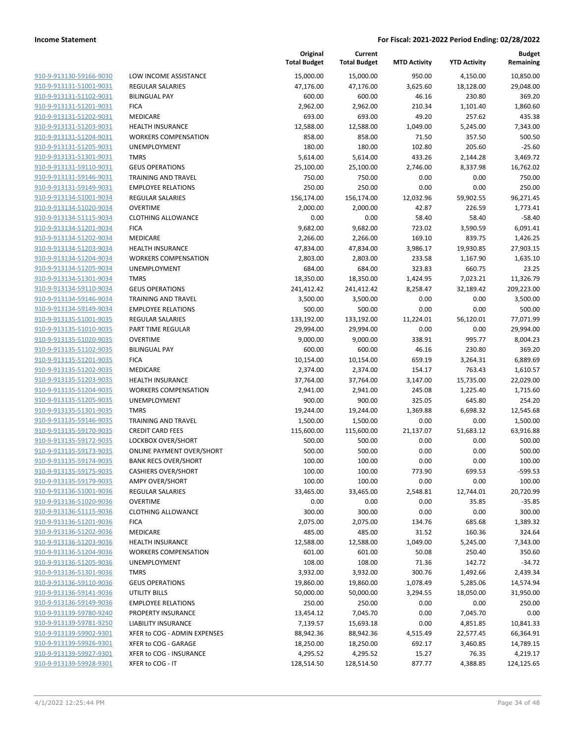| 910-9-913130-59166-9030        |
|--------------------------------|
| 910-9-913131-51001-9031        |
| 910-9-913131-51102-9031        |
| 910-9-913131-51201-9031        |
| 910-9-913131-51202-9031        |
| 910-9-913131-51203-9031        |
| 910-9-913131-51204-9031        |
| 910-9-913131-51205-9031        |
| 910-9-913131-51301-9031        |
| 910-9-913131-59110-9031        |
| 910-9-913131-59146-9031        |
| 910-9-913131-59149-9031        |
| 910-9-913134-51001-9034        |
| 910-9-913134-51020-9034        |
| 910-9-913134-51115-9034        |
| 910-9-913134-51201-9034        |
| 910-9-913134-51202-9034        |
| 910-9-913134-51203-9034        |
| 910-9-913134-51204-9034        |
| 910-9-913134-51205-9034        |
| 910-9-913134-51301-9034        |
| 910-9-913134-59110-9034        |
| 910-9-913134-59146-9034        |
| 910-9-913134-59149-9034        |
| 910-9-913135-51001-9035        |
| 910-9-913135-51010-9035        |
| 910-9-913135-51020-9035        |
| 910-9-913135-51102-9035        |
| 910-9-913135-51201-9035        |
| 910-9-913135-51202-9035        |
| 910-9-913135-51203-9035        |
| 910-9-913135-51204-9035        |
| 910-9-913135-51205-9035        |
| 910-9-913135-51301-9035        |
| 910-9-913135-59146-9035        |
| 910-9-913135-59170-9035        |
| 910-9-913135-59172-9035        |
| 910-9-913135-59173-9035        |
| 910-9-913135-59174-9035        |
| 910-9-913135-59175-9035        |
| <u>910-9-913135-59179-9035</u> |
| 910-9-913136-51001-9036        |
| <u>910-9-913136-51020-9036</u> |
| 910-9-913136-51115-9036        |
| 910-9-913136-51201-9036        |
| 910-9-913136-51202-9036        |
| <u>910-9-913136-51203-9036</u> |
| <u>910-9-913136-51204-9036</u> |
| <u>910-9-913136-51205-9036</u> |
| 910-9-913136-51301-9036        |
| 910-9-913136-59110-9036        |
| <u>910-9-913136-59141-9036</u> |
| 910-9-913136-59149-9036        |
| 910-9-913139-59780-9240        |
| 910-9-913139-59781-9250        |
| 910-9-913139-59902-9301        |
| 910-9-913139-59926-9301        |
| 910-9-913139-59927-9301        |
| 910-9-913139-59928-9301        |
|                                |

|                                                    |                                  | Original<br><b>Total Budget</b> | Current<br><b>Total Budget</b> | <b>MTD Activity</b> | <b>YTD Activity</b> | <b>Budget</b><br>Remaining |
|----------------------------------------------------|----------------------------------|---------------------------------|--------------------------------|---------------------|---------------------|----------------------------|
| 910-9-913130-59166-9030                            | LOW INCOME ASSISTANCE            | 15,000.00                       | 15,000.00                      | 950.00              | 4,150.00            | 10,850.00                  |
| 910-9-913131-51001-9031                            | REGULAR SALARIES                 | 47,176.00                       | 47,176.00                      | 3,625.60            | 18,128.00           | 29,048.00                  |
| 910-9-913131-51102-9031                            | <b>BILINGUAL PAY</b>             | 600.00                          | 600.00                         | 46.16               | 230.80              | 369.20                     |
| 910-9-913131-51201-9031                            | <b>FICA</b>                      | 2,962.00                        | 2,962.00                       | 210.34              | 1,101.40            | 1,860.60                   |
| 910-9-913131-51202-9031                            | MEDICARE                         | 693.00                          | 693.00                         | 49.20               | 257.62              | 435.38                     |
| 910-9-913131-51203-9031                            | <b>HEALTH INSURANCE</b>          | 12,588.00                       | 12,588.00                      | 1,049.00            | 5,245.00            | 7,343.00                   |
| 910-9-913131-51204-9031                            | <b>WORKERS COMPENSATION</b>      | 858.00                          | 858.00                         | 71.50               | 357.50              | 500.50                     |
| 910-9-913131-51205-9031                            | <b>UNEMPLOYMENT</b>              | 180.00                          | 180.00                         | 102.80              | 205.60              | $-25.60$                   |
| 910-9-913131-51301-9031                            | <b>TMRS</b>                      | 5,614.00                        | 5,614.00                       | 433.26              | 2,144.28            | 3,469.72                   |
| 910-9-913131-59110-9031                            | <b>GEUS OPERATIONS</b>           | 25,100.00                       | 25,100.00                      | 2,746.00            | 8,337.98            | 16,762.02                  |
| 910-9-913131-59146-9031                            | <b>TRAINING AND TRAVEL</b>       | 750.00                          | 750.00                         | 0.00                | 0.00                | 750.00                     |
| 910-9-913131-59149-9031                            | <b>EMPLOYEE RELATIONS</b>        | 250.00                          | 250.00                         | 0.00                | 0.00                | 250.00                     |
| 910-9-913134-51001-9034                            | <b>REGULAR SALARIES</b>          | 156,174.00                      | 156,174.00                     | 12,032.96           | 59,902.55           | 96,271.45                  |
| 910-9-913134-51020-9034                            | <b>OVERTIME</b>                  | 2,000.00                        | 2,000.00                       | 42.87               | 226.59              | 1,773.41                   |
| 910-9-913134-51115-9034                            | <b>CLOTHING ALLOWANCE</b>        | 0.00                            | 0.00                           | 58.40               | 58.40               | $-58.40$                   |
| 910-9-913134-51201-9034                            | <b>FICA</b>                      | 9,682.00                        | 9,682.00                       | 723.02              | 3,590.59            | 6,091.41                   |
| 910-9-913134-51202-9034                            | MEDICARE                         | 2,266.00                        | 2,266.00                       | 169.10              | 839.75              | 1,426.25                   |
| 910-9-913134-51203-9034                            | <b>HEALTH INSURANCE</b>          | 47,834.00                       | 47,834.00                      | 3,986.17            | 19,930.85           | 27,903.15                  |
| 910-9-913134-51204-9034                            | <b>WORKERS COMPENSATION</b>      | 2,803.00                        | 2,803.00                       | 233.58              | 1,167.90            | 1,635.10                   |
| 910-9-913134-51205-9034                            | UNEMPLOYMENT                     | 684.00                          | 684.00                         | 323.83              | 660.75              | 23.25                      |
| 910-9-913134-51301-9034                            | <b>TMRS</b>                      | 18,350.00                       | 18,350.00                      | 1,424.95            | 7,023.21            | 11,326.79                  |
| 910-9-913134-59110-9034                            | <b>GEUS OPERATIONS</b>           | 241,412.42                      | 241,412.42                     | 8,258.47            | 32,189.42           | 209,223.00                 |
| 910-9-913134-59146-9034                            | <b>TRAINING AND TRAVEL</b>       | 3,500.00                        | 3,500.00                       | 0.00                | 0.00                | 3,500.00                   |
| 910-9-913134-59149-9034                            | <b>EMPLOYEE RELATIONS</b>        | 500.00                          | 500.00                         | 0.00                | 0.00                | 500.00                     |
| 910-9-913135-51001-9035                            | <b>REGULAR SALARIES</b>          | 133,192.00                      | 133,192.00                     | 11,224.01           | 56,120.01           | 77,071.99                  |
| 910-9-913135-51010-9035                            | PART TIME REGULAR                | 29,994.00                       | 29,994.00                      | 0.00                | 0.00                | 29,994.00                  |
| 910-9-913135-51020-9035                            | <b>OVERTIME</b>                  | 9,000.00                        | 9,000.00                       | 338.91              | 995.77              | 8,004.23                   |
| 910-9-913135-51102-9035                            | <b>BILINGUAL PAY</b>             | 600.00                          | 600.00                         | 46.16               | 230.80              | 369.20                     |
| 910-9-913135-51201-9035<br>910-9-913135-51202-9035 | <b>FICA</b><br>MEDICARE          | 10,154.00                       | 10,154.00                      | 659.19<br>154.17    | 3,264.31<br>763.43  | 6,889.69<br>1,610.57       |
| 910-9-913135-51203-9035                            | <b>HEALTH INSURANCE</b>          | 2,374.00<br>37,764.00           | 2,374.00<br>37,764.00          | 3,147.00            | 15,735.00           | 22,029.00                  |
| 910-9-913135-51204-9035                            | <b>WORKERS COMPENSATION</b>      | 2,941.00                        | 2,941.00                       | 245.08              | 1,225.40            | 1,715.60                   |
| 910-9-913135-51205-9035                            | UNEMPLOYMENT                     | 900.00                          | 900.00                         | 325.05              | 645.80              | 254.20                     |
| 910-9-913135-51301-9035                            | <b>TMRS</b>                      | 19,244.00                       | 19,244.00                      | 1,369.88            | 6,698.32            | 12,545.68                  |
| 910-9-913135-59146-9035                            | <b>TRAINING AND TRAVEL</b>       | 1,500.00                        | 1,500.00                       | 0.00                | 0.00                | 1,500.00                   |
| 910-9-913135-59170-9035                            | <b>CREDIT CARD FEES</b>          | 115,600.00                      | 115,600.00                     | 21,137.07           | 51,683.12           | 63,916.88                  |
| 910-9-913135-59172-9035                            | LOCKBOX OVER/SHORT               | 500.00                          | 500.00                         | 0.00                | 0.00                | 500.00                     |
| 910-9-913135-59173-9035                            | <b>ONLINE PAYMENT OVER/SHORT</b> | 500.00                          | 500.00                         | 0.00                | 0.00                | 500.00                     |
| 910-9-913135-59174-9035                            | <b>BANK RECS OVER/SHORT</b>      | 100.00                          | 100.00                         | 0.00                | 0.00                | 100.00                     |
| 910-9-913135-59175-9035                            | <b>CASHIERS OVER/SHORT</b>       | 100.00                          | 100.00                         | 773.90              | 699.53              | -599.53                    |
| 910-9-913135-59179-9035                            | <b>AMPY OVER/SHORT</b>           | 100.00                          | 100.00                         | 0.00                | 0.00                | 100.00                     |
| 910-9-913136-51001-9036                            | REGULAR SALARIES                 | 33,465.00                       | 33,465.00                      | 2,548.81            | 12,744.01           | 20,720.99                  |
| 910-9-913136-51020-9036                            | <b>OVERTIME</b>                  | 0.00                            | 0.00                           | 0.00                | 35.85               | $-35.85$                   |
| 910-9-913136-51115-9036                            | <b>CLOTHING ALLOWANCE</b>        | 300.00                          | 300.00                         | 0.00                | 0.00                | 300.00                     |
| 910-9-913136-51201-9036                            | <b>FICA</b>                      | 2,075.00                        | 2,075.00                       | 134.76              | 685.68              | 1,389.32                   |
| 910-9-913136-51202-9036                            | MEDICARE                         | 485.00                          | 485.00                         | 31.52               | 160.36              | 324.64                     |
| 910-9-913136-51203-9036                            | <b>HEALTH INSURANCE</b>          | 12,588.00                       | 12,588.00                      | 1,049.00            | 5,245.00            | 7,343.00                   |
| 910-9-913136-51204-9036                            | <b>WORKERS COMPENSATION</b>      | 601.00                          | 601.00                         | 50.08               | 250.40              | 350.60                     |
| 910-9-913136-51205-9036                            | UNEMPLOYMENT                     | 108.00                          | 108.00                         | 71.36               | 142.72              | $-34.72$                   |
| 910-9-913136-51301-9036                            | <b>TMRS</b>                      | 3,932.00                        | 3,932.00                       | 300.76              | 1,492.66            | 2,439.34                   |
| 910-9-913136-59110-9036                            | <b>GEUS OPERATIONS</b>           | 19,860.00                       | 19,860.00                      | 1,078.49            | 5,285.06            | 14,574.94                  |
| 910-9-913136-59141-9036                            | UTILITY BILLS                    | 50,000.00                       | 50,000.00                      | 3,294.55            | 18,050.00           | 31,950.00                  |
| 910-9-913136-59149-9036                            | <b>EMPLOYEE RELATIONS</b>        | 250.00                          | 250.00                         | 0.00                | 0.00                | 250.00                     |
| 910-9-913139-59780-9240                            | PROPERTY INSURANCE               | 13,454.12                       | 7,045.70                       | 0.00                | 7,045.70            | 0.00                       |
| 910-9-913139-59781-9250                            | LIABILITY INSURANCE              | 7,139.57                        | 15,693.18                      | 0.00                | 4,851.85            | 10,841.33                  |
| 910-9-913139-59902-9301                            | XFER to COG - ADMIN EXPENSES     | 88,942.36                       | 88,942.36                      | 4,515.49            | 22,577.45           | 66,364.91                  |
| 910-9-913139-59926-9301                            | XFER to COG - GARAGE             | 18,250.00                       | 18,250.00                      | 692.17              | 3,460.85            | 14,789.15                  |
| 910-9-913139-59927-9301                            | XFER to COG - INSURANCE          | 4,295.52                        | 4,295.52                       | 15.27               | 76.35               | 4,219.17                   |
| 910-9-913139-59928-9301                            | XFER to COG - IT                 | 128,514.50                      | 128,514.50                     | 877.77              | 4,388.85            | 124,125.65                 |
|                                                    |                                  |                                 |                                |                     |                     |                            |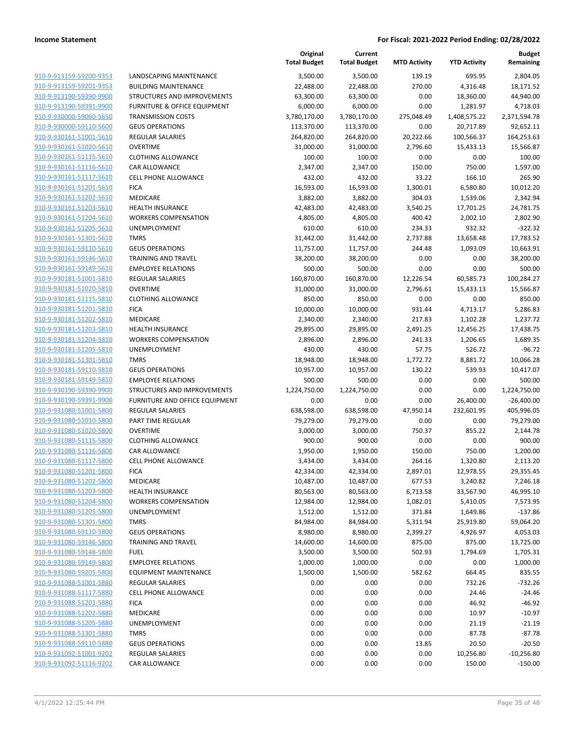| 910-9-913159-59200-9353        |
|--------------------------------|
| 910-9-913159-59201-9353        |
| 910-9-913190-59390-9900        |
| 910-9-913190-59391-9900        |
| 910-9-930000-59060-5650        |
| 910-9-930000-59110-5600        |
| 910-9-930161-51001-5610        |
| <u>910-9-930161-51020-5610</u> |
| 910-9-930161-51115-5610        |
| 910-9-930161-51116-5610        |
| 910-9-930161-51117-5610        |
| 910-9-930161-51201-5610        |
|                                |
| <u>910-9-930161-51202-5610</u> |
| 910-9-930161-51203-5610        |
| 910-9-930161-51204-5610        |
| 910-9-930161-51205-5610        |
| 910-9-930161-51301-5610        |
| <u>910-9-930161-59110-5610</u> |
| <u>910-9-930161-59146-5610</u> |
| 910-9-930161-59149-5610        |
| 910-9-930181-51001-5810        |
| 910-9-930181-51020-5810        |
| <u>910-9-930181-51115-5810</u> |
| 910-9-930181-51201-5810        |
| 910-9-930181-51202-5810        |
| 910-9-930181-51203-5810        |
| 910-9-930181-51204-5810        |
| <u>910-9-930181-51205-5810</u> |
| 910-9-930181-51301-5810        |
| <u>910-9-930181-59110-5810</u> |
| 910-9-930181-59149-5810        |
| 910-9-930190-59390-9900        |
|                                |
| <u>910-9-930190-59391-9900</u> |
| <u>910-9-931080-51001-5800</u> |
| 910-9-931080-51010-5800        |
| 910-9-931080-51020-5800        |
| 910-9-931080-51115-5800        |
| 910-9-931080-51116-5800        |
| 910-9-931080-51117-5800        |
| 910-9-931080-51201-5800        |
| 910-9-931080-51202-5800        |
| 910-9-931080-51203-5800        |
| 910-9-931080-51204-5800        |
| 910-9-931080-51205-5800        |
| 910-9-931080-51301-5800        |
| 910-9-931080-59110-5800        |
| 910-9-931080-59146-5800        |
| 910-9-931080-59148-5800        |
| <u>910-9-931080-59149-5800</u> |
| 910-9-931080-59205-5800        |
| 910-9-931088-51001-5880        |
| 910-9-931088-51117-5880        |
|                                |
| <u>910-9-931088-51201-5880</u> |
| <u>910-9-931088-51202-5880</u> |
| <u>910-9-931088-51205-5880</u> |
| 910-9-931088-51301-5880        |
| 910-9-931088-59110-5880        |
| <u>910-9-931092-51001-9202</u> |
| 910-9-931092-51116-9202        |
|                                |

| LANDSCAPING MAINTENANCE             |
|-------------------------------------|
| BUILDING MAINTENANCE                |
| STRUCTURES AND IMPROVEMENTS         |
| FURNITURE & OFFICE EQUIPMENT        |
| <b>TRANSMISSION COSTS</b>           |
| GEUS OPERATIONS                     |
| REGULAR SALARIES                    |
| OVERTIME                            |
| CLOTHING ALLOWANCE                  |
| CAR ALLOWANCE                       |
| CELL PHONE ALLOWANCE                |
| FICA                                |
| MEDICARE                            |
| HEALTH INSURANCE                    |
| WORKERS COMPENSATION                |
| UNEMPLOYMENT                        |
| TMRS                                |
| GEUS OPERATIONS                     |
| TRAINING AND TRAVEL                 |
| EMPLOYEE RELATIONS                  |
| REGULAR SALARIES                    |
| OVERTIME                            |
| CLOTHING ALLOWANCE                  |
| FICA<br>MEDICARE                    |
| HEALTH INSURANCE                    |
| WORKERS COMPENSATION                |
| UNEMPLOYMENT                        |
| TMRS                                |
| <b>GEUS OPERATIONS</b>              |
| EMPLOYEE RELATIONS                  |
| STRUCTURES AND IMPROVEMENTS         |
| FURNITURE AND OFFICE EQUIPMENT      |
| REGULAR SALARIES                    |
| PART TIME REGULAR                   |
| OVERTIME                            |
| CLOTHING ALLOWANCE                  |
| CAR ALLOWANCE                       |
| CELL PHONE ALLOWANCE                |
| FICA                                |
| MEDICARE                            |
| HEALTH INSURANCE                    |
| WORKERS COMPENSATION                |
| UNEMPLOYMENT                        |
| TMRS                                |
| <b>GEUS OPERATIONS</b>              |
| TRAINING AND TRAVEL                 |
| FUEL                                |
| <b>EMPLOYEE RELATIONS</b>           |
| EQUIPMENT MAINTENANCE               |
| REGULAR SALARIES                    |
| CELL PHONE ALLOWANCE<br><b>FICA</b> |
|                                     |
| MEDICARE                            |
| UNEMPLOYMENT<br><b>TMRS</b>         |
| <b>GEUS OPERATIONS</b>              |
| REGULAR SALARIES                    |
|                                     |

|                         |                                | Original<br><b>Total Budget</b> | Current<br><b>Total Budget</b> | <b>MTD Activity</b> | <b>YTD Activity</b> | <b>Budget</b><br>Remaining |
|-------------------------|--------------------------------|---------------------------------|--------------------------------|---------------------|---------------------|----------------------------|
| 910-9-913159-59200-9353 | LANDSCAPING MAINTENANCE        | 3,500.00                        | 3,500.00                       | 139.19              | 695.95              | 2,804.05                   |
| 910-9-913159-59201-9353 | <b>BUILDING MAINTENANCE</b>    | 22,488.00                       | 22,488.00                      | 270.00              | 4,316.48            | 18,171.52                  |
| 910-9-913190-59390-9900 | STRUCTURES AND IMPROVEMENTS    | 63,300.00                       | 63,300.00                      | 0.00                | 18,360.00           | 44,940.00                  |
| 910-9-913190-59391-9900 | FURNITURE & OFFICE EQUIPMENT   | 6,000.00                        | 6,000.00                       | 0.00                | 1,281.97            | 4,718.03                   |
| 910-9-930000-59060-5650 | <b>TRANSMISSION COSTS</b>      | 3,780,170.00                    | 3,780,170.00                   | 275,048.49          | 1,408,575.22        | 2,371,594.78               |
| 910-9-930000-59110-5600 | <b>GEUS OPERATIONS</b>         | 113,370.00                      | 113,370.00                     | 0.00                | 20,717.89           | 92,652.11                  |
| 910-9-930161-51001-5610 | <b>REGULAR SALARIES</b>        | 264,820.00                      | 264,820.00                     | 20,222.66           | 100,566.37          | 164,253.63                 |
| 910-9-930161-51020-5610 | <b>OVERTIME</b>                | 31,000.00                       | 31,000.00                      | 2,796.60            | 15,433.13           | 15,566.87                  |
| 910-9-930161-51115-5610 | <b>CLOTHING ALLOWANCE</b>      | 100.00                          | 100.00                         | 0.00                | 0.00                | 100.00                     |
| 910-9-930161-51116-5610 | CAR ALLOWANCE                  | 2,347.00                        | 2,347.00                       | 150.00              | 750.00              | 1,597.00                   |
| 910-9-930161-51117-5610 | CELL PHONE ALLOWANCE           | 432.00                          | 432.00                         | 33.22               | 166.10              | 265.90                     |
| 910-9-930161-51201-5610 | <b>FICA</b>                    | 16,593.00                       | 16,593.00                      | 1,300.01            | 6,580.80            | 10,012.20                  |
| 910-9-930161-51202-5610 | MEDICARE                       | 3,882.00                        | 3,882.00                       | 304.03              | 1,539.06            | 2,342.94                   |
| 910-9-930161-51203-5610 | <b>HEALTH INSURANCE</b>        | 42,483.00                       | 42,483.00                      | 3,540.25            | 17,701.25           | 24,781.75                  |
| 910-9-930161-51204-5610 | <b>WORKERS COMPENSATION</b>    | 4,805.00                        | 4,805.00                       | 400.42              | 2,002.10            | 2,802.90                   |
| 910-9-930161-51205-5610 | UNEMPLOYMENT                   | 610.00                          | 610.00                         | 234.33              | 932.32              | $-322.32$                  |
| 910-9-930161-51301-5610 | <b>TMRS</b>                    | 31,442.00                       | 31,442.00                      | 2,737.88            | 13,658.48           | 17,783.52                  |
| 910-9-930161-59110-5610 | <b>GEUS OPERATIONS</b>         | 11,757.00                       | 11,757.00                      | 244.48              | 1,093.09            | 10,663.91                  |
| 910-9-930161-59146-5610 | TRAINING AND TRAVEL            | 38,200.00                       | 38,200.00                      | 0.00                | 0.00                | 38,200.00                  |
| 910-9-930161-59149-5610 | <b>EMPLOYEE RELATIONS</b>      | 500.00                          | 500.00                         | 0.00                | 0.00                | 500.00                     |
| 910-9-930181-51001-5810 | <b>REGULAR SALARIES</b>        | 160,870.00                      | 160,870.00                     | 12,226.54           | 60,585.73           | 100,284.27                 |
| 910-9-930181-51020-5810 | <b>OVERTIME</b>                | 31,000.00                       | 31,000.00                      | 2,796.61            | 15,433.13           | 15,566.87                  |
| 910-9-930181-51115-5810 | <b>CLOTHING ALLOWANCE</b>      | 850.00                          | 850.00                         | 0.00                | 0.00                | 850.00                     |
| 910-9-930181-51201-5810 | <b>FICA</b>                    | 10,000.00                       | 10,000.00                      | 931.44              | 4,713.17            | 5,286.83                   |
| 910-9-930181-51202-5810 | MEDICARE                       | 2,340.00                        | 2,340.00                       | 217.83              | 1,102.28            | 1,237.72                   |
| 910-9-930181-51203-5810 | <b>HEALTH INSURANCE</b>        | 29,895.00                       | 29,895.00                      | 2,491.25            | 12,456.25           | 17,438.75                  |
| 910-9-930181-51204-5810 | <b>WORKERS COMPENSATION</b>    | 2,896.00                        | 2,896.00                       | 241.33              | 1,206.65            | 1,689.35                   |
| 910-9-930181-51205-5810 | UNEMPLOYMENT                   | 430.00                          | 430.00                         | 57.75               | 526.72              | $-96.72$                   |
| 910-9-930181-51301-5810 | <b>TMRS</b>                    | 18,948.00                       | 18,948.00                      | 1,772.72            | 8,881.72            | 10,066.28                  |
| 910-9-930181-59110-5810 | <b>GEUS OPERATIONS</b>         | 10,957.00                       | 10,957.00                      | 130.22              | 539.93              | 10,417.07                  |
| 910-9-930181-59149-5810 | <b>EMPLOYEE RELATIONS</b>      | 500.00                          | 500.00                         | 0.00                | 0.00                | 500.00                     |
| 910-9-930190-59390-9900 | STRUCTURES AND IMPROVEMENTS    | 1,224,750.00                    | 1,224,750.00                   | 0.00                | 0.00                | 1,224,750.00               |
| 910-9-930190-59391-9900 | FURNITURE AND OFFICE EQUIPMENT | 0.00                            | 0.00                           | 0.00                | 26,400.00           | $-26,400.00$               |
| 910-9-931080-51001-5800 | REGULAR SALARIES               | 638,598.00                      | 638,598.00                     | 47,950.14           | 232,601.95          | 405,996.05                 |
| 910-9-931080-51010-5800 | PART TIME REGULAR              | 79,279.00                       | 79,279.00                      | 0.00                | 0.00                | 79,279.00                  |
| 910-9-931080-51020-5800 | <b>OVERTIME</b>                | 3,000.00                        | 3,000.00                       | 750.37              | 855.22              | 2,144.78                   |
| 910-9-931080-51115-5800 | <b>CLOTHING ALLOWANCE</b>      | 900.00                          | 900.00                         | 0.00                | 0.00                | 900.00                     |
| 910-9-931080-51116-5800 | CAR ALLOWANCE                  | 1,950.00                        | 1,950.00                       | 150.00              | 750.00              | 1,200.00                   |
| 910-9-931080-51117-5800 | <b>CELL PHONE ALLOWANCE</b>    | 3,434.00                        | 3,434.00                       | 264.16              | 1,320.80            | 2,113.20                   |
| 910-9-931080-51201-5800 | <b>FICA</b>                    | 42,334.00                       | 42,334.00                      | 2,897.01            | 12,978.55           | 29,355.45                  |
| 910-9-931080-51202-5800 | <b>MEDICARE</b>                | 10,487.00                       | 10,487.00                      | 677.53              | 3,240.82            | 7,246.18                   |
| 910-9-931080-51203-5800 | <b>HEALTH INSURANCE</b>        | 80,563.00                       | 80,563.00                      | 6,713.58            | 33,567.90           | 46,995.10                  |
| 910-9-931080-51204-5800 | <b>WORKERS COMPENSATION</b>    | 12,984.00                       | 12,984.00                      | 1,082.01            | 5,410.05            | 7,573.95                   |
| 910-9-931080-51205-5800 | <b>UNEMPLOYMENT</b>            | 1,512.00                        | 1,512.00                       | 371.84              | 1,649.86            | $-137.86$                  |
| 910-9-931080-51301-5800 | <b>TMRS</b>                    | 84,984.00                       | 84,984.00                      | 5,311.94            | 25,919.80           | 59,064.20                  |
| 910-9-931080-59110-5800 | <b>GEUS OPERATIONS</b>         | 8,980.00                        | 8,980.00                       | 2,399.27            | 4,926.97            | 4,053.03                   |
| 910-9-931080-59146-5800 | <b>TRAINING AND TRAVEL</b>     | 14,600.00                       | 14,600.00                      | 875.00              | 875.00              | 13,725.00                  |
| 910-9-931080-59148-5800 | <b>FUEL</b>                    | 3,500.00                        | 3,500.00                       | 502.93              | 1,794.69            | 1,705.31                   |
| 910-9-931080-59149-5800 | <b>EMPLOYEE RELATIONS</b>      | 1,000.00                        | 1,000.00                       | 0.00                | 0.00                | 1,000.00                   |
| 910-9-931080-59205-5800 | <b>EQUIPMENT MAINTENANCE</b>   | 1,500.00                        | 1,500.00                       | 582.62              | 664.45              | 835.55                     |
| 910-9-931088-51001-5880 | REGULAR SALARIES               | 0.00                            | 0.00                           | 0.00                | 732.26              | $-732.26$                  |
| 910-9-931088-51117-5880 | <b>CELL PHONE ALLOWANCE</b>    | 0.00                            | 0.00                           | 0.00                | 24.46               | $-24.46$                   |
| 910-9-931088-51201-5880 | <b>FICA</b>                    | 0.00                            | 0.00                           | 0.00                | 46.92               | $-46.92$                   |
| 910-9-931088-51202-5880 | MEDICARE                       | 0.00                            | 0.00                           | 0.00                | 10.97               | $-10.97$                   |
| 910-9-931088-51205-5880 | UNEMPLOYMENT                   | 0.00                            | 0.00                           | 0.00                | 21.19               | $-21.19$                   |
| 910-9-931088-51301-5880 | <b>TMRS</b>                    | 0.00                            | 0.00                           | 0.00                | 87.78               | $-87.78$                   |
| 910-9-931088-59110-5880 | <b>GEUS OPERATIONS</b>         | 0.00                            | 0.00                           | 13.85               | 20.50               | $-20.50$                   |
| 910-9-931092-51001-9202 | REGULAR SALARIES               | 0.00                            | 0.00                           | 0.00                | 10,256.80           | $-10,256.80$               |
| 910-9-931092-51116-9202 | CAR ALLOWANCE                  | 0.00                            | 0.00                           | 0.00                | 150.00              | $-150.00$                  |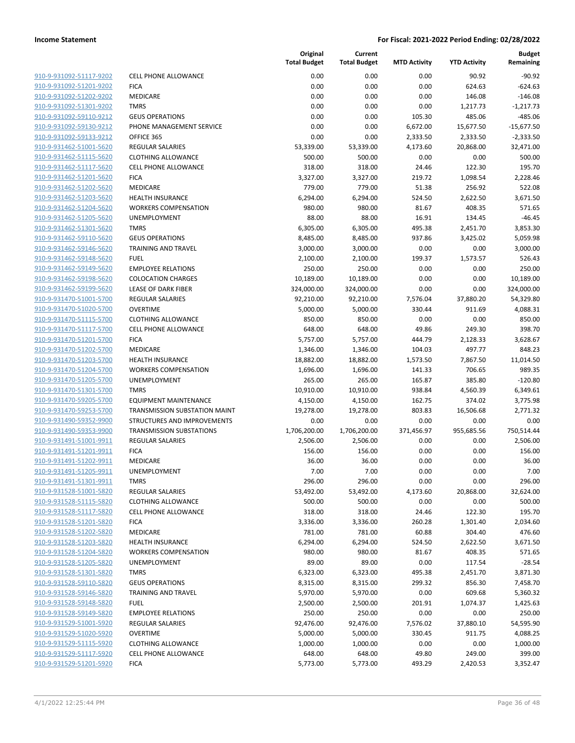| 910-9-931092-51117-9202                                   |
|-----------------------------------------------------------|
| 910-9-931092-51201-9202                                   |
| 910-9-931092-51202-9202                                   |
| 910-9-931092-51301-9202                                   |
| 910-9-931092-59110-9212                                   |
| 910-9-931092-59130-9212                                   |
| 910-9-931092-59133-9212                                   |
| 910-9-931462-51001-5620                                   |
| 910-9-931462-51115-5620                                   |
| 910-9-931462-51117-5620                                   |
| 910-9-931462-51201-5620                                   |
| 910-9-931462-51202-5620                                   |
| 910-9-931462-51203-5620                                   |
|                                                           |
| 910-9-931462-51204-5620                                   |
| 910-9-931462-51205-5620                                   |
| <u>910-9-931462-51301-5620</u>                            |
| 910-9-931462-59110-5620                                   |
| 910-9-931462-59146-5620                                   |
| 910-9-931462-59148-5620                                   |
| 910-9-931462-59149-5620                                   |
| 910-9-931462-59198-5620                                   |
| 910-9-931462-59199-5620                                   |
| 910-9-931470-51001-5700                                   |
| 910-9-931470-51020-5700                                   |
| 910-9-931470-51115-5700                                   |
| <u>910-9-931470-51117-5700</u>                            |
| 910-9-931470-51201-5700                                   |
| 910-9-931470-51202-5700                                   |
|                                                           |
| 910-9-931470-51203-5700                                   |
| 910-9-931470-51204-5700                                   |
| 910-9-931470-51205-5700                                   |
| 910-9-931470-51301-5700                                   |
| 910-9-931470-59205-5700                                   |
| 910-9-931470-59253-5700                                   |
| 910-9-931490-59352-9900                                   |
| 910-9-931490-59353-9900                                   |
| 910-9-931491-51001-9911                                   |
| 910-9-931491-51201-9911                                   |
| 910-9-931491-51202-9911                                   |
| 910-9-931491-51205-9911                                   |
| <u>910-9-931491-51301-9911</u>                            |
| <u>910-9-931528-51001-5820</u>                            |
| 910-9-931528-51115-5820                                   |
| 910-9-931528-51117-5820                                   |
|                                                           |
| <u>910-9-931528-51201-5820</u>                            |
| <u>910-9-931528-51202-5820</u>                            |
| <u>910-9-931528-51203-5820</u>                            |
| <u>910-9-931528-51204-5820</u>                            |
| <u>910-9-931528-51205-5820</u>                            |
| <u>910-9-931528-51301-5820</u>                            |
| 910-9-931528-59110-5820                                   |
| 910-9-931528-59146-5820                                   |
| 910-9-931528-59148-5820                                   |
| 910-9-931528-59149-5820                                   |
| 910-9-931529-51001-5920                                   |
| <u>910-9-931529-51020-5920</u>                            |
|                                                           |
|                                                           |
| <u>910-9-931529-51115-5920</u>                            |
| <u>910-9-931529-51117-5920</u><br>910-9-931529-51201-5920 |

|                         |                                 | Original<br><b>Total Budget</b> | Current<br><b>Total Budget</b> | <b>MTD Activity</b> | <b>YTD Activity</b> | <b>Budget</b><br>Remaining |
|-------------------------|---------------------------------|---------------------------------|--------------------------------|---------------------|---------------------|----------------------------|
| 910-9-931092-51117-9202 | <b>CELL PHONE ALLOWANCE</b>     | 0.00                            | 0.00                           | 0.00                | 90.92               | $-90.92$                   |
| 910-9-931092-51201-9202 | <b>FICA</b>                     | 0.00                            | 0.00                           | 0.00                | 624.63              | $-624.63$                  |
| 910-9-931092-51202-9202 | MEDICARE                        | 0.00                            | 0.00                           | 0.00                | 146.08              | $-146.08$                  |
| 910-9-931092-51301-9202 | <b>TMRS</b>                     | 0.00                            | 0.00                           | 0.00                | 1,217.73            | $-1,217.73$                |
| 910-9-931092-59110-9212 | <b>GEUS OPERATIONS</b>          | 0.00                            | 0.00                           | 105.30              | 485.06              | $-485.06$                  |
| 910-9-931092-59130-9212 | PHONE MANAGEMENT SERVICE        | 0.00                            | 0.00                           | 6,672.00            | 15,677.50           | $-15,677.50$               |
| 910-9-931092-59133-9212 | OFFICE 365                      | 0.00                            | 0.00                           | 2,333.50            | 2,333.50            | $-2,333.50$                |
| 910-9-931462-51001-5620 | <b>REGULAR SALARIES</b>         | 53,339.00                       | 53,339.00                      | 4,173.60            | 20,868.00           | 32,471.00                  |
| 910-9-931462-51115-5620 | <b>CLOTHING ALLOWANCE</b>       | 500.00                          | 500.00                         | 0.00                | 0.00                | 500.00                     |
| 910-9-931462-51117-5620 | <b>CELL PHONE ALLOWANCE</b>     | 318.00                          | 318.00                         | 24.46               | 122.30              | 195.70                     |
| 910-9-931462-51201-5620 | <b>FICA</b>                     | 3,327.00                        | 3,327.00                       | 219.72              | 1,098.54            | 2,228.46                   |
| 910-9-931462-51202-5620 | MEDICARE                        | 779.00                          | 779.00                         | 51.38               | 256.92              | 522.08                     |
| 910-9-931462-51203-5620 | <b>HEALTH INSURANCE</b>         | 6,294.00                        | 6,294.00                       | 524.50              | 2,622.50            | 3,671.50                   |
| 910-9-931462-51204-5620 | <b>WORKERS COMPENSATION</b>     | 980.00                          | 980.00                         | 81.67               | 408.35              | 571.65                     |
| 910-9-931462-51205-5620 | <b>UNEMPLOYMENT</b>             | 88.00                           | 88.00                          | 16.91               | 134.45              | $-46.45$                   |
| 910-9-931462-51301-5620 | <b>TMRS</b>                     | 6,305.00                        | 6,305.00                       | 495.38              | 2,451.70            | 3,853.30                   |
| 910-9-931462-59110-5620 | <b>GEUS OPERATIONS</b>          | 8,485.00                        | 8,485.00                       | 937.86              | 3,425.02            | 5,059.98                   |
| 910-9-931462-59146-5620 | <b>TRAINING AND TRAVEL</b>      | 3,000.00                        | 3,000.00                       | 0.00                | 0.00                | 3,000.00                   |
| 910-9-931462-59148-5620 | <b>FUEL</b>                     | 2,100.00                        | 2,100.00                       | 199.37              | 1,573.57            | 526.43                     |
| 910-9-931462-59149-5620 | <b>EMPLOYEE RELATIONS</b>       | 250.00                          | 250.00                         | 0.00                | 0.00                | 250.00                     |
| 910-9-931462-59198-5620 | <b>COLOCATION CHARGES</b>       | 10,189.00                       | 10,189.00                      | 0.00                | 0.00                | 10,189.00                  |
| 910-9-931462-59199-5620 | LEASE OF DARK FIBER             | 324,000.00                      | 324,000.00                     | 0.00                | 0.00                | 324,000.00                 |
| 910-9-931470-51001-5700 | <b>REGULAR SALARIES</b>         | 92,210.00                       | 92,210.00                      | 7,576.04            | 37,880.20           | 54,329.80                  |
| 910-9-931470-51020-5700 | <b>OVERTIME</b>                 | 5,000.00                        | 5,000.00                       | 330.44              | 911.69              | 4,088.31                   |
| 910-9-931470-51115-5700 | <b>CLOTHING ALLOWANCE</b>       | 850.00                          | 850.00                         | 0.00                | 0.00                | 850.00                     |
| 910-9-931470-51117-5700 | <b>CELL PHONE ALLOWANCE</b>     | 648.00                          | 648.00                         | 49.86               | 249.30              | 398.70                     |
| 910-9-931470-51201-5700 | <b>FICA</b>                     | 5,757.00                        | 5,757.00                       | 444.79              | 2,128.33            | 3,628.67                   |
| 910-9-931470-51202-5700 | MEDICARE                        | 1,346.00                        | 1,346.00                       | 104.03              | 497.77              | 848.23                     |
| 910-9-931470-51203-5700 | <b>HEALTH INSURANCE</b>         | 18,882.00                       | 18,882.00                      | 1,573.50            | 7,867.50            | 11,014.50                  |
| 910-9-931470-51204-5700 | <b>WORKERS COMPENSATION</b>     | 1,696.00                        | 1,696.00                       | 141.33              | 706.65              | 989.35                     |
| 910-9-931470-51205-5700 | UNEMPLOYMENT                    | 265.00                          | 265.00                         | 165.87              | 385.80              | $-120.80$                  |
| 910-9-931470-51301-5700 | <b>TMRS</b>                     | 10,910.00                       | 10,910.00                      | 938.84              | 4,560.39            | 6,349.61                   |
| 910-9-931470-59205-5700 | <b>EQUIPMENT MAINTENANCE</b>    | 4,150.00                        | 4,150.00                       | 162.75              | 374.02              | 3,775.98                   |
| 910-9-931470-59253-5700 | TRANSMISSION SUBSTATION MAINT   | 19,278.00                       | 19,278.00                      | 803.83              | 16,506.68           | 2,771.32                   |
| 910-9-931490-59352-9900 | STRUCTURES AND IMPROVEMENTS     | 0.00                            | 0.00                           | 0.00                | 0.00                | 0.00                       |
| 910-9-931490-59353-9900 | <b>TRANSMISSION SUBSTATIONS</b> | 1,706,200.00                    | 1,706,200.00                   | 371,456.97          | 955,685.56          | 750,514.44                 |
| 910-9-931491-51001-9911 | REGULAR SALARIES                | 2,506.00                        | 2,506.00                       | 0.00                | 0.00                | 2,506.00                   |
| 910-9-931491-51201-9911 | <b>FICA</b>                     | 156.00                          | 156.00                         | 0.00                | 0.00                | 156.00                     |
| 910-9-931491-51202-9911 | MEDICARE                        | 36.00                           | 36.00                          | 0.00                | 0.00                | 36.00                      |
| 910-9-931491-51205-9911 | UNEMPLOYMENT                    | 7.00                            | 7.00                           | 0.00                | 0.00                | 7.00                       |
| 910-9-931491-51301-9911 | <b>TMRS</b>                     | 296.00                          | 296.00                         | 0.00                | 0.00                | 296.00                     |
| 910-9-931528-51001-5820 | REGULAR SALARIES                | 53,492.00                       | 53,492.00                      | 4,173.60            | 20,868.00           | 32,624.00                  |
| 910-9-931528-51115-5820 | <b>CLOTHING ALLOWANCE</b>       | 500.00                          | 500.00                         | 0.00                | 0.00                | 500.00                     |
| 910-9-931528-51117-5820 | <b>CELL PHONE ALLOWANCE</b>     | 318.00                          | 318.00                         | 24.46               | 122.30              | 195.70                     |
| 910-9-931528-51201-5820 | <b>FICA</b>                     | 3,336.00                        | 3,336.00                       | 260.28              | 1,301.40            | 2,034.60                   |
| 910-9-931528-51202-5820 | MEDICARE                        | 781.00                          | 781.00                         | 60.88               | 304.40              | 476.60                     |
| 910-9-931528-51203-5820 | <b>HEALTH INSURANCE</b>         | 6,294.00                        | 6,294.00                       | 524.50              | 2,622.50            | 3,671.50                   |
| 910-9-931528-51204-5820 | <b>WORKERS COMPENSATION</b>     | 980.00                          | 980.00                         | 81.67               | 408.35              | 571.65                     |
| 910-9-931528-51205-5820 | UNEMPLOYMENT                    | 89.00                           | 89.00                          | 0.00                | 117.54              | $-28.54$                   |
| 910-9-931528-51301-5820 | <b>TMRS</b>                     | 6,323.00                        | 6,323.00                       | 495.38              | 2,451.70            | 3,871.30                   |
| 910-9-931528-59110-5820 | <b>GEUS OPERATIONS</b>          | 8,315.00                        | 8,315.00                       | 299.32              | 856.30              | 7,458.70                   |
| 910-9-931528-59146-5820 | TRAINING AND TRAVEL             | 5,970.00                        | 5,970.00                       | 0.00                | 609.68              | 5,360.32                   |
| 910-9-931528-59148-5820 | <b>FUEL</b>                     | 2,500.00                        | 2,500.00                       | 201.91              | 1,074.37            | 1,425.63                   |
| 910-9-931528-59149-5820 | <b>EMPLOYEE RELATIONS</b>       | 250.00                          | 250.00                         | 0.00                | 0.00                | 250.00                     |
| 910-9-931529-51001-5920 | REGULAR SALARIES                | 92,476.00                       | 92,476.00                      | 7,576.02            | 37,880.10           | 54,595.90                  |
| 910-9-931529-51020-5920 | <b>OVERTIME</b>                 | 5,000.00                        | 5,000.00                       | 330.45              | 911.75              | 4,088.25                   |
| 910-9-931529-51115-5920 | <b>CLOTHING ALLOWANCE</b>       | 1,000.00                        | 1,000.00                       | 0.00                | 0.00                | 1,000.00                   |
| 910-9-931529-51117-5920 | <b>CELL PHONE ALLOWANCE</b>     | 648.00                          | 648.00                         | 49.80               | 249.00              | 399.00                     |
| 910-9-931529-51201-5920 | <b>FICA</b>                     | 5,773.00                        | 5,773.00                       | 493.29              | 2,420.53            | 3,352.47                   |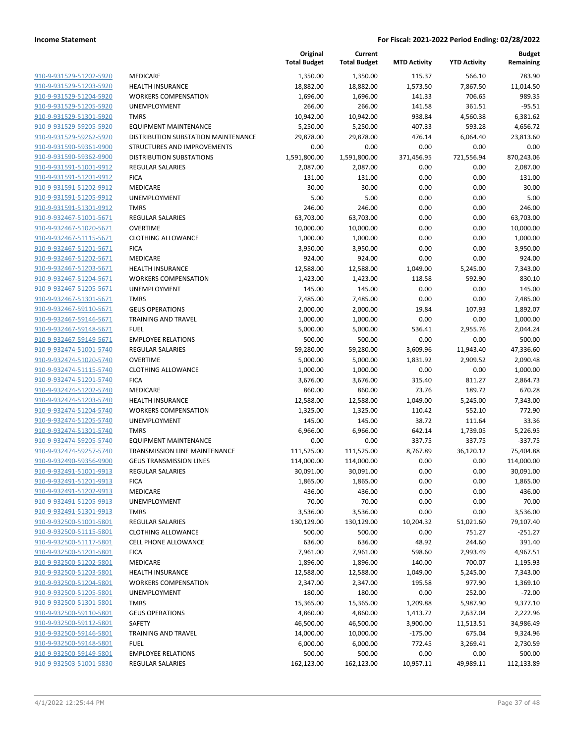|                                                    |                                        | Original<br><b>Total Budget</b> | Current<br><b>Total Budget</b> | <b>MTD Activity</b>  | <b>YTD Activity</b>   | <b>Budget</b><br>Remaining |
|----------------------------------------------------|----------------------------------------|---------------------------------|--------------------------------|----------------------|-----------------------|----------------------------|
| 910-9-931529-51202-5920                            | MEDICARE                               | 1,350.00                        | 1,350.00                       | 115.37               | 566.10                | 783.90                     |
| 910-9-931529-51203-5920                            | <b>HEALTH INSURANCE</b>                | 18,882.00                       | 18,882.00                      | 1,573.50             | 7,867.50              | 11,014.50                  |
| 910-9-931529-51204-5920                            | <b>WORKERS COMPENSATION</b>            | 1,696.00                        | 1,696.00                       | 141.33               | 706.65                | 989.35                     |
| 910-9-931529-51205-5920                            | <b>UNEMPLOYMENT</b>                    | 266.00                          | 266.00                         | 141.58               | 361.51                | $-95.51$                   |
| 910-9-931529-51301-5920                            | <b>TMRS</b>                            | 10,942.00                       | 10,942.00                      | 938.84               | 4,560.38              | 6,381.62                   |
| 910-9-931529-59205-5920                            | <b>EQUIPMENT MAINTENANCE</b>           | 5,250.00                        | 5,250.00                       | 407.33               | 593.28                | 4,656.72                   |
| 910-9-931529-59262-5920                            | DISTRIBUTION SUBSTATION MAINTENANCE    | 29,878.00                       | 29,878.00                      | 476.14               | 6,064.40              | 23,813.60                  |
| 910-9-931590-59361-9900                            | <b>STRUCTURES AND IMPROVEMENTS</b>     | 0.00                            | 0.00                           | 0.00                 | 0.00                  | 0.00                       |
| 910-9-931590-59362-9900                            | <b>DISTRIBUTION SUBSTATIONS</b>        | 1,591,800.00                    | 1,591,800.00                   | 371,456.95           | 721,556.94            | 870,243.06                 |
| 910-9-931591-51001-9912                            | <b>REGULAR SALARIES</b>                | 2,087.00                        | 2,087.00                       | 0.00                 | 0.00                  | 2,087.00                   |
| 910-9-931591-51201-9912                            | <b>FICA</b>                            | 131.00                          | 131.00                         | 0.00                 | 0.00                  | 131.00                     |
| 910-9-931591-51202-9912                            | MEDICARE                               | 30.00                           | 30.00                          | 0.00                 | 0.00                  | 30.00                      |
| 910-9-931591-51205-9912                            | <b>UNEMPLOYMENT</b>                    | 5.00                            | 5.00                           | 0.00                 | 0.00                  | 5.00                       |
| 910-9-931591-51301-9912                            | <b>TMRS</b>                            | 246.00                          | 246.00                         | 0.00                 | 0.00                  | 246.00                     |
| 910-9-932467-51001-5671                            | <b>REGULAR SALARIES</b>                | 63,703.00                       | 63,703.00                      | 0.00                 | 0.00                  | 63,703.00                  |
| 910-9-932467-51020-5671                            | <b>OVERTIME</b>                        | 10,000.00                       | 10,000.00                      | 0.00                 | 0.00                  | 10,000.00                  |
| 910-9-932467-51115-5671                            | <b>CLOTHING ALLOWANCE</b>              | 1,000.00                        | 1,000.00                       | 0.00                 | 0.00                  | 1,000.00                   |
| 910-9-932467-51201-5671                            | <b>FICA</b>                            | 3,950.00                        | 3,950.00                       | 0.00                 | 0.00                  | 3,950.00                   |
| 910-9-932467-51202-5671                            | <b>MEDICARE</b>                        | 924.00                          | 924.00                         | 0.00                 | 0.00                  | 924.00                     |
| 910-9-932467-51203-5671                            | <b>HEALTH INSURANCE</b>                | 12,588.00                       | 12,588.00                      | 1,049.00             | 5,245.00              | 7,343.00                   |
| 910-9-932467-51204-5671                            | <b>WORKERS COMPENSATION</b>            | 1,423.00                        | 1,423.00                       | 118.58               | 592.90                | 830.10                     |
| 910-9-932467-51205-5671                            | <b>UNEMPLOYMENT</b>                    | 145.00                          | 145.00                         | 0.00                 | 0.00                  | 145.00                     |
| 910-9-932467-51301-5671                            | <b>TMRS</b>                            | 7,485.00                        | 7,485.00                       | 0.00                 | 0.00                  | 7,485.00                   |
| 910-9-932467-59110-5671                            | <b>GEUS OPERATIONS</b>                 | 2,000.00                        | 2,000.00                       | 19.84                | 107.93                | 1,892.07                   |
| 910-9-932467-59146-5671                            | TRAINING AND TRAVEL                    | 1,000.00                        | 1,000.00                       | 0.00                 | 0.00                  | 1,000.00                   |
| 910-9-932467-59148-5671                            | <b>FUEL</b>                            | 5,000.00                        | 5,000.00                       | 536.41               | 2,955.76              | 2,044.24                   |
| 910-9-932467-59149-5671                            | <b>EMPLOYEE RELATIONS</b>              | 500.00                          | 500.00                         | 0.00                 | 0.00                  | 500.00                     |
| 910-9-932474-51001-5740                            | <b>REGULAR SALARIES</b>                | 59,280.00                       | 59,280.00                      | 3,609.96             | 11,943.40             | 47,336.60                  |
| 910-9-932474-51020-5740                            | <b>OVERTIME</b>                        | 5,000.00                        | 5,000.00                       | 1,831.92             | 2,909.52              | 2,090.48                   |
| 910-9-932474-51115-5740                            | <b>CLOTHING ALLOWANCE</b>              | 1,000.00                        | 1,000.00                       | 0.00                 | 0.00                  | 1,000.00                   |
| 910-9-932474-51201-5740                            | <b>FICA</b>                            | 3,676.00                        | 3,676.00                       | 315.40               | 811.27                | 2,864.73                   |
| 910-9-932474-51202-5740                            | MEDICARE                               | 860.00                          | 860.00                         | 73.76                | 189.72                | 670.28                     |
| 910-9-932474-51203-5740                            | <b>HEALTH INSURANCE</b>                | 12,588.00                       | 12,588.00                      | 1,049.00             | 5,245.00              | 7,343.00                   |
| 910-9-932474-51204-5740                            | <b>WORKERS COMPENSATION</b>            | 1,325.00                        | 1,325.00                       | 110.42               | 552.10                | 772.90                     |
| 910-9-932474-51205-5740                            | <b>UNEMPLOYMENT</b>                    | 145.00                          | 145.00                         | 38.72                | 111.64                | 33.36                      |
| 910-9-932474-51301-5740                            | <b>TMRS</b>                            | 6,966.00                        | 6,966.00                       | 642.14               | 1,739.05              | 5,226.95                   |
| 910-9-932474-59205-5740                            | <b>EQUIPMENT MAINTENANCE</b>           | 0.00                            | 0.00                           | 337.75               | 337.75                | $-337.75$                  |
| 910-9-932474-59257-5740                            | <b>TRANSMISSION LINE MAINTENANCE</b>   | 111,525.00                      | 111,525.00                     | 8,767.89             | 36,120.12             | 75,404.88                  |
| 910-9-932490-59356-9900                            | <b>GEUS TRANSMISSION LINES</b>         | 114,000.00                      | 114,000.00                     | 0.00                 | 0.00                  | 114,000.00                 |
| 910-9-932491-51001-9913                            | REGULAR SALARIES                       | 30,091.00                       | 30,091.00                      | 0.00                 | 0.00                  | 30,091.00                  |
| 910-9-932491-51201-9913                            | <b>FICA</b>                            | 1,865.00                        | 1,865.00                       | 0.00                 | 0.00                  | 1,865.00                   |
| 910-9-932491-51202-9913                            | MEDICARE                               | 436.00                          | 436.00                         | 0.00                 | 0.00                  | 436.00                     |
| 910-9-932491-51205-9913<br>910-9-932491-51301-9913 | UNEMPLOYMENT                           | 70.00                           | 70.00<br>3,536.00              | 0.00                 | 0.00                  | 70.00<br>3,536.00          |
| 910-9-932500-51001-5801                            | <b>TMRS</b><br><b>REGULAR SALARIES</b> | 3,536.00<br>130,129.00          | 130,129.00                     | 0.00<br>10,204.32    | 0.00<br>51,021.60     | 79,107.40                  |
| 910-9-932500-51115-5801                            | <b>CLOTHING ALLOWANCE</b>              | 500.00                          | 500.00                         | 0.00                 | 751.27                | $-251.27$                  |
| 910-9-932500-51117-5801                            | <b>CELL PHONE ALLOWANCE</b>            |                                 |                                |                      | 244.60                | 391.40                     |
| 910-9-932500-51201-5801                            | <b>FICA</b>                            | 636.00<br>7,961.00              | 636.00<br>7,961.00             | 48.92<br>598.60      | 2,993.49              | 4,967.51                   |
| 910-9-932500-51202-5801                            | MEDICARE                               | 1,896.00                        | 1,896.00                       | 140.00               | 700.07                | 1,195.93                   |
| 910-9-932500-51203-5801                            | <b>HEALTH INSURANCE</b>                | 12,588.00                       | 12,588.00                      | 1,049.00             | 5,245.00              | 7,343.00                   |
| 910-9-932500-51204-5801                            | <b>WORKERS COMPENSATION</b>            |                                 | 2,347.00                       | 195.58               | 977.90                | 1,369.10                   |
| 910-9-932500-51205-5801                            | UNEMPLOYMENT                           | 2,347.00<br>180.00              | 180.00                         | 0.00                 | 252.00                | $-72.00$                   |
| 910-9-932500-51301-5801                            | <b>TMRS</b>                            | 15,365.00                       | 15,365.00                      | 1,209.88             | 5,987.90              | 9,377.10                   |
| 910-9-932500-59110-5801                            | <b>GEUS OPERATIONS</b>                 | 4,860.00                        | 4,860.00                       |                      |                       | 2,222.96                   |
| 910-9-932500-59112-5801                            | SAFETY                                 | 46,500.00                       | 46,500.00                      | 1,413.72<br>3,900.00 | 2,637.04<br>11,513.51 | 34,986.49                  |
| 910-9-932500-59146-5801                            | <b>TRAINING AND TRAVEL</b>             | 14,000.00                       | 10,000.00                      | $-175.00$            | 675.04                | 9,324.96                   |
| 910-9-932500-59148-5801                            | <b>FUEL</b>                            | 6,000.00                        | 6,000.00                       | 772.45               | 3,269.41              | 2,730.59                   |
| 910-9-932500-59149-5801                            | <b>EMPLOYEE RELATIONS</b>              | 500.00                          | 500.00                         | 0.00                 | 0.00                  | 500.00                     |
| 910-9-932503-51001-5830                            | REGULAR SALARIES                       | 162,123.00                      | 162,123.00                     | 10,957.11            | 49,989.11             | 112,133.89                 |
|                                                    |                                        |                                 |                                |                      |                       |                            |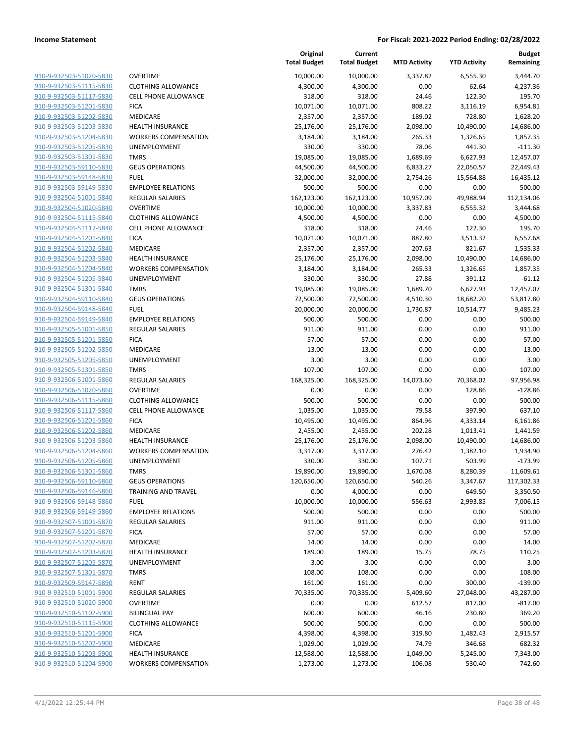| 910-9-932503-51020-5830 | C |
|-------------------------|---|
| 910-9-932503-51115-5830 | C |
|                         |   |
| 910-9-932503-51117-5830 | C |
| 910-9-932503-51201-5830 | F |
| 910-9-932503-51202-5830 | Ν |
| 910-9-932503-51203-5830 | Н |
| 910-9-932503-51204-5830 | ٧ |
| 910-9-932503-51205-5830 | U |
| 910-9-932503-51301-5830 | т |
| 910-9-932503-59110-5830 | G |
| 910-9-932503-59148-5830 | F |
| 910-9-932503-59149-5830 | E |
|                         | R |
| 910-9-932504-51001-5840 |   |
| 910-9-932504-51020-5840 | C |
| 910-9-932504-51115-5840 | C |
| 910-9-932504-51117-5840 | С |
| 910-9-932504-51201-5840 | F |
| 910-9-932504-51202-5840 | Ν |
| 910-9-932504-51203-5840 | Н |
| 910-9-932504-51204-5840 | ٧ |
| 910-9-932504-51205-5840 | U |
| 910-9-932504-51301-5840 | т |
| 910-9-932504-59110-5840 | G |
|                         | F |
| 910-9-932504-59148-5840 |   |
| 910-9-932504-59149-5840 | E |
| 910-9-932505-51001-5850 | R |
| 910-9-932505-51201-5850 | F |
| 910-9-932505-51202-5850 | Ν |
| 910-9-932505-51205-5850 | U |
| 910-9-932505-51301-5850 | т |
| 910-9-932506-51001-5860 | R |
| 910-9-932506-51020-5860 | C |
| 910-9-932506-51115-5860 | С |
| 910-9-932506-51117-5860 | С |
| 910-9-932506-51201-5860 | F |
|                         |   |
| 910-9-932506-51202-5860 | Ν |
| 910-9-932506-51203-5860 | Н |
| 910-9-932506-51204-5860 | ٧ |
| 910-9-932506-51205-5860 | U |
| 910-9-932506-51301-5860 | т |
| 910-9-932506-59110-5860 | G |
| 910-9-932506-59146-5860 | Т |
| 910-9-932506-59148-5860 | F |
| 910-9-932506-59149-5860 | E |
| 910-9-932507-51001-5870 | R |
| 910-9-932507-51201-5870 | F |
|                         |   |
| 910-9-932507-51202-5870 | Λ |
| 910-9-932507-51203-5870 | Н |
| 910-9-932507-51205-5870 | U |
| 910-9-932507-51301-5870 | т |
| 910-9-932509-59147-5890 | R |
| 910-9-932510-51001-5900 | R |
| 910-9-932510-51020-5900 | C |
| 910-9-932510-51102-5900 | B |
| 910-9-932510-51115-5900 | C |
| 910-9-932510-51201-5900 | F |
| 910-9-932510-51202-5900 | Λ |
| 910-9-932510-51203-5900 | Н |
|                         |   |
| 910-9-932510-51204-5900 | ٧ |
|                         |   |

|                                                    |                                                        | Original<br><b>Total Budget</b> | Current<br><b>Total Budget</b> | <b>MTD Activity</b> | <b>YTD Activity</b>   | <b>Budget</b><br>Remaining |
|----------------------------------------------------|--------------------------------------------------------|---------------------------------|--------------------------------|---------------------|-----------------------|----------------------------|
| 910-9-932503-51020-5830                            | <b>OVERTIME</b>                                        | 10,000.00                       | 10,000.00                      | 3,337.82            | 6,555.30              | 3,444.70                   |
| 910-9-932503-51115-5830                            | <b>CLOTHING ALLOWANCE</b>                              | 4,300.00                        | 4,300.00                       | 0.00                | 62.64                 | 4,237.36                   |
| 910-9-932503-51117-5830                            | <b>CELL PHONE ALLOWANCE</b>                            | 318.00                          | 318.00                         | 24.46               | 122.30                | 195.70                     |
| 910-9-932503-51201-5830                            | <b>FICA</b>                                            | 10,071.00                       | 10,071.00                      | 808.22              | 3,116.19              | 6,954.81                   |
| 910-9-932503-51202-5830                            | <b>MEDICARE</b>                                        | 2,357.00                        | 2,357.00                       | 189.02              | 728.80                | 1,628.20                   |
| 910-9-932503-51203-5830                            | <b>HEALTH INSURANCE</b>                                | 25,176.00                       | 25,176.00                      | 2,098.00            | 10,490.00             | 14,686.00                  |
| 910-9-932503-51204-5830                            | <b>WORKERS COMPENSATION</b>                            | 3,184.00                        | 3,184.00                       | 265.33              | 1,326.65              | 1,857.35                   |
| 910-9-932503-51205-5830                            | UNEMPLOYMENT                                           | 330.00                          | 330.00                         | 78.06               | 441.30                | $-111.30$                  |
| 910-9-932503-51301-5830                            | <b>TMRS</b>                                            | 19,085.00                       | 19,085.00                      | 1,689.69            | 6,627.93              | 12,457.07                  |
| 910-9-932503-59110-5830                            | <b>GEUS OPERATIONS</b>                                 | 44,500.00                       | 44,500.00                      | 6,833.27            | 22,050.57             | 22,449.43                  |
| 910-9-932503-59148-5830                            | <b>FUEL</b>                                            | 32,000.00                       | 32,000.00                      | 2,754.26            | 15,564.88             | 16,435.12                  |
| 910-9-932503-59149-5830                            | <b>EMPLOYEE RELATIONS</b>                              | 500.00                          | 500.00                         | 0.00                | 0.00                  | 500.00                     |
| 910-9-932504-51001-5840                            | <b>REGULAR SALARIES</b>                                | 162,123.00                      | 162,123.00                     | 10,957.09           | 49,988.94             | 112,134.06                 |
| 910-9-932504-51020-5840                            | <b>OVERTIME</b>                                        | 10,000.00                       | 10,000.00                      | 3,337.83            | 6,555.32              | 3,444.68                   |
| 910-9-932504-51115-5840                            | <b>CLOTHING ALLOWANCE</b>                              | 4,500.00                        | 4,500.00                       | 0.00                | 0.00                  | 4,500.00                   |
| 910-9-932504-51117-5840<br>910-9-932504-51201-5840 | <b>CELL PHONE ALLOWANCE</b><br><b>FICA</b>             | 318.00<br>10,071.00             | 318.00<br>10,071.00            | 24.46<br>887.80     | 122.30<br>3,513.32    | 195.70<br>6,557.68         |
| 910-9-932504-51202-5840                            | <b>MEDICARE</b>                                        | 2,357.00                        | 2,357.00                       | 207.63              | 821.67                | 1,535.33                   |
| 910-9-932504-51203-5840                            | <b>HEALTH INSURANCE</b>                                | 25,176.00                       | 25,176.00                      | 2,098.00            | 10,490.00             | 14,686.00                  |
| 910-9-932504-51204-5840                            | <b>WORKERS COMPENSATION</b>                            | 3,184.00                        | 3,184.00                       | 265.33              | 1,326.65              | 1,857.35                   |
| 910-9-932504-51205-5840                            | UNEMPLOYMENT                                           | 330.00                          | 330.00                         | 27.88               | 391.12                | $-61.12$                   |
| 910-9-932504-51301-5840                            | <b>TMRS</b>                                            | 19,085.00                       | 19,085.00                      | 1,689.70            | 6,627.93              | 12,457.07                  |
| 910-9-932504-59110-5840                            | <b>GEUS OPERATIONS</b>                                 | 72,500.00                       | 72,500.00                      | 4,510.30            | 18,682.20             | 53,817.80                  |
| 910-9-932504-59148-5840                            | <b>FUEL</b>                                            | 20,000.00                       | 20,000.00                      | 1,730.87            | 10,514.77             | 9,485.23                   |
| 910-9-932504-59149-5840                            | <b>EMPLOYEE RELATIONS</b>                              | 500.00                          | 500.00                         | 0.00                | 0.00                  | 500.00                     |
| 910-9-932505-51001-5850                            | <b>REGULAR SALARIES</b>                                | 911.00                          | 911.00                         | 0.00                | 0.00                  | 911.00                     |
| 910-9-932505-51201-5850                            | <b>FICA</b>                                            | 57.00                           | 57.00                          | 0.00                | 0.00                  | 57.00                      |
| 910-9-932505-51202-5850                            | MEDICARE                                               | 13.00                           | 13.00                          | 0.00                | 0.00                  | 13.00                      |
| 910-9-932505-51205-5850                            | <b>UNEMPLOYMENT</b>                                    | 3.00                            | 3.00                           | 0.00                | 0.00                  | 3.00                       |
| 910-9-932505-51301-5850                            | <b>TMRS</b>                                            | 107.00                          | 107.00                         | 0.00                | 0.00                  | 107.00                     |
| 910-9-932506-51001-5860                            | <b>REGULAR SALARIES</b>                                | 168,325.00                      | 168,325.00                     | 14,073.60           | 70,368.02             | 97,956.98                  |
| 910-9-932506-51020-5860                            | <b>OVERTIME</b>                                        | 0.00                            | 0.00                           | 0.00                | 128.86                | $-128.86$                  |
| 910-9-932506-51115-5860                            | <b>CLOTHING ALLOWANCE</b>                              | 500.00                          | 500.00                         | 0.00                | 0.00                  | 500.00                     |
| 910-9-932506-51117-5860                            | <b>CELL PHONE ALLOWANCE</b>                            | 1,035.00                        | 1,035.00                       | 79.58               | 397.90                | 637.10                     |
| 910-9-932506-51201-5860                            | <b>FICA</b>                                            | 10,495.00                       | 10,495.00                      | 864.96              | 4,333.14              | 6,161.86                   |
| 910-9-932506-51202-5860<br>910-9-932506-51203-5860 | MEDICARE<br><b>HEALTH INSURANCE</b>                    | 2,455.00<br>25,176.00           | 2,455.00                       | 202.28              | 1,013.41              | 1,441.59<br>14,686.00      |
| 910-9-932506-51204-5860                            | <b>WORKERS COMPENSATION</b>                            | 3,317.00                        | 25,176.00<br>3,317.00          | 2,098.00<br>276.42  | 10,490.00<br>1,382.10 | 1,934.90                   |
| 910-9-932506-51205-5860                            | UNEMPLOYMENT                                           | 330.00                          | 330.00                         | 107.71              | 503.99                | $-173.99$                  |
| <u>910-9-932506-51301-5860</u>                     | <b>TMRS</b>                                            | 19,890.00                       | 19,890.00                      | 1,670.08            | 8,280.39              | 11,609.61                  |
| 910-9-932506-59110-5860                            | <b>GEUS OPERATIONS</b>                                 | 120,650.00                      | 120,650.00                     | 540.26              | 3,347.67              | 117,302.33                 |
| 910-9-932506-59146-5860                            | <b>TRAINING AND TRAVEL</b>                             | 0.00                            | 4,000.00                       | 0.00                | 649.50                | 3,350.50                   |
| 910-9-932506-59148-5860                            | <b>FUEL</b>                                            | 10,000.00                       | 10,000.00                      | 556.63              | 2,993.85              | 7,006.15                   |
| 910-9-932506-59149-5860                            | <b>EMPLOYEE RELATIONS</b>                              | 500.00                          | 500.00                         | 0.00                | 0.00                  | 500.00                     |
| 910-9-932507-51001-5870                            | <b>REGULAR SALARIES</b>                                | 911.00                          | 911.00                         | 0.00                | 0.00                  | 911.00                     |
| 910-9-932507-51201-5870                            | <b>FICA</b>                                            | 57.00                           | 57.00                          | 0.00                | 0.00                  | 57.00                      |
| 910-9-932507-51202-5870                            | MEDICARE                                               | 14.00                           | 14.00                          | 0.00                | 0.00                  | 14.00                      |
| 910-9-932507-51203-5870                            | <b>HEALTH INSURANCE</b>                                | 189.00                          | 189.00                         | 15.75               | 78.75                 | 110.25                     |
| 910-9-932507-51205-5870                            | UNEMPLOYMENT                                           | 3.00                            | 3.00                           | 0.00                | 0.00                  | 3.00                       |
| 910-9-932507-51301-5870                            | <b>TMRS</b>                                            | 108.00                          | 108.00                         | 0.00                | 0.00                  | 108.00                     |
| 910-9-932509-59147-5890                            | <b>RENT</b>                                            | 161.00                          | 161.00                         | 0.00                | 300.00                | $-139.00$                  |
| 910-9-932510-51001-5900                            | REGULAR SALARIES                                       | 70,335.00                       | 70,335.00                      | 5,409.60            | 27,048.00             | 43,287.00                  |
| 910-9-932510-51020-5900                            | <b>OVERTIME</b>                                        | 0.00                            | 0.00                           | 612.57              | 817.00                | $-817.00$                  |
| 910-9-932510-51102-5900                            | <b>BILINGUAL PAY</b>                                   | 600.00                          | 600.00                         | 46.16               | 230.80                | 369.20                     |
| 910-9-932510-51115-5900                            | <b>CLOTHING ALLOWANCE</b>                              | 500.00                          | 500.00                         | 0.00                | 0.00                  | 500.00                     |
| 910-9-932510-51201-5900                            | <b>FICA</b>                                            | 4,398.00                        | 4,398.00                       | 319.80              | 1,482.43              | 2,915.57                   |
| 910-9-932510-51202-5900<br>910-9-932510-51203-5900 | MEDICARE                                               | 1,029.00                        | 1,029.00                       | 74.79               | 346.68                | 682.32                     |
| 910-9-932510-51204-5900                            | <b>HEALTH INSURANCE</b><br><b>WORKERS COMPENSATION</b> | 12,588.00<br>1,273.00           | 12,588.00<br>1,273.00          | 1,049.00<br>106.08  | 5,245.00<br>530.40    | 7,343.00<br>742.60         |
|                                                    |                                                        |                                 |                                |                     |                       |                            |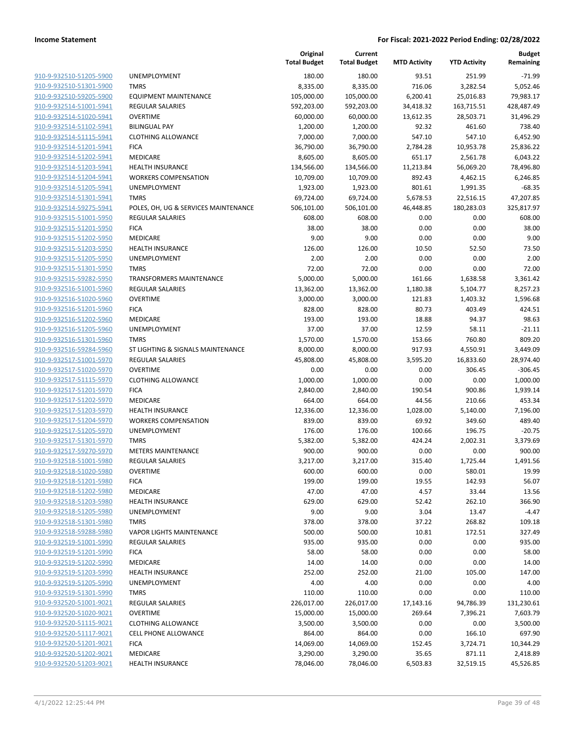|                         |                                      | Original<br><b>Total Budget</b> | Current<br><b>Total Budget</b> | <b>MTD Activity</b> | <b>YTD Activity</b> | <b>Budget</b><br>Remaining |
|-------------------------|--------------------------------------|---------------------------------|--------------------------------|---------------------|---------------------|----------------------------|
| 910-9-932510-51205-5900 | UNEMPLOYMENT                         | 180.00                          | 180.00                         | 93.51               | 251.99              | $-71.99$                   |
| 910-9-932510-51301-5900 | <b>TMRS</b>                          | 8,335.00                        | 8,335.00                       | 716.06              | 3,282.54            | 5,052.46                   |
| 910-9-932510-59205-5900 | <b>EQUIPMENT MAINTENANCE</b>         | 105,000.00                      | 105,000.00                     | 6,200.41            | 25,016.83           | 79,983.17                  |
| 910-9-932514-51001-5941 | <b>REGULAR SALARIES</b>              | 592,203.00                      | 592,203.00                     | 34,418.32           | 163,715.51          | 428,487.49                 |
| 910-9-932514-51020-5941 | <b>OVERTIME</b>                      | 60,000.00                       | 60,000.00                      | 13,612.35           | 28,503.71           | 31,496.29                  |
| 910-9-932514-51102-5941 | <b>BILINGUAL PAY</b>                 | 1,200.00                        | 1,200.00                       | 92.32               | 461.60              | 738.40                     |
| 910-9-932514-51115-5941 | <b>CLOTHING ALLOWANCE</b>            | 7,000.00                        | 7,000.00                       | 547.10              | 547.10              | 6,452.90                   |
| 910-9-932514-51201-5941 | <b>FICA</b>                          | 36,790.00                       | 36,790.00                      | 2,784.28            | 10,953.78           | 25,836.22                  |
| 910-9-932514-51202-5941 | MEDICARE                             | 8,605.00                        | 8,605.00                       | 651.17              | 2,561.78            | 6,043.22                   |
| 910-9-932514-51203-5941 | <b>HEALTH INSURANCE</b>              | 134,566.00                      | 134,566.00                     | 11,213.84           | 56,069.20           | 78,496.80                  |
| 910-9-932514-51204-5941 | <b>WORKERS COMPENSATION</b>          | 10,709.00                       | 10,709.00                      | 892.43              | 4,462.15            | 6,246.85                   |
| 910-9-932514-51205-5941 | UNEMPLOYMENT                         | 1,923.00                        | 1,923.00                       | 801.61              | 1,991.35            | $-68.35$                   |
| 910-9-932514-51301-5941 | <b>TMRS</b>                          | 69,724.00                       | 69,724.00                      | 5,678.53            | 22,516.15           | 47,207.85                  |
| 910-9-932514-59275-5941 | POLES, OH, UG & SERVICES MAINTENANCE | 506,101.00                      | 506,101.00                     | 46,448.85           | 180,283.03          | 325,817.97                 |
| 910-9-932515-51001-5950 | <b>REGULAR SALARIES</b>              | 608.00                          | 608.00                         | 0.00                | 0.00                | 608.00                     |
| 910-9-932515-51201-5950 | <b>FICA</b>                          | 38.00                           | 38.00                          | 0.00                | 0.00                | 38.00                      |
| 910-9-932515-51202-5950 | MEDICARE                             | 9.00                            | 9.00                           | 0.00                | 0.00                | 9.00                       |
| 910-9-932515-51203-5950 | <b>HEALTH INSURANCE</b>              | 126.00                          | 126.00                         | 10.50               | 52.50               | 73.50                      |
| 910-9-932515-51205-5950 | <b>UNEMPLOYMENT</b>                  | 2.00                            | 2.00                           | 0.00                | 0.00                | 2.00                       |
| 910-9-932515-51301-5950 | <b>TMRS</b>                          | 72.00                           | 72.00                          | 0.00                | 0.00                | 72.00                      |
| 910-9-932515-59282-5950 | <b>TRANSFORMERS MAINTENANCE</b>      | 5,000.00                        | 5,000.00                       | 161.66              | 1,638.58            | 3,361.42                   |
| 910-9-932516-51001-5960 | REGULAR SALARIES                     | 13,362.00                       | 13,362.00                      | 1,180.38            | 5,104.77            | 8,257.23                   |
| 910-9-932516-51020-5960 | <b>OVERTIME</b>                      | 3,000.00                        | 3,000.00                       | 121.83              | 1,403.32            | 1,596.68                   |
| 910-9-932516-51201-5960 | <b>FICA</b>                          | 828.00                          | 828.00                         | 80.73               | 403.49              | 424.51                     |
| 910-9-932516-51202-5960 | MEDICARE                             | 193.00                          | 193.00                         | 18.88               | 94.37               | 98.63                      |
| 910-9-932516-51205-5960 | UNEMPLOYMENT                         | 37.00                           | 37.00                          | 12.59               | 58.11               | $-21.11$                   |
| 910-9-932516-51301-5960 | <b>TMRS</b>                          | 1,570.00                        | 1,570.00                       | 153.66              | 760.80              | 809.20                     |
| 910-9-932516-59284-5960 | ST LIGHTING & SIGNALS MAINTENANCE    | 8,000.00                        | 8,000.00                       | 917.93              | 4,550.91            | 3,449.09                   |
| 910-9-932517-51001-5970 | <b>REGULAR SALARIES</b>              | 45,808.00                       | 45,808.00                      | 3,595.20            | 16,833.60           | 28,974.40                  |
| 910-9-932517-51020-5970 | <b>OVERTIME</b>                      | 0.00                            | 0.00                           | 0.00                | 306.45              | $-306.45$                  |
| 910-9-932517-51115-5970 | <b>CLOTHING ALLOWANCE</b>            | 1,000.00                        | 1,000.00                       | 0.00                | 0.00                | 1,000.00                   |
| 910-9-932517-51201-5970 | <b>FICA</b>                          | 2,840.00                        | 2,840.00                       | 190.54              | 900.86              | 1,939.14                   |
| 910-9-932517-51202-5970 | MEDICARE                             | 664.00                          | 664.00                         | 44.56               | 210.66              | 453.34                     |
| 910-9-932517-51203-5970 | <b>HEALTH INSURANCE</b>              | 12,336.00                       | 12,336.00                      | 1,028.00            | 5,140.00            | 7,196.00                   |
| 910-9-932517-51204-5970 | <b>WORKERS COMPENSATION</b>          | 839.00                          | 839.00                         | 69.92               | 349.60              | 489.40                     |
| 910-9-932517-51205-5970 | UNEMPLOYMENT                         | 176.00                          | 176.00                         | 100.66              | 196.75              | $-20.75$                   |
| 910-9-932517-51301-5970 | <b>TMRS</b>                          | 5,382.00                        | 5,382.00                       | 424.24              | 2,002.31            | 3,379.69                   |
| 910-9-932517-59270-5970 | <b>METERS MAINTENANCE</b>            | 900.00                          | 900.00                         | 0.00                | 0.00                | 900.00                     |
| 910-9-932518-51001-5980 | <b>REGULAR SALARIES</b>              | 3,217.00                        | 3,217.00                       | 315.40              | 1,725.44            | 1,491.56                   |
| 910-9-932518-51020-5980 | <b>OVERTIME</b>                      | 600.00                          | 600.00                         | 0.00                | 580.01              | 19.99                      |
| 910-9-932518-51201-5980 | <b>FICA</b>                          | 199.00                          | 199.00                         | 19.55               | 142.93              | 56.07                      |
| 910-9-932518-51202-5980 | MEDICARE                             | 47.00                           | 47.00                          | 4.57                | 33.44               | 13.56                      |
| 910-9-932518-51203-5980 | <b>HEALTH INSURANCE</b>              | 629.00                          | 629.00                         | 52.42               | 262.10              | 366.90                     |
| 910-9-932518-51205-5980 | <b>UNEMPLOYMENT</b>                  | 9.00                            | 9.00                           | 3.04                | 13.47               | $-4.47$                    |
| 910-9-932518-51301-5980 | <b>TMRS</b>                          | 378.00                          | 378.00                         | 37.22               | 268.82              | 109.18                     |
| 910-9-932518-59288-5980 | <b>VAPOR LIGHTS MAINTENANCE</b>      | 500.00                          | 500.00                         | 10.81               | 172.51              | 327.49                     |
| 910-9-932519-51001-5990 | REGULAR SALARIES                     | 935.00                          | 935.00                         | 0.00                | 0.00                | 935.00                     |
| 910-9-932519-51201-5990 | <b>FICA</b>                          | 58.00                           | 58.00                          | 0.00                | 0.00                | 58.00                      |
| 910-9-932519-51202-5990 | MEDICARE                             | 14.00                           | 14.00                          | 0.00                | 0.00                | 14.00                      |
| 910-9-932519-51203-5990 | <b>HEALTH INSURANCE</b>              | 252.00                          | 252.00                         | 21.00               | 105.00              | 147.00                     |
| 910-9-932519-51205-5990 | UNEMPLOYMENT                         | 4.00                            | 4.00                           | 0.00                | 0.00                | 4.00                       |
| 910-9-932519-51301-5990 | <b>TMRS</b>                          | 110.00                          | 110.00                         | 0.00                | 0.00                | 110.00                     |
| 910-9-932520-51001-9021 | REGULAR SALARIES                     | 226,017.00                      | 226,017.00                     | 17,143.16           | 94,786.39           | 131,230.61                 |
| 910-9-932520-51020-9021 | <b>OVERTIME</b>                      | 15,000.00                       | 15,000.00                      | 269.64              | 7,396.21            | 7,603.79                   |
| 910-9-932520-51115-9021 | <b>CLOTHING ALLOWANCE</b>            | 3,500.00                        | 3,500.00                       | 0.00                | 0.00                | 3,500.00                   |
| 910-9-932520-51117-9021 | <b>CELL PHONE ALLOWANCE</b>          | 864.00                          | 864.00                         | 0.00                | 166.10              | 697.90                     |
| 910-9-932520-51201-9021 | <b>FICA</b>                          | 14,069.00                       | 14,069.00                      | 152.45              | 3,724.71            | 10,344.29                  |
| 910-9-932520-51202-9021 | MEDICARE                             | 3,290.00                        | 3,290.00                       | 35.65               | 871.11              | 2,418.89                   |
| 910-9-932520-51203-9021 | <b>HEALTH INSURANCE</b>              | 78,046.00                       | 78,046.00                      | 6,503.83            | 32,519.15           | 45,526.85                  |
|                         |                                      |                                 |                                |                     |                     |                            |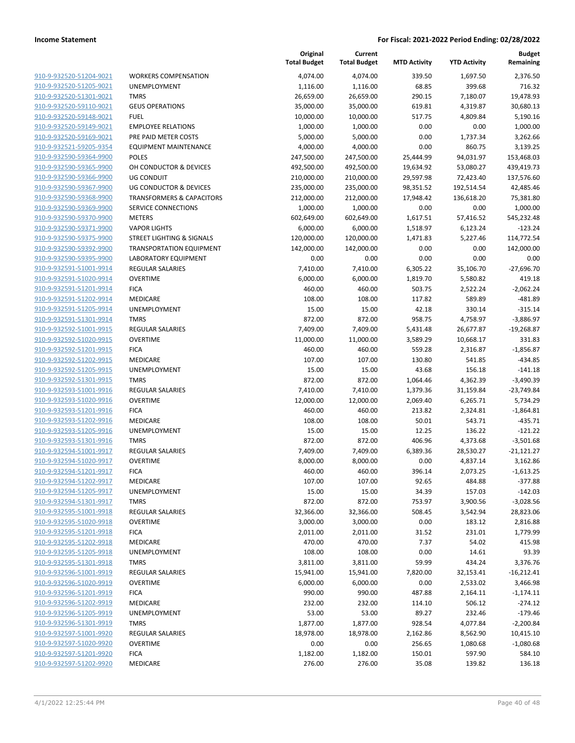| 910-9-932520-51204-9021                            | <b>WO</b>       |
|----------------------------------------------------|-----------------|
| 910-9-932520-51205-9021                            | UNE             |
| 910-9-932520-51301-9021                            | TMI             |
| 910-9-932520-59110-9021                            | GEL             |
| 910-9-932520-59148-9021                            | <b>FUE</b>      |
| 910-9-932520-59149-9021                            | <b>EMP</b>      |
| 910-9-932520-59169-9021                            | <b>PRE</b>      |
| 910-9-932521-59205-9354                            | EQL             |
| 910-9-932590-59364-9900                            | POL             |
| 910-9-932590-59365-9900                            | OH I            |
| 910-9-932590-59366-9900                            | UG I            |
| 910-9-932590-59367-9900                            | UG I            |
| 910-9-932590-59368-9900                            | TRA             |
| 910-9-932590-59369-9900                            | SER'            |
| 910-9-932590-59370-9900                            | ME <sub>1</sub> |
| 910-9-932590-59371-9900                            | VAP             |
| 910-9-932590-59375-9900                            | <b>STR</b>      |
| 910-9-932590-59392-9900                            | <b>TRA</b>      |
| 910-9-932590-59395-9900                            | LAB             |
| 910-9-932591-51001-9914                            | <b>REG</b>      |
| 910-9-932591-51020-9914                            | OVE             |
| 910-9-932591-51201-9914                            | FIC/            |
| 910-9-932591-51202-9914                            | ME              |
| 910-9-932591-51205-9914                            | <b>UNE</b>      |
| 910-9-932591-51301-9914                            | <b>TMI</b>      |
| 910-9-932592-51001-9915                            | REG             |
| 910-9-932592-51020-9915                            | <b>OVE</b>      |
| 910-9-932592-51201-9915                            | FIC/            |
| 910-9-932592-51202-9915                            | ME              |
| <u>910-9-932592-51205-9915</u>                     | UNE             |
| 910-9-932592-51301-9915                            | TMI             |
| 910-9-932593-51001-9916                            | REG             |
| 910-9-932593-51020-9916                            | <b>OVE</b>      |
| 910-9-932593-51201-9916                            | FICA            |
| <u>910-9-932593-51202-9916</u>                     | ME              |
| 910-9-932593-51205-9916                            | UNE             |
| 910-9-932593-51301-9916                            | TMI             |
| 910-9-932594-51001-9917                            | REG             |
| 910-9-932594-51020-9917                            | <b>OVE</b>      |
| 910-9-932594-51201-9917                            | FIC/            |
| 910-9-932594-51202-9917                            | MEI<br>UNE      |
| 910-9-932594-51205-9917<br>910-9-932594-51301-9917 | <b>TMF</b>      |
| 910-9-932595-51001-9918                            | REG             |
| 910-9-932595-51020-9918                            | ove             |
| 910-9-932595-51201-9918                            | FIC/            |
| 910-9-932595-51202-9918                            | MEI             |
| 910-9-932595-51205-9918                            | UNE             |
| 910-9-932595-51301-9918                            | <b>TMF</b>      |
| 910-9-932596-51001-9919                            | REG             |
| 910-9-932596-51020-9919                            | ove             |
| 910-9-932596-51201-9919                            | FIC/            |
| 910-9-932596-51202-9919                            | MEI             |
| 910-9-932596-51205-9919                            | UNE             |
| <u>910-9-932596-51301-9919</u>                     | TMI             |
| <u>910-9-932597-51001-9920</u>                     | REG             |
| 910-9-932597-51020-9920                            | ove             |
| 910-9-932597-51201-9920                            | FIC/            |
| 910-9-932597-51202-9920                            | MEI             |
|                                                    |                 |

|                         |                                      | Original<br><b>Total Budget</b> | Current<br><b>Total Budget</b> | <b>MTD Activity</b> | <b>YTD Activity</b> | <b>Budget</b><br>Remaining |
|-------------------------|--------------------------------------|---------------------------------|--------------------------------|---------------------|---------------------|----------------------------|
| 910-9-932520-51204-9021 | <b>WORKERS COMPENSATION</b>          | 4,074.00                        | 4,074.00                       | 339.50              | 1,697.50            | 2,376.50                   |
| 910-9-932520-51205-9021 | <b>UNEMPLOYMENT</b>                  | 1,116.00                        | 1,116.00                       | 68.85               | 399.68              | 716.32                     |
| 910-9-932520-51301-9021 | <b>TMRS</b>                          | 26,659.00                       | 26,659.00                      | 290.15              | 7,180.07            | 19,478.93                  |
| 910-9-932520-59110-9021 | <b>GEUS OPERATIONS</b>               | 35,000.00                       | 35,000.00                      | 619.81              | 4,319.87            | 30,680.13                  |
| 910-9-932520-59148-9021 | <b>FUEL</b>                          | 10,000.00                       | 10,000.00                      | 517.75              | 4,809.84            | 5,190.16                   |
| 910-9-932520-59149-9021 | <b>EMPLOYEE RELATIONS</b>            | 1,000.00                        | 1,000.00                       | 0.00                | 0.00                | 1,000.00                   |
| 910-9-932520-59169-9021 | PRE PAID METER COSTS                 | 5,000.00                        | 5,000.00                       | 0.00                | 1,737.34            | 3,262.66                   |
| 910-9-932521-59205-9354 | <b>EQUIPMENT MAINTENANCE</b>         | 4,000.00                        | 4,000.00                       | 0.00                | 860.75              | 3,139.25                   |
| 910-9-932590-59364-9900 | <b>POLES</b>                         | 247,500.00                      | 247,500.00                     | 25,444.99           | 94,031.97           | 153,468.03                 |
| 910-9-932590-59365-9900 | OH CONDUCTOR & DEVICES               | 492,500.00                      | 492,500.00                     | 19,634.92           | 53,080.27           | 439,419.73                 |
| 910-9-932590-59366-9900 | <b>UG CONDUIT</b>                    | 210,000.00                      | 210,000.00                     | 29,597.98           | 72,423.40           | 137,576.60                 |
| 910-9-932590-59367-9900 | UG CONDUCTOR & DEVICES               | 235,000.00                      | 235,000.00                     | 98,351.52           | 192,514.54          | 42,485.46                  |
| 910-9-932590-59368-9900 | <b>TRANSFORMERS &amp; CAPACITORS</b> | 212,000.00                      | 212,000.00                     | 17,948.42           | 136,618.20          | 75,381.80                  |
| 910-9-932590-59369-9900 | SERVICE CONNECTIONS                  | 1,000.00                        | 1,000.00                       | 0.00                | 0.00                | 1,000.00                   |
| 910-9-932590-59370-9900 | <b>METERS</b>                        | 602,649.00                      | 602,649.00                     | 1,617.51            | 57,416.52           | 545,232.48                 |
| 910-9-932590-59371-9900 | <b>VAPOR LIGHTS</b>                  | 6,000.00                        | 6,000.00                       | 1,518.97            | 6,123.24            | $-123.24$                  |
| 910-9-932590-59375-9900 | STREET LIGHTING & SIGNALS            | 120,000.00                      | 120,000.00                     | 1,471.83            | 5,227.46            | 114,772.54                 |
| 910-9-932590-59392-9900 | <b>TRANSPORTATION EQUIPMENT</b>      | 142,000.00                      | 142,000.00                     | 0.00                | 0.00                | 142,000.00                 |
| 910-9-932590-59395-9900 | LABORATORY EQUIPMENT                 | 0.00                            | 0.00                           | 0.00                | 0.00                | 0.00                       |
| 910-9-932591-51001-9914 | <b>REGULAR SALARIES</b>              | 7,410.00                        | 7,410.00                       | 6,305.22            | 35,106.70           | $-27,696.70$               |
| 910-9-932591-51020-9914 | <b>OVERTIME</b>                      | 6,000.00                        | 6,000.00                       | 1,819.70            | 5,580.82            | 419.18                     |
| 910-9-932591-51201-9914 | <b>FICA</b>                          | 460.00                          | 460.00                         | 503.75              | 2,522.24            | $-2,062.24$                |
| 910-9-932591-51202-9914 | MEDICARE                             | 108.00                          | 108.00                         | 117.82              | 589.89              | $-481.89$                  |
| 910-9-932591-51205-9914 | <b>UNEMPLOYMENT</b>                  | 15.00                           | 15.00                          | 42.18               | 330.14              | $-315.14$                  |
| 910-9-932591-51301-9914 | <b>TMRS</b>                          | 872.00                          | 872.00                         | 958.75              | 4,758.97            | $-3,886.97$                |
| 910-9-932592-51001-9915 | <b>REGULAR SALARIES</b>              | 7,409.00                        | 7,409.00                       | 5,431.48            | 26,677.87           | $-19,268.87$               |
| 910-9-932592-51020-9915 | <b>OVERTIME</b>                      | 11,000.00                       | 11,000.00                      | 3,589.29            | 10,668.17           | 331.83                     |
| 910-9-932592-51201-9915 | <b>FICA</b>                          | 460.00                          | 460.00                         | 559.28              | 2,316.87            | $-1,856.87$                |
| 910-9-932592-51202-9915 | MEDICARE                             | 107.00                          | 107.00                         | 130.80              | 541.85              | $-434.85$                  |
| 910-9-932592-51205-9915 | UNEMPLOYMENT                         | 15.00                           | 15.00                          | 43.68               | 156.18              | $-141.18$                  |
| 910-9-932592-51301-9915 | <b>TMRS</b>                          | 872.00                          | 872.00                         | 1,064.46            | 4,362.39            | $-3,490.39$                |
| 910-9-932593-51001-9916 | <b>REGULAR SALARIES</b>              | 7,410.00                        | 7,410.00                       | 1,379.36            | 31,159.84           | $-23,749.84$               |
| 910-9-932593-51020-9916 | <b>OVERTIME</b>                      | 12,000.00                       | 12,000.00                      | 2,069.40            | 6,265.71            | 5,734.29                   |
| 910-9-932593-51201-9916 | <b>FICA</b>                          | 460.00                          | 460.00                         | 213.82              | 2,324.81            | $-1,864.81$                |
| 910-9-932593-51202-9916 | MEDICARE                             | 108.00                          | 108.00                         | 50.01               | 543.71              | $-435.71$                  |
| 910-9-932593-51205-9916 | <b>UNEMPLOYMENT</b>                  | 15.00                           | 15.00                          | 12.25               | 136.22              | $-121.22$                  |
| 910-9-932593-51301-9916 | <b>TMRS</b>                          | 872.00                          | 872.00                         | 406.96              | 4,373.68            | $-3,501.68$                |
| 910-9-932594-51001-9917 | <b>REGULAR SALARIES</b>              | 7,409.00                        | 7,409.00                       | 6,389.36            | 28,530.27           | $-21,121.27$               |
| 910-9-932594-51020-9917 | OVERTIME                             | 8,000.00                        | 8,000.00                       | 0.00                | 4,837.14            | 3,162.86                   |
| 910-9-932594-51201-9917 | <b>FICA</b>                          | 460.00                          | 460.00                         | 396.14              | 2,073.25            | $-1,613.25$                |
| 910-9-932594-51202-9917 | MEDICARE                             | 107.00                          | 107.00                         | 92.65               | 484.88              | $-377.88$                  |
| 910-9-932594-51205-9917 | UNEMPLOYMENT                         | 15.00                           | 15.00                          | 34.39               | 157.03              | $-142.03$                  |
| 910-9-932594-51301-9917 | <b>TMRS</b>                          | 872.00                          | 872.00                         | 753.97              | 3,900.56            | $-3,028.56$                |
| 910-9-932595-51001-9918 | <b>REGULAR SALARIES</b>              | 32,366.00                       | 32,366.00                      | 508.45              | 3,542.94            | 28,823.06                  |
| 910-9-932595-51020-9918 | <b>OVERTIME</b>                      | 3,000.00                        | 3,000.00                       | 0.00                | 183.12              | 2,816.88                   |
| 910-9-932595-51201-9918 | <b>FICA</b>                          | 2,011.00                        | 2,011.00                       | 31.52               | 231.01              | 1,779.99                   |
| 910-9-932595-51202-9918 | MEDICARE                             | 470.00                          | 470.00                         | 7.37                | 54.02               | 415.98                     |
| 910-9-932595-51205-9918 | <b>UNEMPLOYMENT</b>                  | 108.00                          | 108.00                         | 0.00                | 14.61               | 93.39                      |
| 910-9-932595-51301-9918 | <b>TMRS</b>                          | 3,811.00                        | 3,811.00                       | 59.99               | 434.24              | 3,376.76                   |
| 910-9-932596-51001-9919 | <b>REGULAR SALARIES</b>              | 15,941.00                       | 15,941.00                      | 7,820.00            | 32,153.41           | $-16,212.41$               |
| 910-9-932596-51020-9919 | <b>OVERTIME</b>                      | 6,000.00                        | 6,000.00                       | 0.00                | 2,533.02            | 3,466.98                   |
| 910-9-932596-51201-9919 | <b>FICA</b>                          | 990.00                          | 990.00                         | 487.88              | 2,164.11            | $-1,174.11$                |
| 910-9-932596-51202-9919 | MEDICARE                             | 232.00                          | 232.00                         | 114.10              | 506.12              | $-274.12$                  |
| 910-9-932596-51205-9919 | UNEMPLOYMENT                         | 53.00                           | 53.00                          | 89.27               | 232.46              | $-179.46$                  |
| 910-9-932596-51301-9919 | <b>TMRS</b>                          | 1,877.00                        | 1,877.00                       | 928.54              | 4,077.84            | $-2,200.84$                |
| 910-9-932597-51001-9920 | <b>REGULAR SALARIES</b>              | 18,978.00                       | 18,978.00                      | 2,162.86            | 8,562.90            | 10,415.10                  |
| 910-9-932597-51020-9920 | <b>OVERTIME</b>                      | 0.00                            | 0.00                           | 256.65              | 1,080.68            | $-1,080.68$                |
| 910-9-932597-51201-9920 | <b>FICA</b>                          | 1,182.00                        | 1,182.00                       | 150.01              | 597.90              | 584.10                     |
| 910-9-932597-51202-9920 | MEDICARE                             | 276.00                          | 276.00                         | 35.08               | 139.82              | 136.18                     |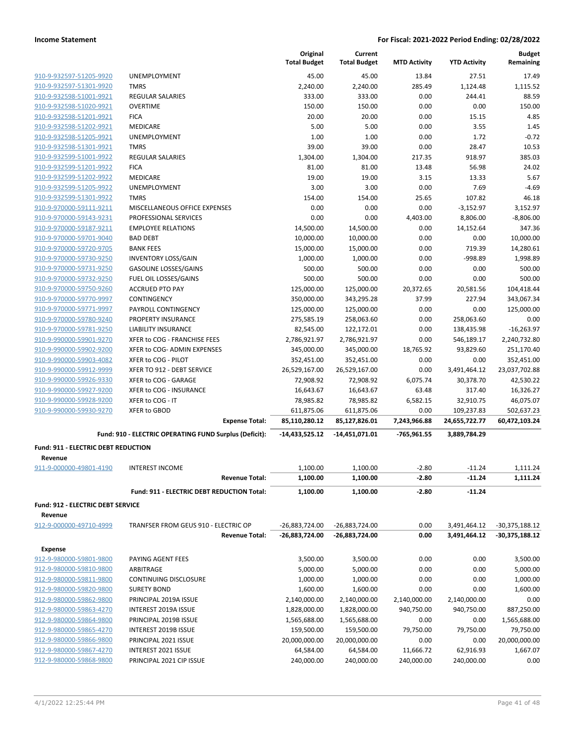|                                                |                                                        | Original<br><b>Total Budget</b> | Current<br><b>Total Budget</b> | <b>MTD Activity</b> | <b>YTD Activity</b> | <b>Budget</b><br>Remaining |
|------------------------------------------------|--------------------------------------------------------|---------------------------------|--------------------------------|---------------------|---------------------|----------------------------|
| 910-9-932597-51205-9920                        | UNEMPLOYMENT                                           | 45.00                           | 45.00                          | 13.84               | 27.51               | 17.49                      |
| 910-9-932597-51301-9920                        | <b>TMRS</b>                                            | 2,240.00                        | 2,240.00                       | 285.49              | 1,124.48            | 1,115.52                   |
| 910-9-932598-51001-9921                        | <b>REGULAR SALARIES</b>                                | 333.00                          | 333.00                         | 0.00                | 244.41              | 88.59                      |
| 910-9-932598-51020-9921                        | <b>OVERTIME</b>                                        | 150.00                          | 150.00                         | 0.00                | 0.00                | 150.00                     |
| 910-9-932598-51201-9921                        | <b>FICA</b>                                            | 20.00                           | 20.00                          | 0.00                | 15.15               | 4.85                       |
| 910-9-932598-51202-9921                        | MEDICARE                                               | 5.00                            | 5.00                           | 0.00                | 3.55                | 1.45                       |
| 910-9-932598-51205-9921                        | <b>UNEMPLOYMENT</b>                                    | 1.00                            | 1.00                           | 0.00                | 1.72                | $-0.72$                    |
| 910-9-932598-51301-9921                        | <b>TMRS</b>                                            | 39.00                           | 39.00                          | 0.00                | 28.47               | 10.53                      |
| 910-9-932599-51001-9922                        | <b>REGULAR SALARIES</b>                                | 1,304.00                        | 1,304.00                       | 217.35              | 918.97              | 385.03                     |
| 910-9-932599-51201-9922                        | <b>FICA</b>                                            | 81.00                           | 81.00                          | 13.48               | 56.98               | 24.02                      |
| 910-9-932599-51202-9922                        | <b>MEDICARE</b>                                        | 19.00                           | 19.00                          | 3.15                | 13.33               | 5.67                       |
| 910-9-932599-51205-9922                        | UNEMPLOYMENT                                           | 3.00                            | 3.00                           | 0.00                | 7.69                | $-4.69$                    |
| 910-9-932599-51301-9922                        | <b>TMRS</b>                                            | 154.00                          | 154.00                         | 25.65               | 107.82              | 46.18                      |
| 910-9-970000-59111-9211                        | MISCELLANEOUS OFFICE EXPENSES                          | 0.00                            | 0.00                           | 0.00                | $-3,152.97$         | 3,152.97                   |
| 910-9-970000-59143-9231                        | PROFESSIONAL SERVICES                                  | 0.00                            | 0.00                           | 4,403.00            | 8,806.00            | $-8,806.00$                |
| 910-9-970000-59187-9211                        | <b>EMPLOYEE RELATIONS</b>                              | 14,500.00                       | 14,500.00                      | 0.00                | 14,152.64           | 347.36                     |
| 910-9-970000-59701-9040                        | <b>BAD DEBT</b>                                        | 10,000.00                       | 10,000.00                      | 0.00                | 0.00                | 10,000.00                  |
| 910-9-970000-59720-9705                        | <b>BANK FEES</b>                                       | 15,000.00                       | 15,000.00                      | 0.00                | 719.39              | 14,280.61                  |
| 910-9-970000-59730-9250                        | <b>INVENTORY LOSS/GAIN</b>                             | 1,000.00                        | 1,000.00                       | 0.00                | -998.89             | 1,998.89                   |
| 910-9-970000-59731-9250                        | <b>GASOLINE LOSSES/GAINS</b>                           | 500.00                          | 500.00                         | 0.00                | 0.00                | 500.00                     |
| 910-9-970000-59732-9250                        | FUEL OIL LOSSES/GAINS                                  | 500.00                          | 500.00                         | 0.00                | 0.00                | 500.00                     |
| 910-9-970000-59750-9260                        | <b>ACCRUED PTO PAY</b>                                 | 125,000.00                      | 125,000.00                     | 20,372.65           | 20,581.56           | 104,418.44                 |
| 910-9-970000-59770-9997                        | CONTINGENCY                                            | 350,000.00                      | 343,295.28                     | 37.99               | 227.94              | 343,067.34                 |
| 910-9-970000-59771-9997                        | PAYROLL CONTINGENCY                                    | 125,000.00                      | 125,000.00                     | 0.00                | 0.00                | 125,000.00                 |
| 910-9-970000-59780-9240                        | PROPERTY INSURANCE                                     | 275,585.19                      | 258,063.60                     | 0.00                | 258,063.60          | 0.00                       |
| 910-9-970000-59781-9250                        | <b>LIABILITY INSURANCE</b>                             | 82,545.00                       | 122,172.01                     | 0.00                | 138,435.98          | $-16,263.97$               |
| 910-9-990000-59901-9270                        | XFER to COG - FRANCHISE FEES                           | 2,786,921.97                    | 2,786,921.97                   | 0.00                | 546,189.17          | 2,240,732.80               |
| 910-9-990000-59902-9200                        | XFER to COG- ADMIN EXPENSES                            | 345,000.00                      | 345,000.00                     | 18,765.92           | 93,829.60           | 251,170.40                 |
| 910-9-990000-59903-4082                        | XFER to COG - PILOT                                    | 352,451.00                      | 352,451.00                     | 0.00                | 0.00                | 352,451.00                 |
| 910-9-990000-59912-9999                        | XFER TO 912 - DEBT SERVICE                             | 26,529,167.00                   | 26,529,167.00                  | 0.00                | 3,491,464.12        | 23,037,702.88              |
| 910-9-990000-59926-9330                        | XFER to COG - GARAGE                                   | 72,908.92                       | 72,908.92                      | 6,075.74            | 30,378.70           | 42,530.22                  |
| 910-9-990000-59927-9200                        | XFER to COG - INSURANCE                                | 16,643.67                       | 16,643.67                      | 63.48               | 317.40              | 16,326.27                  |
| 910-9-990000-59928-9200                        | XFER to COG - IT                                       | 78,985.82                       | 78,985.82                      | 6,582.15            | 32,910.75           | 46,075.07                  |
| 910-9-990000-59930-9270                        | <b>XFER to GBOD</b>                                    | 611,875.06                      | 611,875.06                     | 0.00                | 109,237.83          | 502,637.23                 |
|                                                | <b>Expense Total:</b>                                  | 85,110,280.12                   | 85,127,826.01                  | 7,243,966.88        | 24,655,722.77       | 60,472,103.24              |
|                                                | Fund: 910 - ELECTRIC OPERATING FUND Surplus (Deficit): | -14,433,525.12                  | -14,451,071.01                 | -765,961.55         | 3,889,784.29        |                            |
|                                                |                                                        |                                 |                                |                     |                     |                            |
| Fund: 911 - ELECTRIC DEBT REDUCTION<br>Revenue |                                                        |                                 |                                |                     |                     |                            |
| 911-9-000000-49801-4190                        | <b>INTEREST INCOME</b>                                 | 1,100.00                        | 1,100.00                       | $-2.80$             | $-11.24$            | 1,111.24                   |
|                                                | <b>Revenue Total:</b>                                  | 1,100.00                        | 1,100.00                       | $-2.80$             | $-11.24$            | 1,111.24                   |
|                                                |                                                        |                                 |                                |                     |                     |                            |
|                                                | Fund: 911 - ELECTRIC DEBT REDUCTION Total:             | 1,100.00                        | 1,100.00                       | $-2.80$             | $-11.24$            |                            |
| Fund: 912 - ELECTRIC DEBT SERVICE              |                                                        |                                 |                                |                     |                     |                            |
| Revenue                                        |                                                        |                                 |                                |                     |                     |                            |
| 912-9-000000-49710-4999                        | TRANFSER FROM GEUS 910 - ELECTRIC OP                   | -26,883,724.00                  | -26,883,724.00                 | 0.00                | 3,491,464.12        | -30,375,188.12             |
|                                                | <b>Revenue Total:</b>                                  | -26,883,724.00                  | -26,883,724.00                 | 0.00                | 3,491,464.12        | -30,375,188.12             |
| <b>Expense</b>                                 |                                                        |                                 |                                |                     |                     |                            |
| 912-9-980000-59801-9800                        | PAYING AGENT FEES                                      | 3,500.00                        | 3,500.00                       | 0.00                | 0.00                | 3,500.00                   |
| 912-9-980000-59810-9800                        | ARBITRAGE                                              | 5,000.00                        | 5,000.00                       | 0.00                | 0.00                | 5,000.00                   |
| 912-9-980000-59811-9800                        | CONTINUING DISCLOSURE                                  | 1,000.00                        | 1,000.00                       | 0.00                | 0.00                | 1,000.00                   |
| 912-9-980000-59820-9800                        | <b>SURETY BOND</b>                                     | 1,600.00                        | 1,600.00                       | 0.00                | 0.00                | 1,600.00                   |
| 912-9-980000-59862-9800                        | PRINCIPAL 2019A ISSUE                                  | 2,140,000.00                    | 2,140,000.00                   | 2,140,000.00        | 2,140,000.00        | 0.00                       |
| 912-9-980000-59863-4270                        | INTEREST 2019A ISSUE                                   | 1,828,000.00                    | 1,828,000.00                   | 940,750.00          | 940,750.00          | 887,250.00                 |
| 912-9-980000-59864-9800                        | PRINCIPAL 2019B ISSUE                                  | 1,565,688.00                    | 1,565,688.00                   | 0.00                | 0.00                | 1,565,688.00               |
| 912-9-980000-59865-4270                        | INTEREST 2019B ISSUE                                   | 159,500.00                      | 159,500.00                     | 79,750.00           | 79,750.00           | 79,750.00                  |
| 912-9-980000-59866-9800                        | PRINCIPAL 2021 ISSUE                                   | 20,000,000.00                   | 20,000,000.00                  | 0.00                | 0.00                | 20,000,000.00              |
| 912-9-980000-59867-4270                        | INTEREST 2021 ISSUE                                    | 64,584.00                       | 64,584.00                      | 11,666.72           | 62,916.93           | 1,667.07                   |
| 912-9-980000-59868-9800                        | PRINCIPAL 2021 CIP ISSUE                               | 240,000.00                      | 240,000.00                     | 240,000.00          | 240,000.00          | 0.00                       |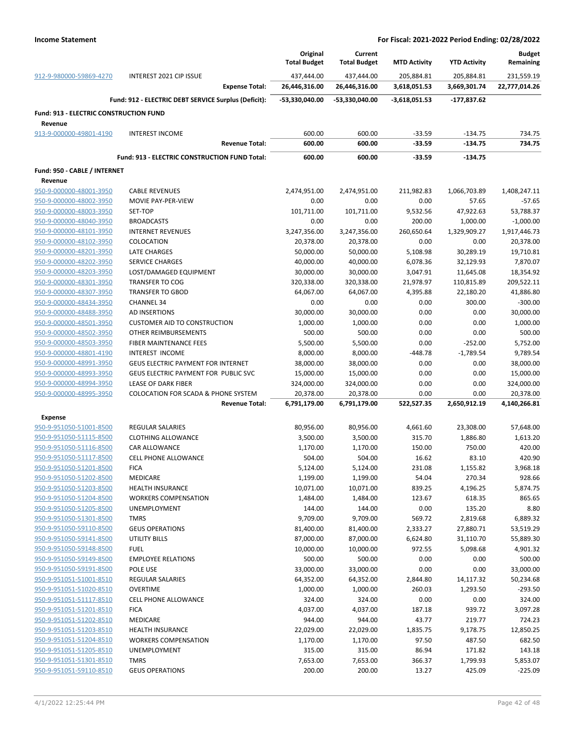|                                               |                                                      | Original                  | Current                   |                     |                     | <b>Budget</b>             |
|-----------------------------------------------|------------------------------------------------------|---------------------------|---------------------------|---------------------|---------------------|---------------------------|
|                                               |                                                      | <b>Total Budget</b>       | <b>Total Budget</b>       | <b>MTD Activity</b> | <b>YTD Activity</b> | Remaining                 |
| 912-9-980000-59869-4270                       | INTEREST 2021 CIP ISSUE                              | 437,444.00                | 437,444.00                | 205,884.81          | 205,884.81          | 231,559.19                |
|                                               | <b>Expense Total:</b>                                | 26,446,316.00             | 26,446,316.00             | 3,618,051.53        | 3,669,301.74        | 22,777,014.26             |
|                                               | Fund: 912 - ELECTRIC DEBT SERVICE Surplus (Deficit): | -53,330,040.00            | -53,330,040.00            | $-3,618,051.53$     | -177,837.62         |                           |
| <b>Fund: 913 - ELECTRIC CONSTRUCTION FUND</b> |                                                      |                           |                           |                     |                     |                           |
| Revenue                                       |                                                      |                           |                           |                     |                     |                           |
| 913-9-000000-49801-4190                       | <b>INTEREST INCOME</b>                               | 600.00                    | 600.00                    | $-33.59$            | $-134.75$           | 734.75                    |
|                                               | <b>Revenue Total:</b>                                | 600.00                    | 600.00                    | $-33.59$            | $-134.75$           | 734.75                    |
|                                               | Fund: 913 - ELECTRIC CONSTRUCTION FUND Total:        | 600.00                    | 600.00                    | $-33.59$            | $-134.75$           |                           |
| Fund: 950 - CABLE / INTERNET                  |                                                      |                           |                           |                     |                     |                           |
| Revenue                                       |                                                      |                           |                           |                     |                     |                           |
| 950-9-000000-48001-3950                       | <b>CABLE REVENUES</b>                                | 2,474,951.00              | 2,474,951.00              | 211,982.83          | 1,066,703.89        | 1,408,247.11              |
| 950-9-000000-48002-3950                       | MOVIE PAY-PER-VIEW                                   | 0.00                      | 0.00                      | 0.00                | 57.65               | $-57.65$                  |
| 950-9-000000-48003-3950                       | SET-TOP                                              | 101,711.00                | 101,711.00                | 9,532.56            | 47,922.63           | 53,788.37                 |
| 950-9-000000-48040-3950                       | <b>BROADCASTS</b>                                    | 0.00                      | 0.00                      | 200.00              | 1,000.00            | $-1,000.00$               |
| 950-9-000000-48101-3950                       | <b>INTERNET REVENUES</b>                             | 3,247,356.00              | 3,247,356.00              | 260,650.64          | 1,329,909.27        | 1,917,446.73              |
| 950-9-000000-48102-3950                       | COLOCATION                                           | 20,378.00                 | 20,378.00                 | 0.00                | 0.00                | 20,378.00                 |
| 950-9-000000-48201-3950                       | <b>LATE CHARGES</b>                                  | 50,000.00                 | 50,000.00                 | 5,108.98            | 30,289.19           | 19,710.81                 |
| 950-9-000000-48202-3950                       | <b>SERVICE CHARGES</b>                               | 40,000.00                 | 40,000.00                 | 6,078.36            | 32,129.93           | 7,870.07                  |
| 950-9-000000-48203-3950                       | LOST/DAMAGED EQUIPMENT                               | 30,000.00                 | 30,000.00                 | 3,047.91            | 11,645.08           | 18,354.92                 |
| 950-9-000000-48301-3950                       | <b>TRANSFER TO COG</b>                               | 320,338.00                | 320,338.00                | 21,978.97           | 110,815.89          | 209,522.11                |
| 950-9-000000-48307-3950                       | <b>TRANSFER TO GBOD</b>                              | 64,067.00                 | 64,067.00                 | 4,395.88            | 22,180.20           | 41,886.80                 |
| 950-9-000000-48434-3950                       | <b>CHANNEL 34</b>                                    | 0.00                      | 0.00                      | 0.00                | 300.00              | $-300.00$                 |
| 950-9-000000-48488-3950                       | <b>AD INSERTIONS</b>                                 | 30,000.00                 | 30,000.00                 | 0.00                | 0.00                | 30,000.00                 |
| 950-9-000000-48501-3950                       | <b>CUSTOMER AID TO CONSTRUCTION</b>                  | 1,000.00                  | 1,000.00                  | 0.00                | 0.00                | 1,000.00                  |
| 950-9-000000-48502-3950                       | OTHER REIMBURSEMENTS                                 | 500.00                    | 500.00                    | 0.00                | 0.00                | 500.00                    |
| 950-9-000000-48503-3950                       | FIBER MAINTENANCE FEES                               | 5,500.00                  | 5,500.00                  | 0.00                | $-252.00$           | 5,752.00                  |
| 950-9-000000-48801-4190                       | INTEREST INCOME                                      | 8,000.00                  | 8,000.00                  | $-448.78$           | $-1,789.54$         | 9,789.54                  |
| 950-9-000000-48991-3950                       | GEUS ELECTRIC PAYMENT FOR INTERNET                   | 38,000.00                 | 38,000.00                 | 0.00                | 0.00                | 38,000.00                 |
| 950-9-000000-48993-3950                       | GEUS ELECTRIC PAYMENT FOR PUBLIC SVC                 | 15,000.00                 | 15,000.00                 | 0.00                | 0.00                | 15,000.00                 |
| 950-9-000000-48994-3950                       | LEASE OF DARK FIBER                                  | 324,000.00                | 324,000.00                | 0.00                | 0.00                | 324,000.00                |
| 950-9-000000-48995-3950                       | <b>COLOCATION FOR SCADA &amp; PHONE SYSTEM</b>       |                           |                           | 0.00                | 0.00                |                           |
|                                               | <b>Revenue Total:</b>                                | 20,378.00<br>6,791,179.00 | 20,378.00<br>6,791,179.00 | 522,527.35          | 2,650,912.19        | 20,378.00<br>4,140,266.81 |
|                                               |                                                      |                           |                           |                     |                     |                           |
| <b>Expense</b>                                |                                                      |                           |                           |                     |                     |                           |
| 950-9-951050-51001-8500                       | <b>REGULAR SALARIES</b>                              | 80,956.00                 | 80,956.00                 | 4,661.60            | 23,308.00           | 57,648.00                 |
| 950-9-951050-51115-8500                       | <b>CLOTHING ALLOWANCE</b>                            | 3,500.00                  | 3,500.00                  | 315.70              | 1,886.80            | 1,613.20                  |
| 950-9-951050-51116-8500                       | CAR ALLOWANCE                                        | 1,170.00                  | 1,170.00                  | 150.00              | 750.00              | 420.00                    |
| 950-9-951050-51117-8500                       | <b>CELL PHONE ALLOWANCE</b>                          | 504.00                    | 504.00                    | 16.62               | 83.10               | 420.90                    |
| 950-9-951050-51201-8500                       | <b>FICA</b>                                          | 5,124.00                  | 5,124.00                  | 231.08              | 1,155.82            | 3,968.18                  |
| 950-9-951050-51202-8500                       | <b>MEDICARE</b>                                      | 1,199.00                  | 1,199.00                  | 54.04               | 270.34              | 928.66                    |
| 950-9-951050-51203-8500                       | <b>HEALTH INSURANCE</b>                              | 10,071.00                 | 10,071.00                 | 839.25              | 4,196.25            | 5,874.75                  |
| 950-9-951050-51204-8500                       | <b>WORKERS COMPENSATION</b>                          | 1,484.00                  | 1,484.00                  | 123.67              | 618.35              | 865.65                    |
| 950-9-951050-51205-8500                       | <b>UNEMPLOYMENT</b>                                  | 144.00                    | 144.00                    | 0.00                | 135.20              | 8.80                      |
| 950-9-951050-51301-8500                       | <b>TMRS</b>                                          | 9,709.00                  | 9,709.00                  | 569.72              | 2,819.68            | 6,889.32                  |
| 950-9-951050-59110-8500                       | <b>GEUS OPERATIONS</b>                               | 81,400.00                 | 81,400.00                 | 2,333.27            | 27,880.71           | 53,519.29                 |
| 950-9-951050-59141-8500                       | <b>UTILITY BILLS</b>                                 | 87,000.00                 | 87,000.00                 | 6,624.80            | 31,110.70           | 55,889.30                 |
| 950-9-951050-59148-8500                       | <b>FUEL</b>                                          | 10,000.00                 | 10,000.00                 | 972.55              | 5,098.68            | 4,901.32                  |
| 950-9-951050-59149-8500                       | <b>EMPLOYEE RELATIONS</b>                            | 500.00                    | 500.00                    | 0.00                | 0.00                | 500.00                    |
| 950-9-951050-59191-8500                       | POLE USE                                             | 33,000.00                 | 33,000.00                 | 0.00                | 0.00                | 33,000.00                 |
| 950-9-951051-51001-8510                       | <b>REGULAR SALARIES</b>                              | 64,352.00                 | 64,352.00                 | 2,844.80            | 14,117.32           | 50,234.68                 |
| 950-9-951051-51020-8510                       | <b>OVERTIME</b>                                      | 1,000.00                  | 1,000.00                  | 260.03              | 1,293.50            | $-293.50$                 |
| 950-9-951051-51117-8510                       | <b>CELL PHONE ALLOWANCE</b>                          | 324.00                    | 324.00                    | 0.00                | 0.00                | 324.00                    |
| 950-9-951051-51201-8510                       | <b>FICA</b>                                          | 4,037.00                  | 4,037.00                  | 187.18              | 939.72              | 3,097.28                  |
| 950-9-951051-51202-8510                       | MEDICARE                                             | 944.00                    | 944.00                    | 43.77               | 219.77              | 724.23                    |
| 950-9-951051-51203-8510                       | <b>HEALTH INSURANCE</b>                              | 22,029.00                 | 22,029.00                 | 1,835.75            | 9,178.75            | 12,850.25                 |
| 950-9-951051-51204-8510                       | <b>WORKERS COMPENSATION</b>                          | 1,170.00                  | 1,170.00                  | 97.50               | 487.50              | 682.50                    |
| 950-9-951051-51205-8510                       | UNEMPLOYMENT                                         | 315.00                    | 315.00                    | 86.94               | 171.82              | 143.18                    |
| 950-9-951051-51301-8510                       | <b>TMRS</b>                                          | 7,653.00                  | 7,653.00                  | 366.37              | 1,799.93            | 5,853.07                  |
| 950-9-951051-59110-8510                       | <b>GEUS OPERATIONS</b>                               | 200.00                    | 200.00                    | 13.27               | 425.09              | $-225.09$                 |
|                                               |                                                      |                           |                           |                     |                     |                           |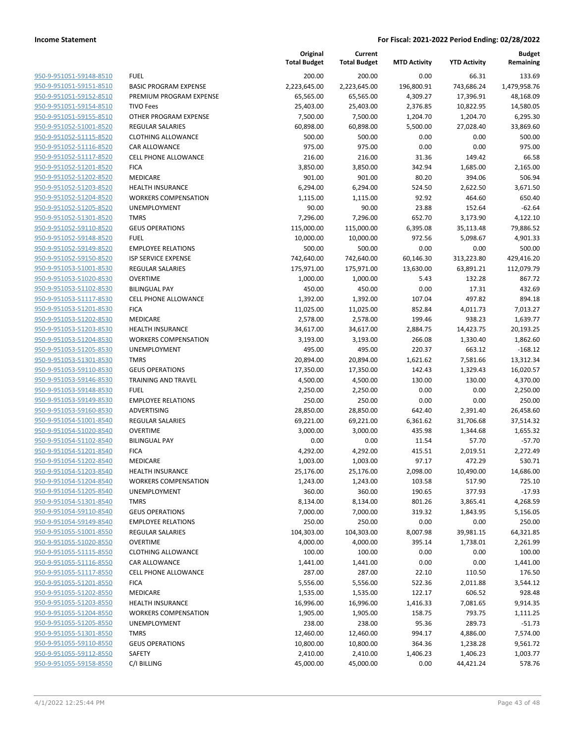| 950-9-951051-59148-8510                            | <b>FUEL</b>                                         |
|----------------------------------------------------|-----------------------------------------------------|
| 950-9-951051-59151-8510                            | <b>BASIC PROGRAM EXPENSE</b>                        |
| 950-9-951051-59152-8510                            | PREMIUM PROGRAM EXPENSE                             |
| 950-9-951051-59154-8510                            | <b>TIVO Fees</b>                                    |
| 950-9-951051-59155-8510                            | OTHER PROGRAM EXPENSE                               |
| 950-9-951052-51001-8520                            | <b>REGULAR SALARIES</b>                             |
| 950-9-951052-51115-8520                            | <b>CLOTHING ALLOWANCE</b>                           |
| 950-9-951052-51116-8520                            | <b>CAR ALLOWANCE</b>                                |
| 950-9-951052-51117-8520                            | <b>CELL PHONE ALLOWANCE</b>                         |
| 950-9-951052-51201-8520                            | <b>FICA</b>                                         |
| 950-9-951052-51202-8520                            | <b>MEDICARE</b>                                     |
| 950-9-951052-51203-8520                            | <b>HEALTH INSURANCE</b>                             |
| 950-9-951052-51204-8520<br>950-9-951052-51205-8520 | <b>WORKERS COMPENSATION</b><br><b>UNEMPLOYMENT</b>  |
| 950-9-951052-51301-8520                            | <b>TMRS</b>                                         |
| 950-9-951052-59110-8520                            | <b>GEUS OPERATIONS</b>                              |
| 950-9-951052-59148-8520                            | <b>FUEL</b>                                         |
| 950-9-951052-59149-8520                            | <b>EMPLOYEE RELATIONS</b>                           |
| 950-9-951052-59150-8520                            | <b>ISP SERVICE EXPENSE</b>                          |
| 950-9-951053-51001-8530                            | <b>REGULAR SALARIES</b>                             |
| 950-9-951053-51020-8530                            | OVERTIME                                            |
| 950-9-951053-51102-8530                            | <b>BILINGUAL PAY</b>                                |
| 950-9-951053-51117-8530                            | CELL PHONE ALLOWANCE                                |
| 950-9-951053-51201-8530                            | <b>FICA</b>                                         |
| 950-9-951053-51202-8530                            | <b>MEDICARE</b>                                     |
| 950-9-951053-51203-8530                            | <b>HEALTH INSURANCE</b>                             |
| 950-9-951053-51204-8530                            | <b>WORKERS COMPENSATION</b>                         |
| 950-9-951053-51205-8530                            | <b>UNEMPLOYMENT</b>                                 |
| 950-9-951053-51301-8530                            | <b>TMRS</b>                                         |
| 950-9-951053-59110-8530                            | <b>GEUS OPERATIONS</b>                              |
| 950-9-951053-59146-8530                            | <b>TRAINING AND TRAVEL</b>                          |
| 950-9-951053-59148-8530                            | <b>FUEL</b>                                         |
| 950-9-951053-59149-8530                            | <b>EMPLOYEE RELATIONS</b>                           |
| 950-9-951053-59160-8530                            | ADVERTISING                                         |
| 950-9-951054-51001-8540                            | <b>REGULAR SALARIES</b>                             |
| 950-9-951054-51020-8540                            | <b>OVERTIME</b>                                     |
| 950-9-951054-51102-8540                            | <b>BILINGUAL PAY</b>                                |
| 950-9-951054-51201-8540                            | <b>FICA</b>                                         |
| 950-9-951054-51202-8540                            | <b>MEDICARE</b>                                     |
| 950-9-951054-51203-8540                            | <b>HEALTH INSURANCE</b>                             |
| 950-9-951054-51204-8540                            | <b>WORKERS COMPENSATION</b>                         |
| 950-9-951054-51205-8540                            | UNEMPLOYMENT                                        |
| 950-9-951054-51301-8540                            | <b>TMRS</b>                                         |
| 950-9-951054-59110-8540                            | <b>GEUS OPERATIONS</b><br><b>EMPLOYEE RELATIONS</b> |
| 950-9-951054-59149-8540<br>950-9-951055-51001-8550 | <b>REGULAR SALARIES</b>                             |
| 950-9-951055-51020-8550                            | <b>OVERTIME</b>                                     |
| 950-9-951055-51115-8550                            | <b>CLOTHING ALLOWANCE</b>                           |
| 950-9-951055-51116-8550                            | CAR ALLOWANCE                                       |
| 950-9-951055-51117-8550                            | <b>CELL PHONE ALLOWANCE</b>                         |
| 950-9-951055-51201-8550                            | <b>FICA</b>                                         |
| 950-9-951055-51202-8550                            | <b>MEDICARE</b>                                     |
| 950-9-951055-51203-8550                            | <b>HEALTH INSURANCE</b>                             |
| 950-9-951055-51204-8550                            | <b>WORKERS COMPENSATION</b>                         |
| 950-9-951055-51205-8550                            | UNEMPLOYMENT                                        |
| 950-9-951055-51301-8550                            | TMRS.                                               |
| 950-9-951055-59110-8550                            | <b>GEUS OPERATIONS</b>                              |
| 950-9-951055-59112-8550                            | SAFETY                                              |
| 950-9-951055-59158-8550                            | C/I BILLING                                         |
|                                                    |                                                     |

|                         |                              | Original<br><b>Total Budget</b> | Current<br><b>Total Budget</b> | <b>MTD Activity</b> | <b>YTD Activity</b> | <b>Budget</b><br>Remaining |
|-------------------------|------------------------------|---------------------------------|--------------------------------|---------------------|---------------------|----------------------------|
| 950-9-951051-59148-8510 | <b>FUEL</b>                  | 200.00                          | 200.00                         | 0.00                | 66.31               | 133.69                     |
| 950-9-951051-59151-8510 | <b>BASIC PROGRAM EXPENSE</b> | 2,223,645.00                    | 2,223,645.00                   | 196,800.91          | 743,686.24          | 1,479,958.76               |
| 950-9-951051-59152-8510 | PREMIUM PROGRAM EXPENSE      | 65,565.00                       | 65,565.00                      | 4,309.27            | 17,396.91           | 48,168.09                  |
| 950-9-951051-59154-8510 | <b>TIVO Fees</b>             | 25,403.00                       | 25,403.00                      | 2,376.85            | 10,822.95           | 14,580.05                  |
| 950-9-951051-59155-8510 | OTHER PROGRAM EXPENSE        | 7,500.00                        | 7,500.00                       | 1,204.70            | 1,204.70            | 6,295.30                   |
| 950-9-951052-51001-8520 | <b>REGULAR SALARIES</b>      | 60,898.00                       | 60,898.00                      | 5,500.00            | 27,028.40           | 33,869.60                  |
| 950-9-951052-51115-8520 | <b>CLOTHING ALLOWANCE</b>    | 500.00                          | 500.00                         | 0.00                | 0.00                | 500.00                     |
| 950-9-951052-51116-8520 | CAR ALLOWANCE                | 975.00                          | 975.00                         | 0.00                | 0.00                | 975.00                     |
| 950-9-951052-51117-8520 | <b>CELL PHONE ALLOWANCE</b>  | 216.00                          | 216.00                         | 31.36               | 149.42              | 66.58                      |
| 950-9-951052-51201-8520 | <b>FICA</b>                  | 3,850.00                        | 3,850.00                       | 342.94              | 1,685.00            | 2,165.00                   |
| 950-9-951052-51202-8520 | MEDICARE                     | 901.00                          | 901.00                         | 80.20               | 394.06              | 506.94                     |
| 950-9-951052-51203-8520 | <b>HEALTH INSURANCE</b>      | 6,294.00                        | 6,294.00                       | 524.50              | 2,622.50            | 3,671.50                   |
| 950-9-951052-51204-8520 | <b>WORKERS COMPENSATION</b>  | 1,115.00                        | 1,115.00                       | 92.92               | 464.60              | 650.40                     |
| 950-9-951052-51205-8520 | UNEMPLOYMENT                 | 90.00                           | 90.00                          | 23.88               | 152.64              | $-62.64$                   |
| 950-9-951052-51301-8520 | <b>TMRS</b>                  | 7,296.00                        | 7,296.00                       | 652.70              | 3,173.90            | 4,122.10                   |
| 950-9-951052-59110-8520 | <b>GEUS OPERATIONS</b>       | 115,000.00                      | 115,000.00                     | 6,395.08            | 35,113.48           | 79,886.52                  |
| 950-9-951052-59148-8520 | <b>FUEL</b>                  | 10,000.00                       | 10,000.00                      | 972.56              | 5,098.67            | 4,901.33                   |
| 950-9-951052-59149-8520 | <b>EMPLOYEE RELATIONS</b>    | 500.00                          | 500.00                         | 0.00                | 0.00                | 500.00                     |
| 950-9-951052-59150-8520 | <b>ISP SERVICE EXPENSE</b>   | 742,640.00                      | 742,640.00                     | 60,146.30           | 313,223.80          | 429,416.20                 |
| 950-9-951053-51001-8530 | <b>REGULAR SALARIES</b>      | 175,971.00                      | 175,971.00                     | 13,630.00           | 63,891.21           | 112,079.79                 |
| 950-9-951053-51020-8530 | <b>OVERTIME</b>              | 1,000.00                        | 1,000.00                       | 5.43                | 132.28              | 867.72                     |
| 950-9-951053-51102-8530 | <b>BILINGUAL PAY</b>         | 450.00                          | 450.00                         | 0.00                | 17.31               | 432.69                     |
| 950-9-951053-51117-8530 | <b>CELL PHONE ALLOWANCE</b>  | 1,392.00                        | 1,392.00                       | 107.04              | 497.82              | 894.18                     |
| 950-9-951053-51201-8530 | <b>FICA</b>                  | 11,025.00                       | 11,025.00                      | 852.84              | 4,011.73            | 7,013.27                   |
| 950-9-951053-51202-8530 | MEDICARE                     | 2,578.00                        | 2,578.00                       | 199.46              | 938.23              | 1,639.77                   |
| 950-9-951053-51203-8530 | <b>HEALTH INSURANCE</b>      | 34,617.00                       | 34,617.00                      | 2,884.75            | 14,423.75           | 20,193.25                  |
| 950-9-951053-51204-8530 | <b>WORKERS COMPENSATION</b>  | 3,193.00                        | 3,193.00                       | 266.08              | 1,330.40            | 1,862.60                   |
| 950-9-951053-51205-8530 | UNEMPLOYMENT                 | 495.00                          | 495.00                         | 220.37              | 663.12              | $-168.12$                  |
| 950-9-951053-51301-8530 | <b>TMRS</b>                  | 20,894.00                       | 20,894.00                      | 1,621.62            | 7,581.66            | 13,312.34                  |
| 950-9-951053-59110-8530 | <b>GEUS OPERATIONS</b>       | 17,350.00                       | 17,350.00                      | 142.43              | 1,329.43            | 16,020.57                  |
| 950-9-951053-59146-8530 | <b>TRAINING AND TRAVEL</b>   | 4,500.00                        | 4,500.00                       | 130.00              | 130.00              | 4,370.00                   |
| 950-9-951053-59148-8530 | <b>FUEL</b>                  | 2,250.00                        | 2,250.00                       | 0.00                | 0.00                | 2,250.00                   |
| 950-9-951053-59149-8530 | <b>EMPLOYEE RELATIONS</b>    | 250.00                          | 250.00                         | 0.00                | 0.00                | 250.00                     |
| 950-9-951053-59160-8530 | ADVERTISING                  | 28,850.00                       | 28,850.00                      | 642.40              | 2,391.40            | 26,458.60                  |
| 950-9-951054-51001-8540 | <b>REGULAR SALARIES</b>      | 69,221.00                       | 69,221.00                      | 6,361.62            | 31,706.68           | 37,514.32                  |
| 950-9-951054-51020-8540 | <b>OVERTIME</b>              | 3,000.00                        | 3,000.00                       | 435.98              | 1,344.68            | 1,655.32                   |
| 950-9-951054-51102-8540 | <b>BILINGUAL PAY</b>         | 0.00                            | 0.00                           | 11.54               | 57.70               | $-57.70$                   |
| 950-9-951054-51201-8540 | <b>FICA</b>                  | 4,292.00                        | 4,292.00                       | 415.51              | 2,019.51            | 2,272.49                   |
| 950-9-951054-51202-8540 | <b>MEDICARE</b>              | 1,003.00                        | 1,003.00                       | 97.17               | 472.29              | 530.71                     |
| 950-9-951054-51203-8540 | <b>HEALTH INSURANCE</b>      | 25,176.00                       | 25,176.00                      | 2,098.00            | 10,490.00           | 14,686.00                  |
| 950-9-951054-51204-8540 | <b>WORKERS COMPENSATION</b>  | 1,243.00                        | 1,243.00                       | 103.58              | 517.90              | 725.10                     |
| 950-9-951054-51205-8540 | <b>UNEMPLOYMENT</b>          | 360.00                          | 360.00                         | 190.65              | 377.93              | $-17.93$                   |
| 950-9-951054-51301-8540 | <b>TMRS</b>                  | 8,134.00                        | 8,134.00                       | 801.26              | 3,865.41            | 4,268.59                   |
| 950-9-951054-59110-8540 | <b>GEUS OPERATIONS</b>       | 7,000.00                        | 7,000.00                       | 319.32              | 1,843.95            | 5,156.05                   |
| 950-9-951054-59149-8540 | <b>EMPLOYEE RELATIONS</b>    | 250.00                          | 250.00                         | 0.00                | 0.00                | 250.00                     |
| 950-9-951055-51001-8550 | <b>REGULAR SALARIES</b>      | 104,303.00                      | 104,303.00                     | 8,007.98            | 39,981.15           | 64,321.85                  |
| 950-9-951055-51020-8550 | <b>OVERTIME</b>              | 4,000.00                        | 4,000.00                       | 395.14              | 1,738.01            | 2,261.99                   |
| 950-9-951055-51115-8550 | <b>CLOTHING ALLOWANCE</b>    | 100.00                          | 100.00                         | 0.00                | 0.00                | 100.00                     |
| 950-9-951055-51116-8550 | CAR ALLOWANCE                | 1,441.00                        | 1,441.00                       | 0.00                | 0.00                | 1,441.00                   |
| 950-9-951055-51117-8550 | CELL PHONE ALLOWANCE         | 287.00                          | 287.00                         | 22.10               | 110.50              | 176.50                     |
| 950-9-951055-51201-8550 | <b>FICA</b>                  | 5,556.00                        | 5,556.00                       | 522.36              | 2,011.88            | 3,544.12                   |
| 950-9-951055-51202-8550 | MEDICARE                     | 1,535.00                        | 1,535.00                       | 122.17              | 606.52              | 928.48                     |
| 950-9-951055-51203-8550 | <b>HEALTH INSURANCE</b>      | 16,996.00                       | 16,996.00                      | 1,416.33            | 7,081.65            | 9,914.35                   |
| 950-9-951055-51204-8550 | <b>WORKERS COMPENSATION</b>  | 1,905.00                        | 1,905.00                       | 158.75              | 793.75              | 1,111.25                   |
| 950-9-951055-51205-8550 | UNEMPLOYMENT                 | 238.00                          | 238.00                         | 95.36               | 289.73              | $-51.73$                   |
| 950-9-951055-51301-8550 | <b>TMRS</b>                  | 12,460.00                       | 12,460.00                      | 994.17              | 4,886.00            | 7,574.00                   |
| 950-9-951055-59110-8550 | <b>GEUS OPERATIONS</b>       | 10,800.00                       | 10,800.00                      | 364.36              | 1,238.28            | 9,561.72                   |
| 950-9-951055-59112-8550 | SAFETY                       | 2,410.00                        | 2,410.00                       | 1,406.23            | 1,406.23            | 1,003.77                   |
| 950-9-951055-59158-8550 | C/I BILLING                  | 45,000.00                       | 45,000.00                      | 0.00                | 44,421.24           | 578.76                     |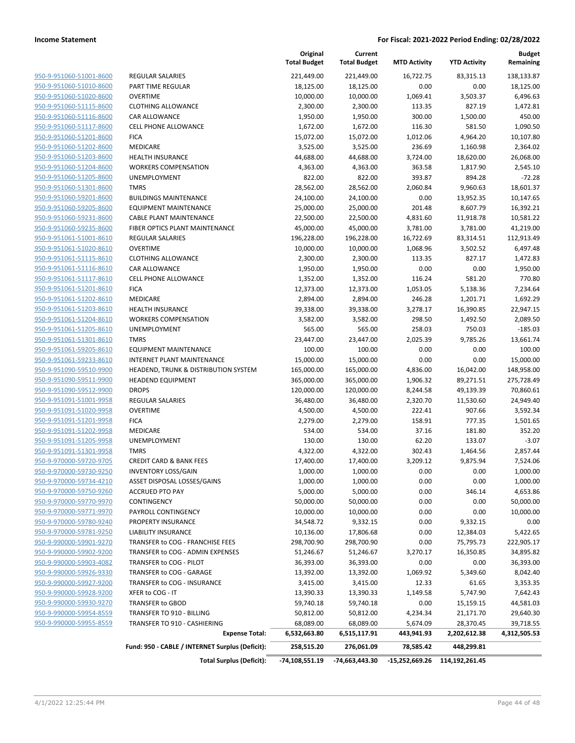| 950-9-951060-51001-8600                                   |
|-----------------------------------------------------------|
| 950-9-951060-51010-8600                                   |
| 950-9-951060-51020-8600                                   |
| 950-9-951060-51115-8600                                   |
| 950-9-951060-51116-8600                                   |
| 950-9-951060-51117-8600                                   |
| 950-9-951060-51201-8600                                   |
| 950-9-951060-51202-8600                                   |
| 950-9-951060-51203-8600                                   |
| 950-9-951060-51204-8600                                   |
| 950-9-951060-51205-8600                                   |
| 950-9-951060-51301-8600                                   |
| 950-9-951060-59201-8600                                   |
| 950-9-951060-59205-8600                                   |
| 950-9-951060-59231-8600                                   |
| 950-9-951060-59235-8600                                   |
| 950-9-951061-51001-8610                                   |
| <u>950-9-951061-51020-8610</u>                            |
| 950-9-951061-51115-8610                                   |
| 950-9-951061-51116-8610                                   |
| 950-9-951061-51117-8610                                   |
| 950-9-951061-51201-8610                                   |
| <u>950-9-951061-51202-8610</u>                            |
| <u>950-9-951061-51203-8610</u>                            |
| 950-9-951061-51204-8610                                   |
| 950-9-951061-51205-8610                                   |
| 950-9-951061-51301-8610                                   |
| <u>950-9-951061-59205-8610</u>                            |
| 950-9-951061-59233-8610                                   |
| 950-9-951090-59510-9900                                   |
| 950-9-951090-59511-9900                                   |
| 950-9-951090-59512-9900                                   |
| <u>950-9-951091-51001-9958</u>                            |
| <u>950-9-951091-51020-9958</u>                            |
| 950-9-951091-51201-9958                                   |
| 950-9-951091-51202-9958                                   |
| 950-9-951091-51205-9958                                   |
| 950-9-951091-51301-9958                                   |
| 950-9-970000-59720-9705                                   |
| 950-9-970000-59730-9250                                   |
| 950-9-970000-59734-4210                                   |
| 950-9-970000-59750-9260                                   |
| 950-9-970000-59770-9970                                   |
| 950-9-970000-59771-9970                                   |
| 950-9-970000-59780-9240                                   |
| 950-9-970000-59781-9250                                   |
| 950-9-990000-59901-9270                                   |
|                                                           |
| <u>950-9-990000-59902-9200</u><br>950-9-990000-59903-4082 |
|                                                           |
| 950-9-990000-59926-9330                                   |
| 950-9-990000-59927-9200                                   |
| 950-9-990000-59928-9200                                   |
| 950-9-990000-59930-9270                                   |
| <u>950-9-990000-59954-8559</u>                            |
| 950-9-990000-59955-8559                                   |

|                                                    |                                                                           | Original<br><b>Total Budget</b> | Current<br><b>Total Budget</b> | <b>MTD Activity</b> | <b>YTD Activity</b> | <b>Budget</b><br>Remaining |
|----------------------------------------------------|---------------------------------------------------------------------------|---------------------------------|--------------------------------|---------------------|---------------------|----------------------------|
| 950-9-951060-51001-8600                            | REGULAR SALARIES                                                          | 221,449.00                      | 221,449.00                     | 16,722.75           | 83,315.13           | 138,133.87                 |
| 950-9-951060-51010-8600                            | PART TIME REGULAR                                                         | 18,125.00                       | 18,125.00                      | 0.00                | 0.00                | 18,125.00                  |
| 950-9-951060-51020-8600                            | <b>OVERTIME</b>                                                           | 10,000.00                       | 10,000.00                      | 1,069.41            | 3,503.37            | 6,496.63                   |
| 950-9-951060-51115-8600                            | <b>CLOTHING ALLOWANCE</b>                                                 | 2,300.00                        | 2,300.00                       | 113.35              | 827.19              | 1,472.81                   |
| 950-9-951060-51116-8600                            | <b>CAR ALLOWANCE</b>                                                      | 1,950.00                        | 1,950.00                       | 300.00              | 1,500.00            | 450.00                     |
| 950-9-951060-51117-8600                            | <b>CELL PHONE ALLOWANCE</b>                                               | 1,672.00                        | 1,672.00                       | 116.30              | 581.50              | 1,090.50                   |
| 950-9-951060-51201-8600                            | <b>FICA</b>                                                               | 15,072.00                       | 15,072.00                      | 1,012.06            | 4,964.20            | 10,107.80                  |
| 950-9-951060-51202-8600                            | <b>MEDICARE</b>                                                           | 3,525.00                        | 3,525.00                       | 236.69              | 1,160.98            | 2,364.02                   |
| 950-9-951060-51203-8600                            | <b>HEALTH INSURANCE</b>                                                   | 44,688.00                       | 44,688.00                      | 3,724.00            | 18,620.00           | 26,068.00                  |
| 950-9-951060-51204-8600                            | <b>WORKERS COMPENSATION</b>                                               | 4,363.00                        | 4,363.00                       | 363.58              | 1,817.90            | 2,545.10                   |
| 950-9-951060-51205-8600                            | UNEMPLOYMENT                                                              | 822.00                          | 822.00                         | 393.87              | 894.28              | $-72.28$                   |
| 950-9-951060-51301-8600                            | <b>TMRS</b>                                                               | 28,562.00                       | 28,562.00                      | 2,060.84            | 9,960.63            | 18,601.37                  |
| 950-9-951060-59201-8600                            | <b>BUILDINGS MAINTENANCE</b>                                              | 24,100.00                       | 24,100.00                      | 0.00                | 13,952.35           | 10,147.65                  |
| 950-9-951060-59205-8600                            | <b>EQUIPMENT MAINTENANCE</b>                                              | 25,000.00                       | 25,000.00                      | 201.48              | 8,607.79            | 16,392.21                  |
| 950-9-951060-59231-8600                            | <b>CABLE PLANT MAINTENANCE</b>                                            | 22,500.00                       | 22,500.00                      | 4,831.60            | 11,918.78           | 10,581.22                  |
| 950-9-951060-59235-8600                            | FIBER OPTICS PLANT MAINTENANCE                                            | 45,000.00                       | 45,000.00                      | 3,781.00            | 3,781.00            | 41,219.00                  |
| 950-9-951061-51001-8610                            | <b>REGULAR SALARIES</b>                                                   | 196,228.00                      | 196,228.00                     | 16,722.69           | 83,314.51           | 112,913.49                 |
| 950-9-951061-51020-8610                            | <b>OVERTIME</b>                                                           | 10,000.00                       | 10,000.00                      | 1,068.96            | 3,502.52            | 6,497.48                   |
| 950-9-951061-51115-8610                            | <b>CLOTHING ALLOWANCE</b>                                                 | 2,300.00                        | 2,300.00                       | 113.35              | 827.17              | 1,472.83                   |
| 950-9-951061-51116-8610                            | CAR ALLOWANCE                                                             | 1,950.00                        | 1,950.00                       | 0.00                | 0.00                | 1,950.00                   |
| 950-9-951061-51117-8610                            | CELL PHONE ALLOWANCE                                                      | 1,352.00                        | 1,352.00                       | 116.24              | 581.20              | 770.80                     |
| 950-9-951061-51201-8610                            | <b>FICA</b>                                                               | 12,373.00                       | 12,373.00                      | 1,053.05            | 5,138.36            | 7,234.64                   |
| 950-9-951061-51202-8610                            | <b>MEDICARE</b>                                                           | 2,894.00                        | 2,894.00                       | 246.28              | 1,201.71            | 1,692.29                   |
| 950-9-951061-51203-8610                            | <b>HEALTH INSURANCE</b>                                                   | 39,338.00                       | 39,338.00                      | 3,278.17            | 16,390.85           | 22,947.15                  |
| 950-9-951061-51204-8610                            | <b>WORKERS COMPENSATION</b>                                               | 3,582.00                        | 3,582.00                       | 298.50              | 1,492.50            | 2,089.50                   |
| 950-9-951061-51205-8610                            | UNEMPLOYMENT                                                              | 565.00                          | 565.00                         | 258.03              | 750.03              | $-185.03$                  |
| 950-9-951061-51301-8610<br>950-9-951061-59205-8610 | <b>TMRS</b>                                                               | 23,447.00                       | 23,447.00                      | 2,025.39            | 9,785.26            | 13,661.74                  |
| 950-9-951061-59233-8610                            | <b>EQUIPMENT MAINTENANCE</b>                                              | 100.00                          | 100.00                         | 0.00                | 0.00                | 100.00                     |
| 950-9-951090-59510-9900                            | <b>INTERNET PLANT MAINTENANCE</b><br>HEADEND, TRUNK & DISTRIBUTION SYSTEM | 15,000.00<br>165,000.00         | 15,000.00<br>165,000.00        | 0.00<br>4,836.00    | 0.00<br>16,042.00   | 15,000.00<br>148,958.00    |
| 950-9-951090-59511-9900                            | <b>HEADEND EQUIPMENT</b>                                                  | 365,000.00                      | 365,000.00                     | 1,906.32            | 89,271.51           | 275,728.49                 |
| 950-9-951090-59512-9900                            | <b>DROPS</b>                                                              | 120,000.00                      | 120,000.00                     | 8,244.58            | 49,139.39           | 70,860.61                  |
| 950-9-951091-51001-9958                            | <b>REGULAR SALARIES</b>                                                   | 36,480.00                       | 36,480.00                      | 2,320.70            | 11,530.60           | 24,949.40                  |
| 950-9-951091-51020-9958                            | <b>OVERTIME</b>                                                           | 4,500.00                        | 4,500.00                       | 222.41              | 907.66              | 3,592.34                   |
| 950-9-951091-51201-9958                            | <b>FICA</b>                                                               | 2,279.00                        | 2,279.00                       | 158.91              | 777.35              | 1,501.65                   |
| 950-9-951091-51202-9958                            | MEDICARE                                                                  | 534.00                          | 534.00                         | 37.16               | 181.80              | 352.20                     |
| 950-9-951091-51205-9958                            | UNEMPLOYMENT                                                              | 130.00                          | 130.00                         | 62.20               | 133.07              | $-3.07$                    |
| 950-9-951091-51301-9958                            | <b>TMRS</b>                                                               | 4,322.00                        | 4,322.00                       | 302.43              | 1,464.56            | 2,857.44                   |
| 950-9-970000-59720-9705                            | <b>CREDIT CARD &amp; BANK FEES</b>                                        | 17,400.00                       | 17,400.00                      | 3,209.12            | 9,875.94            | 7,524.06                   |
| 950-9-970000-59730-9250                            | <b>INVENTORY LOSS/GAIN</b>                                                | 1,000.00                        | 1,000.00                       | 0.00                | 0.00                | 1,000.00                   |
| 950-9-970000-59734-4210                            | ASSET DISPOSAL LOSSES/GAINS                                               | 1,000.00                        | 1,000.00                       | 0.00                | 0.00                | 1,000.00                   |
| 950-9-970000-59750-9260                            | <b>ACCRUED PTO PAY</b>                                                    | 5,000.00                        | 5,000.00                       | 0.00                | 346.14              | 4,653.86                   |
| 950-9-970000-59770-9970                            | CONTINGENCY                                                               | 50,000.00                       | 50,000.00                      | 0.00                | 0.00                | 50,000.00                  |
| 950-9-970000-59771-9970                            | PAYROLL CONTINGENCY                                                       | 10,000.00                       | 10,000.00                      | 0.00                | 0.00                | 10,000.00                  |
| 950-9-970000-59780-9240                            | PROPERTY INSURANCE                                                        | 34,548.72                       | 9,332.15                       | 0.00                | 9,332.15            | 0.00                       |
| 950-9-970000-59781-9250                            | <b>LIABILITY INSURANCE</b>                                                | 10,136.00                       | 17,806.68                      | 0.00                | 12,384.03           | 5,422.65                   |
| 950-9-990000-59901-9270                            | TRANSFER to COG - FRANCHISE FEES                                          | 298,700.90                      | 298,700.90                     | 0.00                | 75,795.73           | 222,905.17                 |
| 950-9-990000-59902-9200                            | TRANSFER to COG - ADMIN EXPENSES                                          | 51,246.67                       | 51,246.67                      | 3,270.17            | 16,350.85           | 34,895.82                  |
| 950-9-990000-59903-4082                            | TRANSFER to COG - PILOT                                                   | 36,393.00                       | 36,393.00                      | 0.00                | 0.00                | 36,393.00                  |
| 950-9-990000-59926-9330                            | TRANSFER to COG - GARAGE                                                  | 13,392.00                       | 13,392.00                      | 1,069.92            | 5,349.60            | 8,042.40                   |
| 950-9-990000-59927-9200                            | TRANSFER to COG - INSURANCE                                               | 3,415.00                        | 3,415.00                       | 12.33               | 61.65               | 3,353.35                   |
| 950-9-990000-59928-9200                            | XFER to COG - IT                                                          | 13,390.33                       | 13,390.33                      | 1,149.58            | 5,747.90            | 7,642.43                   |
| 950-9-990000-59930-9270                            | <b>TRANSFER to GBOD</b>                                                   | 59,740.18                       | 59,740.18                      | 0.00                | 15,159.15           | 44,581.03                  |
| 950-9-990000-59954-8559                            | TRANSFER TO 910 - BILLING                                                 | 50,812.00                       | 50,812.00                      | 4,234.34            | 21,171.70           | 29,640.30                  |
| 950-9-990000-59955-8559                            | TRANSFER TO 910 - CASHIERING                                              | 68,089.00                       | 68,089.00                      | 5,674.09            | 28,370.45           | 39,718.55                  |
|                                                    | <b>Expense Total:</b>                                                     | 6,532,663.80                    | 6,515,117.91                   | 443,941.93          | 2,202,612.38        | 4,312,505.53               |
|                                                    | Fund: 950 - CABLE / INTERNET Surplus (Deficit):                           | 258,515.20                      | 276,061.09                     | 78,585.42           | 448,299.81          |                            |
|                                                    | <b>Total Surplus (Deficit):</b>                                           | -74,108,551.19                  | -74,663,443.30                 | $-15,252,669.26$    | 114,192,261.45      |                            |

4/1/2022 12:25:44 PM Page 44 of 48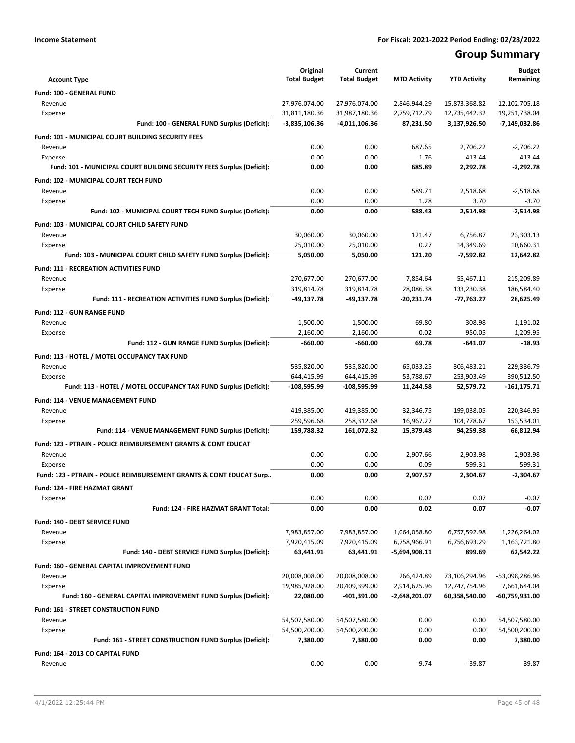# **Group Summary**

| <b>Account Type</b>                                                       | Original<br><b>Total Budget</b> | Current<br><b>Total Budget</b> | <b>MTD Activity</b> | <b>YTD Activity</b> | <b>Budget</b><br>Remaining |
|---------------------------------------------------------------------------|---------------------------------|--------------------------------|---------------------|---------------------|----------------------------|
| Fund: 100 - GENERAL FUND                                                  |                                 |                                |                     |                     |                            |
| Revenue                                                                   | 27,976,074.00                   | 27,976,074.00                  | 2,846,944.29        | 15,873,368.82       | 12,102,705.18              |
| Expense                                                                   | 31,811,180.36                   | 31,987,180.36                  | 2,759,712.79        | 12,735,442.32       | 19,251,738.04              |
| Fund: 100 - GENERAL FUND Surplus (Deficit):                               | $-3,835,106.36$                 | -4,011,106.36                  | 87,231.50           | 3,137,926.50        | $-7,149,032.86$            |
| Fund: 101 - MUNICIPAL COURT BUILDING SECURITY FEES                        |                                 |                                |                     |                     |                            |
| Revenue                                                                   | 0.00                            | 0.00                           | 687.65              | 2,706.22            | $-2,706.22$                |
| Expense                                                                   | 0.00                            | 0.00                           | 1.76                | 413.44              | $-413.44$                  |
| Fund: 101 - MUNICIPAL COURT BUILDING SECURITY FEES Surplus (Deficit):     | 0.00                            | 0.00                           | 685.89              | 2,292.78            | $-2.292.78$                |
| Fund: 102 - MUNICIPAL COURT TECH FUND                                     |                                 |                                |                     |                     |                            |
| Revenue                                                                   | 0.00                            | 0.00                           | 589.71              | 2,518.68            | $-2.518.68$                |
| Expense                                                                   | 0.00                            | 0.00                           | 1.28                | 3.70                | $-3.70$                    |
| Fund: 102 - MUNICIPAL COURT TECH FUND Surplus (Deficit):                  | 0.00                            | 0.00                           | 588.43              | 2,514.98            | $-2,514.98$                |
| Fund: 103 - MUNICIPAL COURT CHILD SAFETY FUND                             |                                 |                                |                     |                     |                            |
| Revenue                                                                   | 30,060.00                       | 30,060.00                      | 121.47              | 6,756.87            | 23,303.13                  |
| Expense                                                                   | 25,010.00                       | 25,010.00                      | 0.27                | 14,349.69           | 10,660.31                  |
| Fund: 103 - MUNICIPAL COURT CHILD SAFETY FUND Surplus (Deficit):          | 5,050.00                        | 5,050.00                       | 121.20              | $-7,592.82$         | 12,642.82                  |
| <b>Fund: 111 - RECREATION ACTIVITIES FUND</b>                             |                                 |                                |                     |                     |                            |
| Revenue                                                                   | 270,677.00                      | 270,677.00                     | 7.854.64            | 55,467.11           | 215,209.89                 |
| Expense                                                                   | 319,814.78                      | 319,814.78                     | 28,086.38           | 133,230.38          | 186,584.40                 |
| Fund: 111 - RECREATION ACTIVITIES FUND Surplus (Deficit):                 | -49,137.78                      | $-49,137.78$                   | -20,231.74          | -77,763.27          | 28,625.49                  |
| <b>Fund: 112 - GUN RANGE FUND</b>                                         |                                 |                                |                     |                     |                            |
| Revenue                                                                   | 1,500.00                        | 1,500.00                       | 69.80               | 308.98              | 1,191.02                   |
| Expense                                                                   | 2,160.00                        | 2,160.00                       | 0.02                | 950.05              | 1,209.95                   |
| Fund: 112 - GUN RANGE FUND Surplus (Deficit):                             | $-660.00$                       | $-660.00$                      | 69.78               | -641.07             | $-18.93$                   |
| Fund: 113 - HOTEL / MOTEL OCCUPANCY TAX FUND                              |                                 |                                |                     |                     |                            |
| Revenue                                                                   | 535,820.00                      | 535,820.00                     | 65,033.25           | 306,483.21          | 229,336.79                 |
| Expense                                                                   | 644,415.99                      | 644,415.99                     | 53,788.67           | 253,903.49          | 390,512.50                 |
| Fund: 113 - HOTEL / MOTEL OCCUPANCY TAX FUND Surplus (Deficit):           | -108,595.99                     | -108,595.99                    | 11,244.58           | 52,579.72           | -161,175.71                |
| Fund: 114 - VENUE MANAGEMENT FUND                                         |                                 |                                |                     |                     |                            |
| Revenue                                                                   | 419,385.00                      | 419,385.00                     | 32,346.75           | 199,038.05          | 220,346.95                 |
| Expense                                                                   | 259,596.68                      | 258,312.68                     | 16,967.27           | 104,778.67          | 153,534.01                 |
| Fund: 114 - VENUE MANAGEMENT FUND Surplus (Deficit):                      | 159,788.32                      | 161,072.32                     | 15,379.48           | 94,259.38           | 66,812.94                  |
| <b>Fund: 123 - PTRAIN - POLICE REIMBURSEMENT GRANTS &amp; CONT EDUCAT</b> |                                 |                                |                     |                     |                            |
| Revenue                                                                   | 0.00                            | 0.00                           | 2.907.66            | 2,903.98            | $-2,903.98$                |
| Expense                                                                   | 0.00                            | 0.00                           | 0.09                | 599.31              | $-599.31$                  |
| Fund: 123 - PTRAIN - POLICE REIMBURSEMENT GRANTS & CONT EDUCAT Surp       | 0.00                            | 0.00                           | 2,907.57            | 2,304.67            | $-2,304.67$                |
| Fund: 124 - FIRE HAZMAT GRANT                                             |                                 |                                |                     |                     |                            |
| Expense                                                                   | 0.00                            | 0.00                           | 0.02                | 0.07                | $-0.07$                    |
| Fund: 124 - FIRE HAZMAT GRANT Total:                                      | 0.00                            | 0.00                           | 0.02                | 0.07                | $-0.07$                    |
| Fund: 140 - DEBT SERVICE FUND                                             |                                 |                                |                     |                     |                            |
| Revenue                                                                   | 7,983,857.00                    | 7,983,857.00                   | 1,064,058.80        | 6,757,592.98        | 1,226,264.02               |
| Expense                                                                   | 7,920,415.09                    | 7,920,415.09                   | 6,758,966.91        | 6,756,693.29        | 1,163,721.80               |
| Fund: 140 - DEBT SERVICE FUND Surplus (Deficit):                          | 63,441.91                       | 63,441.91                      | -5,694,908.11       | 899.69              | 62,542.22                  |
| Fund: 160 - GENERAL CAPITAL IMPROVEMENT FUND                              |                                 |                                |                     |                     |                            |
| Revenue                                                                   | 20,008,008.00                   | 20,008,008.00                  | 266,424.89          | 73,106,294.96       | -53,098,286.96             |
| Expense                                                                   | 19,985,928.00                   | 20,409,399.00                  | 2,914,625.96        | 12,747,754.96       | 7,661,644.04               |
| Fund: 160 - GENERAL CAPITAL IMPROVEMENT FUND Surplus (Deficit):           | 22,080.00                       | -401,391.00                    | -2,648,201.07       | 60,358,540.00       | -60,759,931.00             |
| Fund: 161 - STREET CONSTRUCTION FUND                                      |                                 |                                |                     |                     |                            |
| Revenue                                                                   | 54,507,580.00                   | 54,507,580.00                  | 0.00                | 0.00                | 54,507,580.00              |
| Expense                                                                   | 54,500,200.00                   | 54,500,200.00                  | 0.00                | 0.00                | 54,500,200.00              |
| Fund: 161 - STREET CONSTRUCTION FUND Surplus (Deficit):                   | 7,380.00                        | 7,380.00                       | 0.00                | 0.00                | 7,380.00                   |
| Fund: 164 - 2013 CO CAPITAL FUND                                          |                                 |                                |                     |                     |                            |
| Revenue                                                                   | 0.00                            | 0.00                           | $-9.74$             | -39.87              | 39.87                      |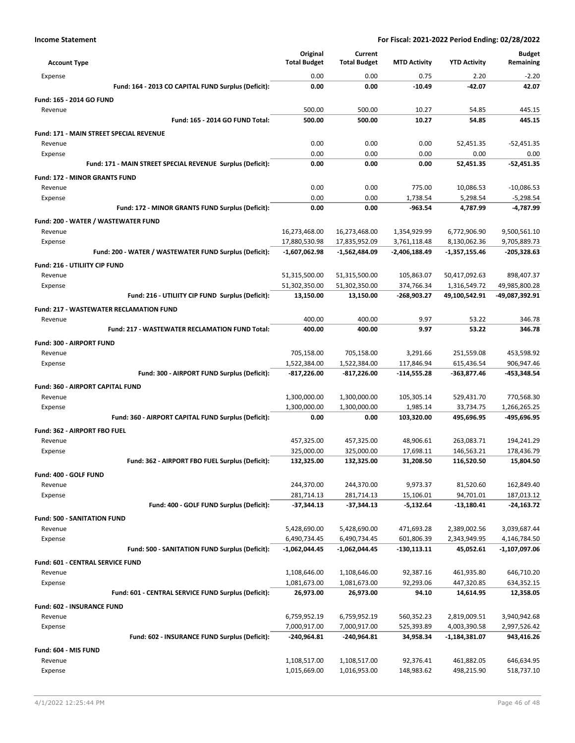|                                                                  | Original                      | Current                      |                             |                               | <b>Budget</b>                   |
|------------------------------------------------------------------|-------------------------------|------------------------------|-----------------------------|-------------------------------|---------------------------------|
| <b>Account Type</b>                                              | <b>Total Budget</b>           | <b>Total Budget</b>          | <b>MTD Activity</b>         | <b>YTD Activity</b>           | Remaining                       |
| Expense                                                          | 0.00                          | 0.00                         | 0.75                        | 2.20                          | $-2.20$                         |
| Fund: 164 - 2013 CO CAPITAL FUND Surplus (Deficit):              | 0.00                          | 0.00                         | $-10.49$                    | -42.07                        | 42.07                           |
| Fund: 165 - 2014 GO FUND                                         |                               |                              |                             |                               |                                 |
| Revenue                                                          | 500.00                        | 500.00                       | 10.27                       | 54.85                         | 445.15                          |
| Fund: 165 - 2014 GO FUND Total:                                  | 500.00                        | 500.00                       | 10.27                       | 54.85                         | 445.15                          |
| <b>Fund: 171 - MAIN STREET SPECIAL REVENUE</b>                   |                               |                              |                             |                               |                                 |
| Revenue                                                          | 0.00                          | 0.00                         | 0.00                        | 52,451.35                     | $-52,451.35$                    |
| Expense                                                          | 0.00                          | 0.00                         | 0.00                        | 0.00                          | 0.00                            |
| Fund: 171 - MAIN STREET SPECIAL REVENUE Surplus (Deficit):       | 0.00                          | 0.00                         | 0.00                        | 52,451.35                     | $-52,451.35$                    |
| <b>Fund: 172 - MINOR GRANTS FUND</b>                             |                               |                              |                             |                               |                                 |
| Revenue                                                          | 0.00                          | 0.00                         | 775.00                      | 10,086.53                     | $-10,086.53$                    |
| Expense                                                          | 0.00                          | 0.00                         | 1,738.54                    | 5,298.54                      | $-5,298.54$                     |
| Fund: 172 - MINOR GRANTS FUND Surplus (Deficit):                 | 0.00                          | 0.00                         | $-963.54$                   | 4,787.99                      | -4,787.99                       |
| Fund: 200 - WATER / WASTEWATER FUND                              |                               |                              |                             |                               |                                 |
| Revenue                                                          | 16,273,468.00                 | 16,273,468.00                | 1,354,929.99                | 6,772,906.90                  | 9,500,561.10                    |
| Expense                                                          | 17,880,530.98                 | 17,835,952.09                | 3,761,118.48                | 8,130,062.36                  | 9,705,889.73                    |
| Fund: 200 - WATER / WASTEWATER FUND Surplus (Deficit):           | $-1,607,062.98$               | -1,562,484.09                | -2,406,188.49               | $-1,357,155.46$               | $-205,328.63$                   |
| Fund: 216 - UTILIITY CIP FUND                                    |                               |                              |                             |                               |                                 |
| Revenue                                                          | 51,315,500.00                 | 51,315,500.00                | 105,863.07                  | 50,417,092.63                 | 898,407.37                      |
| Expense<br>Fund: 216 - UTILIITY CIP FUND Surplus (Deficit):      | 51,302,350.00<br>13,150.00    | 51,302,350.00<br>13,150.00   | 374,766.34<br>-268,903.27   | 1,316,549.72<br>49,100,542.91 | 49,985,800.28<br>-49,087,392.91 |
|                                                                  |                               |                              |                             |                               |                                 |
| <b>Fund: 217 - WASTEWATER RECLAMATION FUND</b>                   |                               |                              |                             |                               |                                 |
| Revenue<br><b>Fund: 217 - WASTEWATER RECLAMATION FUND Total:</b> | 400.00<br>400.00              | 400.00<br>400.00             | 9.97<br>9.97                | 53.22<br>53.22                | 346.78<br>346.78                |
|                                                                  |                               |                              |                             |                               |                                 |
| Fund: 300 - AIRPORT FUND                                         |                               |                              |                             |                               |                                 |
| Revenue                                                          | 705,158.00                    | 705,158.00                   | 3,291.66                    | 251,559.08                    | 453,598.92                      |
| Expense<br>Fund: 300 - AIRPORT FUND Surplus (Deficit):           | 1,522,384.00<br>$-817,226.00$ | 1,522,384.00<br>-817,226.00  | 117,846.94<br>$-114,555.28$ | 615,436.54<br>-363,877.46     | 906,947.46<br>-453,348.54       |
|                                                                  |                               |                              |                             |                               |                                 |
| <b>Fund: 360 - AIRPORT CAPITAL FUND</b>                          |                               |                              |                             |                               |                                 |
| Revenue                                                          | 1,300,000.00<br>1,300,000.00  | 1,300,000.00<br>1,300,000.00 | 105,305.14<br>1,985.14      | 529,431.70<br>33,734.75       | 770,568.30<br>1,266,265.25      |
| Expense<br>Fund: 360 - AIRPORT CAPITAL FUND Surplus (Deficit):   | 0.00                          | 0.00                         | 103.320.00                  | 495.696.95                    | -495,696.95                     |
|                                                                  |                               |                              |                             |                               |                                 |
| Fund: 362 - AIRPORT FBO FUEL                                     |                               |                              | 48,906.61                   |                               |                                 |
| Revenue<br>Expense                                               | 457,325.00<br>325,000.00      | 457,325.00<br>325,000.00     | 17,698.11                   | 263,083.71<br>146,563.21      | 194,241.29<br>178,436.79        |
| Fund: 362 - AIRPORT FBO FUEL Surplus (Deficit):                  | 132,325.00                    | 132,325.00                   | 31,208.50                   | 116,520.50                    | 15,804.50                       |
|                                                                  |                               |                              |                             |                               |                                 |
| Fund: 400 - GOLF FUND<br>Revenue                                 | 244,370.00                    | 244,370.00                   | 9,973.37                    | 81,520.60                     | 162,849.40                      |
| Expense                                                          | 281,714.13                    | 281,714.13                   | 15,106.01                   | 94,701.01                     | 187,013.12                      |
| Fund: 400 - GOLF FUND Surplus (Deficit):                         | $-37,344.13$                  | $-37,344.13$                 | $-5,132.64$                 | -13,180.41                    | $-24,163.72$                    |
| <b>Fund: 500 - SANITATION FUND</b>                               |                               |                              |                             |                               |                                 |
| Revenue                                                          | 5,428,690.00                  | 5,428,690.00                 | 471,693.28                  | 2,389,002.56                  | 3,039,687.44                    |
| Expense                                                          | 6,490,734.45                  | 6,490,734.45                 | 601,806.39                  | 2,343,949.95                  | 4,146,784.50                    |
| Fund: 500 - SANITATION FUND Surplus (Deficit):                   | -1,062,044.45                 | -1,062,044.45                | $-130,113.11$               | 45,052.61                     | -1,107,097.06                   |
| Fund: 601 - CENTRAL SERVICE FUND                                 |                               |                              |                             |                               |                                 |
| Revenue                                                          | 1,108,646.00                  | 1,108,646.00                 | 92,387.16                   | 461,935.80                    | 646,710.20                      |
| Expense                                                          | 1,081,673.00                  | 1,081,673.00                 | 92,293.06                   | 447,320.85                    | 634,352.15                      |
| Fund: 601 - CENTRAL SERVICE FUND Surplus (Deficit):              | 26,973.00                     | 26,973.00                    | 94.10                       | 14,614.95                     | 12,358.05                       |
| Fund: 602 - INSURANCE FUND                                       |                               |                              |                             |                               |                                 |
| Revenue                                                          | 6,759,952.19                  | 6,759,952.19                 | 560,352.23                  | 2,819,009.51                  | 3,940,942.68                    |
| Expense                                                          | 7,000,917.00                  | 7,000,917.00                 | 525,393.89                  | 4,003,390.58                  | 2,997,526.42                    |
| Fund: 602 - INSURANCE FUND Surplus (Deficit):                    | $-240,964.81$                 | -240,964.81                  | 34,958.34                   | $-1,184,381.07$               | 943,416.26                      |
| Fund: 604 - MIS FUND                                             |                               |                              |                             |                               |                                 |
| Revenue                                                          | 1,108,517.00                  | 1,108,517.00                 | 92,376.41                   | 461,882.05                    | 646,634.95                      |
| Expense                                                          | 1,015,669.00                  | 1,016,953.00                 | 148,983.62                  | 498,215.90                    | 518,737.10                      |
|                                                                  |                               |                              |                             |                               |                                 |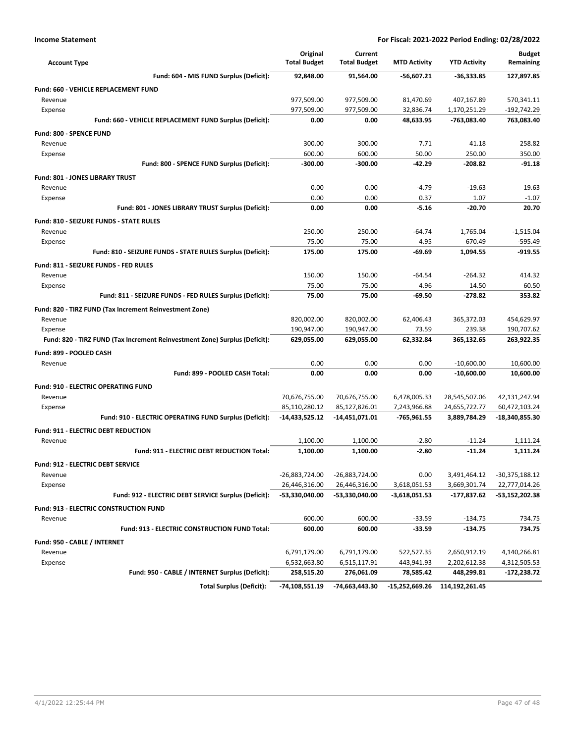| <b>Account Type</b>                                                        | Original<br><b>Total Budget</b> | Current<br><b>Total Budget</b> | <b>MTD Activity</b>          | <b>YTD Activity</b>            | <b>Budget</b><br>Remaining     |
|----------------------------------------------------------------------------|---------------------------------|--------------------------------|------------------------------|--------------------------------|--------------------------------|
| Fund: 604 - MIS FUND Surplus (Deficit):                                    | 92,848.00                       | 91,564.00                      | -56,607.21                   | $-36,333.85$                   | 127,897.85                     |
| Fund: 660 - VEHICLE REPLACEMENT FUND                                       |                                 |                                |                              |                                |                                |
| Revenue                                                                    | 977,509.00                      | 977,509.00                     | 81,470.69                    | 407,167.89                     | 570,341.11                     |
| Expense                                                                    | 977,509.00                      | 977,509.00                     | 32,836.74                    | 1,170,251.29                   | $-192,742.29$                  |
| Fund: 660 - VEHICLE REPLACEMENT FUND Surplus (Deficit):                    | 0.00                            | 0.00                           | 48,633.95                    | -763,083.40                    | 763,083.40                     |
| <b>Fund: 800 - SPENCE FUND</b>                                             |                                 |                                |                              |                                |                                |
| Revenue                                                                    | 300.00                          | 300.00                         | 7.71                         | 41.18                          | 258.82                         |
| Expense                                                                    | 600.00                          | 600.00                         | 50.00                        | 250.00                         | 350.00                         |
| Fund: 800 - SPENCE FUND Surplus (Deficit):                                 | $-300.00$                       | $-300.00$                      | $-42.29$                     | $-208.82$                      | $-91.18$                       |
| <b>Fund: 801 - JONES LIBRARY TRUST</b>                                     |                                 |                                |                              |                                |                                |
| Revenue                                                                    | 0.00                            | 0.00                           | $-4.79$                      | $-19.63$                       | 19.63                          |
| Expense                                                                    | 0.00                            | 0.00                           | 0.37                         | 1.07                           | $-1.07$                        |
| Fund: 801 - JONES LIBRARY TRUST Surplus (Deficit):                         | 0.00                            | 0.00                           | $-5.16$                      | $-20.70$                       | 20.70                          |
| Fund: 810 - SEIZURE FUNDS - STATE RULES                                    |                                 |                                |                              |                                |                                |
| Revenue                                                                    | 250.00                          | 250.00                         | $-64.74$                     | 1,765.04                       | $-1,515.04$                    |
| Expense                                                                    | 75.00                           | 75.00                          | 4.95                         | 670.49                         | $-595.49$                      |
| Fund: 810 - SEIZURE FUNDS - STATE RULES Surplus (Deficit):                 | 175.00                          | 175.00                         | $-69.69$                     | 1,094.55                       | $-919.55$                      |
| Fund: 811 - SEIZURE FUNDS - FED RULES                                      |                                 |                                |                              |                                |                                |
| Revenue                                                                    | 150.00                          | 150.00                         | $-64.54$                     | $-264.32$                      | 414.32                         |
| Expense                                                                    | 75.00                           | 75.00                          | 4.96                         | 14.50                          | 60.50                          |
| Fund: 811 - SEIZURE FUNDS - FED RULES Surplus (Deficit):                   | 75.00                           | 75.00                          | $-69.50$                     | $-278.82$                      | 353.82                         |
| Fund: 820 - TIRZ FUND (Tax Increment Reinvestment Zone)                    |                                 |                                |                              |                                |                                |
| Revenue                                                                    | 820,002.00                      | 820,002.00                     | 62,406.43                    | 365,372.03                     | 454,629.97                     |
| Expense                                                                    | 190,947.00                      | 190,947.00                     | 73.59                        | 239.38                         | 190,707.62                     |
| Fund: 820 - TIRZ FUND (Tax Increment Reinvestment Zone) Surplus (Deficit): | 629,055.00                      | 629,055.00                     | 62,332.84                    | 365,132.65                     | 263,922.35                     |
|                                                                            |                                 |                                |                              |                                |                                |
| Fund: 899 - POOLED CASH<br>Revenue                                         | 0.00                            | 0.00                           | 0.00                         | $-10,600.00$                   | 10,600.00                      |
| Fund: 899 - POOLED CASH Total:                                             | 0.00                            | 0.00                           | 0.00                         | $-10,600.00$                   | 10,600.00                      |
|                                                                            |                                 |                                |                              |                                |                                |
| <b>Fund: 910 - ELECTRIC OPERATING FUND</b>                                 |                                 |                                |                              |                                |                                |
| Revenue<br>Expense                                                         | 70,676,755.00<br>85,110,280.12  | 70,676,755.00<br>85,127,826.01 | 6,478,005.33<br>7,243,966.88 | 28,545,507.06<br>24,655,722.77 | 42,131,247.94<br>60,472,103.24 |
| Fund: 910 - ELECTRIC OPERATING FUND Surplus (Deficit):                     | -14,433,525.12                  | -14,451,071.01                 | -765,961.55                  | 3,889,784.29                   | -18,340,855.30                 |
|                                                                            |                                 |                                |                              |                                |                                |
| Fund: 911 - ELECTRIC DEBT REDUCTION                                        |                                 |                                |                              |                                |                                |
| Revenue<br>Fund: 911 - ELECTRIC DEBT REDUCTION Total:                      | 1,100.00<br>1,100.00            | 1,100.00<br>1,100.00           | $-2.80$<br>$-2.80$           | $-11.24$<br>$-11.24$           | 1,111.24<br>1,111.24           |
|                                                                            |                                 |                                |                              |                                |                                |
| Fund: 912 - ELECTRIC DEBT SERVICE                                          |                                 |                                |                              |                                |                                |
| Revenue                                                                    | -26,883,724.00                  | -26,883,724.00                 | 0.00                         | 3,491,464.12                   | -30,375,188.12                 |
| Expense                                                                    | 26,446,316.00                   | 26,446,316.00                  | 3,618,051.53                 | 3,669,301.74                   | 22,777,014.26                  |
| Fund: 912 - ELECTRIC DEBT SERVICE Surplus (Deficit):                       | -53,330,040.00                  | -53,330,040.00                 | $-3,618,051.53$              | -177,837.62                    | -53,152,202.38                 |
| Fund: 913 - ELECTRIC CONSTRUCTION FUND                                     |                                 |                                |                              |                                |                                |
| Revenue                                                                    | 600.00                          | 600.00                         | $-33.59$                     | $-134.75$                      | 734.75                         |
| Fund: 913 - ELECTRIC CONSTRUCTION FUND Total:                              | 600.00                          | 600.00                         | $-33.59$                     | $-134.75$                      | 734.75                         |
| Fund: 950 - CABLE / INTERNET                                               |                                 |                                |                              |                                |                                |
| Revenue                                                                    | 6,791,179.00                    | 6,791,179.00                   | 522,527.35                   | 2,650,912.19                   | 4,140,266.81                   |
| Expense                                                                    | 6,532,663.80                    | 6,515,117.91                   | 443,941.93                   | 2,202,612.38                   | 4,312,505.53                   |
| Fund: 950 - CABLE / INTERNET Surplus (Deficit):                            | 258,515.20                      | 276,061.09                     | 78,585.42                    | 448,299.81                     | -172,238.72                    |
| <b>Total Surplus (Deficit):</b>                                            | -74,108,551.19                  | -74,663,443.30                 | -15,252,669.26               | 114,192,261.45                 |                                |